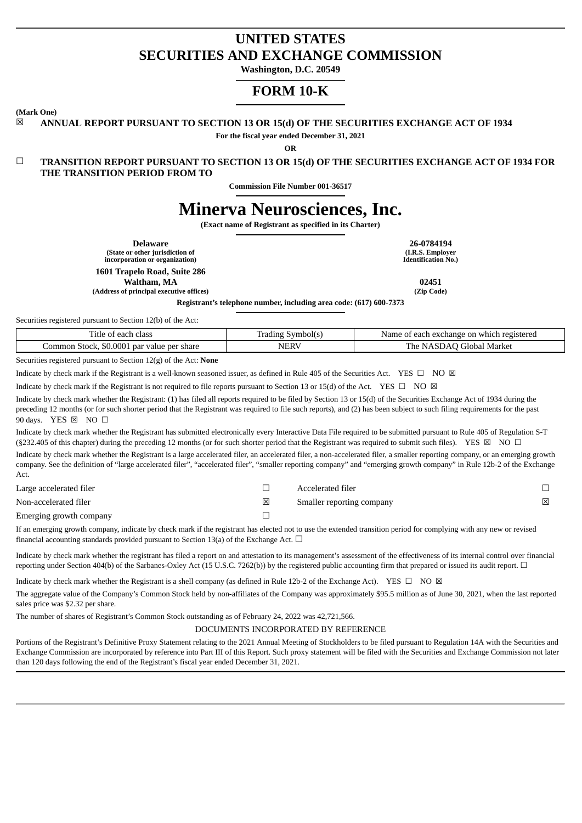# **UNITED STATES SECURITIES AND EXCHANGE COMMISSION**

**Washington, D.C. 20549**

# **FORM 10-K**

**(Mark One)**

☒ **ANNUAL REPORT PURSUANT TO SECTION 13 OR 15(d) OF THE SECURITIES EXCHANGE ACT OF 1934**

**For the fiscal year ended December 31, 2021**

**OR**

☐ **TRANSITION REPORT PURSUANT TO SECTION 13 OR 15(d) OF THE SECURITIES EXCHANGE ACT OF 1934 FOR THE TRANSITION PERIOD FROM TO**

**Commission File Number 001-36517**

# **Minerva Neurosciences, Inc.**

**(Exact name of Registrant as specified in its Charter)**

**Delaware 26-0784194 (State or other jurisdiction of incorporation or organization)**

**1601 Trapelo Road, Suite 286**

**(I.R.S. Employer Identification No.)**

**Waltham, MA 02451**

**(Address of principal executive offices) (Zip Code)**

**Registrant's telephone number, including area code: (617) 600-7373**

Securities registered pursuant to Section 12(b) of the Act:

| m.<br>class<br>. each<br>. itle-<br>റി                                     | radıng :<br>nnou | registerea<br>'Namt<br>eacl<br>exchange on<br>. which |  |  |
|----------------------------------------------------------------------------|------------------|-------------------------------------------------------|--|--|
| \$0.0001<br><sup>.</sup> share<br>ner<br>ommon<br>' value<br>par<br>Stock. | <b>NERV</b>      | --<br>Market<br>r pe-<br>aloba.<br>. VI               |  |  |

Securities registered pursuant to Section 12(g) of the Act: **None**

Indicate by check mark if the Registrant is a well-known seasoned issuer, as defined in Rule 405 of the Securities Act. YES  $\Box$  NO  $\boxtimes$ 

Indicate by check mark if the Registrant is not required to file reports pursuant to Section 13 or 15(d) of the Act. YES  $\Box$  NO  $\boxtimes$ 

Indicate by check mark whether the Registrant: (1) has filed all reports required to be filed by Section 13 or 15(d) of the Securities Exchange Act of 1934 during the preceding 12 months (or for such shorter period that the Registrant was required to file such reports), and (2) has been subject to such filing requirements for the past 90 days. YES  $\boxtimes$  NO  $\Box$ 

Indicate by check mark whether the Registrant has submitted electronically every Interactive Data File required to be submitted pursuant to Rule 405 of Regulation S-T (§232.405 of this chapter) during the preceding 12 months (or for such shorter period that the Registrant was required to submit such files). YES  $\boxtimes$  NO  $\Box$ 

Indicate by check mark whether the Registrant is a large accelerated filer, an accelerated filer, a non-accelerated filer, a smaller reporting company, or an emerging growth company. See the definition of "large accelerated filer", "accelerated filer", "smaller reporting company" and "emerging growth company" in Rule 12b-2 of the Exchange Act.

| Large accelerated filer |   | Accelerated filer         |   |
|-------------------------|---|---------------------------|---|
| Non-accelerated filer   | ⊠ | Smaller reporting company | 冈 |
| Emerging growth company |   |                           |   |

If an emerging growth company, indicate by check mark if the registrant has elected not to use the extended transition period for complying with any new or revised financial accounting standards provided pursuant to Section 13(a) of the Exchange Act.  $\Box$ 

Indicate by check mark whether the registrant has filed a report on and attestation to its management's assessment of the effectiveness of its internal control over financial reporting under Section 404(b) of the Sarbanes-Oxley Act (15 U.S.C. 7262(b)) by the registered public accounting firm that prepared or issued its audit report.  $\Box$ 

Indicate by check mark whether the Registrant is a shell company (as defined in Rule 12b-2 of the Exchange Act). YES  $\Box$  NO  $\boxtimes$ 

The aggregate value of the Company's Common Stock held by non-affiliates of the Company was approximately \$95.5 million as of June 30, 2021, when the last reported sales price was \$2.32 per share.

The number of shares of Registrant's Common Stock outstanding as of February 24, 2022 was 42,721,566.

#### DOCUMENTS INCORPORATED BY REFERENCE

Portions of the Registrant's Definitive Proxy Statement relating to the 2021 Annual Meeting of Stockholders to be filed pursuant to Regulation 14A with the Securities and Exchange Commission are incorporated by reference into Part III of this Report. Such proxy statement will be filed with the Securities and Exchange Commission not later than 120 days following the end of the Registrant's fiscal year ended December 31, 2021.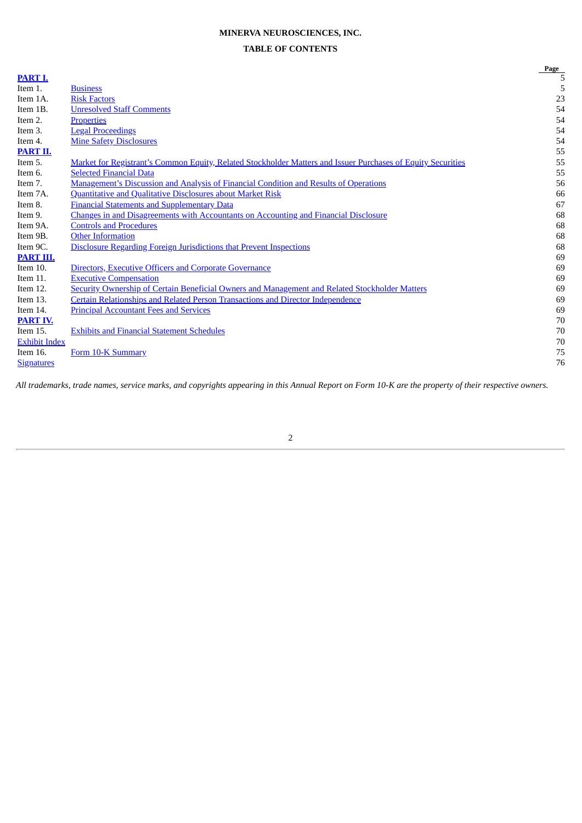# **MINERVA NEUROSCIENCES, INC.**

# **TABLE OF CONTENTS**

|                      |                                                                                                              | Page |
|----------------------|--------------------------------------------------------------------------------------------------------------|------|
| PART I.              |                                                                                                              |      |
| Item 1.              | <b>Business</b>                                                                                              | 5    |
| Item 1A.             | <b>Risk Factors</b>                                                                                          | 23   |
| Item 1B.             | <b>Unresolved Staff Comments</b>                                                                             | 54   |
| Item 2.              | <b>Properties</b>                                                                                            | 54   |
| Item 3.              | <b>Legal Proceedings</b>                                                                                     | 54   |
| Item 4.              | <b>Mine Safety Disclosures</b>                                                                               | 54   |
| PART II.             |                                                                                                              | 55   |
| Item 5.              | Market for Registrant's Common Equity, Related Stockholder Matters and Issuer Purchases of Equity Securities | 55   |
| Item 6.              | <b>Selected Financial Data</b>                                                                               | 55   |
| Item 7.              | <b>Management's Discussion and Analysis of Financial Condition and Results of Operations</b>                 | 56   |
| Item 7A.             | <b>Quantitative and Qualitative Disclosures about Market Risk</b>                                            | 66   |
| Item 8.              | <b>Financial Statements and Supplementary Data</b>                                                           | 67   |
| Item 9.              | <b>Changes in and Disagreements with Accountants on Accounting and Financial Disclosure</b>                  | 68   |
| Item 9A.             | <b>Controls and Procedures</b>                                                                               | 68   |
| Item 9B.             | <b>Other Information</b>                                                                                     | 68   |
| Item 9C.             | <b>Disclosure Regarding Foreign Jurisdictions that Prevent Inspections</b>                                   | 68   |
| PART III.            |                                                                                                              | 69   |
| Item 10.             | Directors, Executive Officers and Corporate Governance                                                       | 69   |
| Item 11.             | <b>Executive Compensation</b>                                                                                | 69   |
| Item 12.             | Security Ownership of Certain Beneficial Owners and Management and Related Stockholder Matters               | 69   |
| Item 13.             | <b>Certain Relationships and Related Person Transactions and Director Independence</b>                       | 69   |
| Item 14.             | <b>Principal Accountant Fees and Services</b>                                                                | 69   |
| PART IV.             |                                                                                                              | 70   |
| Item 15.             | <b>Exhibits and Financial Statement Schedules</b>                                                            | 70   |
| <b>Exhibit Index</b> |                                                                                                              | 70   |
| Item 16.             | Form 10-K Summary                                                                                            | 75   |
| <b>Signatures</b>    |                                                                                                              | 76   |
|                      |                                                                                                              |      |

All trademarks, trade names, service marks, and copyrights appearing in this Annual Report on Form 10-K are the property of their respective owners.

2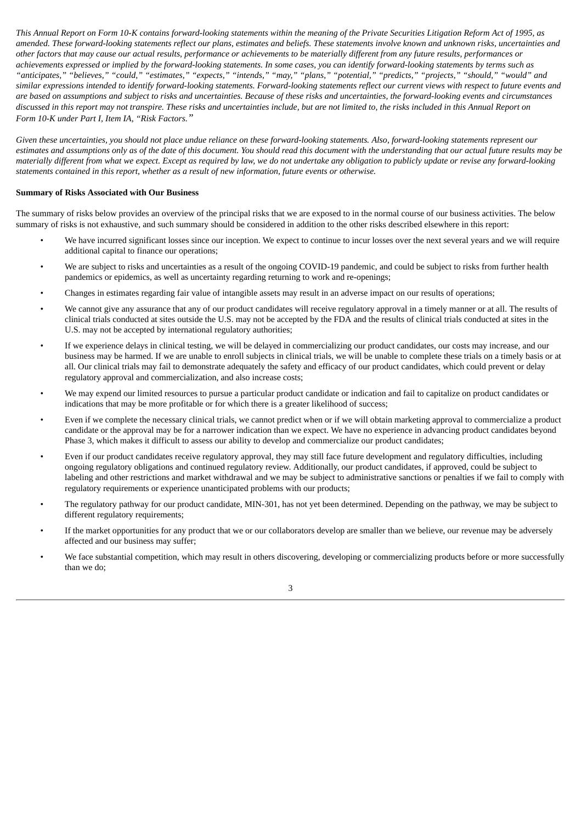This Annual Report on Form 10-K contains forward-looking statements within the meaning of the Private Securities Litigation Reform Act of 1995, as amended. These forward-looking statements reflect our plans, estimates and beliefs. These statements involve known and unknown risks, uncertainties and other factors that may cause our actual results, performance or achievements to be materially different from any future results, performances or achievements expressed or implied by the forward-looking statements. In some cases, you can identify forward-looking statements by terms such as "anticipates," "believes," "could," "estimates," "expects," "intends," "may," "plans," "potential," "predicts," "projects," "should," "would" and similar expressions intended to identify forward-looking statements. Forward-looking statements reflect our current views with respect to future events and are based on assumptions and subject to risks and uncertainties. Because of these risks and uncertainties, the forward-looking events and circumstances discussed in this report may not transpire. These risks and uncertainties include, but are not limited to, the risks included in this Annual Report on *Form 10-K under Part I, Item IA, "Risk Factors."*

Given these uncertainties, you should not place undue reliance on these forward-looking statements. Also, forward-looking statements represent our estimates and assumptions only as of the date of this document. You should read this document with the understanding that our actual future results may be materially different from what we expect. Except as required by law, we do not undertake any obligation to publicly update or revise any forward-looking *statements contained in this report, whether as a result of new information, future events or otherwise.*

# **Summary of Risks Associated with Our Business**

The summary of risks below provides an overview of the principal risks that we are exposed to in the normal course of our business activities. The below summary of risks is not exhaustive, and such summary should be considered in addition to the other risks described elsewhere in this report:

- We have incurred significant losses since our inception. We expect to continue to incur losses over the next several years and we will require additional capital to finance our operations;
- We are subject to risks and uncertainties as a result of the ongoing COVID-19 pandemic, and could be subject to risks from further health pandemics or epidemics, as well as uncertainty regarding returning to work and re-openings;
- Changes in estimates regarding fair value of intangible assets may result in an adverse impact on our results of operations;
- We cannot give any assurance that any of our product candidates will receive regulatory approval in a timely manner or at all. The results of clinical trials conducted at sites outside the U.S. may not be accepted by the FDA and the results of clinical trials conducted at sites in the U.S. may not be accepted by international regulatory authorities;
- If we experience delays in clinical testing, we will be delayed in commercializing our product candidates, our costs may increase, and our business may be harmed. If we are unable to enroll subjects in clinical trials, we will be unable to complete these trials on a timely basis or at all. Our clinical trials may fail to demonstrate adequately the safety and efficacy of our product candidates, which could prevent or delay regulatory approval and commercialization, and also increase costs;
- We may expend our limited resources to pursue a particular product candidate or indication and fail to capitalize on product candidates or indications that may be more profitable or for which there is a greater likelihood of success;
- Even if we complete the necessary clinical trials, we cannot predict when or if we will obtain marketing approval to commercialize a product candidate or the approval may be for a narrower indication than we expect. We have no experience in advancing product candidates beyond Phase 3, which makes it difficult to assess our ability to develop and commercialize our product candidates;
- Even if our product candidates receive regulatory approval, they may still face future development and regulatory difficulties, including ongoing regulatory obligations and continued regulatory review. Additionally, our product candidates, if approved, could be subject to labeling and other restrictions and market withdrawal and we may be subject to administrative sanctions or penalties if we fail to comply with regulatory requirements or experience unanticipated problems with our products;
- The regulatory pathway for our product candidate, MIN-301, has not yet been determined. Depending on the pathway, we may be subject to different regulatory requirements;
- If the market opportunities for any product that we or our collaborators develop are smaller than we believe, our revenue may be adversely affected and our business may suffer;
- We face substantial competition, which may result in others discovering, developing or commercializing products before or more successfully than we do;

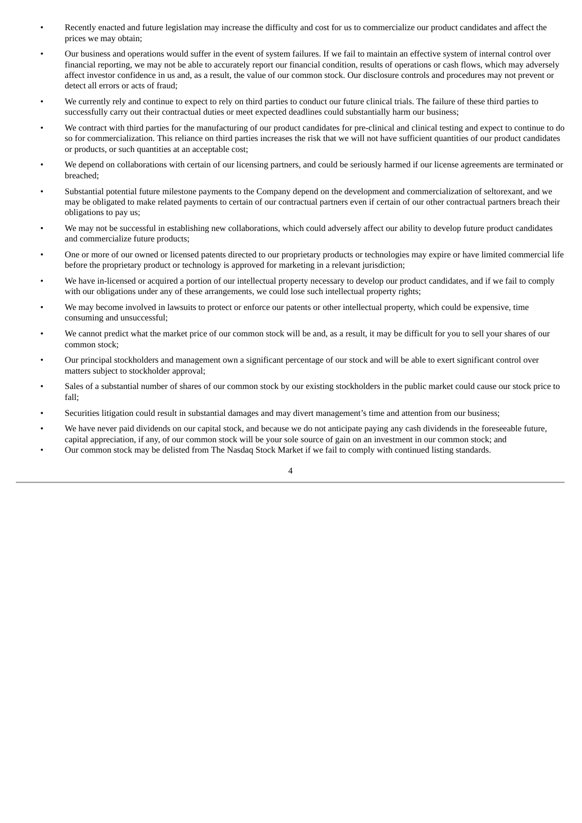- Recently enacted and future legislation may increase the difficulty and cost for us to commercialize our product candidates and affect the prices we may obtain;
- Our business and operations would suffer in the event of system failures. If we fail to maintain an effective system of internal control over financial reporting, we may not be able to accurately report our financial condition, results of operations or cash flows, which may adversely affect investor confidence in us and, as a result, the value of our common stock. Our disclosure controls and procedures may not prevent or detect all errors or acts of fraud;
- We currently rely and continue to expect to rely on third parties to conduct our future clinical trials. The failure of these third parties to successfully carry out their contractual duties or meet expected deadlines could substantially harm our business;
- We contract with third parties for the manufacturing of our product candidates for pre-clinical and clinical testing and expect to continue to do so for commercialization. This reliance on third parties increases the risk that we will not have sufficient quantities of our product candidates or products, or such quantities at an acceptable cost;
- We depend on collaborations with certain of our licensing partners, and could be seriously harmed if our license agreements are terminated or breached;
- Substantial potential future milestone payments to the Company depend on the development and commercialization of seltorexant, and we may be obligated to make related payments to certain of our contractual partners even if certain of our other contractual partners breach their obligations to pay us;
- We may not be successful in establishing new collaborations, which could adversely affect our ability to develop future product candidates and commercialize future products;
- One or more of our owned or licensed patents directed to our proprietary products or technologies may expire or have limited commercial life before the proprietary product or technology is approved for marketing in a relevant jurisdiction;
- We have in-licensed or acquired a portion of our intellectual property necessary to develop our product candidates, and if we fail to comply with our obligations under any of these arrangements, we could lose such intellectual property rights;
- We may become involved in lawsuits to protect or enforce our patents or other intellectual property, which could be expensive, time consuming and unsuccessful;
- We cannot predict what the market price of our common stock will be and, as a result, it may be difficult for you to sell your shares of our common stock;
- Our principal stockholders and management own a significant percentage of our stock and will be able to exert significant control over matters subject to stockholder approval;
- Sales of a substantial number of shares of our common stock by our existing stockholders in the public market could cause our stock price to fall;
- Securities litigation could result in substantial damages and may divert management's time and attention from our business;
- We have never paid dividends on our capital stock, and because we do not anticipate paying any cash dividends in the foreseeable future, capital appreciation, if any, of our common stock will be your sole source of gain on an investment in our common stock; and
- Our common stock may be delisted from The Nasdaq Stock Market if we fail to comply with continued listing standards.

4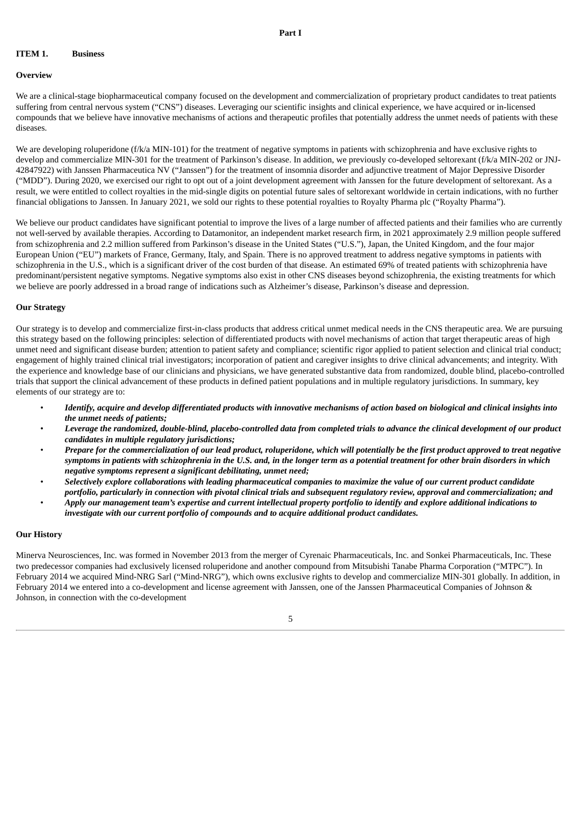#### <span id="page-4-1"></span><span id="page-4-0"></span>**ITEM 1. Business**

#### **Overview**

We are a clinical-stage biopharmaceutical company focused on the development and commercialization of proprietary product candidates to treat patients suffering from central nervous system ("CNS") diseases. Leveraging our scientific insights and clinical experience, we have acquired or in-licensed compounds that we believe have innovative mechanisms of actions and therapeutic profiles that potentially address the unmet needs of patients with these diseases.

We are developing roluperidone (f/k/a MIN-101) for the treatment of negative symptoms in patients with schizophrenia and have exclusive rights to develop and commercialize MIN-301 for the treatment of Parkinson's disease. In addition, we previously co-developed seltorexant (f/k/a MIN-202 or JNJ-42847922) with Janssen Pharmaceutica NV ("Janssen") for the treatment of insomnia disorder and adjunctive treatment of Major Depressive Disorder ("MDD"). During 2020, we exercised our right to opt out of a joint development agreement with Janssen for the future development of seltorexant. As a result, we were entitled to collect royalties in the mid-single digits on potential future sales of seltorexant worldwide in certain indications, with no further financial obligations to Janssen. In January 2021, we sold our rights to these potential royalties to Royalty Pharma plc ("Royalty Pharma").

We believe our product candidates have significant potential to improve the lives of a large number of affected patients and their families who are currently not well-served by available therapies. According to Datamonitor, an independent market research firm, in 2021 approximately 2.9 million people suffered from schizophrenia and 2.2 million suffered from Parkinson's disease in the United States ("U.S."), Japan, the United Kingdom, and the four major European Union ("EU") markets of France, Germany, Italy, and Spain. There is no approved treatment to address negative symptoms in patients with schizophrenia in the U.S., which is a significant driver of the cost burden of that disease. An estimated 69% of treated patients with schizophrenia have predominant/persistent negative symptoms. Negative symptoms also exist in other CNS diseases beyond schizophrenia, the existing treatments for which we believe are poorly addressed in a broad range of indications such as Alzheimer's disease, Parkinson's disease and depression.

# **Our Strategy**

Our strategy is to develop and commercialize first-in-class products that address critical unmet medical needs in the CNS therapeutic area. We are pursuing this strategy based on the following principles: selection of differentiated products with novel mechanisms of action that target therapeutic areas of high unmet need and significant disease burden; attention to patient safety and compliance; scientific rigor applied to patient selection and clinical trial conduct; engagement of highly trained clinical trial investigators; incorporation of patient and caregiver insights to drive clinical advancements; and integrity. With the experience and knowledge base of our clinicians and physicians, we have generated substantive data from randomized, double blind, placebo-controlled trials that support the clinical advancement of these products in defined patient populations and in multiple regulatory jurisdictions. In summary, key elements of our strategy are to:

- Identify, acquire and develop differentiated products with innovative mechanisms of action based on biological and clinical insights into *the unmet needs of patients;*
- Leverage the randomized, double-blind, placebo-controlled data from completed trials to advance the clinical development of our product *candidates in multiple regulatory jurisdictions;*
- Prepare for the commercialization of our lead product, roluperidone, which will potentially be the first product approved to treat negative symptoms in patients with schizophrenia in the U.S. and, in the longer term as a potential treatment for other brain disorders in which *negative symptoms represent a significant debilitating, unmet need;*
- Selectively explore collaborations with leading pharmaceutical companies to maximize the value of our current product candidate portfolio, particularly in connection with pivotal clinical trials and subsequent regulatory review, approval and commercialization; and
- Apply our management team's expertise and current intellectual property portfolio to identify and explore additional indications to *investigate with our current portfolio of compounds and to acquire additional product candidates.*

#### **Our History**

Minerva Neurosciences, Inc. was formed in November 2013 from the merger of Cyrenaic Pharmaceuticals, Inc. and Sonkei Pharmaceuticals, Inc. These two predecessor companies had exclusively licensed roluperidone and another compound from Mitsubishi Tanabe Pharma Corporation ("MTPC"). In February 2014 we acquired Mind-NRG Sarl ("Mind-NRG"), which owns exclusive rights to develop and commercialize MIN-301 globally. In addition, in February 2014 we entered into a co-development and license agreement with Janssen, one of the Janssen Pharmaceutical Companies of Johnson & Johnson, in connection with the co-development

#### **Part I**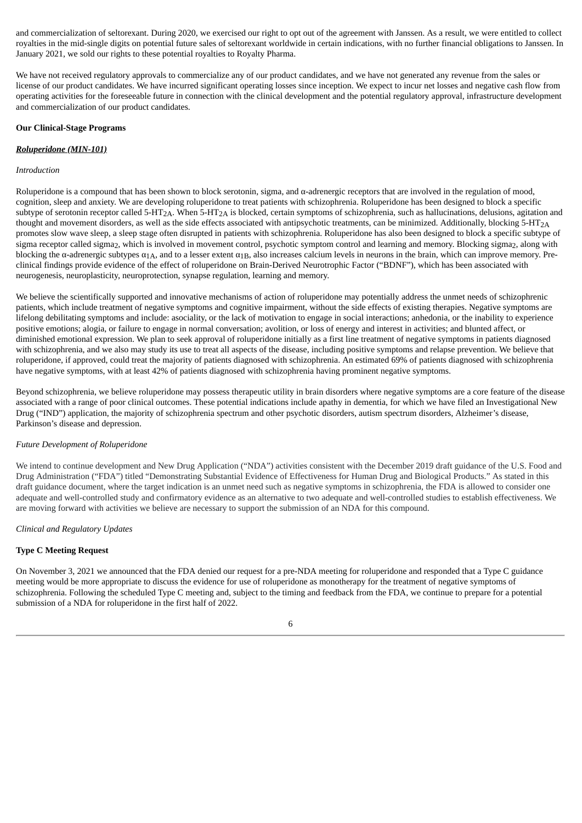and commercialization of seltorexant. During 2020, we exercised our right to opt out of the agreement with Janssen. As a result, we were entitled to collect royalties in the mid-single digits on potential future sales of seltorexant worldwide in certain indications, with no further financial obligations to Janssen. In January 2021, we sold our rights to these potential royalties to Royalty Pharma.

We have not received regulatory approvals to commercialize any of our product candidates, and we have not generated any revenue from the sales or license of our product candidates. We have incurred significant operating losses since inception. We expect to incur net losses and negative cash flow from operating activities for the foreseeable future in connection with the clinical development and the potential regulatory approval, infrastructure development and commercialization of our product candidates.

#### **Our Clinical-Stage Programs**

#### *Roluperidone (MIN-101)*

#### *Introduction*

Roluperidone is a compound that has been shown to block serotonin, sigma, and α-adrenergic receptors that are involved in the regulation of mood, cognition, sleep and anxiety. We are developing roluperidone to treat patients with schizophrenia. Roluperidone has been designed to block a specific subtype of serotonin receptor called 5-HT<sub>2A</sub>. When 5-HT<sub>2A</sub> is blocked, certain symptoms of schizophrenia, such as hallucinations, delusions, agitation and thought and movement disorders, as well as the side effects associated with antipsychotic treatments, can be minimized. Additionally, blocking 5-HT<sub>2A</sub> promotes slow wave sleep, a sleep stage often disrupted in patients with schizophrenia. Roluperidone has also been designed to block a specific subtype of sigma receptor called sigma<sub>2</sub>, which is involved in movement control, psychotic symptom control and learning and memory. Blocking sigma<sub>2</sub>, along with blocking the α-adrenergic subtypes  $\alpha_{1A}$ , and to a lesser extent  $\alpha_{1B}$ , also increases calcium levels in neurons in the brain, which can improve memory. Preclinical findings provide evidence of the effect of roluperidone on Brain-Derived Neurotrophic Factor ("BDNF"), which has been associated with neurogenesis, neuroplasticity, neuroprotection, synapse regulation, learning and memory.

We believe the scientifically supported and innovative mechanisms of action of roluperidone may potentially address the unmet needs of schizophrenic patients, which include treatment of negative symptoms and cognitive impairment, without the side effects of existing therapies. Negative symptoms are lifelong debilitating symptoms and include: asociality, or the lack of motivation to engage in social interactions; anhedonia, or the inability to experience positive emotions; alogia, or failure to engage in normal conversation; avolition, or loss of energy and interest in activities; and blunted affect, or diminished emotional expression. We plan to seek approval of roluperidone initially as a first line treatment of negative symptoms in patients diagnosed with schizophrenia, and we also may study its use to treat all aspects of the disease, including positive symptoms and relapse prevention. We believe that roluperidone, if approved, could treat the majority of patients diagnosed with schizophrenia. An estimated 69% of patients diagnosed with schizophrenia have negative symptoms, with at least 42% of patients diagnosed with schizophrenia having prominent negative symptoms.

Beyond schizophrenia, we believe roluperidone may possess therapeutic utility in brain disorders where negative symptoms are a core feature of the disease associated with a range of poor clinical outcomes. These potential indications include apathy in dementia, for which we have filed an Investigational New Drug ("IND") application, the majority of schizophrenia spectrum and other psychotic disorders, autism spectrum disorders, Alzheimer's disease, Parkinson's disease and depression.

#### *Future Development of Roluperidone*

We intend to continue development and New Drug Application ("NDA") activities consistent with the December 2019 draft guidance of the U.S. Food and Drug Administration ("FDA") titled "Demonstrating Substantial Evidence of Effectiveness for Human Drug and Biological Products." As stated in this draft guidance document, where the target indication is an unmet need such as negative symptoms in schizophrenia, the FDA is allowed to consider one adequate and well-controlled study and confirmatory evidence as an alternative to two adequate and well-controlled studies to establish effectiveness. We are moving forward with activities we believe are necessary to support the submission of an NDA for this compound.

# *Clinical and Regulatory Updates*

# **Type C Meeting Request**

On November 3, 2021 we announced that the FDA denied our request for a pre-NDA meeting for roluperidone and responded that a Type C guidance meeting would be more appropriate to discuss the evidence for use of roluperidone as monotherapy for the treatment of negative symptoms of schizophrenia. Following the scheduled Type C meeting and, subject to the timing and feedback from the FDA, we continue to prepare for a potential submission of a NDA for roluperidone in the first half of 2022.

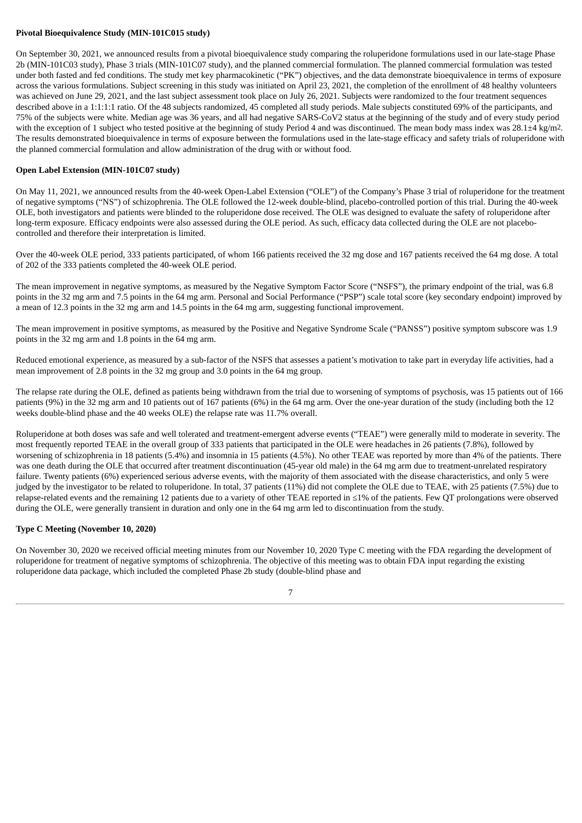# **Pivotal Bioequivalence Study (MIN-101C015 study)**

On September 30, 2021, we announced results from a pivotal bioequivalence study comparing the roluperidone formulations used in our late-stage Phase 2b (MIN-101C03 study), Phase 3 trials (MIN-101C07 study), and the planned commercial formulation. The planned commercial formulation was tested under both fasted and fed conditions. The study met key pharmacokinetic ("PK") objectives, and the data demonstrate bioequivalence in terms of exposure across the various formulations. Subject screening in this study was initiated on April 23, 2021, the completion of the enrollment of 48 healthy volunteers was achieved on June 29, 2021, and the last subject assessment took place on July 26, 2021. Subjects were randomized to the four treatment sequences described above in a 1:1:1:1 ratio. Of the 48 subjects randomized, 45 completed all study periods. Male subjects constituted 69% of the participants, and 75% of the subjects were white. Median age was 36 years, and all had negative SARS-CoV2 status at the beginning of the study and of every study period with the exception of 1 subject who tested positive at the beginning of study Period 4 and was discontinued. The mean body mass index was 28.1±4 kg/m<sup>2</sup>. The results demonstrated bioequivalence in terms of exposure between the formulations used in the late-stage efficacy and safety trials of roluperidone with the planned commercial formulation and allow administration of the drug with or without food.

#### **Open Label Extension (MIN-101C07 study)**

On May 11, 2021, we announced results from the 40-week Open-Label Extension ("OLE") of the Company's Phase 3 trial of roluperidone for the treatment of negative symptoms ("NS") of schizophrenia. The OLE followed the 12-week double-blind, placebo-controlled portion of this trial. During the 40-week OLE, both investigators and patients were blinded to the roluperidone dose received. The OLE was designed to evaluate the safety of roluperidone after long-term exposure. Efficacy endpoints were also assessed during the OLE period. As such, efficacy data collected during the OLE are not placebocontrolled and therefore their interpretation is limited.

Over the 40-week OLE period, 333 patients participated, of whom 166 patients received the 32 mg dose and 167 patients received the 64 mg dose. A total of 202 of the 333 patients completed the 40-week OLE period.

The mean improvement in negative symptoms, as measured by the Negative Symptom Factor Score ("NSFS"), the primary endpoint of the trial, was 6.8 points in the 32 mg arm and 7.5 points in the 64 mg arm. Personal and Social Performance ("PSP") scale total score (key secondary endpoint) improved by a mean of 12.3 points in the 32 mg arm and 14.5 points in the 64 mg arm, suggesting functional improvement.

The mean improvement in positive symptoms, as measured by the Positive and Negative Syndrome Scale ("PANSS") positive symptom subscore was 1.9 points in the 32 mg arm and 1.8 points in the 64 mg arm.

Reduced emotional experience, as measured by a sub-factor of the NSFS that assesses a patient's motivation to take part in everyday life activities, had a mean improvement of 2.8 points in the 32 mg group and 3.0 points in the 64 mg group.

The relapse rate during the OLE, defined as patients being withdrawn from the trial due to worsening of symptoms of psychosis, was 15 patients out of 166 patients (9%) in the 32 mg arm and 10 patients out of 167 patients (6%) in the 64 mg arm. Over the one-year duration of the study (including both the 12 weeks double-blind phase and the 40 weeks OLE) the relapse rate was 11.7% overall.

Roluperidone at both doses was safe and well tolerated and treatment-emergent adverse events ("TEAE") were generally mild to moderate in severity. The most frequently reported TEAE in the overall group of 333 patients that participated in the OLE were headaches in 26 patients (7.8%), followed by worsening of schizophrenia in 18 patients (5.4%) and insomnia in 15 patients (4.5%). No other TEAE was reported by more than 4% of the patients. There was one death during the OLE that occurred after treatment discontinuation (45-year old male) in the 64 mg arm due to treatment-unrelated respiratory failure. Twenty patients (6%) experienced serious adverse events, with the majority of them associated with the disease characteristics, and only 5 were judged by the investigator to be related to roluperidone. In total, 37 patients (11%) did not complete the OLE due to TEAE, with 25 patients (7.5%) due to relapse-related events and the remaining 12 patients due to a variety of other TEAE reported in ≤1% of the patients. Few QT prolongations were observed during the OLE, were generally transient in duration and only one in the 64 mg arm led to discontinuation from the study.

# **Type C Meeting (November 10, 2020)**

On November 30, 2020 we received official meeting minutes from our November 10, 2020 Type C meeting with the FDA regarding the development of roluperidone for treatment of negative symptoms of schizophrenia. The objective of this meeting was to obtain FDA input regarding the existing roluperidone data package, which included the completed Phase 2b study (double-blind phase and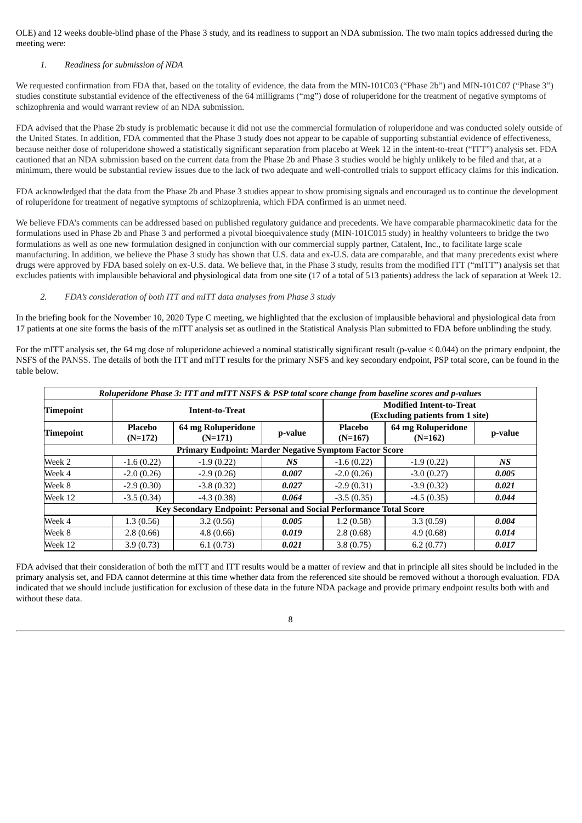OLE) and 12 weeks double-blind phase of the Phase 3 study, and its readiness to support an NDA submission. The two main topics addressed during the meeting were:

# *1. Readiness for submission of NDA*

We requested confirmation from FDA that, based on the totality of evidence, the data from the MIN-101C03 ("Phase 2b") and MIN-101C07 ("Phase 3") studies constitute substantial evidence of the effectiveness of the 64 milligrams ("mg") dose of roluperidone for the treatment of negative symptoms of schizophrenia and would warrant review of an NDA submission.

FDA advised that the Phase 2b study is problematic because it did not use the commercial formulation of roluperidone and was conducted solely outside of the United States. In addition, FDA commented that the Phase 3 study does not appear to be capable of supporting substantial evidence of effectiveness, because neither dose of roluperidone showed a statistically significant separation from placebo at Week 12 in the intent-to-treat ("ITT") analysis set. FDA cautioned that an NDA submission based on the current data from the Phase 2b and Phase 3 studies would be highly unlikely to be filed and that, at a minimum, there would be substantial review issues due to the lack of two adequate and well-controlled trials to support efficacy claims for this indication.

FDA acknowledged that the data from the Phase 2b and Phase 3 studies appear to show promising signals and encouraged us to continue the development of roluperidone for treatment of negative symptoms of schizophrenia, which FDA confirmed is an unmet need.

We believe FDA's comments can be addressed based on published regulatory guidance and precedents. We have comparable pharmacokinetic data for the formulations used in Phase 2b and Phase 3 and performed a pivotal bioequivalence study (MIN-101C015 study) in healthy volunteers to bridge the two formulations as well as one new formulation designed in conjunction with our commercial supply partner, Catalent, Inc., to facilitate large scale manufacturing. In addition, we believe the Phase 3 study has shown that U.S. data and ex-U.S. data are comparable, and that many precedents exist where drugs were approved by FDA based solely on ex-U.S. data. We believe that, in the Phase 3 study, results from the modified ITT ("mITT") analysis set that excludes patients with implausible behavioral and physiological data from one site (17 of a total of 513 patients) address the lack of separation at Week 12.

# *2. FDA's consideration of both ITT and mITT data analyses from Phase 3 study*

In the briefing book for the November 10, 2020 Type C meeting, we highlighted that the exclusion of implausible behavioral and physiological data from 17 patients at one site forms the basis of the mITT analysis set as outlined in the Statistical Analysis Plan submitted to FDA before unblinding the study.

For the mITT analysis set, the 64 mg dose of roluperidone achieved a nominal statistically significant result (p-value  $\leq 0.044$ ) on the primary endpoint, the NSFS of the PANSS. The details of both the ITT and mITT results for the primary NSFS and key secondary endpoint, PSP total score, can be found in the table below.

|                                                                     |                        |                                 |         |                                                                     | Roluperidone Phase 3: ITT and mITT NSFS & PSP total score change from baseline scores and p-values |         |  |  |
|---------------------------------------------------------------------|------------------------|---------------------------------|---------|---------------------------------------------------------------------|----------------------------------------------------------------------------------------------------|---------|--|--|
| <b>Timepoint</b>                                                    | <b>Intent-to-Treat</b> |                                 |         | <b>Modified Intent-to-Treat</b><br>(Excluding patients from 1 site) |                                                                                                    |         |  |  |
| <b>Timepoint</b>                                                    | Placebo<br>$(N=172)$   | 64 mg Roluperidone<br>$(N=171)$ | p-value | Placebo<br>$(N=167)$                                                | 64 mg Roluperidone<br>$(N=162)$                                                                    | p-value |  |  |
| <b>Primary Endpoint: Marder Negative Symptom Factor Score</b>       |                        |                                 |         |                                                                     |                                                                                                    |         |  |  |
| Week 2                                                              | $-1.6(0.22)$           | $-1.9(0.22)$                    | NS      | $-1.6(0.22)$                                                        | $-1.9(0.22)$                                                                                       | NS      |  |  |
| Week 4                                                              | $-2.0(0.26)$           | $-2.9(0.26)$                    | 0.007   | $-2.0(0.26)$                                                        | $-3.0(0.27)$                                                                                       | 0.005   |  |  |
| Week 8                                                              | $-2.9(0.30)$           | $-3.8(0.32)$                    | 0.027   | $-2.9(0.31)$                                                        | $-3.9(0.32)$                                                                                       | 0.021   |  |  |
| Week 12                                                             | $-3.5(0.34)$           | $-4.3(0.38)$                    | 0.064   | $-3.5(0.35)$                                                        | $-4.5(0.35)$                                                                                       | 0.044   |  |  |
| Key Secondary Endpoint: Personal and Social Performance Total Score |                        |                                 |         |                                                                     |                                                                                                    |         |  |  |
| Week 4                                                              | 1.3(0.56)              | 3.2(0.56)                       | 0.005   | 1.2(0.58)                                                           | 3.3(0.59)                                                                                          | 0.004   |  |  |
| Week 8                                                              | 2.8(0.66)              | 4.8(0.66)                       | 0.019   | 2.8(0.68)                                                           | 4.9(0.68)                                                                                          | 0.014   |  |  |
| Week 12                                                             | 3.9(0.73)              | 6.1(0.73)                       | 0.021   | 3.8(0.75)                                                           | 6.2(0.77)                                                                                          | 0.017   |  |  |

FDA advised that their consideration of both the mITT and ITT results would be a matter of review and that in principle all sites should be included in the primary analysis set, and FDA cannot determine at this time whether data from the referenced site should be removed without a thorough evaluation. FDA indicated that we should include justification for exclusion of these data in the future NDA package and provide primary endpoint results both with and without these data.

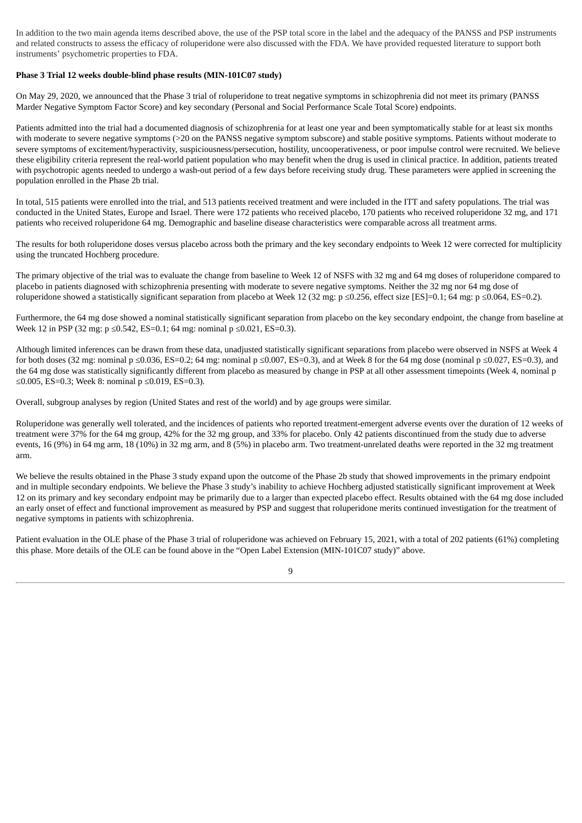In addition to the two main agenda items described above, the use of the PSP total score in the label and the adequacy of the PANSS and PSP instruments and related constructs to assess the efficacy of roluperidone were also discussed with the FDA. We have provided requested literature to support both instruments' psychometric properties to FDA.

#### **Phase 3 Trial 12 weeks double-blind phase results (MIN-101C07 study)**

On May 29, 2020, we announced that the Phase 3 trial of roluperidone to treat negative symptoms in schizophrenia did not meet its primary (PANSS Marder Negative Symptom Factor Score) and key secondary (Personal and Social Performance Scale Total Score) endpoints.

Patients admitted into the trial had a documented diagnosis of schizophrenia for at least one year and been symptomatically stable for at least six months with moderate to severe negative symptoms (>20 on the PANSS negative symptom subscore) and stable positive symptoms. Patients without moderate to severe symptoms of excitement/hyperactivity, suspiciousness/persecution, hostility, uncooperativeness, or poor impulse control were recruited. We believe these eligibility criteria represent the real-world patient population who may benefit when the drug is used in clinical practice. In addition, patients treated with psychotropic agents needed to undergo a wash-out period of a few days before receiving study drug. These parameters were applied in screening the population enrolled in the Phase 2b trial.

In total, 515 patients were enrolled into the trial, and 513 patients received treatment and were included in the ITT and safety populations. The trial was conducted in the United States, Europe and Israel. There were 172 patients who received placebo, 170 patients who received roluperidone 32 mg, and 171 patients who received roluperidone 64 mg. Demographic and baseline disease characteristics were comparable across all treatment arms.

The results for both roluperidone doses versus placebo across both the primary and the key secondary endpoints to Week 12 were corrected for multiplicity using the truncated Hochberg procedure.

The primary objective of the trial was to evaluate the change from baseline to Week 12 of NSFS with 32 mg and 64 mg doses of roluperidone compared to placebo in patients diagnosed with schizophrenia presenting with moderate to severe negative symptoms. Neither the 32 mg nor 64 mg dose of roluperidone showed a statistically significant separation from placebo at Week 12 (32 mg: p ≤0.256, effect size [ES]=0.1; 64 mg: p ≤0.064, ES=0.2).

Furthermore, the 64 mg dose showed a nominal statistically significant separation from placebo on the key secondary endpoint, the change from baseline at Week 12 in PSP (32 mg: p ≤0.542, ES=0.1; 64 mg: nominal p ≤0.021, ES=0.3).

Although limited inferences can be drawn from these data, unadjusted statistically significant separations from placebo were observed in NSFS at Week 4 for both doses (32 mg: nominal p ≤0.036, ES=0.2; 64 mg: nominal p ≤0.007, ES=0.3), and at Week 8 for the 64 mg dose (nominal p ≤0.027, ES=0.3), and the 64 mg dose was statistically significantly different from placebo as measured by change in PSP at all other assessment timepoints (Week 4, nominal p ≤0.005, ES=0.3; Week 8: nominal p ≤0.019, ES=0.3).

Overall, subgroup analyses by region (United States and rest of the world) and by age groups were similar.

Roluperidone was generally well tolerated, and the incidences of patients who reported treatment‑emergent adverse events over the duration of 12 weeks of treatment were 37% for the 64 mg group, 42% for the 32 mg group, and 33% for placebo. Only 42 patients discontinued from the study due to adverse events, 16 (9%) in 64 mg arm, 18 (10%) in 32 mg arm, and 8 (5%) in placebo arm. Two treatment-unrelated deaths were reported in the 32 mg treatment arm.

We believe the results obtained in the Phase 3 study expand upon the outcome of the Phase 2b study that showed improvements in the primary endpoint and in multiple secondary endpoints. We believe the Phase 3 study's inability to achieve Hochberg adjusted statistically significant improvement at Week 12 on its primary and key secondary endpoint may be primarily due to a larger than expected placebo effect. Results obtained with the 64 mg dose included an early onset of effect and functional improvement as measured by PSP and suggest that roluperidone merits continued investigation for the treatment of negative symptoms in patients with schizophrenia.

Patient evaluation in the OLE phase of the Phase 3 trial of roluperidone was achieved on February 15, 2021, with a total of 202 patients (61%) completing this phase. More details of the OLE can be found above in the "Open Label Extension (MIN-101C07 study)" above.

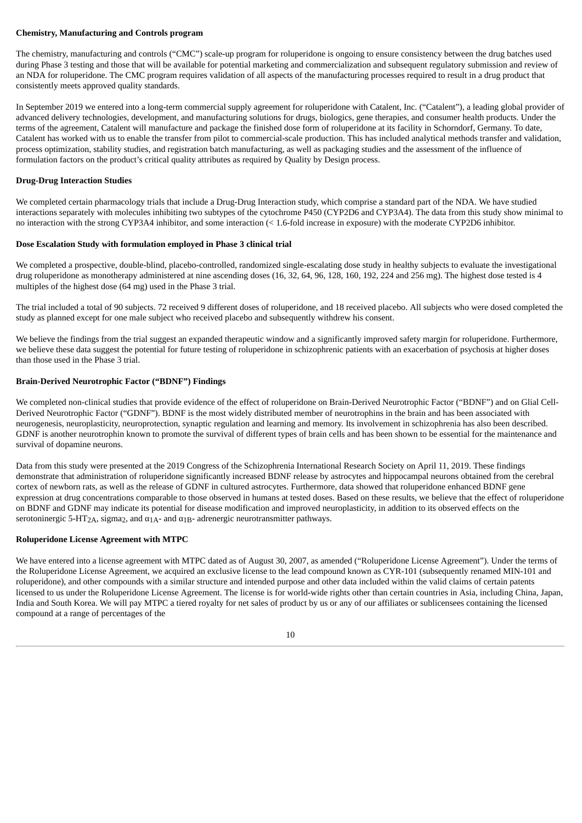## **Chemistry, Manufacturing and Controls program**

The chemistry, manufacturing and controls ("CMC") scale-up program for roluperidone is ongoing to ensure consistency between the drug batches used during Phase 3 testing and those that will be available for potential marketing and commercialization and subsequent regulatory submission and review of an NDA for roluperidone. The CMC program requires validation of all aspects of the manufacturing processes required to result in a drug product that consistently meets approved quality standards.

In September 2019 we entered into a long-term commercial supply agreement for roluperidone with Catalent, Inc. ("Catalent"), a leading global provider of advanced delivery technologies, development, and manufacturing solutions for drugs, biologics, gene therapies, and consumer health products. Under the terms of the agreement, Catalent will manufacture and package the finished dose form of roluperidone at its facility in Schorndorf, Germany. To date, Catalent has worked with us to enable the transfer from pilot to commercial-scale production. This has included analytical methods transfer and validation, process optimization, stability studies, and registration batch manufacturing, as well as packaging studies and the assessment of the influence of formulation factors on the product's critical quality attributes as required by Quality by Design process.

#### **Drug-Drug Interaction Studies**

We completed certain pharmacology trials that include a Drug-Drug Interaction study, which comprise a standard part of the NDA. We have studied interactions separately with molecules inhibiting two subtypes of the cytochrome P450 (CYP2D6 and CYP3A4). The data from this study show minimal to no interaction with the strong CYP3A4 inhibitor, and some interaction (< 1.6-fold increase in exposure) with the moderate CYP2D6 inhibitor.

# **Dose Escalation Study with formulation employed in Phase 3 clinical trial**

We completed a prospective, double-blind, placebo-controlled, randomized single-escalating dose study in healthy subjects to evaluate the investigational drug roluperidone as monotherapy administered at nine ascending doses (16, 32, 64, 96, 128, 160, 192, 224 and 256 mg). The highest dose tested is 4 multiples of the highest dose (64 mg) used in the Phase 3 trial.

The trial included a total of 90 subjects. 72 received 9 different doses of roluperidone, and 18 received placebo. All subjects who were dosed completed the study as planned except for one male subject who received placebo and subsequently withdrew his consent.

We believe the findings from the trial suggest an expanded therapeutic window and a significantly improved safety margin for roluperidone. Furthermore, we believe these data suggest the potential for future testing of roluperidone in schizophrenic patients with an exacerbation of psychosis at higher doses than those used in the Phase 3 trial.

#### **Brain-Derived Neurotrophic Factor ("BDNF") Findings**

We completed non-clinical studies that provide evidence of the effect of roluperidone on Brain-Derived Neurotrophic Factor ("BDNF") and on Glial Cell-Derived Neurotrophic Factor ("GDNF"). BDNF is the most widely distributed member of neurotrophins in the brain and has been associated with neurogenesis, neuroplasticity, neuroprotection, synaptic regulation and learning and memory. Its involvement in schizophrenia has also been described. GDNF is another neurotrophin known to promote the survival of different types of brain cells and has been shown to be essential for the maintenance and survival of dopamine neurons.

Data from this study were presented at the 2019 Congress of the Schizophrenia International Research Society on April 11, 2019. These findings demonstrate that administration of roluperidone significantly increased BDNF release by astrocytes and hippocampal neurons obtained from the cerebral cortex of newborn rats, as well as the release of GDNF in cultured astrocytes. Furthermore, data showed that roluperidone enhanced BDNF gene expression at drug concentrations comparable to those observed in humans at tested doses. Based on these results, we believe that the effect of roluperidone on BDNF and GDNF may indicate its potential for disease modification and improved neuroplasticity, in addition to its observed effects on the serotoninergic 5-HT<sub>2A</sub>, sigma<sub>2</sub>, and  $\alpha_{1A}$ - and  $\alpha_{1B}$ - adrenergic neurotransmitter pathways.

#### **Roluperidone License Agreement with MTPC**

We have entered into a license agreement with MTPC dated as of August 30, 2007, as amended ("Roluperidone License Agreement"). Under the terms of the Roluperidone License Agreement, we acquired an exclusive license to the lead compound known as CYR-101 (subsequently renamed MIN-101 and roluperidone), and other compounds with a similar structure and intended purpose and other data included within the valid claims of certain patents licensed to us under the Roluperidone License Agreement. The license is for world-wide rights other than certain countries in Asia, including China, Japan, India and South Korea. We will pay MTPC a tiered royalty for net sales of product by us or any of our affiliates or sublicensees containing the licensed compound at a range of percentages of the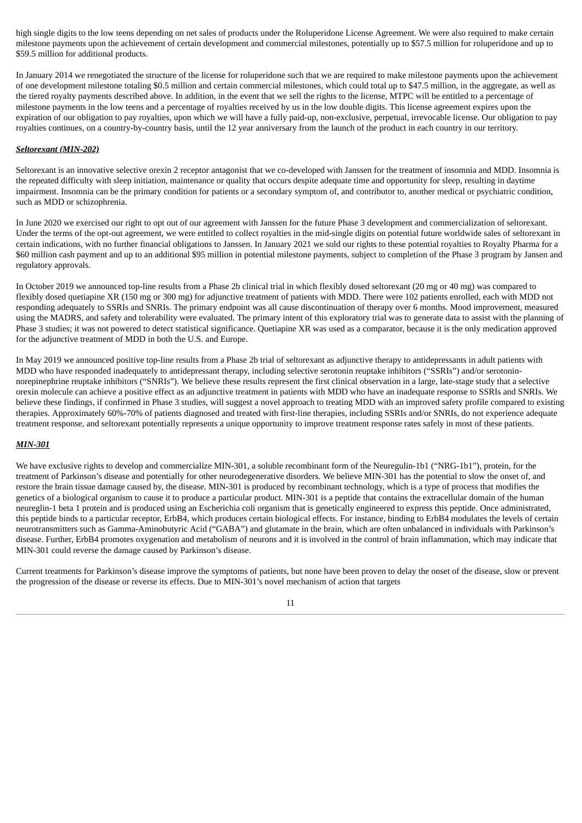high single digits to the low teens depending on net sales of products under the Roluperidone License Agreement. We were also required to make certain milestone payments upon the achievement of certain development and commercial milestones, potentially up to \$57.5 million for roluperidone and up to \$59.5 million for additional products.

In January 2014 we renegotiated the structure of the license for roluperidone such that we are required to make milestone payments upon the achievement of one development milestone totaling \$0.5 million and certain commercial milestones, which could total up to \$47.5 million, in the aggregate, as well as the tiered royalty payments described above. In addition, in the event that we sell the rights to the license, MTPC will be entitled to a percentage of milestone payments in the low teens and a percentage of royalties received by us in the low double digits. This license agreement expires upon the expiration of our obligation to pay royalties, upon which we will have a fully paid-up, non-exclusive, perpetual, irrevocable license. Our obligation to pay royalties continues, on a country-by-country basis, until the 12 year anniversary from the launch of the product in each country in our territory.

# *Seltorexant (MIN-202)*

Seltorexant is an innovative selective orexin 2 receptor antagonist that we co-developed with Janssen for the treatment of insomnia and MDD. Insomnia is the repeated difficulty with sleep initiation, maintenance or quality that occurs despite adequate time and opportunity for sleep, resulting in daytime impairment. Insomnia can be the primary condition for patients or a secondary symptom of, and contributor to, another medical or psychiatric condition, such as MDD or schizophrenia.

In June 2020 we exercised our right to opt out of our agreement with Janssen for the future Phase 3 development and commercialization of seltorexant. Under the terms of the opt-out agreement, we were entitled to collect royalties in the mid-single digits on potential future worldwide sales of seltorexant in certain indications, with no further financial obligations to Janssen. In January 2021 we sold our rights to these potential royalties to Royalty Pharma for a \$60 million cash payment and up to an additional \$95 million in potential milestone payments, subject to completion of the Phase 3 program by Jansen and regulatory approvals.

In October 2019 we announced top-line results from a Phase 2b clinical trial in which flexibly dosed seltorexant (20 mg or 40 mg) was compared to flexibly dosed quetiapine XR (150 mg or 300 mg) for adjunctive treatment of patients with MDD. There were 102 patients enrolled, each with MDD not responding adequately to SSRIs and SNRIs. The primary endpoint was all cause discontinuation of therapy over 6 months. Mood improvement, measured using the MADRS, and safety and tolerability were evaluated. The primary intent of this exploratory trial was to generate data to assist with the planning of Phase 3 studies; it was not powered to detect statistical significance. Quetiapine XR was used as a comparator, because it is the only medication approved for the adjunctive treatment of MDD in both the U.S. and Europe.

In May 2019 we announced positive top-line results from a Phase 2b trial of seltorexant as adjunctive therapy to antidepressants in adult patients with MDD who have responded inadequately to antidepressant therapy, including selective serotonin reuptake inhibitors ("SSRIs") and/or serotoninnorepinephrine reuptake inhibitors ("SNRIs"). We believe these results represent the first clinical observation in a large, late-stage study that a selective orexin molecule can achieve a positive effect as an adjunctive treatment in patients with MDD who have an inadequate response to SSRIs and SNRIs. We believe these findings, if confirmed in Phase 3 studies, will suggest a novel approach to treating MDD with an improved safety profile compared to existing therapies. Approximately 60%-70% of patients diagnosed and treated with first-line therapies, including SSRIs and/or SNRIs, do not experience adequate treatment response, and seltorexant potentially represents a unique opportunity to improve treatment response rates safely in most of these patients.

# *MIN-301*

We have exclusive rights to develop and commercialize MIN-301, a soluble recombinant form of the Neuregulin-1b1 ("NRG-1b1"), protein, for the treatment of Parkinson's disease and potentially for other neurodegenerative disorders. We believe MIN-301 has the potential to slow the onset of, and restore the brain tissue damage caused by, the disease. MIN-301 is produced by recombinant technology, which is a type of process that modifies the genetics of a biological organism to cause it to produce a particular product. MIN-301 is a peptide that contains the extracellular domain of the human neureglin-1 beta 1 protein and is produced using an Escherichia coli organism that is genetically engineered to express this peptide. Once administrated, this peptide binds to a particular receptor, ErbB4, which produces certain biological effects. For instance, binding to ErbB4 modulates the levels of certain neurotransmitters such as Gamma-Aminobutyric Acid ("GABA") and glutamate in the brain, which are often unbalanced in individuals with Parkinson's disease. Further, ErbB4 promotes oxygenation and metabolism of neurons and it is involved in the control of brain inflammation, which may indicate that MIN-301 could reverse the damage caused by Parkinson's disease.

Current treatments for Parkinson's disease improve the symptoms of patients, but none have been proven to delay the onset of the disease, slow or prevent the progression of the disease or reverse its effects. Due to MIN-301's novel mechanism of action that targets

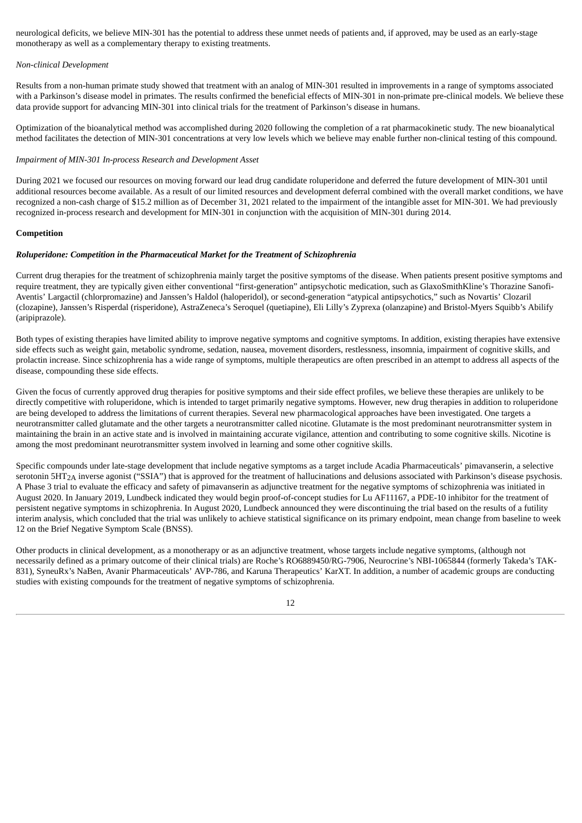neurological deficits, we believe MIN-301 has the potential to address these unmet needs of patients and, if approved, may be used as an early-stage monotherapy as well as a complementary therapy to existing treatments.

#### *Non-clinical Development*

Results from a non-human primate study showed that treatment with an analog of MIN-301 resulted in improvements in a range of symptoms associated with a Parkinson's disease model in primates. The results confirmed the beneficial effects of MIN-301 in non-primate pre-clinical models. We believe these data provide support for advancing MIN-301 into clinical trials for the treatment of Parkinson's disease in humans.

Optimization of the bioanalytical method was accomplished during 2020 following the completion of a rat pharmacokinetic study. The new bioanalytical method facilitates the detection of MIN-301 concentrations at very low levels which we believe may enable further non-clinical testing of this compound.

#### *Impairment of MIN-301 In-process Research and Development Asset*

During 2021 we focused our resources on moving forward our lead drug candidate roluperidone and deferred the future development of MIN-301 until additional resources become available. As a result of our limited resources and development deferral combined with the overall market conditions, we have recognized a non-cash charge of \$15.2 million as of December 31, 2021 related to the impairment of the intangible asset for MIN-301. We had previously recognized in-process research and development for MIN-301 in conjunction with the acquisition of MIN-301 during 2014.

#### **Competition**

#### *Roluperidone: Competition in the Pharmaceutical Market for the Treatment of Schizophrenia*

Current drug therapies for the treatment of schizophrenia mainly target the positive symptoms of the disease. When patients present positive symptoms and require treatment, they are typically given either conventional "first-generation" antipsychotic medication, such as GlaxoSmithKline's Thorazine Sanofi-Aventis' Largactil (chlorpromazine) and Janssen's Haldol (haloperidol), or second-generation "atypical antipsychotics," such as Novartis' Clozaril (clozapine), Janssen's Risperdal (risperidone), AstraZeneca's Seroquel (quetiapine), Eli Lilly's Zyprexa (olanzapine) and Bristol-Myers Squibb's Abilify (aripiprazole).

Both types of existing therapies have limited ability to improve negative symptoms and cognitive symptoms. In addition, existing therapies have extensive side effects such as weight gain, metabolic syndrome, sedation, nausea, movement disorders, restlessness, insomnia, impairment of cognitive skills, and prolactin increase. Since schizophrenia has a wide range of symptoms, multiple therapeutics are often prescribed in an attempt to address all aspects of the disease, compounding these side effects.

Given the focus of currently approved drug therapies for positive symptoms and their side effect profiles, we believe these therapies are unlikely to be directly competitive with roluperidone, which is intended to target primarily negative symptoms. However, new drug therapies in addition to roluperidone are being developed to address the limitations of current therapies. Several new pharmacological approaches have been investigated. One targets a neurotransmitter called glutamate and the other targets a neurotransmitter called nicotine. Glutamate is the most predominant neurotransmitter system in maintaining the brain in an active state and is involved in maintaining accurate vigilance, attention and contributing to some cognitive skills. Nicotine is among the most predominant neurotransmitter system involved in learning and some other cognitive skills.

Specific compounds under late-stage development that include negative symptoms as a target include Acadia Pharmaceuticals' pimavanserin, a selective serotonin  $5HT<sub>2A</sub>$  inverse agonist ("SSIA") that is approved for the treatment of hallucinations and delusions associated with Parkinson's disease psychosis. A Phase 3 trial to evaluate the efficacy and safety of pimavanserin as adjunctive treatment for the negative symptoms of schizophrenia was initiated in August 2020. In January 2019, Lundbeck indicated they would begin proof-of-concept studies for Lu AF11167, a PDE-10 inhibitor for the treatment of persistent negative symptoms in schizophrenia. In August 2020, Lundbeck announced they were discontinuing the trial based on the results of a futility interim analysis, which concluded that the trial was unlikely to achieve statistical significance on its primary endpoint, mean change from baseline to week 12 on the Brief Negative Symptom Scale (BNSS).

Other products in clinical development, as a monotherapy or as an adjunctive treatment, whose targets include negative symptoms, (although not necessarily defined as a primary outcome of their clinical trials) are Roche's RO6889450/RG-7906, Neurocrine's NBI-1065844 (formerly Takeda's TAK-831), SyneuRx's NaBen, Avanir Pharmaceuticals' AVP-786, and Karuna Therapeutics' KarXT. In addition, a number of academic groups are conducting studies with existing compounds for the treatment of negative symptoms of schizophrenia.

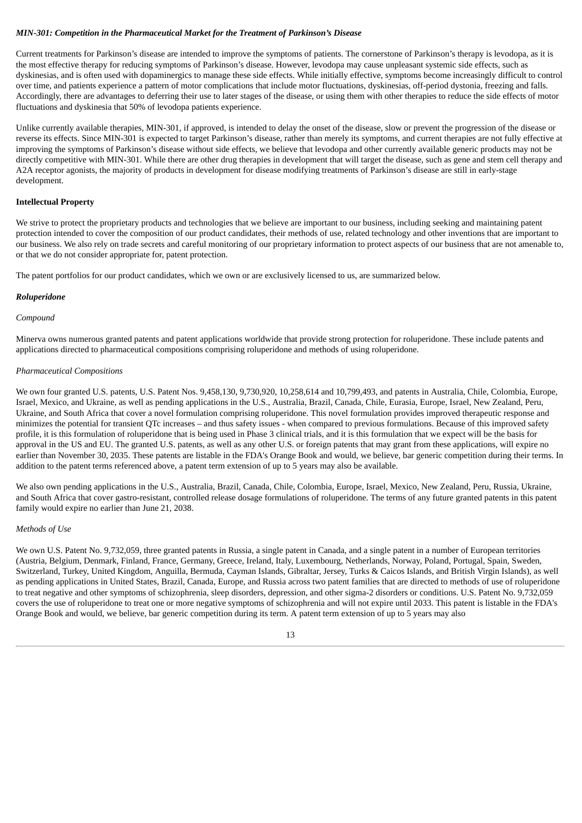#### *MIN-301: Competition in the Pharmaceutical Market for the Treatment of Parkinson's Disease*

Current treatments for Parkinson's disease are intended to improve the symptoms of patients. The cornerstone of Parkinson's therapy is levodopa, as it is the most effective therapy for reducing symptoms of Parkinson's disease. However, levodopa may cause unpleasant systemic side effects, such as dyskinesias, and is often used with dopaminergics to manage these side effects. While initially effective, symptoms become increasingly difficult to control over time, and patients experience a pattern of motor complications that include motor fluctuations, dyskinesias, off-period dystonia, freezing and falls. Accordingly, there are advantages to deferring their use to later stages of the disease, or using them with other therapies to reduce the side effects of motor fluctuations and dyskinesia that 50% of levodopa patients experience.

Unlike currently available therapies, MIN-301, if approved, is intended to delay the onset of the disease, slow or prevent the progression of the disease or reverse its effects. Since MIN-301 is expected to target Parkinson's disease, rather than merely its symptoms, and current therapies are not fully effective at improving the symptoms of Parkinson's disease without side effects, we believe that levodopa and other currently available generic products may not be directly competitive with MIN-301. While there are other drug therapies in development that will target the disease, such as gene and stem cell therapy and A2A receptor agonists, the majority of products in development for disease modifying treatments of Parkinson's disease are still in early-stage development.

#### **Intellectual Property**

We strive to protect the proprietary products and technologies that we believe are important to our business, including seeking and maintaining patent protection intended to cover the composition of our product candidates, their methods of use, related technology and other inventions that are important to our business. We also rely on trade secrets and careful monitoring of our proprietary information to protect aspects of our business that are not amenable to, or that we do not consider appropriate for, patent protection.

The patent portfolios for our product candidates, which we own or are exclusively licensed to us, are summarized below.

# *Roluperidone*

#### *Compound*

Minerva owns numerous granted patents and patent applications worldwide that provide strong protection for roluperidone. These include patents and applications directed to pharmaceutical compositions comprising roluperidone and methods of using roluperidone.

#### *Pharmaceutical Compositions*

We own four granted U.S. patents, U.S. Patent Nos. 9,458,130, 9,730,920, 10,258,614 and 10,799,493, and patents in Australia, Chile, Colombia, Europe, Israel, Mexico, and Ukraine, as well as pending applications in the U.S., Australia, Brazil, Canada, Chile, Eurasia, Europe, Israel, New Zealand, Peru, Ukraine, and South Africa that cover a novel formulation comprising roluperidone. This novel formulation provides improved therapeutic response and minimizes the potential for transient QTc increases – and thus safety issues - when compared to previous formulations. Because of this improved safety profile, it is this formulation of roluperidone that is being used in Phase 3 clinical trials, and it is this formulation that we expect will be the basis for approval in the US and EU. The granted U.S. patents, as well as any other U.S. or foreign patents that may grant from these applications, will expire no earlier than November 30, 2035. These patents are listable in the FDA's Orange Book and would, we believe, bar generic competition during their terms. In addition to the patent terms referenced above, a patent term extension of up to 5 years may also be available.

We also own pending applications in the U.S., Australia, Brazil, Canada, Chile, Colombia, Europe, Israel, Mexico, New Zealand, Peru, Russia, Ukraine, and South Africa that cover gastro-resistant, controlled release dosage formulations of roluperidone. The terms of any future granted patents in this patent family would expire no earlier than June 21, 2038.

#### *Methods of Use*

We own U.S. Patent No. 9,732,059, three granted patents in Russia, a single patent in Canada, and a single patent in a number of European territories (Austria, Belgium, Denmark, Finland, France, Germany, Greece, Ireland, Italy, Luxembourg, Netherlands, Norway, Poland, Portugal, Spain, Sweden, Switzerland, Turkey, United Kingdom, Anguilla, Bermuda, Cayman Islands, Gibraltar, Jersey, Turks & Caicos Islands, and British Virgin Islands), as well as pending applications in United States, Brazil, Canada, Europe, and Russia across two patent families that are directed to methods of use of roluperidone to treat negative and other symptoms of schizophrenia, sleep disorders, depression, and other sigma-2 disorders or conditions. U.S. Patent No. 9,732,059 covers the use of roluperidone to treat one or more negative symptoms of schizophrenia and will not expire until 2033. This patent is listable in the FDA's Orange Book and would, we believe, bar generic competition during its term. A patent term extension of up to 5 years may also

# 13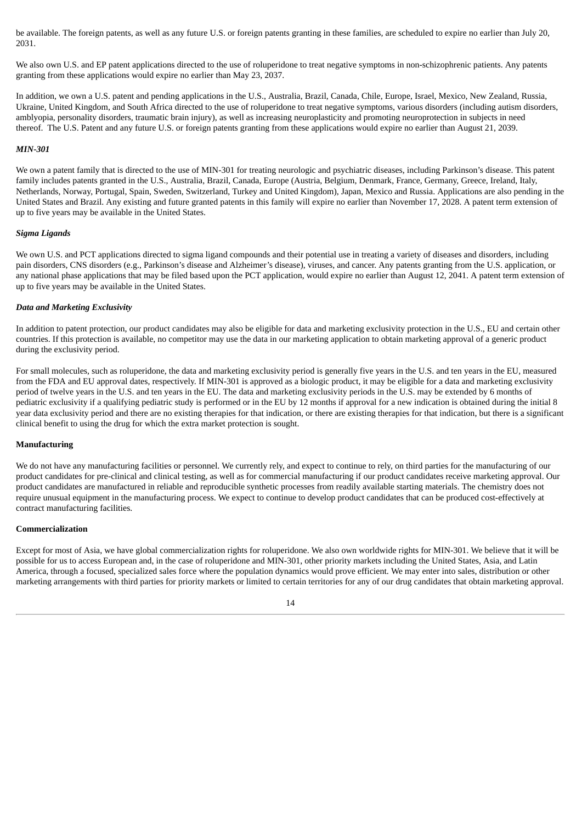be available. The foreign patents, as well as any future U.S. or foreign patents granting in these families, are scheduled to expire no earlier than July 20, 2031.

We also own U.S. and EP patent applications directed to the use of roluperidone to treat negative symptoms in non-schizophrenic patients. Any patents granting from these applications would expire no earlier than May 23, 2037.

In addition, we own a U.S. patent and pending applications in the U.S., Australia, Brazil, Canada, Chile, Europe, Israel, Mexico, New Zealand, Russia, Ukraine, United Kingdom, and South Africa directed to the use of roluperidone to treat negative symptoms, various disorders (including autism disorders, amblyopia, personality disorders, traumatic brain injury), as well as increasing neuroplasticity and promoting neuroprotection in subjects in need thereof. The U.S. Patent and any future U.S. or foreign patents granting from these applications would expire no earlier than August 21, 2039.

#### *MIN-301*

We own a patent family that is directed to the use of MIN-301 for treating neurologic and psychiatric diseases, including Parkinson's disease. This patent family includes patents granted in the U.S., Australia, Brazil, Canada, Europe (Austria, Belgium, Denmark, France, Germany, Greece, Ireland, Italy, Netherlands, Norway, Portugal, Spain, Sweden, Switzerland, Turkey and United Kingdom), Japan, Mexico and Russia. Applications are also pending in the United States and Brazil. Any existing and future granted patents in this family will expire no earlier than November 17, 2028. A patent term extension of up to five years may be available in the United States.

#### *Sigma Ligands*

We own U.S. and PCT applications directed to sigma ligand compounds and their potential use in treating a variety of diseases and disorders, including pain disorders, CNS disorders (e.g., Parkinson's disease and Alzheimer's disease), viruses, and cancer. Any patents granting from the U.S. application, or any national phase applications that may be filed based upon the PCT application, would expire no earlier than August 12, 2041. A patent term extension of up to five years may be available in the United States.

# *Data and Marketing Exclusivity*

In addition to patent protection, our product candidates may also be eligible for data and marketing exclusivity protection in the U.S., EU and certain other countries. If this protection is available, no competitor may use the data in our marketing application to obtain marketing approval of a generic product during the exclusivity period.

For small molecules, such as roluperidone, the data and marketing exclusivity period is generally five years in the U.S. and ten years in the EU, measured from the FDA and EU approval dates, respectively. If MIN-301 is approved as a biologic product, it may be eligible for a data and marketing exclusivity period of twelve years in the U.S. and ten years in the EU. The data and marketing exclusivity periods in the U.S. may be extended by 6 months of pediatric exclusivity if a qualifying pediatric study is performed or in the EU by 12 months if approval for a new indication is obtained during the initial 8 year data exclusivity period and there are no existing therapies for that indication, or there are existing therapies for that indication, but there is a significant clinical benefit to using the drug for which the extra market protection is sought.

#### **Manufacturing**

We do not have any manufacturing facilities or personnel. We currently rely, and expect to continue to rely, on third parties for the manufacturing of our product candidates for pre-clinical and clinical testing, as well as for commercial manufacturing if our product candidates receive marketing approval. Our product candidates are manufactured in reliable and reproducible synthetic processes from readily available starting materials. The chemistry does not require unusual equipment in the manufacturing process. We expect to continue to develop product candidates that can be produced cost-effectively at contract manufacturing facilities.

#### **Commercialization**

Except for most of Asia, we have global commercialization rights for roluperidone. We also own worldwide rights for MIN-301. We believe that it will be possible for us to access European and, in the case of roluperidone and MIN-301, other priority markets including the United States, Asia, and Latin America, through a focused, specialized sales force where the population dynamics would prove efficient. We may enter into sales, distribution or other marketing arrangements with third parties for priority markets or limited to certain territories for any of our drug candidates that obtain marketing approval.

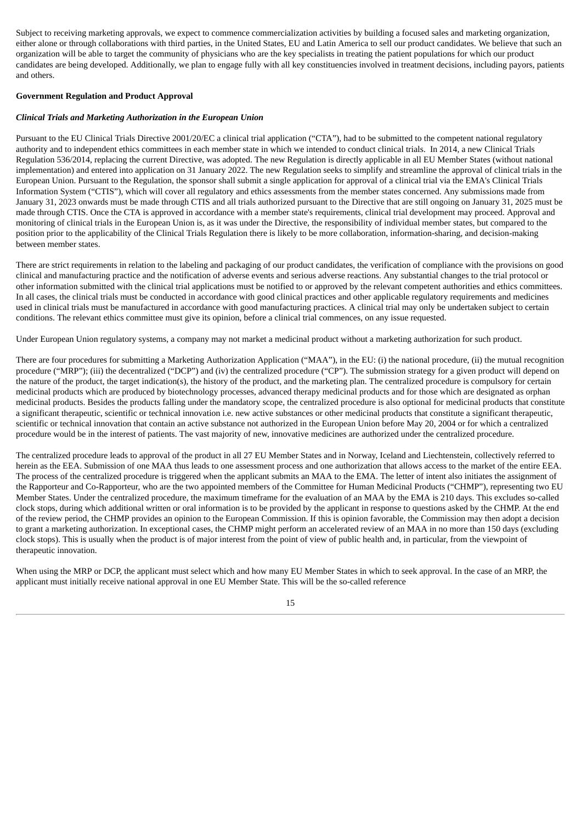Subject to receiving marketing approvals, we expect to commence commercialization activities by building a focused sales and marketing organization, either alone or through collaborations with third parties, in the United States, EU and Latin America to sell our product candidates. We believe that such an organization will be able to target the community of physicians who are the key specialists in treating the patient populations for which our product candidates are being developed. Additionally, we plan to engage fully with all key constituencies involved in treatment decisions, including payors, patients and others.

# **Government Regulation and Product Approval**

# *Clinical Trials and Marketing Authorization in the European Union*

Pursuant to the EU Clinical Trials Directive 2001/20/EC a clinical trial application ("CTA"), had to be submitted to the competent national regulatory authority and to independent ethics committees in each member state in which we intended to conduct clinical trials. In 2014, a new Clinical Trials Regulation 536/2014, replacing the current Directive, was adopted. The new Regulation is directly applicable in all EU Member States (without national implementation) and entered into application on 31 January 2022. The new Regulation seeks to simplify and streamline the approval of clinical trials in the European Union. Pursuant to the Regulation, the sponsor shall submit a single application for approval of a clinical trial via the EMA's Clinical Trials Information System ("CTIS"), which will cover all regulatory and ethics assessments from the member states concerned. Any submissions made from January 31, 2023 onwards must be made through CTIS and all trials authorized pursuant to the Directive that are still ongoing on January 31, 2025 must be made through CTIS. Once the CTA is approved in accordance with a member state's requirements, clinical trial development may proceed. Approval and monitoring of clinical trials in the European Union is, as it was under the Directive, the responsibility of individual member states, but compared to the position prior to the applicability of the Clinical Trials Regulation there is likely to be more collaboration, information-sharing, and decision-making between member states.

There are strict requirements in relation to the labeling and packaging of our product candidates, the verification of compliance with the provisions on good clinical and manufacturing practice and the notification of adverse events and serious adverse reactions. Any substantial changes to the trial protocol or other information submitted with the clinical trial applications must be notified to or approved by the relevant competent authorities and ethics committees. In all cases, the clinical trials must be conducted in accordance with good clinical practices and other applicable regulatory requirements and medicines used in clinical trials must be manufactured in accordance with good manufacturing practices. A clinical trial may only be undertaken subject to certain conditions. The relevant ethics committee must give its opinion, before a clinical trial commences, on any issue requested.

Under European Union regulatory systems, a company may not market a medicinal product without a marketing authorization for such product.

There are four procedures for submitting a Marketing Authorization Application ("MAA"), in the EU: (i) the national procedure, (ii) the mutual recognition procedure ("MRP"); (iii) the decentralized ("DCP") and (iv) the centralized procedure ("CP"). The submission strategy for a given product will depend on the nature of the product, the target indication(s), the history of the product, and the marketing plan. The centralized procedure is compulsory for certain medicinal products which are produced by biotechnology processes, advanced therapy medicinal products and for those which are designated as orphan medicinal products. Besides the products falling under the mandatory scope, the centralized procedure is also optional for medicinal products that constitute a significant therapeutic, scientific or technical innovation i.e. new active substances or other medicinal products that constitute a significant therapeutic, scientific or technical innovation that contain an active substance not authorized in the European Union before May 20, 2004 or for which a centralized procedure would be in the interest of patients. The vast majority of new, innovative medicines are authorized under the centralized procedure.

The centralized procedure leads to approval of the product in all 27 EU Member States and in Norway, Iceland and Liechtenstein, collectively referred to herein as the EEA. Submission of one MAA thus leads to one assessment process and one authorization that allows access to the market of the entire EEA. The process of the centralized procedure is triggered when the applicant submits an MAA to the EMA. The letter of intent also initiates the assignment of the Rapporteur and Co-Rapporteur, who are the two appointed members of the Committee for Human Medicinal Products ("CHMP"), representing two EU Member States. Under the centralized procedure, the maximum timeframe for the evaluation of an MAA by the EMA is 210 days. This excludes so-called clock stops, during which additional written or oral information is to be provided by the applicant in response to questions asked by the CHMP. At the end of the review period, the CHMP provides an opinion to the European Commission. If this is opinion favorable, the Commission may then adopt a decision to grant a marketing authorization. In exceptional cases, the CHMP might perform an accelerated review of an MAA in no more than 150 days (excluding clock stops). This is usually when the product is of major interest from the point of view of public health and, in particular, from the viewpoint of therapeutic innovation.

When using the MRP or DCP, the applicant must select which and how many EU Member States in which to seek approval. In the case of an MRP, the applicant must initially receive national approval in one EU Member State. This will be the so-called reference

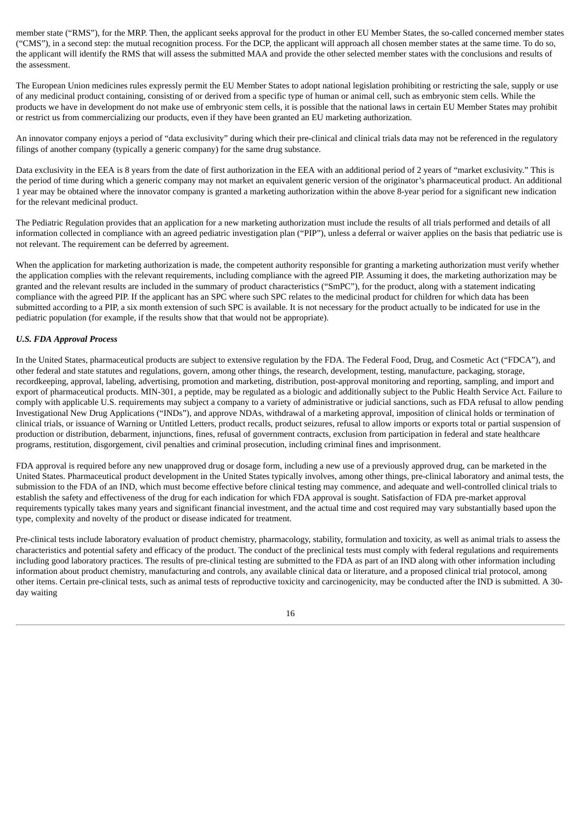member state ("RMS"), for the MRP. Then, the applicant seeks approval for the product in other EU Member States, the so-called concerned member states ("CMS"), in a second step: the mutual recognition process. For the DCP, the applicant will approach all chosen member states at the same time. To do so, the applicant will identify the RMS that will assess the submitted MAA and provide the other selected member states with the conclusions and results of the assessment.

The European Union medicines rules expressly permit the EU Member States to adopt national legislation prohibiting or restricting the sale, supply or use of any medicinal product containing, consisting of or derived from a specific type of human or animal cell, such as embryonic stem cells. While the products we have in development do not make use of embryonic stem cells, it is possible that the national laws in certain EU Member States may prohibit or restrict us from commercializing our products, even if they have been granted an EU marketing authorization.

An innovator company enjoys a period of "data exclusivity" during which their pre-clinical and clinical trials data may not be referenced in the regulatory filings of another company (typically a generic company) for the same drug substance.

Data exclusivity in the EEA is 8 years from the date of first authorization in the EEA with an additional period of 2 years of "market exclusivity." This is the period of time during which a generic company may not market an equivalent generic version of the originator's pharmaceutical product. An additional 1 year may be obtained where the innovator company is granted a marketing authorization within the above 8-year period for a significant new indication for the relevant medicinal product.

The Pediatric Regulation provides that an application for a new marketing authorization must include the results of all trials performed and details of all information collected in compliance with an agreed pediatric investigation plan ("PIP"), unless a deferral or waiver applies on the basis that pediatric use is not relevant. The requirement can be deferred by agreement.

When the application for marketing authorization is made, the competent authority responsible for granting a marketing authorization must verify whether the application complies with the relevant requirements, including compliance with the agreed PIP. Assuming it does, the marketing authorization may be granted and the relevant results are included in the summary of product characteristics ("SmPC"), for the product, along with a statement indicating compliance with the agreed PIP. If the applicant has an SPC where such SPC relates to the medicinal product for children for which data has been submitted according to a PIP, a six month extension of such SPC is available. It is not necessary for the product actually to be indicated for use in the pediatric population (for example, if the results show that that would not be appropriate).

# *U.S. FDA Approval Process*

In the United States, pharmaceutical products are subject to extensive regulation by the FDA. The Federal Food, Drug, and Cosmetic Act ("FDCA"), and other federal and state statutes and regulations, govern, among other things, the research, development, testing, manufacture, packaging, storage, recordkeeping, approval, labeling, advertising, promotion and marketing, distribution, post-approval monitoring and reporting, sampling, and import and export of pharmaceutical products. MIN-301, a peptide, may be regulated as a biologic and additionally subject to the Public Health Service Act. Failure to comply with applicable U.S. requirements may subject a company to a variety of administrative or judicial sanctions, such as FDA refusal to allow pending Investigational New Drug Applications ("INDs"), and approve NDAs, withdrawal of a marketing approval, imposition of clinical holds or termination of clinical trials, or issuance of Warning or Untitled Letters, product recalls, product seizures, refusal to allow imports or exports total or partial suspension of production or distribution, debarment, injunctions, fines, refusal of government contracts, exclusion from participation in federal and state healthcare programs, restitution, disgorgement, civil penalties and criminal prosecution, including criminal fines and imprisonment.

FDA approval is required before any new unapproved drug or dosage form, including a new use of a previously approved drug, can be marketed in the United States. Pharmaceutical product development in the United States typically involves, among other things, pre-clinical laboratory and animal tests, the submission to the FDA of an IND, which must become effective before clinical testing may commence, and adequate and well-controlled clinical trials to establish the safety and effectiveness of the drug for each indication for which FDA approval is sought. Satisfaction of FDA pre-market approval requirements typically takes many years and significant financial investment, and the actual time and cost required may vary substantially based upon the type, complexity and novelty of the product or disease indicated for treatment.

Pre-clinical tests include laboratory evaluation of product chemistry, pharmacology, stability, formulation and toxicity, as well as animal trials to assess the characteristics and potential safety and efficacy of the product. The conduct of the preclinical tests must comply with federal regulations and requirements including good laboratory practices. The results of pre-clinical testing are submitted to the FDA as part of an IND along with other information including information about product chemistry, manufacturing and controls, any available clinical data or literature, and a proposed clinical trial protocol, among other items. Certain pre-clinical tests, such as animal tests of reproductive toxicity and carcinogenicity, may be conducted after the IND is submitted. A 30 day waiting

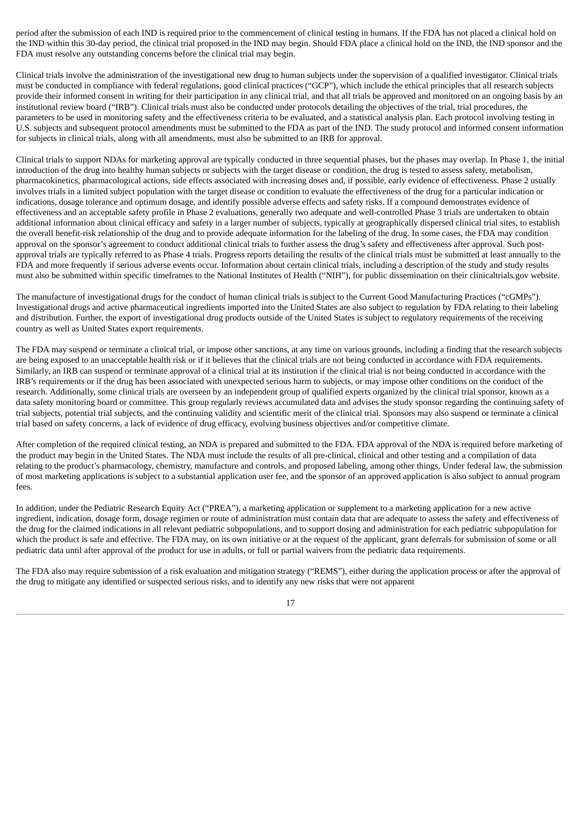period after the submission of each IND is required prior to the commencement of clinical testing in humans. If the FDA has not placed a clinical hold on the IND within this 30-day period, the clinical trial proposed in the IND may begin. Should FDA place a clinical hold on the IND, the IND sponsor and the FDA must resolve any outstanding concerns before the clinical trial may begin.

Clinical trials involve the administration of the investigational new drug to human subjects under the supervision of a qualified investigator. Clinical trials must be conducted in compliance with federal regulations, good clinical practices ("GCP"), which include the ethical principles that all research subjects provide their informed consent in writing for their participation in any clinical trial, and that all trials be approved and monitored on an ongoing basis by an institutional review board ("IRB"). Clinical trials must also be conducted under protocols detailing the objectives of the trial, trial procedures, the parameters to be used in monitoring safety and the effectiveness criteria to be evaluated, and a statistical analysis plan. Each protocol involving testing in U.S. subjects and subsequent protocol amendments must be submitted to the FDA as part of the IND. The study protocol and informed consent information for subjects in clinical trials, along with all amendments, must also be submitted to an IRB for approval.

Clinical trials to support NDAs for marketing approval are typically conducted in three sequential phases, but the phases may overlap. In Phase 1, the initial introduction of the drug into healthy human subjects or subjects with the target disease or condition, the drug is tested to assess safety, metabolism, pharmacokinetics, pharmacological actions, side effects associated with increasing doses and, if possible, early evidence of effectiveness. Phase 2 usually involves trials in a limited subject population with the target disease or condition to evaluate the effectiveness of the drug for a particular indication or indications, dosage tolerance and optimum dosage, and identify possible adverse effects and safety risks. If a compound demonstrates evidence of effectiveness and an acceptable safety profile in Phase 2 evaluations, generally two adequate and well-controlled Phase 3 trials are undertaken to obtain additional information about clinical efficacy and safety in a larger number of subjects, typically at geographically dispersed clinical trial sites, to establish the overall benefit-risk relationship of the drug and to provide adequate information for the labeling of the drug. In some cases, the FDA may condition approval on the sponsor's agreement to conduct additional clinical trials to further assess the drug's safety and effectiveness after approval. Such postapproval trials are typically referred to as Phase 4 trials. Progress reports detailing the results of the clinical trials must be submitted at least annually to the FDA and more frequently if serious adverse events occur. Information about certain clinical trials, including a description of the study and study results must also be submitted within specific timeframes to the National Institutes of Health ("NIH"), for public dissemination on their clinicaltrials.gov website.

The manufacture of investigational drugs for the conduct of human clinical trials is subject to the Current Good Manufacturing Practices ("cGMPs"). Investigational drugs and active pharmaceutical ingredients imported into the United States are also subject to regulation by FDA relating to their labeling and distribution. Further, the export of investigational drug products outside of the United States is subject to regulatory requirements of the receiving country as well as United States export requirements.

The FDA may suspend or terminate a clinical trial, or impose other sanctions, at any time on various grounds, including a finding that the research subjects are being exposed to an unacceptable health risk or if it believes that the clinical trials are not being conducted in accordance with FDA requirements. Similarly, an IRB can suspend or terminate approval of a clinical trial at its institution if the clinical trial is not being conducted in accordance with the IRB's requirements or if the drug has been associated with unexpected serious harm to subjects, or may impose other conditions on the conduct of the research. Additionally, some clinical trials are overseen by an independent group of qualified experts organized by the clinical trial sponsor, known as a data safety monitoring board or committee. This group regularly reviews accumulated data and advises the study sponsor regarding the continuing safety of trial subjects, potential trial subjects, and the continuing validity and scientific merit of the clinical trial. Sponsors may also suspend or terminate a clinical trial based on safety concerns, a lack of evidence of drug efficacy, evolving business objectives and/or competitive climate.

After completion of the required clinical testing, an NDA is prepared and submitted to the FDA. FDA approval of the NDA is required before marketing of the product may begin in the United States. The NDA must include the results of all pre-clinical, clinical and other testing and a compilation of data relating to the product's pharmacology, chemistry, manufacture and controls, and proposed labeling, among other things. Under federal law, the submission of most marketing applications is subject to a substantial application user fee, and the sponsor of an approved application is also subject to annual program fees.

In addition, under the Pediatric Research Equity Act ("PREA"), a marketing application or supplement to a marketing application for a new active ingredient, indication, dosage form, dosage regimen or route of administration must contain data that are adequate to assess the safety and effectiveness of the drug for the claimed indications in all relevant pediatric subpopulations, and to support dosing and administration for each pediatric subpopulation for which the product is safe and effective. The FDA may, on its own initiative or at the request of the applicant, grant deferrals for submission of some or all pediatric data until after approval of the product for use in adults, or full or partial waivers from the pediatric data requirements.

The FDA also may require submission of a risk evaluation and mitigation strategy ("REMS"), either during the application process or after the approval of the drug to mitigate any identified or suspected serious risks, and to identify any new risks that were not apparent

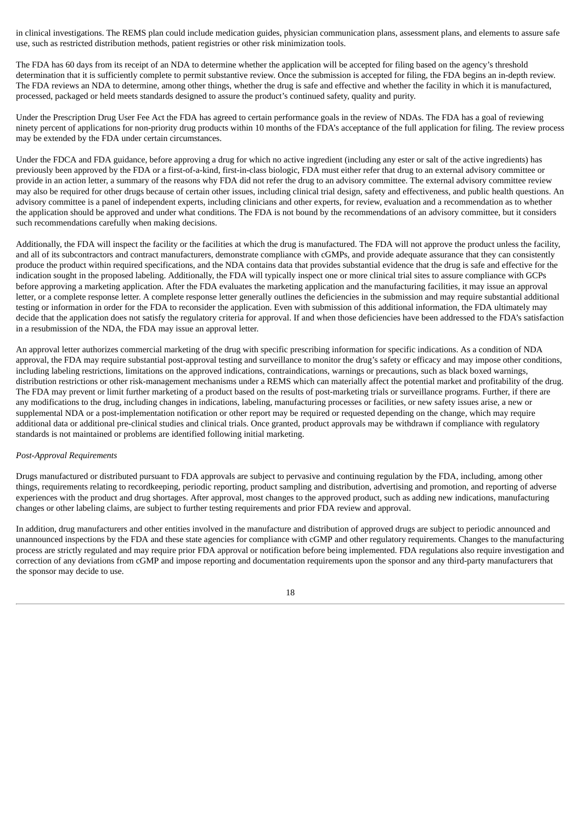in clinical investigations. The REMS plan could include medication guides, physician communication plans, assessment plans, and elements to assure safe use, such as restricted distribution methods, patient registries or other risk minimization tools.

The FDA has 60 days from its receipt of an NDA to determine whether the application will be accepted for filing based on the agency's threshold determination that it is sufficiently complete to permit substantive review. Once the submission is accepted for filing, the FDA begins an in-depth review. The FDA reviews an NDA to determine, among other things, whether the drug is safe and effective and whether the facility in which it is manufactured, processed, packaged or held meets standards designed to assure the product's continued safety, quality and purity.

Under the Prescription Drug User Fee Act the FDA has agreed to certain performance goals in the review of NDAs. The FDA has a goal of reviewing ninety percent of applications for non-priority drug products within 10 months of the FDA's acceptance of the full application for filing. The review process may be extended by the FDA under certain circumstances.

Under the FDCA and FDA guidance, before approving a drug for which no active ingredient (including any ester or salt of the active ingredients) has previously been approved by the FDA or a first-of-a-kind, first-in-class biologic, FDA must either refer that drug to an external advisory committee or provide in an action letter, a summary of the reasons why FDA did not refer the drug to an advisory committee. The external advisory committee review may also be required for other drugs because of certain other issues, including clinical trial design, safety and effectiveness, and public health questions. An advisory committee is a panel of independent experts, including clinicians and other experts, for review, evaluation and a recommendation as to whether the application should be approved and under what conditions. The FDA is not bound by the recommendations of an advisory committee, but it considers such recommendations carefully when making decisions.

Additionally, the FDA will inspect the facility or the facilities at which the drug is manufactured. The FDA will not approve the product unless the facility, and all of its subcontractors and contract manufacturers, demonstrate compliance with cGMPs, and provide adequate assurance that they can consistently produce the product within required specifications, and the NDA contains data that provides substantial evidence that the drug is safe and effective for the indication sought in the proposed labeling. Additionally, the FDA will typically inspect one or more clinical trial sites to assure compliance with GCPs before approving a marketing application. After the FDA evaluates the marketing application and the manufacturing facilities, it may issue an approval letter, or a complete response letter. A complete response letter generally outlines the deficiencies in the submission and may require substantial additional testing or information in order for the FDA to reconsider the application. Even with submission of this additional information, the FDA ultimately may decide that the application does not satisfy the regulatory criteria for approval. If and when those deficiencies have been addressed to the FDA's satisfaction in a resubmission of the NDA, the FDA may issue an approval letter.

An approval letter authorizes commercial marketing of the drug with specific prescribing information for specific indications. As a condition of NDA approval, the FDA may require substantial post-approval testing and surveillance to monitor the drug's safety or efficacy and may impose other conditions, including labeling restrictions, limitations on the approved indications, contraindications, warnings or precautions, such as black boxed warnings, distribution restrictions or other risk-management mechanisms under a REMS which can materially affect the potential market and profitability of the drug. The FDA may prevent or limit further marketing of a product based on the results of post-marketing trials or surveillance programs. Further, if there are any modifications to the drug, including changes in indications, labeling, manufacturing processes or facilities, or new safety issues arise, a new or supplemental NDA or a post-implementation notification or other report may be required or requested depending on the change, which may require additional data or additional pre-clinical studies and clinical trials. Once granted, product approvals may be withdrawn if compliance with regulatory standards is not maintained or problems are identified following initial marketing.

#### *Post-Approval Requirements*

Drugs manufactured or distributed pursuant to FDA approvals are subject to pervasive and continuing regulation by the FDA, including, among other things, requirements relating to recordkeeping, periodic reporting, product sampling and distribution, advertising and promotion, and reporting of adverse experiences with the product and drug shortages. After approval, most changes to the approved product, such as adding new indications, manufacturing changes or other labeling claims, are subject to further testing requirements and prior FDA review and approval.

In addition, drug manufacturers and other entities involved in the manufacture and distribution of approved drugs are subject to periodic announced and unannounced inspections by the FDA and these state agencies for compliance with cGMP and other regulatory requirements. Changes to the manufacturing process are strictly regulated and may require prior FDA approval or notification before being implemented. FDA regulations also require investigation and correction of any deviations from cGMP and impose reporting and documentation requirements upon the sponsor and any third-party manufacturers that the sponsor may decide to use.

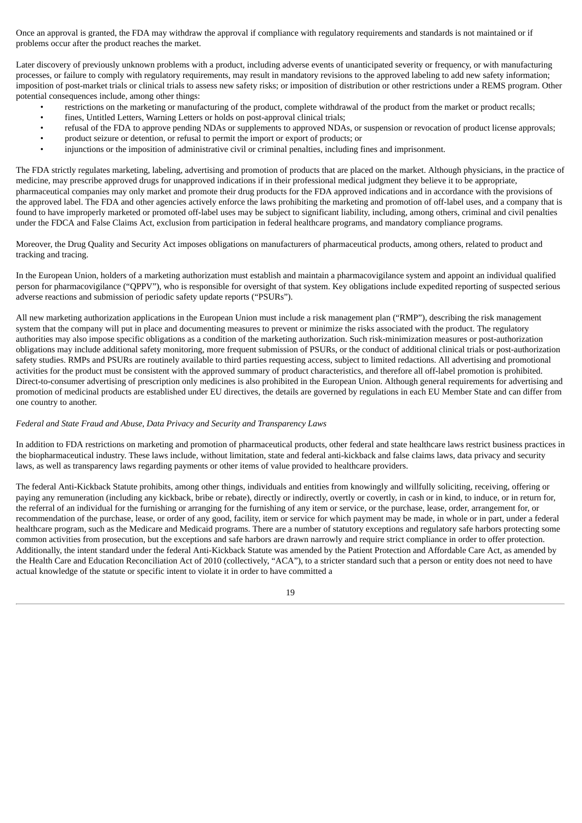Once an approval is granted, the FDA may withdraw the approval if compliance with regulatory requirements and standards is not maintained or if problems occur after the product reaches the market.

Later discovery of previously unknown problems with a product, including adverse events of unanticipated severity or frequency, or with manufacturing processes, or failure to comply with regulatory requirements, may result in mandatory revisions to the approved labeling to add new safety information; imposition of post-market trials or clinical trials to assess new safety risks; or imposition of distribution or other restrictions under a REMS program. Other potential consequences include, among other things:

- restrictions on the marketing or manufacturing of the product, complete withdrawal of the product from the market or product recalls;
- fines, Untitled Letters, Warning Letters or holds on post-approval clinical trials;
- refusal of the FDA to approve pending NDAs or supplements to approved NDAs, or suspension or revocation of product license approvals;
- product seizure or detention, or refusal to permit the import or export of products; or
- injunctions or the imposition of administrative civil or criminal penalties, including fines and imprisonment.

The FDA strictly regulates marketing, labeling, advertising and promotion of products that are placed on the market. Although physicians, in the practice of medicine, may prescribe approved drugs for unapproved indications if in their professional medical judgment they believe it to be appropriate, pharmaceutical companies may only market and promote their drug products for the FDA approved indications and in accordance with the provisions of the approved label. The FDA and other agencies actively enforce the laws prohibiting the marketing and promotion of off-label uses, and a company that is found to have improperly marketed or promoted off-label uses may be subject to significant liability, including, among others, criminal and civil penalties under the FDCA and False Claims Act, exclusion from participation in federal healthcare programs, and mandatory compliance programs.

Moreover, the Drug Quality and Security Act imposes obligations on manufacturers of pharmaceutical products, among others, related to product and tracking and tracing.

In the European Union, holders of a marketing authorization must establish and maintain a pharmacovigilance system and appoint an individual qualified person for pharmacovigilance ("QPPV"), who is responsible for oversight of that system. Key obligations include expedited reporting of suspected serious adverse reactions and submission of periodic safety update reports ("PSURs").

All new marketing authorization applications in the European Union must include a risk management plan ("RMP"), describing the risk management system that the company will put in place and documenting measures to prevent or minimize the risks associated with the product. The regulatory authorities may also impose specific obligations as a condition of the marketing authorization. Such risk-minimization measures or post-authorization obligations may include additional safety monitoring, more frequent submission of PSURs, or the conduct of additional clinical trials or post-authorization safety studies. RMPs and PSURs are routinely available to third parties requesting access, subject to limited redactions. All advertising and promotional activities for the product must be consistent with the approved summary of product characteristics, and therefore all off-label promotion is prohibited. Direct-to-consumer advertising of prescription only medicines is also prohibited in the European Union. Although general requirements for advertising and promotion of medicinal products are established under EU directives, the details are governed by regulations in each EU Member State and can differ from one country to another.

#### *Federal and State Fraud and Abuse, Data Privacy and Security and Transparency Laws*

In addition to FDA restrictions on marketing and promotion of pharmaceutical products, other federal and state healthcare laws restrict business practices in the biopharmaceutical industry. These laws include, without limitation, state and federal anti-kickback and false claims laws, data privacy and security laws, as well as transparency laws regarding payments or other items of value provided to healthcare providers.

The federal Anti-Kickback Statute prohibits, among other things, individuals and entities from knowingly and willfully soliciting, receiving, offering or paying any remuneration (including any kickback, bribe or rebate), directly or indirectly, overtly or covertly, in cash or in kind, to induce, or in return for, the referral of an individual for the furnishing or arranging for the furnishing of any item or service, or the purchase, lease, order, arrangement for, or recommendation of the purchase, lease, or order of any good, facility, item or service for which payment may be made, in whole or in part, under a federal healthcare program, such as the Medicare and Medicaid programs. There are a number of statutory exceptions and regulatory safe harbors protecting some common activities from prosecution, but the exceptions and safe harbors are drawn narrowly and require strict compliance in order to offer protection. Additionally, the intent standard under the federal Anti-Kickback Statute was amended by the Patient Protection and Affordable Care Act, as amended by the Health Care and Education Reconciliation Act of 2010 (collectively, "ACA"), to a stricter standard such that a person or entity does not need to have actual knowledge of the statute or specific intent to violate it in order to have committed a

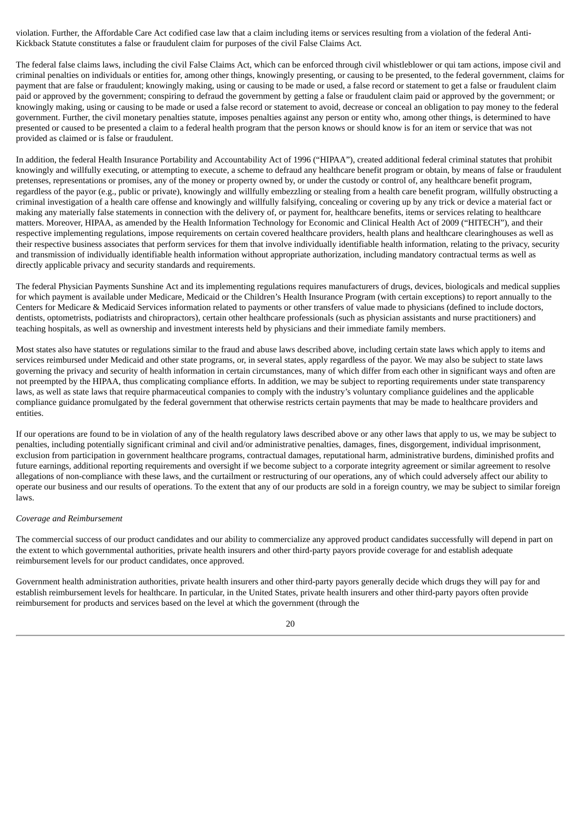violation. Further, the Affordable Care Act codified case law that a claim including items or services resulting from a violation of the federal Anti-Kickback Statute constitutes a false or fraudulent claim for purposes of the civil False Claims Act.

The federal false claims laws, including the civil False Claims Act, which can be enforced through civil whistleblower or qui tam actions, impose civil and criminal penalties on individuals or entities for, among other things, knowingly presenting, or causing to be presented, to the federal government, claims for payment that are false or fraudulent; knowingly making, using or causing to be made or used, a false record or statement to get a false or fraudulent claim paid or approved by the government; conspiring to defraud the government by getting a false or fraudulent claim paid or approved by the government; or knowingly making, using or causing to be made or used a false record or statement to avoid, decrease or conceal an obligation to pay money to the federal government. Further, the civil monetary penalties statute, imposes penalties against any person or entity who, among other things, is determined to have presented or caused to be presented a claim to a federal health program that the person knows or should know is for an item or service that was not provided as claimed or is false or fraudulent.

In addition, the federal Health Insurance Portability and Accountability Act of 1996 ("HIPAA"), created additional federal criminal statutes that prohibit knowingly and willfully executing, or attempting to execute, a scheme to defraud any healthcare benefit program or obtain, by means of false or fraudulent pretenses, representations or promises, any of the money or property owned by, or under the custody or control of, any healthcare benefit program, regardless of the payor (e.g., public or private), knowingly and willfully embezzling or stealing from a health care benefit program, willfully obstructing a criminal investigation of a health care offense and knowingly and willfully falsifying, concealing or covering up by any trick or device a material fact or making any materially false statements in connection with the delivery of, or payment for, healthcare benefits, items or services relating to healthcare matters. Moreover, HIPAA, as amended by the Health Information Technology for Economic and Clinical Health Act of 2009 ("HITECH"), and their respective implementing regulations, impose requirements on certain covered healthcare providers, health plans and healthcare clearinghouses as well as their respective business associates that perform services for them that involve individually identifiable health information, relating to the privacy, security and transmission of individually identifiable health information without appropriate authorization, including mandatory contractual terms as well as directly applicable privacy and security standards and requirements.

The federal Physician Payments Sunshine Act and its implementing regulations requires manufacturers of drugs, devices, biologicals and medical supplies for which payment is available under Medicare, Medicaid or the Children's Health Insurance Program (with certain exceptions) to report annually to the Centers for Medicare & Medicaid Services information related to payments or other transfers of value made to physicians (defined to include doctors, dentists, optometrists, podiatrists and chiropractors), certain other healthcare professionals (such as physician assistants and nurse practitioners) and teaching hospitals, as well as ownership and investment interests held by physicians and their immediate family members.

Most states also have statutes or regulations similar to the fraud and abuse laws described above, including certain state laws which apply to items and services reimbursed under Medicaid and other state programs, or, in several states, apply regardless of the payor. We may also be subject to state laws governing the privacy and security of health information in certain circumstances, many of which differ from each other in significant ways and often are not preempted by the HIPAA, thus complicating compliance efforts. In addition, we may be subject to reporting requirements under state transparency laws, as well as state laws that require pharmaceutical companies to comply with the industry's voluntary compliance guidelines and the applicable compliance guidance promulgated by the federal government that otherwise restricts certain payments that may be made to healthcare providers and entities.

If our operations are found to be in violation of any of the health regulatory laws described above or any other laws that apply to us, we may be subject to penalties, including potentially significant criminal and civil and/or administrative penalties, damages, fines, disgorgement, individual imprisonment, exclusion from participation in government healthcare programs, contractual damages, reputational harm, administrative burdens, diminished profits and future earnings, additional reporting requirements and oversight if we become subject to a corporate integrity agreement or similar agreement to resolve allegations of non-compliance with these laws, and the curtailment or restructuring of our operations, any of which could adversely affect our ability to operate our business and our results of operations. To the extent that any of our products are sold in a foreign country, we may be subject to similar foreign laws.

#### *Coverage and Reimbursement*

The commercial success of our product candidates and our ability to commercialize any approved product candidates successfully will depend in part on the extent to which governmental authorities, private health insurers and other third-party payors provide coverage for and establish adequate reimbursement levels for our product candidates, once approved.

Government health administration authorities, private health insurers and other third-party payors generally decide which drugs they will pay for and establish reimbursement levels for healthcare. In particular, in the United States, private health insurers and other third-party payors often provide reimbursement for products and services based on the level at which the government (through the

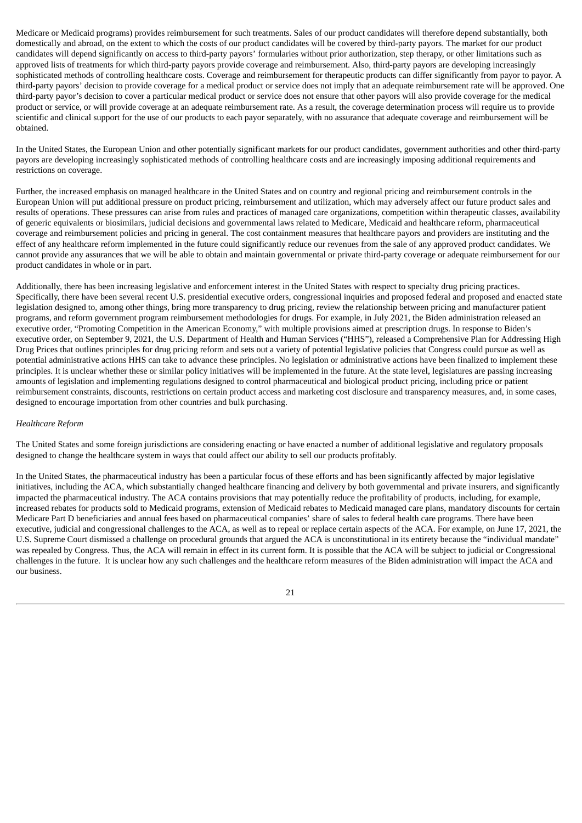Medicare or Medicaid programs) provides reimbursement for such treatments. Sales of our product candidates will therefore depend substantially, both domestically and abroad, on the extent to which the costs of our product candidates will be covered by third-party payors. The market for our product candidates will depend significantly on access to third-party payors' formularies without prior authorization, step therapy, or other limitations such as approved lists of treatments for which third-party payors provide coverage and reimbursement. Also, third-party payors are developing increasingly sophisticated methods of controlling healthcare costs. Coverage and reimbursement for therapeutic products can differ significantly from payor to payor. A third-party payors' decision to provide coverage for a medical product or service does not imply that an adequate reimbursement rate will be approved. One third-party payor's decision to cover a particular medical product or service does not ensure that other payors will also provide coverage for the medical product or service, or will provide coverage at an adequate reimbursement rate. As a result, the coverage determination process will require us to provide scientific and clinical support for the use of our products to each payor separately, with no assurance that adequate coverage and reimbursement will be obtained.

In the United States, the European Union and other potentially significant markets for our product candidates, government authorities and other third-party payors are developing increasingly sophisticated methods of controlling healthcare costs and are increasingly imposing additional requirements and restrictions on coverage.

Further, the increased emphasis on managed healthcare in the United States and on country and regional pricing and reimbursement controls in the European Union will put additional pressure on product pricing, reimbursement and utilization, which may adversely affect our future product sales and results of operations. These pressures can arise from rules and practices of managed care organizations, competition within therapeutic classes, availability of generic equivalents or biosimilars, judicial decisions and governmental laws related to Medicare, Medicaid and healthcare reform, pharmaceutical coverage and reimbursement policies and pricing in general. The cost containment measures that healthcare payors and providers are instituting and the effect of any healthcare reform implemented in the future could significantly reduce our revenues from the sale of any approved product candidates. We cannot provide any assurances that we will be able to obtain and maintain governmental or private third-party coverage or adequate reimbursement for our product candidates in whole or in part.

Additionally, there has been increasing legislative and enforcement interest in the United States with respect to specialty drug pricing practices. Specifically, there have been several recent U.S. presidential executive orders, congressional inquiries and proposed federal and proposed and enacted state legislation designed to, among other things, bring more transparency to drug pricing, review the relationship between pricing and manufacturer patient programs, and reform government program reimbursement methodologies for drugs. For example, in July 2021, the Biden administration released an executive order, "Promoting Competition in the American Economy," with multiple provisions aimed at prescription drugs. In response to Biden's executive order, on September 9, 2021, the U.S. Department of Health and Human Services ("HHS"), released a Comprehensive Plan for Addressing High Drug Prices that outlines principles for drug pricing reform and sets out a variety of potential legislative policies that Congress could pursue as well as potential administrative actions HHS can take to advance these principles. No legislation or administrative actions have been finalized to implement these principles. It is unclear whether these or similar policy initiatives will be implemented in the future. At the state level, legislatures are passing increasing amounts of legislation and implementing regulations designed to control pharmaceutical and biological product pricing, including price or patient reimbursement constraints, discounts, restrictions on certain product access and marketing cost disclosure and transparency measures, and, in some cases, designed to encourage importation from other countries and bulk purchasing.

#### *Healthcare Reform*

The United States and some foreign jurisdictions are considering enacting or have enacted a number of additional legislative and regulatory proposals designed to change the healthcare system in ways that could affect our ability to sell our products profitably.

In the United States, the pharmaceutical industry has been a particular focus of these efforts and has been significantly affected by major legislative initiatives, including the ACA, which substantially changed healthcare financing and delivery by both governmental and private insurers, and significantly impacted the pharmaceutical industry. The ACA contains provisions that may potentially reduce the profitability of products, including, for example, increased rebates for products sold to Medicaid programs, extension of Medicaid rebates to Medicaid managed care plans, mandatory discounts for certain Medicare Part D beneficiaries and annual fees based on pharmaceutical companies' share of sales to federal health care programs. There have been executive, judicial and congressional challenges to the ACA, as well as to repeal or replace certain aspects of the ACA. For example, on June 17, 2021, the U.S. Supreme Court dismissed a challenge on procedural grounds that argued the ACA is unconstitutional in its entirety because the "individual mandate" was repealed by Congress. Thus, the ACA will remain in effect in its current form. It is possible that the ACA will be subject to judicial or Congressional challenges in the future. It is unclear how any such challenges and the healthcare reform measures of the Biden administration will impact the ACA and our business.

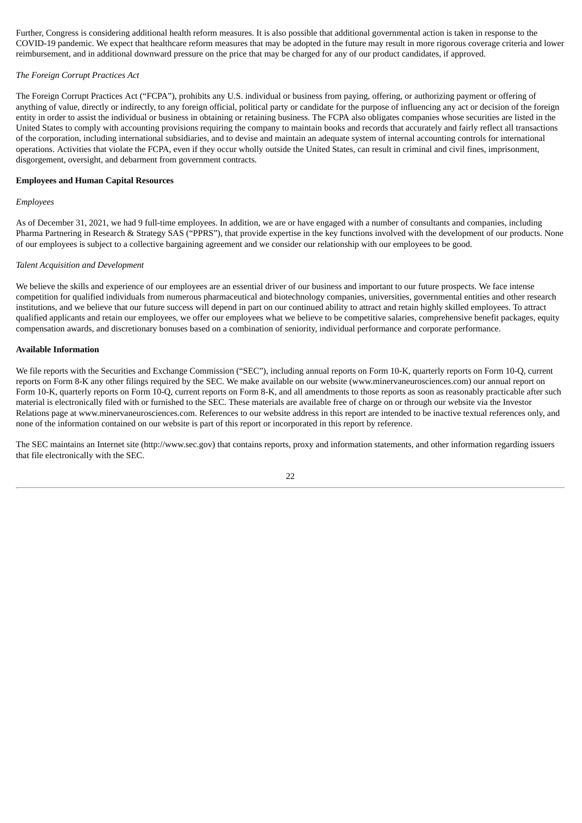Further, Congress is considering additional health reform measures. It is also possible that additional governmental action is taken in response to the COVID-19 pandemic. We expect that healthcare reform measures that may be adopted in the future may result in more rigorous coverage criteria and lower reimbursement, and in additional downward pressure on the price that may be charged for any of our product candidates, if approved.

#### *The Foreign Corrupt Practices Act*

The Foreign Corrupt Practices Act ("FCPA"), prohibits any U.S. individual or business from paying, offering, or authorizing payment or offering of anything of value, directly or indirectly, to any foreign official, political party or candidate for the purpose of influencing any act or decision of the foreign entity in order to assist the individual or business in obtaining or retaining business. The FCPA also obligates companies whose securities are listed in the United States to comply with accounting provisions requiring the company to maintain books and records that accurately and fairly reflect all transactions of the corporation, including international subsidiaries, and to devise and maintain an adequate system of internal accounting controls for international operations. Activities that violate the FCPA, even if they occur wholly outside the United States, can result in criminal and civil fines, imprisonment, disgorgement, oversight, and debarment from government contracts.

#### **Employees and Human Capital Resources**

#### *Employees*

As of December 31, 2021, we had 9 full-time employees. In addition, we are or have engaged with a number of consultants and companies, including Pharma Partnering in Research & Strategy SAS ("PPRS"), that provide expertise in the key functions involved with the development of our products. None of our employees is subject to a collective bargaining agreement and we consider our relationship with our employees to be good.

#### *Talent Acquisition and Development*

We believe the skills and experience of our employees are an essential driver of our business and important to our future prospects. We face intense competition for qualified individuals from numerous pharmaceutical and biotechnology companies, universities, governmental entities and other research institutions, and we believe that our future success will depend in part on our continued ability to attract and retain highly skilled employees. To attract qualified applicants and retain our employees, we offer our employees what we believe to be competitive salaries, comprehensive benefit packages, equity compensation awards, and discretionary bonuses based on a combination of seniority, individual performance and corporate performance.

#### **Available Information**

We file reports with the Securities and Exchange Commission ("SEC"), including annual reports on Form 10-K, quarterly reports on Form 10-Q, current reports on Form 8-K any other filings required by the SEC. We make available on our website (www.minervaneurosciences.com) our annual report on Form 10-K, quarterly reports on Form 10-Q, current reports on Form 8-K, and all amendments to those reports as soon as reasonably practicable after such material is electronically filed with or furnished to the SEC. These materials are available free of charge on or through our website via the Investor Relations page at www.minervaneurosciences.com. References to our website address in this report are intended to be inactive textual references only, and none of the information contained on our website is part of this report or incorporated in this report by reference.

The SEC maintains an Internet site (http://www.sec.gov) that contains reports, proxy and information statements, and other information regarding issuers that file electronically with the SEC.

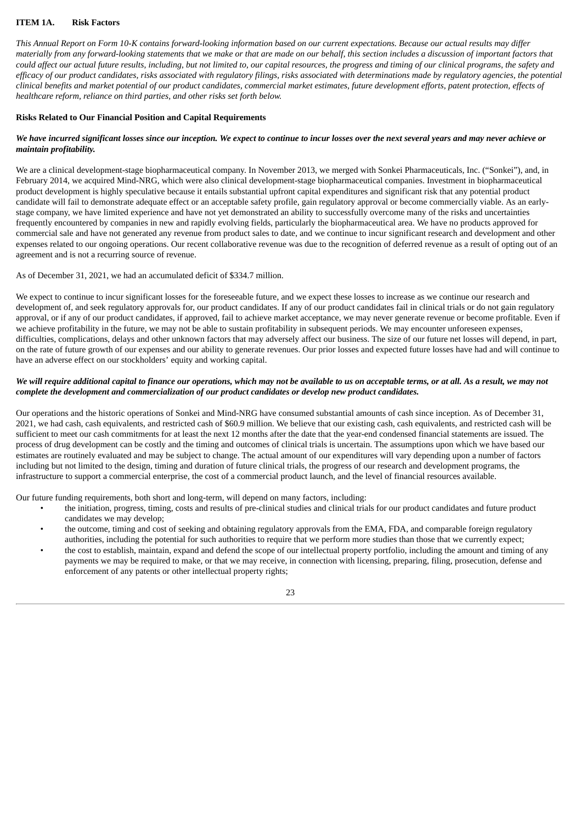# <span id="page-22-0"></span>**ITEM 1A. Risk Factors**

This Annual Report on Form 10-K contains forward-looking information based on our current expectations. Because our actual results may differ materially from any forward-looking statements that we make or that are made on our behalf, this section includes a discussion of important factors that could affect our actual future results, including, but not limited to, our capital resources, the progress and timing of our clinical programs, the safety and efficacy of our product candidates, risks associated with regulatory filings, risks associated with determinations made by regulatory agencies, the potential clinical benefits and market potential of our product candidates, commercial market estimates, future development efforts, patent protection, effects of *healthcare reform, reliance on third parties, and other risks set forth below.*

#### **Risks Related to Our Financial Position and Capital Requirements**

# We have incurred significant losses since our inception. We expect to continue to incur losses over the next several years and may never achieve or *maintain profitability.*

We are a clinical development-stage biopharmaceutical company. In November 2013, we merged with Sonkei Pharmaceuticals, Inc. ("Sonkei"), and, in February 2014, we acquired Mind-NRG, which were also clinical development-stage biopharmaceutical companies. Investment in biopharmaceutical product development is highly speculative because it entails substantial upfront capital expenditures and significant risk that any potential product candidate will fail to demonstrate adequate effect or an acceptable safety profile, gain regulatory approval or become commercially viable. As an earlystage company, we have limited experience and have not yet demonstrated an ability to successfully overcome many of the risks and uncertainties frequently encountered by companies in new and rapidly evolving fields, particularly the biopharmaceutical area. We have no products approved for commercial sale and have not generated any revenue from product sales to date, and we continue to incur significant research and development and other expenses related to our ongoing operations. Our recent collaborative revenue was due to the recognition of deferred revenue as a result of opting out of an agreement and is not a recurring source of revenue.

As of December 31, 2021, we had an accumulated deficit of \$334.7 million.

We expect to continue to incur significant losses for the foreseeable future, and we expect these losses to increase as we continue our research and development of, and seek regulatory approvals for, our product candidates. If any of our product candidates fail in clinical trials or do not gain regulatory approval, or if any of our product candidates, if approved, fail to achieve market acceptance, we may never generate revenue or become profitable. Even if we achieve profitability in the future, we may not be able to sustain profitability in subsequent periods. We may encounter unforeseen expenses, difficulties, complications, delays and other unknown factors that may adversely affect our business. The size of our future net losses will depend, in part, on the rate of future growth of our expenses and our ability to generate revenues. Our prior losses and expected future losses have had and will continue to have an adverse effect on our stockholders' equity and working capital.

# We will require additional capital to finance our operations, which may not be available to us on acceptable terms, or at all. As a result, we may not *complete the development and commercialization of our product candidates or develop new product candidates.*

Our operations and the historic operations of Sonkei and Mind-NRG have consumed substantial amounts of cash since inception. As of December 31, 2021, we had cash, cash equivalents, and restricted cash of \$60.9 million. We believe that our existing cash, cash equivalents, and restricted cash will be sufficient to meet our cash commitments for at least the next 12 months after the date that the year-end condensed financial statements are issued. The process of drug development can be costly and the timing and outcomes of clinical trials is uncertain. The assumptions upon which we have based our estimates are routinely evaluated and may be subject to change. The actual amount of our expenditures will vary depending upon a number of factors including but not limited to the design, timing and duration of future clinical trials, the progress of our research and development programs, the infrastructure to support a commercial enterprise, the cost of a commercial product launch, and the level of financial resources available.

Our future funding requirements, both short and long-term, will depend on many factors, including:

- the initiation, progress, timing, costs and results of pre-clinical studies and clinical trials for our product candidates and future product candidates we may develop;
- the outcome, timing and cost of seeking and obtaining regulatory approvals from the EMA, FDA, and comparable foreign regulatory authorities, including the potential for such authorities to require that we perform more studies than those that we currently expect;
- the cost to establish, maintain, expand and defend the scope of our intellectual property portfolio, including the amount and timing of any payments we may be required to make, or that we may receive, in connection with licensing, preparing, filing, prosecution, defense and enforcement of any patents or other intellectual property rights;

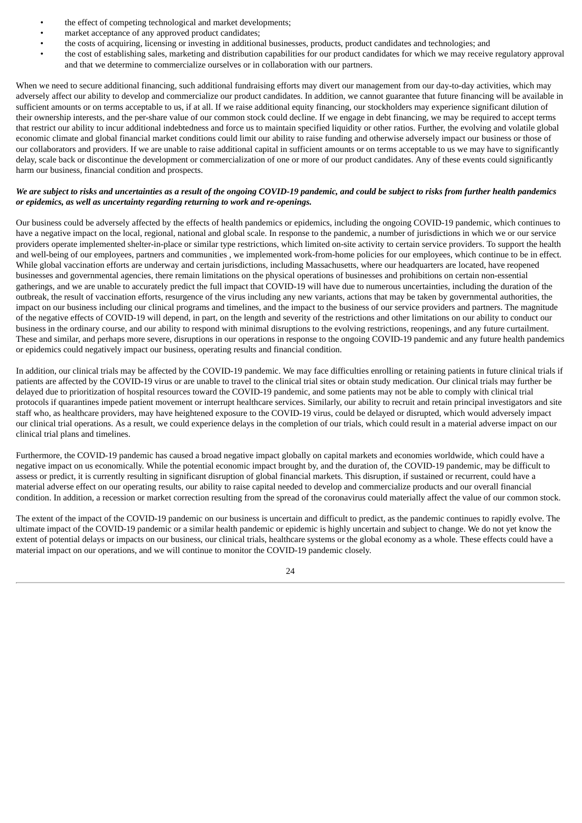- the effect of competing technological and market developments;
- market acceptance of any approved product candidates;
- the costs of acquiring, licensing or investing in additional businesses, products, product candidates and technologies; and
- the cost of establishing sales, marketing and distribution capabilities for our product candidates for which we may receive regulatory approval and that we determine to commercialize ourselves or in collaboration with our partners.

When we need to secure additional financing, such additional fundraising efforts may divert our management from our day-to-day activities, which may adversely affect our ability to develop and commercialize our product candidates. In addition, we cannot guarantee that future financing will be available in sufficient amounts or on terms acceptable to us, if at all. If we raise additional equity financing, our stockholders may experience significant dilution of their ownership interests, and the per-share value of our common stock could decline. If we engage in debt financing, we may be required to accept terms that restrict our ability to incur additional indebtedness and force us to maintain specified liquidity or other ratios. Further, the evolving and volatile global economic climate and global financial market conditions could limit our ability to raise funding and otherwise adversely impact our business or those of our collaborators and providers. If we are unable to raise additional capital in sufficient amounts or on terms acceptable to us we may have to significantly delay, scale back or discontinue the development or commercialization of one or more of our product candidates. Any of these events could significantly harm our business, financial condition and prospects.

# We are subject to risks and uncertainties as a result of the ongoing COVID-19 pandemic, and could be subject to risks from further health pandemics *or epidemics, as well as uncertainty regarding returning to work and re-openings.*

Our business could be adversely affected by the effects of health pandemics or epidemics, including the ongoing COVID-19 pandemic, which continues to have a negative impact on the local, regional, national and global scale. In response to the pandemic, a number of jurisdictions in which we or our service providers operate implemented shelter-in-place or similar type restrictions, which limited on-site activity to certain service providers. To support the health and well-being of our employees, partners and communities , we implemented work-from-home policies for our employees, which continue to be in effect. While global vaccination efforts are underway and certain jurisdictions, including Massachusetts, where our headquarters are located, have reopened businesses and governmental agencies, there remain limitations on the physical operations of businesses and prohibitions on certain non-essential gatherings, and we are unable to accurately predict the full impact that COVID-19 will have due to numerous uncertainties, including the duration of the outbreak, the result of vaccination efforts, resurgence of the virus including any new variants, actions that may be taken by governmental authorities, the impact on our business including our clinical programs and timelines, and the impact to the business of our service providers and partners. The magnitude of the negative effects of COVID-19 will depend, in part, on the length and severity of the restrictions and other limitations on our ability to conduct our business in the ordinary course, and our ability to respond with minimal disruptions to the evolving restrictions, reopenings, and any future curtailment. These and similar, and perhaps more severe, disruptions in our operations in response to the ongoing COVID-19 pandemic and any future health pandemics or epidemics could negatively impact our business, operating results and financial condition.

In addition, our clinical trials may be affected by the COVID-19 pandemic. We may face difficulties enrolling or retaining patients in future clinical trials if patients are affected by the COVID-19 virus or are unable to travel to the clinical trial sites or obtain study medication. Our clinical trials may further be delayed due to prioritization of hospital resources toward the COVID-19 pandemic, and some patients may not be able to comply with clinical trial protocols if quarantines impede patient movement or interrupt healthcare services. Similarly, our ability to recruit and retain principal investigators and site staff who, as healthcare providers, may have heightened exposure to the COVID-19 virus, could be delayed or disrupted, which would adversely impact our clinical trial operations. As a result, we could experience delays in the completion of our trials, which could result in a material adverse impact on our clinical trial plans and timelines.

Furthermore, the COVID-19 pandemic has caused a broad negative impact globally on capital markets and economies worldwide, which could have a negative impact on us economically. While the potential economic impact brought by, and the duration of, the COVID-19 pandemic, may be difficult to assess or predict, it is currently resulting in significant disruption of global financial markets. This disruption, if sustained or recurrent, could have a material adverse effect on our operating results, our ability to raise capital needed to develop and commercialize products and our overall financial condition. In addition, a recession or market correction resulting from the spread of the coronavirus could materially affect the value of our common stock.

The extent of the impact of the COVID-19 pandemic on our business is uncertain and difficult to predict, as the pandemic continues to rapidly evolve. The ultimate impact of the COVID-19 pandemic or a similar health pandemic or epidemic is highly uncertain and subject to change. We do not yet know the extent of potential delays or impacts on our business, our clinical trials, healthcare systems or the global economy as a whole. These effects could have a material impact on our operations, and we will continue to monitor the COVID-19 pandemic closely.

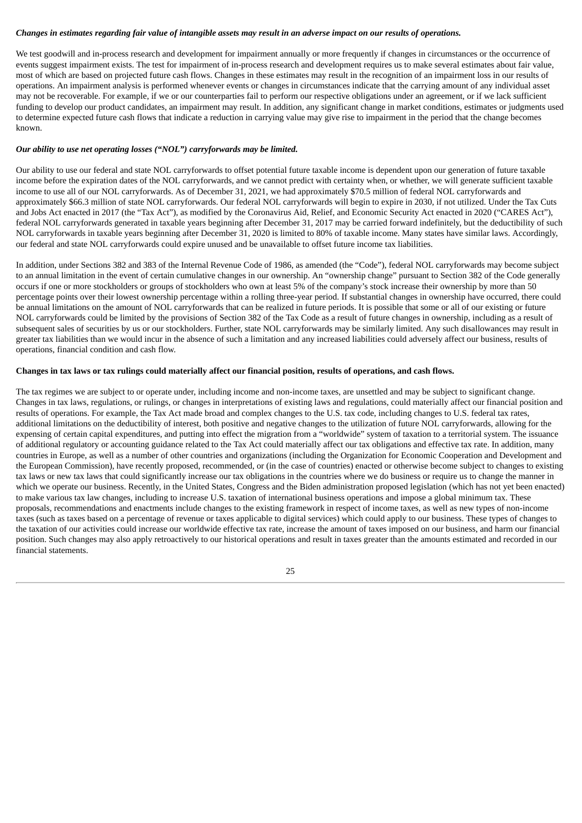#### Changes in estimates regarding fair value of intangible assets may result in an adverse impact on our results of operations.

We test goodwill and in-process research and development for impairment annually or more frequently if changes in circumstances or the occurrence of events suggest impairment exists. The test for impairment of in-process research and development requires us to make several estimates about fair value, most of which are based on projected future cash flows. Changes in these estimates may result in the recognition of an impairment loss in our results of operations. An impairment analysis is performed whenever events or changes in circumstances indicate that the carrying amount of any individual asset may not be recoverable. For example, if we or our counterparties fail to perform our respective obligations under an agreement, or if we lack sufficient funding to develop our product candidates, an impairment may result. In addition, any significant change in market conditions, estimates or judgments used to determine expected future cash flows that indicate a reduction in carrying value may give rise to impairment in the period that the change becomes known.

#### *Our ability to use net operating losses ("NOL") carryforwards may be limited.*

Our ability to use our federal and state NOL carryforwards to offset potential future taxable income is dependent upon our generation of future taxable income before the expiration dates of the NOL carryforwards, and we cannot predict with certainty when, or whether, we will generate sufficient taxable income to use all of our NOL carryforwards. As of December 31, 2021, we had approximately \$70.5 million of federal NOL carryforwards and approximately \$66.3 million of state NOL carryforwards. Our federal NOL carryforwards will begin to expire in 2030, if not utilized. Under the Tax Cuts and Jobs Act enacted in 2017 (the "Tax Act"), as modified by the Coronavirus Aid, Relief, and Economic Security Act enacted in 2020 ("CARES Act"), federal NOL carryforwards generated in taxable years beginning after December 31, 2017 may be carried forward indefinitely, but the deductibility of such NOL carryforwards in taxable years beginning after December 31, 2020 is limited to 80% of taxable income. Many states have similar laws. Accordingly, our federal and state NOL carryforwards could expire unused and be unavailable to offset future income tax liabilities.

In addition, under Sections 382 and 383 of the Internal Revenue Code of 1986, as amended (the "Code"), federal NOL carryforwards may become subject to an annual limitation in the event of certain cumulative changes in our ownership. An "ownership change" pursuant to Section 382 of the Code generally occurs if one or more stockholders or groups of stockholders who own at least 5% of the company's stock increase their ownership by more than 50 percentage points over their lowest ownership percentage within a rolling three-year period. If substantial changes in ownership have occurred, there could be annual limitations on the amount of NOL carryforwards that can be realized in future periods. It is possible that some or all of our existing or future NOL carryforwards could be limited by the provisions of Section 382 of the Tax Code as a result of future changes in ownership, including as a result of subsequent sales of securities by us or our stockholders. Further, state NOL carryforwards may be similarly limited. Any such disallowances may result in greater tax liabilities than we would incur in the absence of such a limitation and any increased liabilities could adversely affect our business, results of operations, financial condition and cash flow.

#### Changes in tax laws or tax rulings could materially affect our financial position, results of operations, and cash flows.

The tax regimes we are subject to or operate under, including income and non-income taxes, are unsettled and may be subject to significant change. Changes in tax laws, regulations, or rulings, or changes in interpretations of existing laws and regulations, could materially affect our financial position and results of operations. For example, the Tax Act made broad and complex changes to the U.S. tax code, including changes to U.S. federal tax rates, additional limitations on the deductibility of interest, both positive and negative changes to the utilization of future NOL carryforwards, allowing for the expensing of certain capital expenditures, and putting into effect the migration from a "worldwide" system of taxation to a territorial system. The issuance of additional regulatory or accounting guidance related to the Tax Act could materially affect our tax obligations and effective tax rate. In addition, many countries in Europe, as well as a number of other countries and organizations (including the Organization for Economic Cooperation and Development and the European Commission), have recently proposed, recommended, or (in the case of countries) enacted or otherwise become subject to changes to existing tax laws or new tax laws that could significantly increase our tax obligations in the countries where we do business or require us to change the manner in which we operate our business. Recently, in the United States, Congress and the Biden administration proposed legislation (which has not yet been enacted) to make various tax law changes, including to increase U.S. taxation of international business operations and impose a global minimum tax. These proposals, recommendations and enactments include changes to the existing framework in respect of income taxes, as well as new types of non-income taxes (such as taxes based on a percentage of revenue or taxes applicable to digital services) which could apply to our business. These types of changes to the taxation of our activities could increase our worldwide effective tax rate, increase the amount of taxes imposed on our business, and harm our financial position. Such changes may also apply retroactively to our historical operations and result in taxes greater than the amounts estimated and recorded in our financial statements.

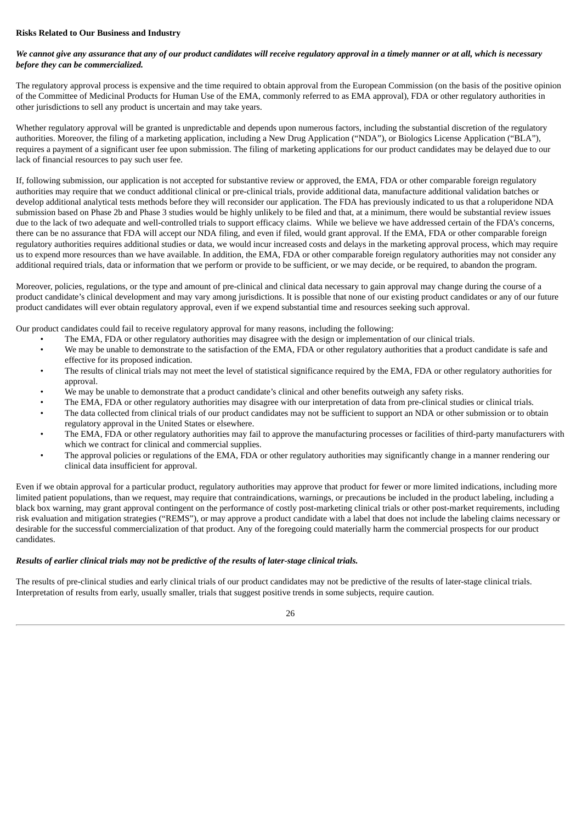#### **Risks Related to Our Business and Industry**

## We cannot give any assurance that any of our product candidates will receive regulatory approval in a timely manner or at all, which is necessary *before they can be commercialized.*

The regulatory approval process is expensive and the time required to obtain approval from the European Commission (on the basis of the positive opinion of the Committee of Medicinal Products for Human Use of the EMA, commonly referred to as EMA approval), FDA or other regulatory authorities in other jurisdictions to sell any product is uncertain and may take years.

Whether regulatory approval will be granted is unpredictable and depends upon numerous factors, including the substantial discretion of the regulatory authorities. Moreover, the filing of a marketing application, including a New Drug Application ("NDA"), or Biologics License Application ("BLA"), requires a payment of a significant user fee upon submission. The filing of marketing applications for our product candidates may be delayed due to our lack of financial resources to pay such user fee.

If, following submission, our application is not accepted for substantive review or approved, the EMA, FDA or other comparable foreign regulatory authorities may require that we conduct additional clinical or pre-clinical trials, provide additional data, manufacture additional validation batches or develop additional analytical tests methods before they will reconsider our application. The FDA has previously indicated to us that a roluperidone NDA submission based on Phase 2b and Phase 3 studies would be highly unlikely to be filed and that, at a minimum, there would be substantial review issues due to the lack of two adequate and well-controlled trials to support efficacy claims. While we believe we have addressed certain of the FDA's concerns, there can be no assurance that FDA will accept our NDA filing, and even if filed, would grant approval. If the EMA, FDA or other comparable foreign regulatory authorities requires additional studies or data, we would incur increased costs and delays in the marketing approval process, which may require us to expend more resources than we have available. In addition, the EMA, FDA or other comparable foreign regulatory authorities may not consider any additional required trials, data or information that we perform or provide to be sufficient, or we may decide, or be required, to abandon the program.

Moreover, policies, regulations, or the type and amount of pre-clinical and clinical data necessary to gain approval may change during the course of a product candidate's clinical development and may vary among jurisdictions. It is possible that none of our existing product candidates or any of our future product candidates will ever obtain regulatory approval, even if we expend substantial time and resources seeking such approval.

Our product candidates could fail to receive regulatory approval for many reasons, including the following:

- The EMA, FDA or other regulatory authorities may disagree with the design or implementation of our clinical trials.
- We may be unable to demonstrate to the satisfaction of the EMA, FDA or other regulatory authorities that a product candidate is safe and effective for its proposed indication.
- The results of clinical trials may not meet the level of statistical significance required by the EMA, FDA or other regulatory authorities for approval.
- We may be unable to demonstrate that a product candidate's clinical and other benefits outweigh any safety risks.
- The EMA, FDA or other regulatory authorities may disagree with our interpretation of data from pre-clinical studies or clinical trials.
- The data collected from clinical trials of our product candidates may not be sufficient to support an NDA or other submission or to obtain regulatory approval in the United States or elsewhere.
- The EMA, FDA or other regulatory authorities may fail to approve the manufacturing processes or facilities of third-party manufacturers with which we contract for clinical and commercial supplies.
- The approval policies or regulations of the EMA, FDA or other regulatory authorities may significantly change in a manner rendering our clinical data insufficient for approval.

Even if we obtain approval for a particular product, regulatory authorities may approve that product for fewer or more limited indications, including more limited patient populations, than we request, may require that contraindications, warnings, or precautions be included in the product labeling, including a black box warning, may grant approval contingent on the performance of costly post-marketing clinical trials or other post-market requirements, including risk evaluation and mitigation strategies ("REMS"), or may approve a product candidate with a label that does not include the labeling claims necessary or desirable for the successful commercialization of that product. Any of the foregoing could materially harm the commercial prospects for our product candidates.

# *Results of earlier clinical trials may not be predictive of the results of later-stage clinical trials.*

The results of pre-clinical studies and early clinical trials of our product candidates may not be predictive of the results of later-stage clinical trials. Interpretation of results from early, usually smaller, trials that suggest positive trends in some subjects, require caution.

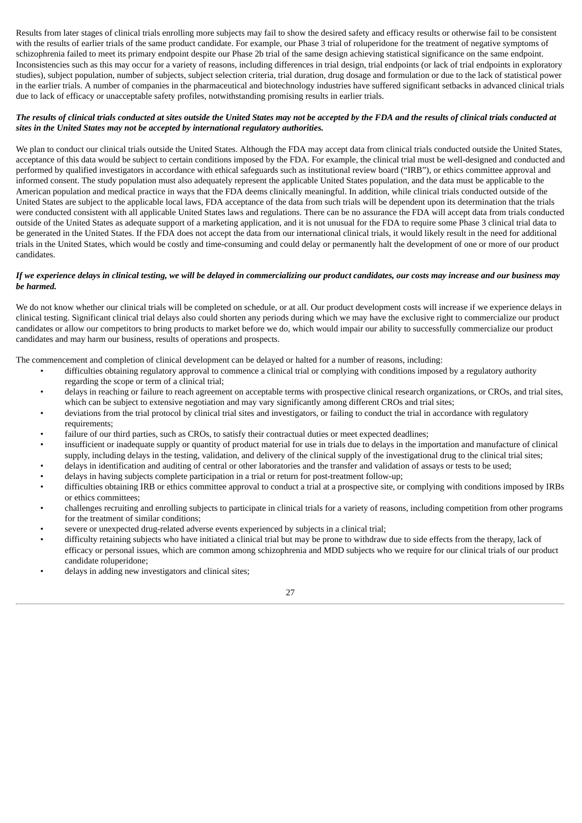Results from later stages of clinical trials enrolling more subjects may fail to show the desired safety and efficacy results or otherwise fail to be consistent with the results of earlier trials of the same product candidate. For example, our Phase 3 trial of roluperidone for the treatment of negative symptoms of schizophrenia failed to meet its primary endpoint despite our Phase 2b trial of the same design achieving statistical significance on the same endpoint. Inconsistencies such as this may occur for a variety of reasons, including differences in trial design, trial endpoints (or lack of trial endpoints in exploratory studies), subject population, number of subjects, subject selection criteria, trial duration, drug dosage and formulation or due to the lack of statistical power in the earlier trials. A number of companies in the pharmaceutical and biotechnology industries have suffered significant setbacks in advanced clinical trials due to lack of efficacy or unacceptable safety profiles, notwithstanding promising results in earlier trials.

# The results of clinical trials conducted at sites outside the United States may not be accepted by the FDA and the results of clinical trials conducted at *sites in the United States may not be accepted by international regulatory authorities.*

We plan to conduct our clinical trials outside the United States. Although the FDA may accept data from clinical trials conducted outside the United States, acceptance of this data would be subject to certain conditions imposed by the FDA. For example, the clinical trial must be well-designed and conducted and performed by qualified investigators in accordance with ethical safeguards such as institutional review board ("IRB"), or ethics committee approval and informed consent. The study population must also adequately represent the applicable United States population, and the data must be applicable to the American population and medical practice in ways that the FDA deems clinically meaningful. In addition, while clinical trials conducted outside of the United States are subject to the applicable local laws, FDA acceptance of the data from such trials will be dependent upon its determination that the trials were conducted consistent with all applicable United States laws and regulations. There can be no assurance the FDA will accept data from trials conducted outside of the United States as adequate support of a marketing application, and it is not unusual for the FDA to require some Phase 3 clinical trial data to be generated in the United States. If the FDA does not accept the data from our international clinical trials, it would likely result in the need for additional trials in the United States, which would be costly and time-consuming and could delay or permanently halt the development of one or more of our product candidates.

# If we experience delays in clinical testing, we will be delayed in commercializing our product candidates, our costs may increase and our business may *be harmed.*

We do not know whether our clinical trials will be completed on schedule, or at all. Our product development costs will increase if we experience delays in clinical testing. Significant clinical trial delays also could shorten any periods during which we may have the exclusive right to commercialize our product candidates or allow our competitors to bring products to market before we do, which would impair our ability to successfully commercialize our product candidates and may harm our business, results of operations and prospects.

The commencement and completion of clinical development can be delayed or halted for a number of reasons, including:

- difficulties obtaining regulatory approval to commence a clinical trial or complying with conditions imposed by a regulatory authority regarding the scope or term of a clinical trial;
- delays in reaching or failure to reach agreement on acceptable terms with prospective clinical research organizations, or CROs, and trial sites, which can be subject to extensive negotiation and may vary significantly among different CROs and trial sites;
- deviations from the trial protocol by clinical trial sites and investigators, or failing to conduct the trial in accordance with regulatory requirements;
- failure of our third parties, such as CROs, to satisfy their contractual duties or meet expected deadlines;
- insufficient or inadequate supply or quantity of product material for use in trials due to delays in the importation and manufacture of clinical supply, including delays in the testing, validation, and delivery of the clinical supply of the investigational drug to the clinical trial sites;
- delays in identification and auditing of central or other laboratories and the transfer and validation of assays or tests to be used;
- delays in having subjects complete participation in a trial or return for post-treatment follow-up;
- difficulties obtaining IRB or ethics committee approval to conduct a trial at a prospective site, or complying with conditions imposed by IRBs or ethics committees;
- challenges recruiting and enrolling subjects to participate in clinical trials for a variety of reasons, including competition from other programs for the treatment of similar conditions;
- severe or unexpected drug-related adverse events experienced by subjects in a clinical trial;
- difficulty retaining subjects who have initiated a clinical trial but may be prone to withdraw due to side effects from the therapy, lack of efficacy or personal issues, which are common among schizophrenia and MDD subjects who we require for our clinical trials of our product candidate roluperidone;
- delays in adding new investigators and clinical sites;

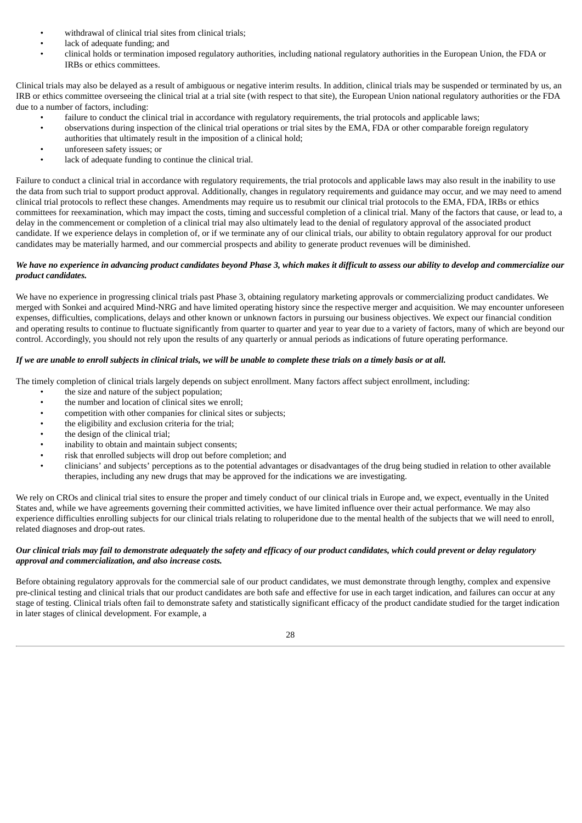- withdrawal of clinical trial sites from clinical trials;
- lack of adequate funding; and
- clinical holds or termination imposed regulatory authorities, including national regulatory authorities in the European Union, the FDA or IRBs or ethics committees.

Clinical trials may also be delayed as a result of ambiguous or negative interim results. In addition, clinical trials may be suspended or terminated by us, an IRB or ethics committee overseeing the clinical trial at a trial site (with respect to that site), the European Union national regulatory authorities or the FDA due to a number of factors, including:

- failure to conduct the clinical trial in accordance with regulatory requirements, the trial protocols and applicable laws;
- observations during inspection of the clinical trial operations or trial sites by the EMA, FDA or other comparable foreign regulatory
	- authorities that ultimately result in the imposition of a clinical hold;
- unforeseen safety issues; or
- lack of adequate funding to continue the clinical trial.

Failure to conduct a clinical trial in accordance with regulatory requirements, the trial protocols and applicable laws may also result in the inability to use the data from such trial to support product approval. Additionally, changes in regulatory requirements and guidance may occur, and we may need to amend clinical trial protocols to reflect these changes. Amendments may require us to resubmit our clinical trial protocols to the EMA, FDA, IRBs or ethics committees for reexamination, which may impact the costs, timing and successful completion of a clinical trial. Many of the factors that cause, or lead to, a delay in the commencement or completion of a clinical trial may also ultimately lead to the denial of regulatory approval of the associated product candidate. If we experience delays in completion of, or if we terminate any of our clinical trials, our ability to obtain regulatory approval for our product candidates may be materially harmed, and our commercial prospects and ability to generate product revenues will be diminished.

# We have no experience in advancing product candidates beyond Phase 3, which makes it difficult to assess our ability to develop and commercialize our *product candidates.*

We have no experience in progressing clinical trials past Phase 3, obtaining regulatory marketing approvals or commercializing product candidates. We merged with Sonkei and acquired Mind-NRG and have limited operating history since the respective merger and acquisition. We may encounter unforeseen expenses, difficulties, complications, delays and other known or unknown factors in pursuing our business objectives. We expect our financial condition and operating results to continue to fluctuate significantly from quarter to quarter and year to year due to a variety of factors, many of which are beyond our control. Accordingly, you should not rely upon the results of any quarterly or annual periods as indications of future operating performance.

# If we are unable to enroll subjects in clinical trials, we will be unable to complete these trials on a timely basis or at all.

The timely completion of clinical trials largely depends on subject enrollment. Many factors affect subject enrollment, including:

- the size and nature of the subject population;
- the number and location of clinical sites we enroll;
- competition with other companies for clinical sites or subjects;
- the eligibility and exclusion criteria for the trial;
- the design of the clinical trial;
- inability to obtain and maintain subject consents;
- risk that enrolled subjects will drop out before completion; and
- clinicians' and subjects' perceptions as to the potential advantages or disadvantages of the drug being studied in relation to other available therapies, including any new drugs that may be approved for the indications we are investigating.

We rely on CROs and clinical trial sites to ensure the proper and timely conduct of our clinical trials in Europe and, we expect, eventually in the United States and, while we have agreements governing their committed activities, we have limited influence over their actual performance. We may also experience difficulties enrolling subjects for our clinical trials relating to roluperidone due to the mental health of the subjects that we will need to enroll, related diagnoses and drop-out rates.

# Our clinical trials may fail to demonstrate adequately the safety and efficacy of our product candidates, which could prevent or delay regulatory *approval and commercialization, and also increase costs.*

Before obtaining regulatory approvals for the commercial sale of our product candidates, we must demonstrate through lengthy, complex and expensive pre-clinical testing and clinical trials that our product candidates are both safe and effective for use in each target indication, and failures can occur at any stage of testing. Clinical trials often fail to demonstrate safety and statistically significant efficacy of the product candidate studied for the target indication in later stages of clinical development. For example, a

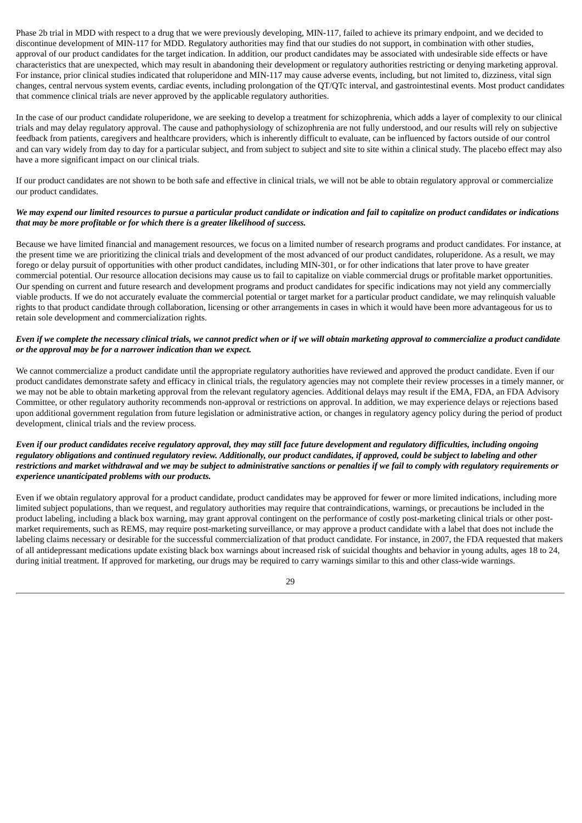Phase 2b trial in MDD with respect to a drug that we were previously developing, MIN-117, failed to achieve its primary endpoint, and we decided to discontinue development of MIN-117 for MDD. Regulatory authorities may find that our studies do not support, in combination with other studies, approval of our product candidates for the target indication. In addition, our product candidates may be associated with undesirable side effects or have characteristics that are unexpected, which may result in abandoning their development or regulatory authorities restricting or denying marketing approval. For instance, prior clinical studies indicated that roluperidone and MIN-117 may cause adverse events, including, but not limited to, dizziness, vital sign changes, central nervous system events, cardiac events, including prolongation of the QT/QTc interval, and gastrointestinal events. Most product candidates that commence clinical trials are never approved by the applicable regulatory authorities.

In the case of our product candidate roluperidone, we are seeking to develop a treatment for schizophrenia, which adds a layer of complexity to our clinical trials and may delay regulatory approval. The cause and pathophysiology of schizophrenia are not fully understood, and our results will rely on subjective feedback from patients, caregivers and healthcare providers, which is inherently difficult to evaluate, can be influenced by factors outside of our control and can vary widely from day to day for a particular subject, and from subject to subject and site to site within a clinical study. The placebo effect may also have a more significant impact on our clinical trials.

If our product candidates are not shown to be both safe and effective in clinical trials, we will not be able to obtain regulatory approval or commercialize our product candidates.

#### We may expend our limited resources to pursue a particular product candidate or indication and fail to capitalize on product candidates or indications *that may be more profitable or for which there is a greater likelihood of success.*

Because we have limited financial and management resources, we focus on a limited number of research programs and product candidates. For instance, at the present time we are prioritizing the clinical trials and development of the most advanced of our product candidates, roluperidone. As a result, we may forego or delay pursuit of opportunities with other product candidates, including MIN-301, or for other indications that later prove to have greater commercial potential. Our resource allocation decisions may cause us to fail to capitalize on viable commercial drugs or profitable market opportunities. Our spending on current and future research and development programs and product candidates for specific indications may not yield any commercially viable products. If we do not accurately evaluate the commercial potential or target market for a particular product candidate, we may relinquish valuable rights to that product candidate through collaboration, licensing or other arrangements in cases in which it would have been more advantageous for us to retain sole development and commercialization rights.

#### Even if we complete the necessary clinical trials, we cannot predict when or if we will obtain marketing approval to commercialize a product candidate *or the approval may be for a narrower indication than we expect.*

We cannot commercialize a product candidate until the appropriate regulatory authorities have reviewed and approved the product candidate. Even if our product candidates demonstrate safety and efficacy in clinical trials, the regulatory agencies may not complete their review processes in a timely manner, or we may not be able to obtain marketing approval from the relevant regulatory agencies. Additional delays may result if the EMA, FDA, an FDA Advisory Committee, or other regulatory authority recommends non-approval or restrictions on approval. In addition, we may experience delays or rejections based upon additional government regulation from future legislation or administrative action, or changes in regulatory agency policy during the period of product development, clinical trials and the review process.

# Even if our product candidates receive regulatory approval, they may still face future development and regulatory difficulties, including ongoing regulatory obligations and continued regulatory review. Additionally, our product candidates, if approved, could be subject to labeling and other restrictions and market withdrawal and we may be subject to administrative sanctions or penalties if we fail to comply with regulatory requirements or *experience unanticipated problems with our products.*

Even if we obtain regulatory approval for a product candidate, product candidates may be approved for fewer or more limited indications, including more limited subject populations, than we request, and regulatory authorities may require that contraindications, warnings, or precautions be included in the product labeling, including a black box warning, may grant approval contingent on the performance of costly post-marketing clinical trials or other postmarket requirements, such as REMS, may require post-marketing surveillance, or may approve a product candidate with a label that does not include the labeling claims necessary or desirable for the successful commercialization of that product candidate. For instance, in 2007, the FDA requested that makers of all antidepressant medications update existing black box warnings about increased risk of suicidal thoughts and behavior in young adults, ages 18 to 24, during initial treatment. If approved for marketing, our drugs may be required to carry warnings similar to this and other class-wide warnings.

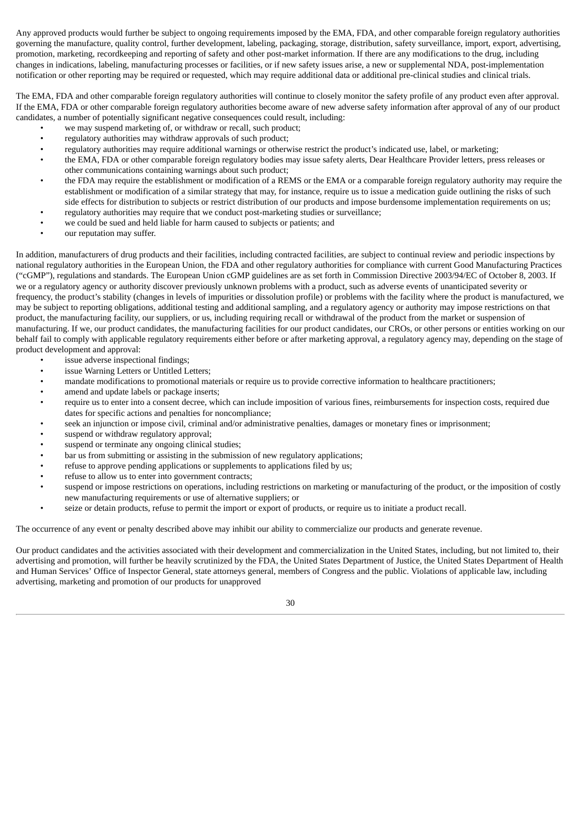Any approved products would further be subject to ongoing requirements imposed by the EMA, FDA, and other comparable foreign regulatory authorities governing the manufacture, quality control, further development, labeling, packaging, storage, distribution, safety surveillance, import, export, advertising, promotion, marketing, recordkeeping and reporting of safety and other post-market information. If there are any modifications to the drug, including changes in indications, labeling, manufacturing processes or facilities, or if new safety issues arise, a new or supplemental NDA, post-implementation notification or other reporting may be required or requested, which may require additional data or additional pre-clinical studies and clinical trials.

The EMA, FDA and other comparable foreign regulatory authorities will continue to closely monitor the safety profile of any product even after approval. If the EMA, FDA or other comparable foreign regulatory authorities become aware of new adverse safety information after approval of any of our product candidates, a number of potentially significant negative consequences could result, including:

- we may suspend marketing of, or withdraw or recall, such product;
- regulatory authorities may withdraw approvals of such product;
- regulatory authorities may require additional warnings or otherwise restrict the product's indicated use, label, or marketing;
- the EMA, FDA or other comparable foreign regulatory bodies may issue safety alerts, Dear Healthcare Provider letters, press releases or other communications containing warnings about such product;
- the FDA may require the establishment or modification of a REMS or the EMA or a comparable foreign regulatory authority may require the establishment or modification of a similar strategy that may, for instance, require us to issue a medication guide outlining the risks of such side effects for distribution to subjects or restrict distribution of our products and impose burdensome implementation requirements on us;
- regulatory authorities may require that we conduct post-marketing studies or surveillance;
- we could be sued and held liable for harm caused to subjects or patients; and
- our reputation may suffer.

In addition, manufacturers of drug products and their facilities, including contracted facilities, are subject to continual review and periodic inspections by national regulatory authorities in the European Union, the FDA and other regulatory authorities for compliance with current Good Manufacturing Practices ("cGMP"), regulations and standards. The European Union cGMP guidelines are as set forth in Commission Directive 2003/94/EC of October 8, 2003. If we or a regulatory agency or authority discover previously unknown problems with a product, such as adverse events of unanticipated severity or frequency, the product's stability (changes in levels of impurities or dissolution profile) or problems with the facility where the product is manufactured, we may be subject to reporting obligations, additional testing and additional sampling, and a regulatory agency or authority may impose restrictions on that product, the manufacturing facility, our suppliers, or us, including requiring recall or withdrawal of the product from the market or suspension of manufacturing. If we, our product candidates, the manufacturing facilities for our product candidates, our CROs, or other persons or entities working on our behalf fail to comply with applicable regulatory requirements either before or after marketing approval, a regulatory agency may, depending on the stage of product development and approval:

- issue adverse inspectional findings;
- issue Warning Letters or Untitled Letters:
- mandate modifications to promotional materials or require us to provide corrective information to healthcare practitioners;
- amend and update labels or package inserts;
- require us to enter into a consent decree, which can include imposition of various fines, reimbursements for inspection costs, required due dates for specific actions and penalties for noncompliance;
- seek an injunction or impose civil, criminal and/or administrative penalties, damages or monetary fines or imprisonment;
- suspend or withdraw regulatory approval;
- suspend or terminate any ongoing clinical studies;
- bar us from submitting or assisting in the submission of new regulatory applications;
- refuse to approve pending applications or supplements to applications filed by us;
- refuse to allow us to enter into government contracts;
- suspend or impose restrictions on operations, including restrictions on marketing or manufacturing of the product, or the imposition of costly new manufacturing requirements or use of alternative suppliers; or
- seize or detain products, refuse to permit the import or export of products, or require us to initiate a product recall.

The occurrence of any event or penalty described above may inhibit our ability to commercialize our products and generate revenue.

Our product candidates and the activities associated with their development and commercialization in the United States, including, but not limited to, their advertising and promotion, will further be heavily scrutinized by the FDA, the United States Department of Justice, the United States Department of Health and Human Services' Office of Inspector General, state attorneys general, members of Congress and the public. Violations of applicable law, including advertising, marketing and promotion of our products for unapproved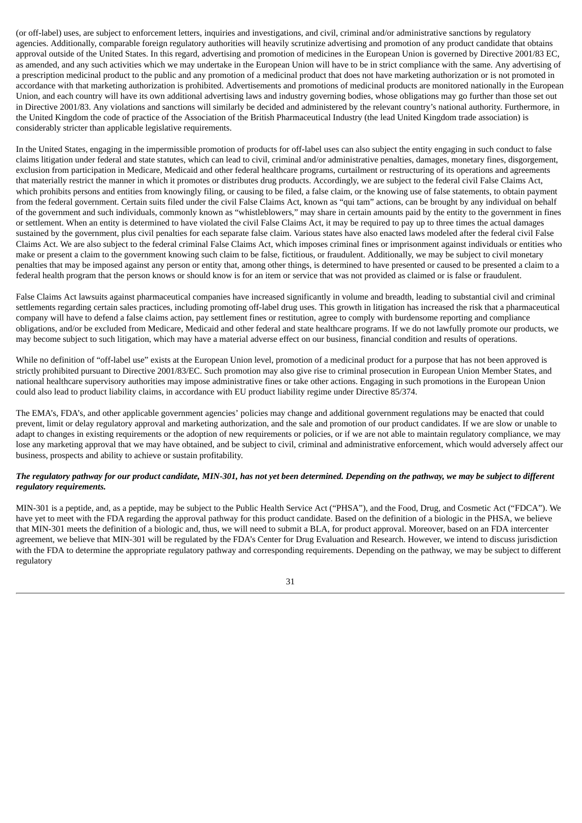(or off-label) uses, are subject to enforcement letters, inquiries and investigations, and civil, criminal and/or administrative sanctions by regulatory agencies. Additionally, comparable foreign regulatory authorities will heavily scrutinize advertising and promotion of any product candidate that obtains approval outside of the United States. In this regard, advertising and promotion of medicines in the European Union is governed by Directive 2001/83 EC, as amended, and any such activities which we may undertake in the European Union will have to be in strict compliance with the same. Any advertising of a prescription medicinal product to the public and any promotion of a medicinal product that does not have marketing authorization or is not promoted in accordance with that marketing authorization is prohibited. Advertisements and promotions of medicinal products are monitored nationally in the European Union, and each country will have its own additional advertising laws and industry governing bodies, whose obligations may go further than those set out in Directive 2001/83. Any violations and sanctions will similarly be decided and administered by the relevant country's national authority. Furthermore, in the United Kingdom the code of practice of the Association of the British Pharmaceutical Industry (the lead United Kingdom trade association) is considerably stricter than applicable legislative requirements.

In the United States, engaging in the impermissible promotion of products for off-label uses can also subject the entity engaging in such conduct to false claims litigation under federal and state statutes, which can lead to civil, criminal and/or administrative penalties, damages, monetary fines, disgorgement, exclusion from participation in Medicare, Medicaid and other federal healthcare programs, curtailment or restructuring of its operations and agreements that materially restrict the manner in which it promotes or distributes drug products. Accordingly, we are subject to the federal civil False Claims Act, which prohibits persons and entities from knowingly filing, or causing to be filed, a false claim, or the knowing use of false statements, to obtain payment from the federal government. Certain suits filed under the civil False Claims Act, known as "qui tam" actions, can be brought by any individual on behalf of the government and such individuals, commonly known as "whistleblowers," may share in certain amounts paid by the entity to the government in fines or settlement. When an entity is determined to have violated the civil False Claims Act, it may be required to pay up to three times the actual damages sustained by the government, plus civil penalties for each separate false claim. Various states have also enacted laws modeled after the federal civil False Claims Act. We are also subject to the federal criminal False Claims Act, which imposes criminal fines or imprisonment against individuals or entities who make or present a claim to the government knowing such claim to be false, fictitious, or fraudulent. Additionally, we may be subject to civil monetary penalties that may be imposed against any person or entity that, among other things, is determined to have presented or caused to be presented a claim to a federal health program that the person knows or should know is for an item or service that was not provided as claimed or is false or fraudulent.

False Claims Act lawsuits against pharmaceutical companies have increased significantly in volume and breadth, leading to substantial civil and criminal settlements regarding certain sales practices, including promoting off-label drug uses. This growth in litigation has increased the risk that a pharmaceutical company will have to defend a false claims action, pay settlement fines or restitution, agree to comply with burdensome reporting and compliance obligations, and/or be excluded from Medicare, Medicaid and other federal and state healthcare programs. If we do not lawfully promote our products, we may become subject to such litigation, which may have a material adverse effect on our business, financial condition and results of operations.

While no definition of "off-label use" exists at the European Union level, promotion of a medicinal product for a purpose that has not been approved is strictly prohibited pursuant to Directive 2001/83/EC. Such promotion may also give rise to criminal prosecution in European Union Member States, and national healthcare supervisory authorities may impose administrative fines or take other actions. Engaging in such promotions in the European Union could also lead to product liability claims, in accordance with EU product liability regime under Directive 85/374.

The EMA's, FDA's, and other applicable government agencies' policies may change and additional government regulations may be enacted that could prevent, limit or delay regulatory approval and marketing authorization, and the sale and promotion of our product candidates. If we are slow or unable to adapt to changes in existing requirements or the adoption of new requirements or policies, or if we are not able to maintain regulatory compliance, we may lose any marketing approval that we may have obtained, and be subject to civil, criminal and administrative enforcement, which would adversely affect our business, prospects and ability to achieve or sustain profitability.

# The regulatory pathway for our product candidate, MIN-301, has not yet been determined. Depending on the pathway, we may be subject to different *regulatory requirements.*

MIN-301 is a peptide, and, as a peptide, may be subject to the Public Health Service Act ("PHSA"), and the Food, Drug, and Cosmetic Act ("FDCA"). We have yet to meet with the FDA regarding the approval pathway for this product candidate. Based on the definition of a biologic in the PHSA, we believe that MIN-301 meets the definition of a biologic and, thus, we will need to submit a BLA, for product approval. Moreover, based on an FDA intercenter agreement, we believe that MIN-301 will be regulated by the FDA's Center for Drug Evaluation and Research. However, we intend to discuss jurisdiction with the FDA to determine the appropriate regulatory pathway and corresponding requirements. Depending on the pathway, we may be subject to different regulatory

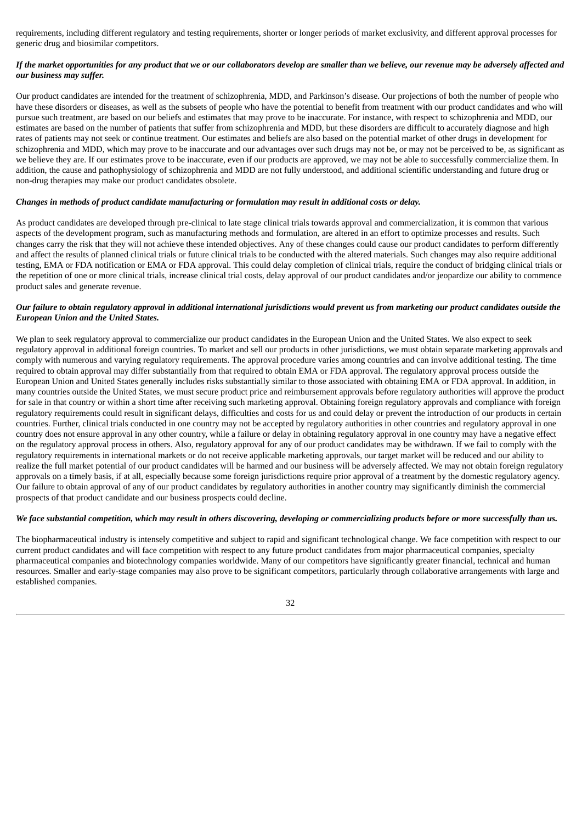requirements, including different regulatory and testing requirements, shorter or longer periods of market exclusivity, and different approval processes for generic drug and biosimilar competitors.

# If the market opportunities for any product that we or our collaborators develop are smaller than we believe, our revenue may be adversely affected and *our business may suffer.*

Our product candidates are intended for the treatment of schizophrenia, MDD, and Parkinson's disease. Our projections of both the number of people who have these disorders or diseases, as well as the subsets of people who have the potential to benefit from treatment with our product candidates and who will pursue such treatment, are based on our beliefs and estimates that may prove to be inaccurate. For instance, with respect to schizophrenia and MDD, our estimates are based on the number of patients that suffer from schizophrenia and MDD, but these disorders are difficult to accurately diagnose and high rates of patients may not seek or continue treatment. Our estimates and beliefs are also based on the potential market of other drugs in development for schizophrenia and MDD, which may prove to be inaccurate and our advantages over such drugs may not be, or may not be perceived to be, as significant as we believe they are. If our estimates prove to be inaccurate, even if our products are approved, we may not be able to successfully commercialize them. In addition, the cause and pathophysiology of schizophrenia and MDD are not fully understood, and additional scientific understanding and future drug or non-drug therapies may make our product candidates obsolete.

# *Changes in methods of product candidate manufacturing or formulation may result in additional costs or delay.*

As product candidates are developed through pre-clinical to late stage clinical trials towards approval and commercialization, it is common that various aspects of the development program, such as manufacturing methods and formulation, are altered in an effort to optimize processes and results. Such changes carry the risk that they will not achieve these intended objectives. Any of these changes could cause our product candidates to perform differently and affect the results of planned clinical trials or future clinical trials to be conducted with the altered materials. Such changes may also require additional testing, EMA or FDA notification or EMA or FDA approval. This could delay completion of clinical trials, require the conduct of bridging clinical trials or the repetition of one or more clinical trials, increase clinical trial costs, delay approval of our product candidates and/or jeopardize our ability to commence product sales and generate revenue.

# Our failure to obtain reaulatory approval in additional international iurisdictions would prevent us from marketina our product candidates outside the *European Union and the United States.*

We plan to seek regulatory approval to commercialize our product candidates in the European Union and the United States. We also expect to seek regulatory approval in additional foreign countries. To market and sell our products in other jurisdictions, we must obtain separate marketing approvals and comply with numerous and varying regulatory requirements. The approval procedure varies among countries and can involve additional testing. The time required to obtain approval may differ substantially from that required to obtain EMA or FDA approval. The regulatory approval process outside the European Union and United States generally includes risks substantially similar to those associated with obtaining EMA or FDA approval. In addition, in many countries outside the United States, we must secure product price and reimbursement approvals before regulatory authorities will approve the product for sale in that country or within a short time after receiving such marketing approval. Obtaining foreign regulatory approvals and compliance with foreign regulatory requirements could result in significant delays, difficulties and costs for us and could delay or prevent the introduction of our products in certain countries. Further, clinical trials conducted in one country may not be accepted by regulatory authorities in other countries and regulatory approval in one country does not ensure approval in any other country, while a failure or delay in obtaining regulatory approval in one country may have a negative effect on the regulatory approval process in others. Also, regulatory approval for any of our product candidates may be withdrawn. If we fail to comply with the regulatory requirements in international markets or do not receive applicable marketing approvals, our target market will be reduced and our ability to realize the full market potential of our product candidates will be harmed and our business will be adversely affected. We may not obtain foreign regulatory approvals on a timely basis, if at all, especially because some foreign jurisdictions require prior approval of a treatment by the domestic regulatory agency. Our failure to obtain approval of any of our product candidates by regulatory authorities in another country may significantly diminish the commercial prospects of that product candidate and our business prospects could decline.

#### We face substantial competition, which may result in others discovering, developing or commercializing products before or more successfully than us.

The biopharmaceutical industry is intensely competitive and subject to rapid and significant technological change. We face competition with respect to our current product candidates and will face competition with respect to any future product candidates from major pharmaceutical companies, specialty pharmaceutical companies and biotechnology companies worldwide. Many of our competitors have significantly greater financial, technical and human resources. Smaller and early-stage companies may also prove to be significant competitors, particularly through collaborative arrangements with large and established companies.

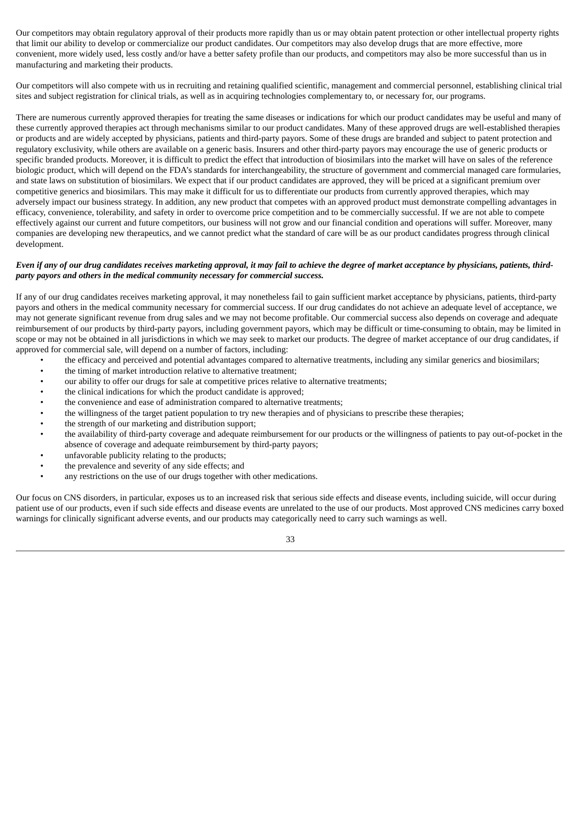Our competitors may obtain regulatory approval of their products more rapidly than us or may obtain patent protection or other intellectual property rights that limit our ability to develop or commercialize our product candidates. Our competitors may also develop drugs that are more effective, more convenient, more widely used, less costly and/or have a better safety profile than our products, and competitors may also be more successful than us in manufacturing and marketing their products.

Our competitors will also compete with us in recruiting and retaining qualified scientific, management and commercial personnel, establishing clinical trial sites and subject registration for clinical trials, as well as in acquiring technologies complementary to, or necessary for, our programs.

There are numerous currently approved therapies for treating the same diseases or indications for which our product candidates may be useful and many of these currently approved therapies act through mechanisms similar to our product candidates. Many of these approved drugs are well-established therapies or products and are widely accepted by physicians, patients and third-party payors. Some of these drugs are branded and subject to patent protection and regulatory exclusivity, while others are available on a generic basis. Insurers and other third-party payors may encourage the use of generic products or specific branded products. Moreover, it is difficult to predict the effect that introduction of biosimilars into the market will have on sales of the reference biologic product, which will depend on the FDA's standards for interchangeability, the structure of government and commercial managed care formularies, and state laws on substitution of biosimilars. We expect that if our product candidates are approved, they will be priced at a significant premium over competitive generics and biosimilars. This may make it difficult for us to differentiate our products from currently approved therapies, which may adversely impact our business strategy. In addition, any new product that competes with an approved product must demonstrate compelling advantages in efficacy, convenience, tolerability, and safety in order to overcome price competition and to be commercially successful. If we are not able to compete effectively against our current and future competitors, our business will not grow and our financial condition and operations will suffer. Moreover, many companies are developing new therapeutics, and we cannot predict what the standard of care will be as our product candidates progress through clinical development.

#### Even if any of our drug candidates receives marketing approval, it may fail to achieve the degree of market acceptance by physicians, patients, third*party payors and others in the medical community necessary for commercial success.*

If any of our drug candidates receives marketing approval, it may nonetheless fail to gain sufficient market acceptance by physicians, patients, third-party payors and others in the medical community necessary for commercial success. If our drug candidates do not achieve an adequate level of acceptance, we may not generate significant revenue from drug sales and we may not become profitable. Our commercial success also depends on coverage and adequate reimbursement of our products by third-party payors, including government payors, which may be difficult or time-consuming to obtain, may be limited in scope or may not be obtained in all jurisdictions in which we may seek to market our products. The degree of market acceptance of our drug candidates, if approved for commercial sale, will depend on a number of factors, including:

- the efficacy and perceived and potential advantages compared to alternative treatments, including any similar generics and biosimilars;
- the timing of market introduction relative to alternative treatment;<br>• our ability to offer our drugs for sale at competitive prices relative
- our ability to offer our drugs for sale at competitive prices relative to alternative treatments;
- the clinical indications for which the product candidate is approved;
- the convenience and ease of administration compared to alternative treatments;
- the willingness of the target patient population to try new therapies and of physicians to prescribe these therapies;
- the strength of our marketing and distribution support;
- the availability of third-party coverage and adequate reimbursement for our products or the willingness of patients to pay out-of-pocket in the absence of coverage and adequate reimbursement by third-party payors;
- unfavorable publicity relating to the products;
- the prevalence and severity of any side effects; and
- any restrictions on the use of our drugs together with other medications.

Our focus on CNS disorders, in particular, exposes us to an increased risk that serious side effects and disease events, including suicide, will occur during patient use of our products, even if such side effects and disease events are unrelated to the use of our products. Most approved CNS medicines carry boxed warnings for clinically significant adverse events, and our products may categorically need to carry such warnings as well.

33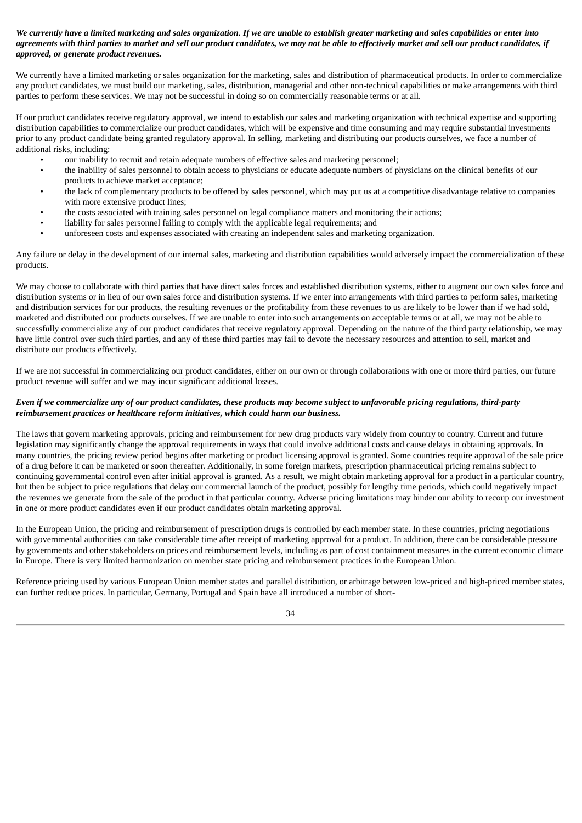# We currently have a limited marketing and sales organization. If we are unable to establish greater marketing and sales capabilities or enter into agreements with third parties to market and sell our product candidates, we may not be able to effectively market and sell our product candidates, if *approved, or generate product revenues.*

We currently have a limited marketing or sales organization for the marketing, sales and distribution of pharmaceutical products. In order to commercialize any product candidates, we must build our marketing, sales, distribution, managerial and other non-technical capabilities or make arrangements with third parties to perform these services. We may not be successful in doing so on commercially reasonable terms or at all.

If our product candidates receive regulatory approval, we intend to establish our sales and marketing organization with technical expertise and supporting distribution capabilities to commercialize our product candidates, which will be expensive and time consuming and may require substantial investments prior to any product candidate being granted regulatory approval. In selling, marketing and distributing our products ourselves, we face a number of additional risks, including:

- our inability to recruit and retain adequate numbers of effective sales and marketing personnel;
- the inability of sales personnel to obtain access to physicians or educate adequate numbers of physicians on the clinical benefits of our products to achieve market acceptance;
- the lack of complementary products to be offered by sales personnel, which may put us at a competitive disadvantage relative to companies with more extensive product lines;
- the costs associated with training sales personnel on legal compliance matters and monitoring their actions;
- liability for sales personnel failing to comply with the applicable legal requirements; and
- unforeseen costs and expenses associated with creating an independent sales and marketing organization.

Any failure or delay in the development of our internal sales, marketing and distribution capabilities would adversely impact the commercialization of these products.

We may choose to collaborate with third parties that have direct sales forces and established distribution systems, either to augment our own sales force and distribution systems or in lieu of our own sales force and distribution systems. If we enter into arrangements with third parties to perform sales, marketing and distribution services for our products, the resulting revenues or the profitability from these revenues to us are likely to be lower than if we had sold, marketed and distributed our products ourselves. If we are unable to enter into such arrangements on acceptable terms or at all, we may not be able to successfully commercialize any of our product candidates that receive regulatory approval. Depending on the nature of the third party relationship, we may have little control over such third parties, and any of these third parties may fail to devote the necessary resources and attention to sell, market and distribute our products effectively.

If we are not successful in commercializing our product candidates, either on our own or through collaborations with one or more third parties, our future product revenue will suffer and we may incur significant additional losses.

# Even if we commercialize any of our product candidates, these products may become subject to unfavorable pricing requlations, third-party *reimbursement practices or healthcare reform initiatives, which could harm our business.*

The laws that govern marketing approvals, pricing and reimbursement for new drug products vary widely from country to country. Current and future legislation may significantly change the approval requirements in ways that could involve additional costs and cause delays in obtaining approvals. In many countries, the pricing review period begins after marketing or product licensing approval is granted. Some countries require approval of the sale price of a drug before it can be marketed or soon thereafter. Additionally, in some foreign markets, prescription pharmaceutical pricing remains subject to continuing governmental control even after initial approval is granted. As a result, we might obtain marketing approval for a product in a particular country, but then be subject to price regulations that delay our commercial launch of the product, possibly for lengthy time periods, which could negatively impact the revenues we generate from the sale of the product in that particular country. Adverse pricing limitations may hinder our ability to recoup our investment in one or more product candidates even if our product candidates obtain marketing approval.

In the European Union, the pricing and reimbursement of prescription drugs is controlled by each member state. In these countries, pricing negotiations with governmental authorities can take considerable time after receipt of marketing approval for a product. In addition, there can be considerable pressure by governments and other stakeholders on prices and reimbursement levels, including as part of cost containment measures in the current economic climate in Europe. There is very limited harmonization on member state pricing and reimbursement practices in the European Union.

Reference pricing used by various European Union member states and parallel distribution, or arbitrage between low-priced and high-priced member states, can further reduce prices. In particular, Germany, Portugal and Spain have all introduced a number of short-

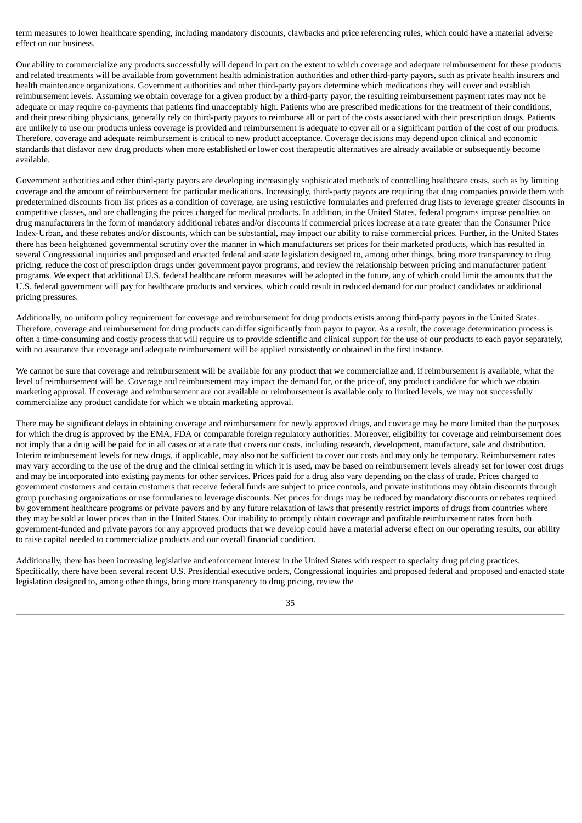term measures to lower healthcare spending, including mandatory discounts, clawbacks and price referencing rules, which could have a material adverse effect on our business.

Our ability to commercialize any products successfully will depend in part on the extent to which coverage and adequate reimbursement for these products and related treatments will be available from government health administration authorities and other third-party payors, such as private health insurers and health maintenance organizations. Government authorities and other third-party payors determine which medications they will cover and establish reimbursement levels. Assuming we obtain coverage for a given product by a third-party payor, the resulting reimbursement payment rates may not be adequate or may require co-payments that patients find unacceptably high. Patients who are prescribed medications for the treatment of their conditions, and their prescribing physicians, generally rely on third-party payors to reimburse all or part of the costs associated with their prescription drugs. Patients are unlikely to use our products unless coverage is provided and reimbursement is adequate to cover all or a significant portion of the cost of our products. Therefore, coverage and adequate reimbursement is critical to new product acceptance. Coverage decisions may depend upon clinical and economic standards that disfavor new drug products when more established or lower cost therapeutic alternatives are already available or subsequently become available.

Government authorities and other third-party payors are developing increasingly sophisticated methods of controlling healthcare costs, such as by limiting coverage and the amount of reimbursement for particular medications. Increasingly, third-party payors are requiring that drug companies provide them with predetermined discounts from list prices as a condition of coverage, are using restrictive formularies and preferred drug lists to leverage greater discounts in competitive classes, and are challenging the prices charged for medical products. In addition, in the United States, federal programs impose penalties on drug manufacturers in the form of mandatory additional rebates and/or discounts if commercial prices increase at a rate greater than the Consumer Price Index-Urban, and these rebates and/or discounts, which can be substantial, may impact our ability to raise commercial prices. Further, in the United States there has been heightened governmental scrutiny over the manner in which manufacturers set prices for their marketed products, which has resulted in several Congressional inquiries and proposed and enacted federal and state legislation designed to, among other things, bring more transparency to drug pricing, reduce the cost of prescription drugs under government payor programs, and review the relationship between pricing and manufacturer patient programs. We expect that additional U.S. federal healthcare reform measures will be adopted in the future, any of which could limit the amounts that the U.S. federal government will pay for healthcare products and services, which could result in reduced demand for our product candidates or additional pricing pressures.

Additionally, no uniform policy requirement for coverage and reimbursement for drug products exists among third-party payors in the United States. Therefore, coverage and reimbursement for drug products can differ significantly from payor to payor. As a result, the coverage determination process is often a time-consuming and costly process that will require us to provide scientific and clinical support for the use of our products to each payor separately, with no assurance that coverage and adequate reimbursement will be applied consistently or obtained in the first instance.

We cannot be sure that coverage and reimbursement will be available for any product that we commercialize and, if reimbursement is available, what the level of reimbursement will be. Coverage and reimbursement may impact the demand for, or the price of, any product candidate for which we obtain marketing approval. If coverage and reimbursement are not available or reimbursement is available only to limited levels, we may not successfully commercialize any product candidate for which we obtain marketing approval.

There may be significant delays in obtaining coverage and reimbursement for newly approved drugs, and coverage may be more limited than the purposes for which the drug is approved by the EMA, FDA or comparable foreign regulatory authorities. Moreover, eligibility for coverage and reimbursement does not imply that a drug will be paid for in all cases or at a rate that covers our costs, including research, development, manufacture, sale and distribution. Interim reimbursement levels for new drugs, if applicable, may also not be sufficient to cover our costs and may only be temporary. Reimbursement rates may vary according to the use of the drug and the clinical setting in which it is used, may be based on reimbursement levels already set for lower cost drugs and may be incorporated into existing payments for other services. Prices paid for a drug also vary depending on the class of trade. Prices charged to government customers and certain customers that receive federal funds are subject to price controls, and private institutions may obtain discounts through group purchasing organizations or use formularies to leverage discounts. Net prices for drugs may be reduced by mandatory discounts or rebates required by government healthcare programs or private payors and by any future relaxation of laws that presently restrict imports of drugs from countries where they may be sold at lower prices than in the United States. Our inability to promptly obtain coverage and profitable reimbursement rates from both government-funded and private payors for any approved products that we develop could have a material adverse effect on our operating results, our ability to raise capital needed to commercialize products and our overall financial condition.

Additionally, there has been increasing legislative and enforcement interest in the United States with respect to specialty drug pricing practices. Specifically, there have been several recent U.S. Presidential executive orders, Congressional inquiries and proposed federal and proposed and enacted state legislation designed to, among other things, bring more transparency to drug pricing, review the

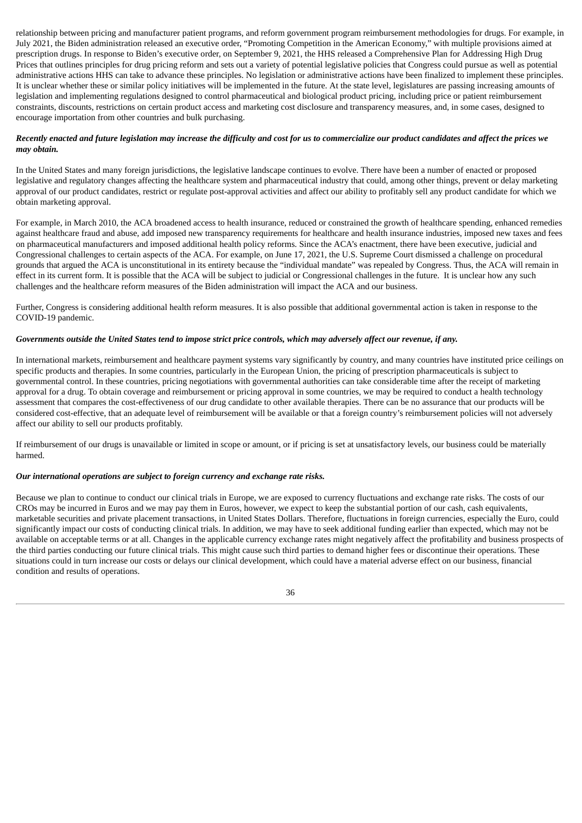relationship between pricing and manufacturer patient programs, and reform government program reimbursement methodologies for drugs. For example, in July 2021, the Biden administration released an executive order, "Promoting Competition in the American Economy," with multiple provisions aimed at prescription drugs. In response to Biden's executive order, on September 9, 2021, the HHS released a Comprehensive Plan for Addressing High Drug Prices that outlines principles for drug pricing reform and sets out a variety of potential legislative policies that Congress could pursue as well as potential administrative actions HHS can take to advance these principles. No legislation or administrative actions have been finalized to implement these principles. It is unclear whether these or similar policy initiatives will be implemented in the future. At the state level, legislatures are passing increasing amounts of legislation and implementing regulations designed to control pharmaceutical and biological product pricing, including price or patient reimbursement constraints, discounts, restrictions on certain product access and marketing cost disclosure and transparency measures, and, in some cases, designed to encourage importation from other countries and bulk purchasing.

# Recently enacted and future legislation may increase the difficulty and cost for us to commercialize our product candidates and affect the prices we *may obtain.*

In the United States and many foreign jurisdictions, the legislative landscape continues to evolve. There have been a number of enacted or proposed legislative and regulatory changes affecting the healthcare system and pharmaceutical industry that could, among other things, prevent or delay marketing approval of our product candidates, restrict or regulate post-approval activities and affect our ability to profitably sell any product candidate for which we obtain marketing approval.

For example, in March 2010, the ACA broadened access to health insurance, reduced or constrained the growth of healthcare spending, enhanced remedies against healthcare fraud and abuse, add imposed new transparency requirements for healthcare and health insurance industries, imposed new taxes and fees on pharmaceutical manufacturers and imposed additional health policy reforms. Since the ACA's enactment, there have been executive, judicial and Congressional challenges to certain aspects of the ACA. For example, on June 17, 2021, the U.S. Supreme Court dismissed a challenge on procedural grounds that argued the ACA is unconstitutional in its entirety because the "individual mandate" was repealed by Congress. Thus, the ACA will remain in effect in its current form. It is possible that the ACA will be subject to judicial or Congressional challenges in the future. It is unclear how any such challenges and the healthcare reform measures of the Biden administration will impact the ACA and our business.

Further, Congress is considering additional health reform measures. It is also possible that additional governmental action is taken in response to the COVID-19 pandemic.

# Governments outside the United States tend to impose strict price controls, which may adversely affect our revenue, if any.

In international markets, reimbursement and healthcare payment systems vary significantly by country, and many countries have instituted price ceilings on specific products and therapies. In some countries, particularly in the European Union, the pricing of prescription pharmaceuticals is subject to governmental control. In these countries, pricing negotiations with governmental authorities can take considerable time after the receipt of marketing approval for a drug. To obtain coverage and reimbursement or pricing approval in some countries, we may be required to conduct a health technology assessment that compares the cost-effectiveness of our drug candidate to other available therapies. There can be no assurance that our products will be considered cost-effective, that an adequate level of reimbursement will be available or that a foreign country's reimbursement policies will not adversely affect our ability to sell our products profitably.

If reimbursement of our drugs is unavailable or limited in scope or amount, or if pricing is set at unsatisfactory levels, our business could be materially harmed.

#### *Our international operations are subject to foreign currency and exchange rate risks.*

Because we plan to continue to conduct our clinical trials in Europe, we are exposed to currency fluctuations and exchange rate risks. The costs of our CROs may be incurred in Euros and we may pay them in Euros, however, we expect to keep the substantial portion of our cash, cash equivalents, marketable securities and private placement transactions, in United States Dollars. Therefore, fluctuations in foreign currencies, especially the Euro, could significantly impact our costs of conducting clinical trials. In addition, we may have to seek additional funding earlier than expected, which may not be available on acceptable terms or at all. Changes in the applicable currency exchange rates might negatively affect the profitability and business prospects of the third parties conducting our future clinical trials. This might cause such third parties to demand higher fees or discontinue their operations. These situations could in turn increase our costs or delays our clinical development, which could have a material adverse effect on our business, financial condition and results of operations.

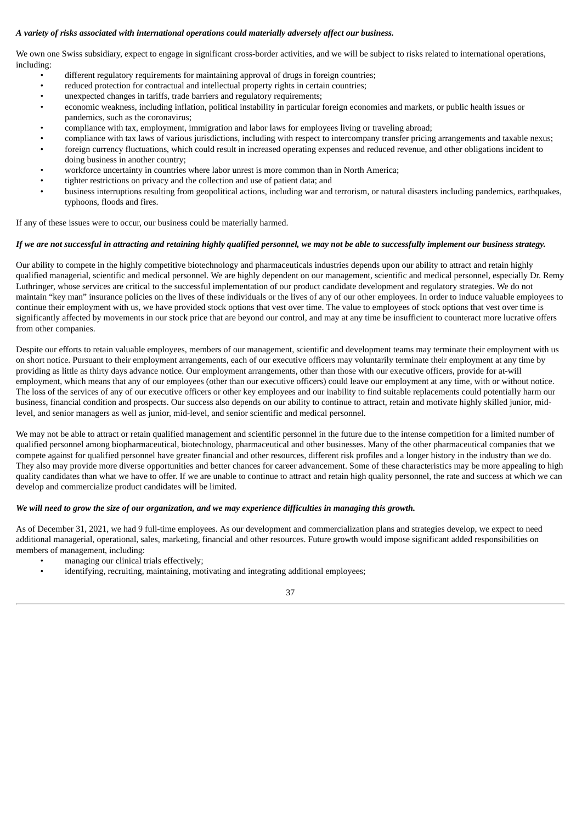### *A variety of risks associated with international operations could materially adversely affect our business.*

We own one Swiss subsidiary, expect to engage in significant cross-border activities, and we will be subject to risks related to international operations, including:

- different regulatory requirements for maintaining approval of drugs in foreign countries;
- reduced protection for contractual and intellectual property rights in certain countries;
- unexpected changes in tariffs, trade barriers and regulatory requirements;
- economic weakness, including inflation, political instability in particular foreign economies and markets, or public health issues or pandemics, such as the coronavirus;
- compliance with tax, employment, immigration and labor laws for employees living or traveling abroad;
- compliance with tax laws of various jurisdictions, including with respect to intercompany transfer pricing arrangements and taxable nexus;
- foreign currency fluctuations, which could result in increased operating expenses and reduced revenue, and other obligations incident to doing business in another country;
- workforce uncertainty in countries where labor unrest is more common than in North America;
- tighter restrictions on privacy and the collection and use of patient data; and
- business interruptions resulting from geopolitical actions, including war and terrorism, or natural disasters including pandemics, earthquakes, typhoons, floods and fires.

If any of these issues were to occur, our business could be materially harmed.

### If we are not successful in attracting and retaining highly qualified personnel, we may not be able to successfully implement our business strategy.

Our ability to compete in the highly competitive biotechnology and pharmaceuticals industries depends upon our ability to attract and retain highly qualified managerial, scientific and medical personnel. We are highly dependent on our management, scientific and medical personnel, especially Dr. Remy Luthringer, whose services are critical to the successful implementation of our product candidate development and regulatory strategies. We do not maintain "key man" insurance policies on the lives of these individuals or the lives of any of our other employees. In order to induce valuable employees to continue their employment with us, we have provided stock options that vest over time. The value to employees of stock options that vest over time is significantly affected by movements in our stock price that are beyond our control, and may at any time be insufficient to counteract more lucrative offers from other companies.

Despite our efforts to retain valuable employees, members of our management, scientific and development teams may terminate their employment with us on short notice. Pursuant to their employment arrangements, each of our executive officers may voluntarily terminate their employment at any time by providing as little as thirty days advance notice. Our employment arrangements, other than those with our executive officers, provide for at-will employment, which means that any of our employees (other than our executive officers) could leave our employment at any time, with or without notice. The loss of the services of any of our executive officers or other key employees and our inability to find suitable replacements could potentially harm our business, financial condition and prospects. Our success also depends on our ability to continue to attract, retain and motivate highly skilled junior, midlevel, and senior managers as well as junior, mid-level, and senior scientific and medical personnel.

We may not be able to attract or retain qualified management and scientific personnel in the future due to the intense competition for a limited number of qualified personnel among biopharmaceutical, biotechnology, pharmaceutical and other businesses. Many of the other pharmaceutical companies that we compete against for qualified personnel have greater financial and other resources, different risk profiles and a longer history in the industry than we do. They also may provide more diverse opportunities and better chances for career advancement. Some of these characteristics may be more appealing to high quality candidates than what we have to offer. If we are unable to continue to attract and retain high quality personnel, the rate and success at which we can develop and commercialize product candidates will be limited.

### We will need to grow the size of our organization, and we may experience difficulties in managing this growth.

As of December 31, 2021, we had 9 full-time employees. As our development and commercialization plans and strategies develop, we expect to need additional managerial, operational, sales, marketing, financial and other resources. Future growth would impose significant added responsibilities on members of management, including:

- managing our clinical trials effectively;
- identifying, recruiting, maintaining, motivating and integrating additional employees;

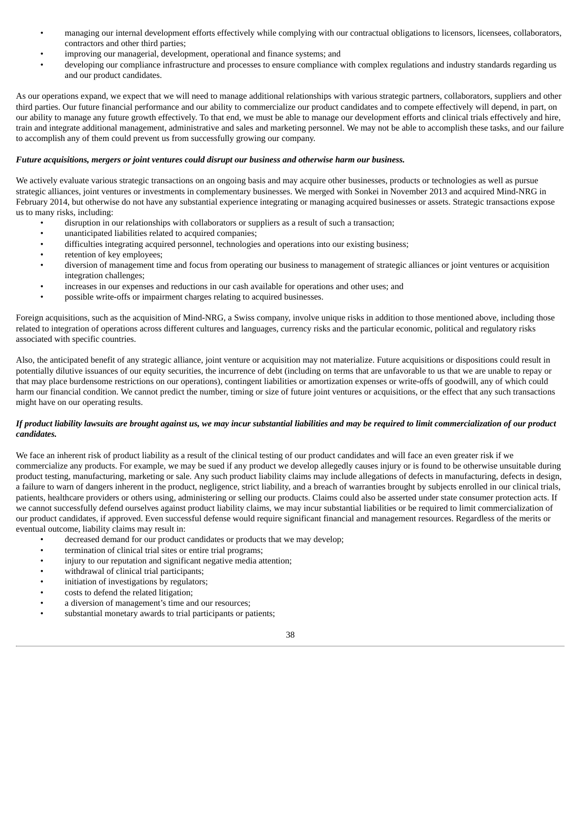- managing our internal development efforts effectively while complying with our contractual obligations to licensors, licensees, collaborators, contractors and other third parties;
- improving our managerial, development, operational and finance systems; and
- developing our compliance infrastructure and processes to ensure compliance with complex regulations and industry standards regarding us and our product candidates.

As our operations expand, we expect that we will need to manage additional relationships with various strategic partners, collaborators, suppliers and other third parties. Our future financial performance and our ability to commercialize our product candidates and to compete effectively will depend, in part, on our ability to manage any future growth effectively. To that end, we must be able to manage our development efforts and clinical trials effectively and hire, train and integrate additional management, administrative and sales and marketing personnel. We may not be able to accomplish these tasks, and our failure to accomplish any of them could prevent us from successfully growing our company.

### *Future acquisitions, mergers or joint ventures could disrupt our business and otherwise harm our business.*

We actively evaluate various strategic transactions on an ongoing basis and may acquire other businesses, products or technologies as well as pursue strategic alliances, joint ventures or investments in complementary businesses. We merged with Sonkei in November 2013 and acquired Mind-NRG in February 2014, but otherwise do not have any substantial experience integrating or managing acquired businesses or assets. Strategic transactions expose us to many risks, including:

- disruption in our relationships with collaborators or suppliers as a result of such a transaction;
- unanticipated liabilities related to acquired companies;
- difficulties integrating acquired personnel, technologies and operations into our existing business;
- retention of key employees;
- diversion of management time and focus from operating our business to management of strategic alliances or joint ventures or acquisition integration challenges;
- increases in our expenses and reductions in our cash available for operations and other uses; and
- possible write-offs or impairment charges relating to acquired businesses.

Foreign acquisitions, such as the acquisition of Mind-NRG, a Swiss company, involve unique risks in addition to those mentioned above, including those related to integration of operations across different cultures and languages, currency risks and the particular economic, political and regulatory risks associated with specific countries.

Also, the anticipated benefit of any strategic alliance, joint venture or acquisition may not materialize. Future acquisitions or dispositions could result in potentially dilutive issuances of our equity securities, the incurrence of debt (including on terms that are unfavorable to us that we are unable to repay or that may place burdensome restrictions on our operations), contingent liabilities or amortization expenses or write-offs of goodwill, any of which could harm our financial condition. We cannot predict the number, timing or size of future joint ventures or acquisitions, or the effect that any such transactions might have on our operating results.

### If product liability lawsuits are brought against us, we may incur substantial liabilities and may be required to limit commercialization of our product *candidates.*

We face an inherent risk of product liability as a result of the clinical testing of our product candidates and will face an even greater risk if we commercialize any products. For example, we may be sued if any product we develop allegedly causes injury or is found to be otherwise unsuitable during product testing, manufacturing, marketing or sale. Any such product liability claims may include allegations of defects in manufacturing, defects in design, a failure to warn of dangers inherent in the product, negligence, strict liability, and a breach of warranties brought by subjects enrolled in our clinical trials, patients, healthcare providers or others using, administering or selling our products. Claims could also be asserted under state consumer protection acts. If we cannot successfully defend ourselves against product liability claims, we may incur substantial liabilities or be required to limit commercialization of our product candidates, if approved. Even successful defense would require significant financial and management resources. Regardless of the merits or eventual outcome, liability claims may result in:

- decreased demand for our product candidates or products that we may develop;
- termination of clinical trial sites or entire trial programs;
- injury to our reputation and significant negative media attention;
- withdrawal of clinical trial participants;
- initiation of investigations by regulators;
- costs to defend the related litigation;
- a diversion of management's time and our resources;
- substantial monetary awards to trial participants or patients;

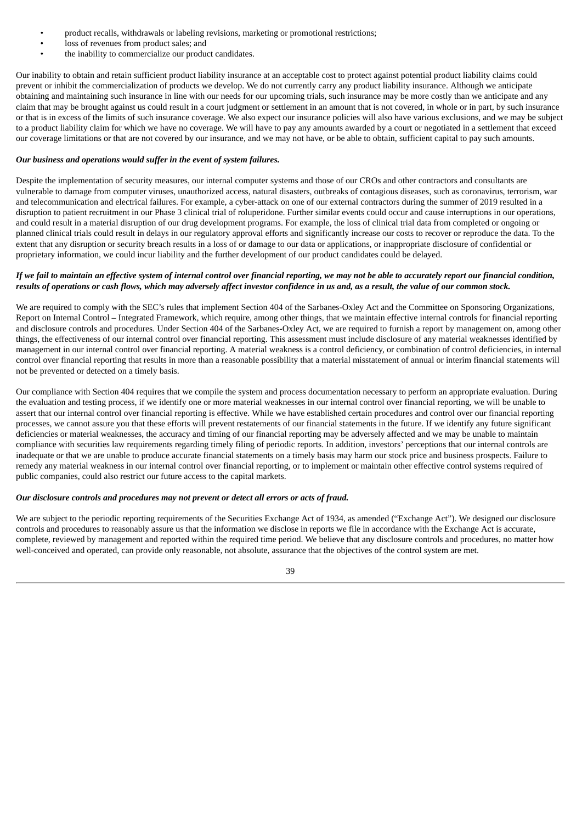- product recalls, withdrawals or labeling revisions, marketing or promotional restrictions;
- loss of revenues from product sales; and
- the inability to commercialize our product candidates.

Our inability to obtain and retain sufficient product liability insurance at an acceptable cost to protect against potential product liability claims could prevent or inhibit the commercialization of products we develop. We do not currently carry any product liability insurance. Although we anticipate obtaining and maintaining such insurance in line with our needs for our upcoming trials, such insurance may be more costly than we anticipate and any claim that may be brought against us could result in a court judgment or settlement in an amount that is not covered, in whole or in part, by such insurance or that is in excess of the limits of such insurance coverage. We also expect our insurance policies will also have various exclusions, and we may be subject to a product liability claim for which we have no coverage. We will have to pay any amounts awarded by a court or negotiated in a settlement that exceed our coverage limitations or that are not covered by our insurance, and we may not have, or be able to obtain, sufficient capital to pay such amounts.

### *Our business and operations would suffer in the event of system failures.*

Despite the implementation of security measures, our internal computer systems and those of our CROs and other contractors and consultants are vulnerable to damage from computer viruses, unauthorized access, natural disasters, outbreaks of contagious diseases, such as coronavirus, terrorism, war and telecommunication and electrical failures. For example, a cyber-attack on one of our external contractors during the summer of 2019 resulted in a disruption to patient recruitment in our Phase 3 clinical trial of roluperidone. Further similar events could occur and cause interruptions in our operations, and could result in a material disruption of our drug development programs. For example, the loss of clinical trial data from completed or ongoing or planned clinical trials could result in delays in our regulatory approval efforts and significantly increase our costs to recover or reproduce the data. To the extent that any disruption or security breach results in a loss of or damage to our data or applications, or inappropriate disclosure of confidential or proprietary information, we could incur liability and the further development of our product candidates could be delayed.

### If we fail to maintain an effective system of internal control over financial reporting, we may not be able to accurately report our financial condition, results of operations or cash flows, which may adversely affect investor confidence in us and, as a result, the value of our common stock.

We are required to comply with the SEC's rules that implement Section 404 of the Sarbanes-Oxley Act and the Committee on Sponsoring Organizations, Report on Internal Control – Integrated Framework, which require, among other things, that we maintain effective internal controls for financial reporting and disclosure controls and procedures. Under Section 404 of the Sarbanes-Oxley Act, we are required to furnish a report by management on, among other things, the effectiveness of our internal control over financial reporting. This assessment must include disclosure of any material weaknesses identified by management in our internal control over financial reporting. A material weakness is a control deficiency, or combination of control deficiencies, in internal control over financial reporting that results in more than a reasonable possibility that a material misstatement of annual or interim financial statements will not be prevented or detected on a timely basis.

Our compliance with Section 404 requires that we compile the system and process documentation necessary to perform an appropriate evaluation. During the evaluation and testing process, if we identify one or more material weaknesses in our internal control over financial reporting, we will be unable to assert that our internal control over financial reporting is effective. While we have established certain procedures and control over our financial reporting processes, we cannot assure you that these efforts will prevent restatements of our financial statements in the future. If we identify any future significant deficiencies or material weaknesses, the accuracy and timing of our financial reporting may be adversely affected and we may be unable to maintain compliance with securities law requirements regarding timely filing of periodic reports. In addition, investors' perceptions that our internal controls are inadequate or that we are unable to produce accurate financial statements on a timely basis may harm our stock price and business prospects. Failure to remedy any material weakness in our internal control over financial reporting, or to implement or maintain other effective control systems required of public companies, could also restrict our future access to the capital markets.

### *Our disclosure controls and procedures may not prevent or detect all errors or acts of fraud.*

We are subject to the periodic reporting requirements of the Securities Exchange Act of 1934, as amended ("Exchange Act"). We designed our disclosure controls and procedures to reasonably assure us that the information we disclose in reports we file in accordance with the Exchange Act is accurate, complete, reviewed by management and reported within the required time period. We believe that any disclosure controls and procedures, no matter how well-conceived and operated, can provide only reasonable, not absolute, assurance that the objectives of the control system are met.

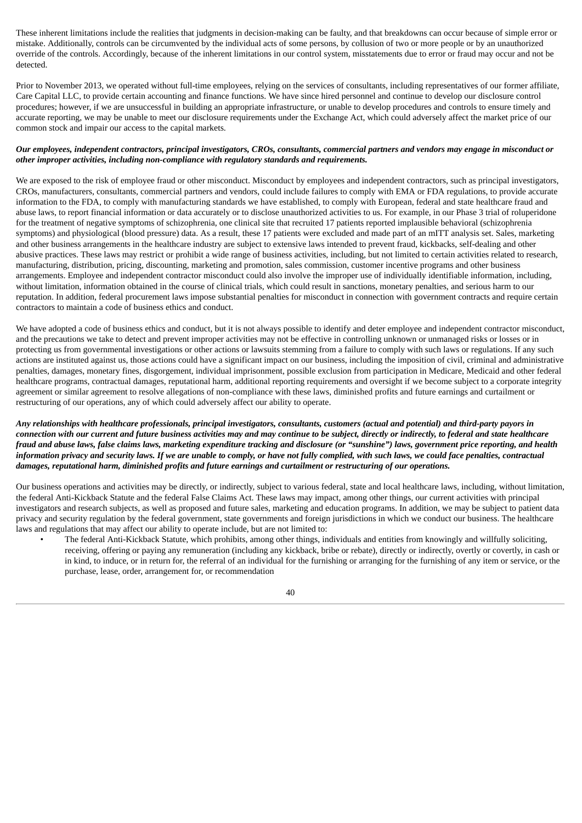These inherent limitations include the realities that judgments in decision-making can be faulty, and that breakdowns can occur because of simple error or mistake. Additionally, controls can be circumvented by the individual acts of some persons, by collusion of two or more people or by an unauthorized override of the controls. Accordingly, because of the inherent limitations in our control system, misstatements due to error or fraud may occur and not be detected.

Prior to November 2013, we operated without full-time employees, relying on the services of consultants, including representatives of our former affiliate, Care Capital LLC, to provide certain accounting and finance functions. We have since hired personnel and continue to develop our disclosure control procedures; however, if we are unsuccessful in building an appropriate infrastructure, or unable to develop procedures and controls to ensure timely and accurate reporting, we may be unable to meet our disclosure requirements under the Exchange Act, which could adversely affect the market price of our common stock and impair our access to the capital markets.

## Our employees, independent contractors, principal investigators, CROs, consultants, commercial partners and vendors may engage in misconduct or *other improper activities, including non-compliance with regulatory standards and requirements.*

We are exposed to the risk of employee fraud or other misconduct. Misconduct by employees and independent contractors, such as principal investigators, CROs, manufacturers, consultants, commercial partners and vendors, could include failures to comply with EMA or FDA regulations, to provide accurate information to the FDA, to comply with manufacturing standards we have established, to comply with European, federal and state healthcare fraud and abuse laws, to report financial information or data accurately or to disclose unauthorized activities to us. For example, in our Phase 3 trial of roluperidone for the treatment of negative symptoms of schizophrenia, one clinical site that recruited 17 patients reported implausible behavioral (schizophrenia symptoms) and physiological (blood pressure) data. As a result, these 17 patients were excluded and made part of an mITT analysis set. Sales, marketing and other business arrangements in the healthcare industry are subject to extensive laws intended to prevent fraud, kickbacks, self-dealing and other abusive practices. These laws may restrict or prohibit a wide range of business activities, including, but not limited to certain activities related to research, manufacturing, distribution, pricing, discounting, marketing and promotion, sales commission, customer incentive programs and other business arrangements. Employee and independent contractor misconduct could also involve the improper use of individually identifiable information, including, without limitation, information obtained in the course of clinical trials, which could result in sanctions, monetary penalties, and serious harm to our reputation. In addition, federal procurement laws impose substantial penalties for misconduct in connection with government contracts and require certain contractors to maintain a code of business ethics and conduct.

We have adopted a code of business ethics and conduct, but it is not always possible to identify and deter employee and independent contractor misconduct, and the precautions we take to detect and prevent improper activities may not be effective in controlling unknown or unmanaged risks or losses or in protecting us from governmental investigations or other actions or lawsuits stemming from a failure to comply with such laws or regulations. If any such actions are instituted against us, those actions could have a significant impact on our business, including the imposition of civil, criminal and administrative penalties, damages, monetary fines, disgorgement, individual imprisonment, possible exclusion from participation in Medicare, Medicaid and other federal healthcare programs, contractual damages, reputational harm, additional reporting requirements and oversight if we become subject to a corporate integrity agreement or similar agreement to resolve allegations of non-compliance with these laws, diminished profits and future earnings and curtailment or restructuring of our operations, any of which could adversely affect our ability to operate.

Any relationships with healthcare professionals, principal investigators, consultants, customers (actual and potential) and third-party payors in connection with our current and future business activities may and may continue to be subject, directly or indirectly, to federal and state healthcare fraud and abuse laws, false claims laws, marketing expenditure tracking and disclosure (or "sunshine") laws, government price reporting, and health information privacy and security laws. If we are unable to comply, or have not fully complied, with such laws, we could face penalties, contractual *damages, reputational harm, diminished profits and future earnings and curtailment or restructuring of our operations.*

Our business operations and activities may be directly, or indirectly, subject to various federal, state and local healthcare laws, including, without limitation, the federal Anti-Kickback Statute and the federal False Claims Act. These laws may impact, among other things, our current activities with principal investigators and research subjects, as well as proposed and future sales, marketing and education programs. In addition, we may be subject to patient data privacy and security regulation by the federal government, state governments and foreign jurisdictions in which we conduct our business. The healthcare laws and regulations that may affect our ability to operate include, but are not limited to:

• The federal Anti-Kickback Statute, which prohibits, among other things, individuals and entities from knowingly and willfully soliciting, receiving, offering or paying any remuneration (including any kickback, bribe or rebate), directly or indirectly, overtly or covertly, in cash or in kind, to induce, or in return for, the referral of an individual for the furnishing or arranging for the furnishing of any item or service, or the purchase, lease, order, arrangement for, or recommendation

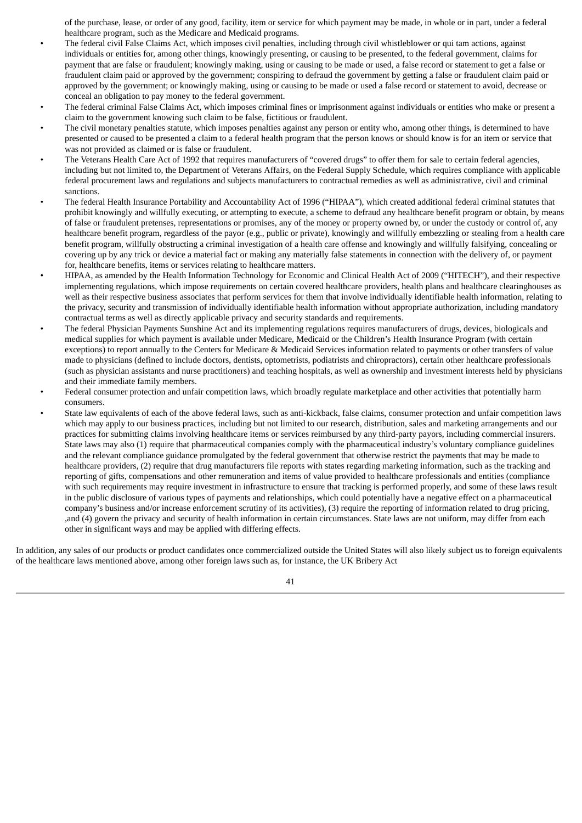of the purchase, lease, or order of any good, facility, item or service for which payment may be made, in whole or in part, under a federal healthcare program, such as the Medicare and Medicaid programs.

- The federal civil False Claims Act, which imposes civil penalties, including through civil whistleblower or qui tam actions, against individuals or entities for, among other things, knowingly presenting, or causing to be presented, to the federal government, claims for payment that are false or fraudulent; knowingly making, using or causing to be made or used, a false record or statement to get a false or fraudulent claim paid or approved by the government; conspiring to defraud the government by getting a false or fraudulent claim paid or approved by the government; or knowingly making, using or causing to be made or used a false record or statement to avoid, decrease or conceal an obligation to pay money to the federal government.
- The federal criminal False Claims Act, which imposes criminal fines or imprisonment against individuals or entities who make or present a claim to the government knowing such claim to be false, fictitious or fraudulent.
- The civil monetary penalties statute, which imposes penalties against any person or entity who, among other things, is determined to have presented or caused to be presented a claim to a federal health program that the person knows or should know is for an item or service that was not provided as claimed or is false or fraudulent.
- The Veterans Health Care Act of 1992 that requires manufacturers of "covered drugs" to offer them for sale to certain federal agencies, including but not limited to, the Department of Veterans Affairs, on the Federal Supply Schedule, which requires compliance with applicable federal procurement laws and regulations and subjects manufacturers to contractual remedies as well as administrative, civil and criminal sanctions.
- The federal Health Insurance Portability and Accountability Act of 1996 ("HIPAA"), which created additional federal criminal statutes that prohibit knowingly and willfully executing, or attempting to execute, a scheme to defraud any healthcare benefit program or obtain, by means of false or fraudulent pretenses, representations or promises, any of the money or property owned by, or under the custody or control of, any healthcare benefit program, regardless of the payor (e.g., public or private), knowingly and willfully embezzling or stealing from a health care benefit program, willfully obstructing a criminal investigation of a health care offense and knowingly and willfully falsifying, concealing or covering up by any trick or device a material fact or making any materially false statements in connection with the delivery of, or payment for, healthcare benefits, items or services relating to healthcare matters.
- HIPAA, as amended by the Health Information Technology for Economic and Clinical Health Act of 2009 ("HITECH"), and their respective implementing regulations, which impose requirements on certain covered healthcare providers, health plans and healthcare clearinghouses as well as their respective business associates that perform services for them that involve individually identifiable health information, relating to the privacy, security and transmission of individually identifiable health information without appropriate authorization, including mandatory contractual terms as well as directly applicable privacy and security standards and requirements.
- The federal Physician Payments Sunshine Act and its implementing regulations requires manufacturers of drugs, devices, biologicals and medical supplies for which payment is available under Medicare, Medicaid or the Children's Health Insurance Program (with certain exceptions) to report annually to the Centers for Medicare & Medicaid Services information related to payments or other transfers of value made to physicians (defined to include doctors, dentists, optometrists, podiatrists and chiropractors), certain other healthcare professionals (such as physician assistants and nurse practitioners) and teaching hospitals, as well as ownership and investment interests held by physicians and their immediate family members.
- Federal consumer protection and unfair competition laws, which broadly regulate marketplace and other activities that potentially harm consumers.
- State law equivalents of each of the above federal laws, such as anti-kickback, false claims, consumer protection and unfair competition laws which may apply to our business practices, including but not limited to our research, distribution, sales and marketing arrangements and our practices for submitting claims involving healthcare items or services reimbursed by any third-party payors, including commercial insurers. State laws may also (1) require that pharmaceutical companies comply with the pharmaceutical industry's voluntary compliance guidelines and the relevant compliance guidance promulgated by the federal government that otherwise restrict the payments that may be made to healthcare providers, (2) require that drug manufacturers file reports with states regarding marketing information, such as the tracking and reporting of gifts, compensations and other remuneration and items of value provided to healthcare professionals and entities (compliance with such requirements may require investment in infrastructure to ensure that tracking is performed properly, and some of these laws result in the public disclosure of various types of payments and relationships, which could potentially have a negative effect on a pharmaceutical company's business and/or increase enforcement scrutiny of its activities), (3) require the reporting of information related to drug pricing, ,and (4) govern the privacy and security of health information in certain circumstances. State laws are not uniform, may differ from each other in significant ways and may be applied with differing effects.

In addition, any sales of our products or product candidates once commercialized outside the United States will also likely subject us to foreign equivalents of the healthcare laws mentioned above, among other foreign laws such as, for instance, the UK Bribery Act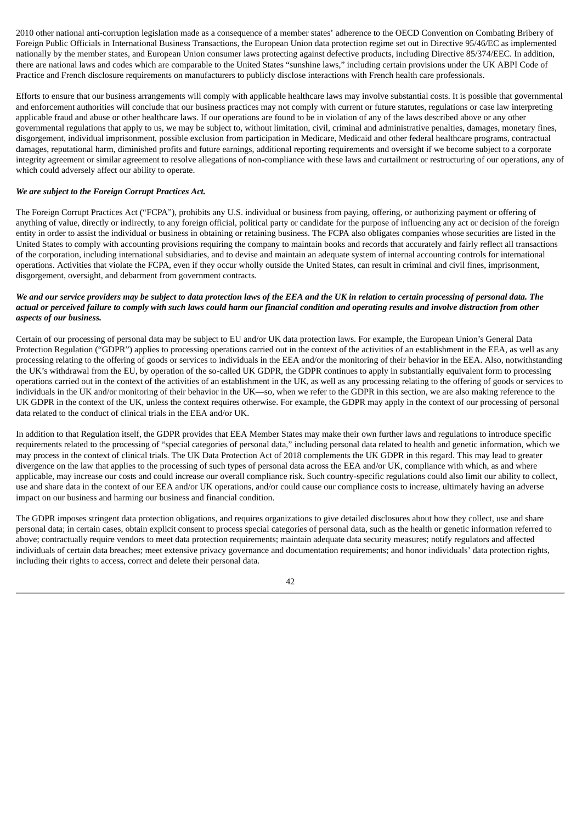2010 other national anti-corruption legislation made as a consequence of a member states' adherence to the OECD Convention on Combating Bribery of Foreign Public Officials in International Business Transactions, the European Union data protection regime set out in Directive 95/46/EC as implemented nationally by the member states, and European Union consumer laws protecting against defective products, including Directive 85/374/EEC. In addition, there are national laws and codes which are comparable to the United States "sunshine laws," including certain provisions under the UK ABPI Code of Practice and French disclosure requirements on manufacturers to publicly disclose interactions with French health care professionals.

Efforts to ensure that our business arrangements will comply with applicable healthcare laws may involve substantial costs. It is possible that governmental and enforcement authorities will conclude that our business practices may not comply with current or future statutes, regulations or case law interpreting applicable fraud and abuse or other healthcare laws. If our operations are found to be in violation of any of the laws described above or any other governmental regulations that apply to us, we may be subject to, without limitation, civil, criminal and administrative penalties, damages, monetary fines, disgorgement, individual imprisonment, possible exclusion from participation in Medicare, Medicaid and other federal healthcare programs, contractual damages, reputational harm, diminished profits and future earnings, additional reporting requirements and oversight if we become subject to a corporate integrity agreement or similar agreement to resolve allegations of non-compliance with these laws and curtailment or restructuring of our operations, any of which could adversely affect our ability to operate.

### *We are subject to the Foreign Corrupt Practices Act.*

The Foreign Corrupt Practices Act ("FCPA"), prohibits any U.S. individual or business from paying, offering, or authorizing payment or offering of anything of value, directly or indirectly, to any foreign official, political party or candidate for the purpose of influencing any act or decision of the foreign entity in order to assist the individual or business in obtaining or retaining business. The FCPA also obligates companies whose securities are listed in the United States to comply with accounting provisions requiring the company to maintain books and records that accurately and fairly reflect all transactions of the corporation, including international subsidiaries, and to devise and maintain an adequate system of internal accounting controls for international operations. Activities that violate the FCPA, even if they occur wholly outside the United States, can result in criminal and civil fines, imprisonment, disgorgement, oversight, and debarment from government contracts.

### We and our service providers may be subject to data protection laws of the EEA and the UK in relation to certain processing of personal data. The actual or perceived failure to comply with such laws could harm our financial condition and operating results and involve distraction from other *aspects of our business.*

Certain of our processing of personal data may be subject to EU and/or UK data protection laws. For example, the European Union's General Data Protection Regulation ("GDPR") applies to processing operations carried out in the context of the activities of an establishment in the EEA, as well as any processing relating to the offering of goods or services to individuals in the EEA and/or the monitoring of their behavior in the EEA. Also, notwithstanding the UK's withdrawal from the EU, by operation of the so-called UK GDPR, the GDPR continues to apply in substantially equivalent form to processing operations carried out in the context of the activities of an establishment in the UK, as well as any processing relating to the offering of goods or services to individuals in the UK and/or monitoring of their behavior in the UK—so, when we refer to the GDPR in this section, we are also making reference to the UK GDPR in the context of the UK, unless the context requires otherwise. For example, the GDPR may apply in the context of our processing of personal data related to the conduct of clinical trials in the EEA and/or UK.

In addition to that Regulation itself, the GDPR provides that EEA Member States may make their own further laws and regulations to introduce specific requirements related to the processing of "special categories of personal data," including personal data related to health and genetic information, which we may process in the context of clinical trials. The UK Data Protection Act of 2018 complements the UK GDPR in this regard. This may lead to greater divergence on the law that applies to the processing of such types of personal data across the EEA and/or UK, compliance with which, as and where applicable, may increase our costs and could increase our overall compliance risk. Such country-specific regulations could also limit our ability to collect, use and share data in the context of our EEA and/or UK operations, and/or could cause our compliance costs to increase, ultimately having an adverse impact on our business and harming our business and financial condition.

The GDPR imposes stringent data protection obligations, and requires organizations to give detailed disclosures about how they collect, use and share personal data; in certain cases, obtain explicit consent to process special categories of personal data, such as the health or genetic information referred to above; contractually require vendors to meet data protection requirements; maintain adequate data security measures; notify regulators and affected individuals of certain data breaches; meet extensive privacy governance and documentation requirements; and honor individuals' data protection rights, including their rights to access, correct and delete their personal data.

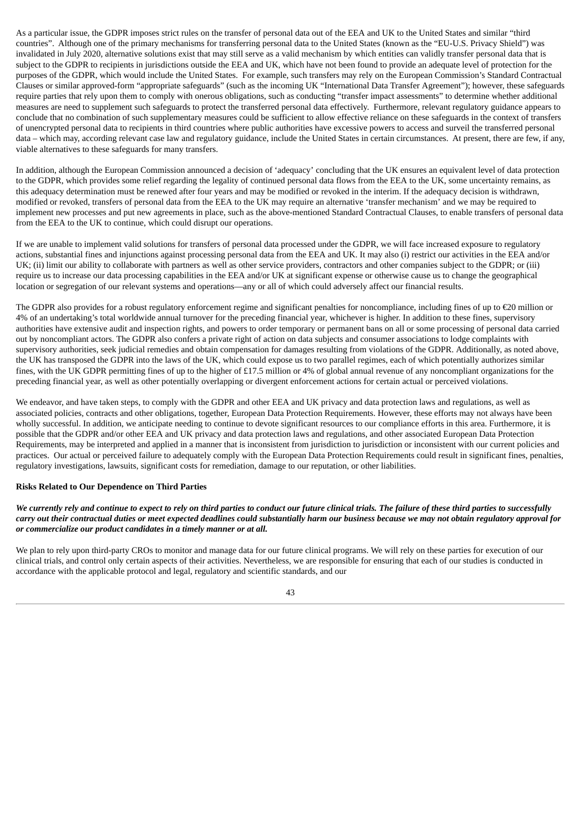As a particular issue, the GDPR imposes strict rules on the transfer of personal data out of the EEA and UK to the United States and similar "third countries". Although one of the primary mechanisms for transferring personal data to the United States (known as the "EU-U.S. Privacy Shield") was invalidated in July 2020, alternative solutions exist that may still serve as a valid mechanism by which entities can validly transfer personal data that is subject to the GDPR to recipients in jurisdictions outside the EEA and UK, which have not been found to provide an adequate level of protection for the purposes of the GDPR, which would include the United States. For example, such transfers may rely on the European Commission's Standard Contractual Clauses or similar approved-form "appropriate safeguards" (such as the incoming UK "International Data Transfer Agreement"); however, these safeguards require parties that rely upon them to comply with onerous obligations, such as conducting "transfer impact assessments" to determine whether additional measures are need to supplement such safeguards to protect the transferred personal data effectively. Furthermore, relevant regulatory guidance appears to conclude that no combination of such supplementary measures could be sufficient to allow effective reliance on these safeguards in the context of transfers of unencrypted personal data to recipients in third countries where public authorities have excessive powers to access and surveil the transferred personal data – which may, according relevant case law and regulatory guidance, include the United States in certain circumstances. At present, there are few, if any, viable alternatives to these safeguards for many transfers.

In addition, although the European Commission announced a decision of 'adequacy' concluding that the UK ensures an equivalent level of data protection to the GDPR, which provides some relief regarding the legality of continued personal data flows from the EEA to the UK, some uncertainty remains, as this adequacy determination must be renewed after four years and may be modified or revoked in the interim. If the adequacy decision is withdrawn, modified or revoked, transfers of personal data from the EEA to the UK may require an alternative 'transfer mechanism' and we may be required to implement new processes and put new agreements in place, such as the above-mentioned Standard Contractual Clauses, to enable transfers of personal data from the EEA to the UK to continue, which could disrupt our operations.

If we are unable to implement valid solutions for transfers of personal data processed under the GDPR, we will face increased exposure to regulatory actions, substantial fines and injunctions against processing personal data from the EEA and UK. It may also (i) restrict our activities in the EEA and/or UK; (ii) limit our ability to collaborate with partners as well as other service providers, contractors and other companies subject to the GDPR; or (iii) require us to increase our data processing capabilities in the EEA and/or UK at significant expense or otherwise cause us to change the geographical location or segregation of our relevant systems and operations—any or all of which could adversely affect our financial results.

The GDPR also provides for a robust regulatory enforcement regime and significant penalties for noncompliance, including fines of up to €20 million or 4% of an undertaking's total worldwide annual turnover for the preceding financial year, whichever is higher. In addition to these fines, supervisory authorities have extensive audit and inspection rights, and powers to order temporary or permanent bans on all or some processing of personal data carried out by noncompliant actors. The GDPR also confers a private right of action on data subjects and consumer associations to lodge complaints with supervisory authorities, seek judicial remedies and obtain compensation for damages resulting from violations of the GDPR. Additionally, as noted above, the UK has transposed the GDPR into the laws of the UK, which could expose us to two parallel regimes, each of which potentially authorizes similar fines, with the UK GDPR permitting fines of up to the higher of £17.5 million or 4% of global annual revenue of any noncompliant organizations for the preceding financial year, as well as other potentially overlapping or divergent enforcement actions for certain actual or perceived violations.

We endeavor, and have taken steps, to comply with the GDPR and other EEA and UK privacy and data protection laws and regulations, as well as associated policies, contracts and other obligations, together, European Data Protection Requirements. However, these efforts may not always have been wholly successful. In addition, we anticipate needing to continue to devote significant resources to our compliance efforts in this area. Furthermore, it is possible that the GDPR and/or other EEA and UK privacy and data protection laws and regulations, and other associated European Data Protection Requirements, may be interpreted and applied in a manner that is inconsistent from jurisdiction to jurisdiction or inconsistent with our current policies and practices. Our actual or perceived failure to adequately comply with the European Data Protection Requirements could result in significant fines, penalties, regulatory investigations, lawsuits, significant costs for remediation, damage to our reputation, or other liabilities.

### **Risks Related to Our Dependence on Third Parties**

We currently rely and continue to expect to rely on third parties to conduct our future clinical trials. The failure of these third parties to successfully carry out their contractual duties or meet expected deadlines could substantially harm our business because we may not obtain regulatory approval for *or commercialize our product candidates in a timely manner or at all.*

We plan to rely upon third-party CROs to monitor and manage data for our future clinical programs. We will rely on these parties for execution of our clinical trials, and control only certain aspects of their activities. Nevertheless, we are responsible for ensuring that each of our studies is conducted in accordance with the applicable protocol and legal, regulatory and scientific standards, and our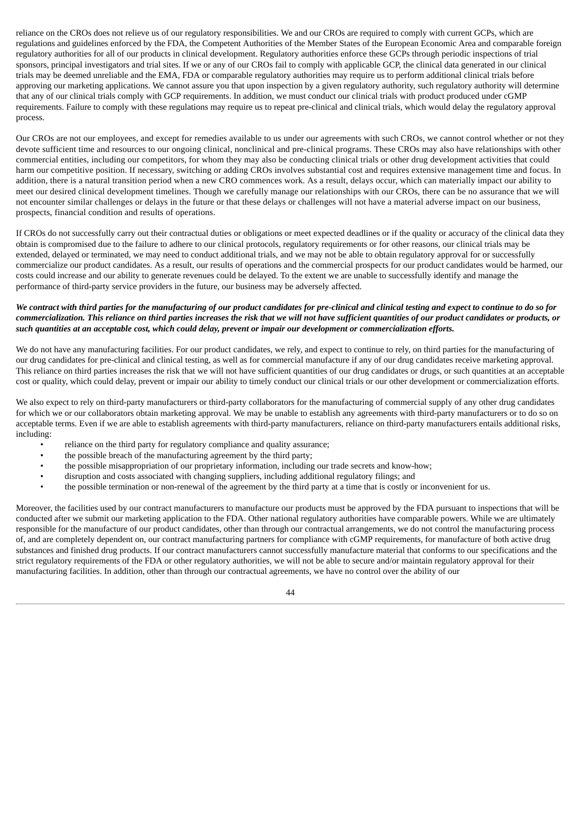reliance on the CROs does not relieve us of our regulatory responsibilities. We and our CROs are required to comply with current GCPs, which are regulations and guidelines enforced by the FDA, the Competent Authorities of the Member States of the European Economic Area and comparable foreign regulatory authorities for all of our products in clinical development. Regulatory authorities enforce these GCPs through periodic inspections of trial sponsors, principal investigators and trial sites. If we or any of our CROs fail to comply with applicable GCP, the clinical data generated in our clinical trials may be deemed unreliable and the EMA, FDA or comparable regulatory authorities may require us to perform additional clinical trials before approving our marketing applications. We cannot assure you that upon inspection by a given regulatory authority, such regulatory authority will determine that any of our clinical trials comply with GCP requirements. In addition, we must conduct our clinical trials with product produced under cGMP requirements. Failure to comply with these regulations may require us to repeat pre-clinical and clinical trials, which would delay the regulatory approval process.

Our CROs are not our employees, and except for remedies available to us under our agreements with such CROs, we cannot control whether or not they devote sufficient time and resources to our ongoing clinical, nonclinical and pre-clinical programs. These CROs may also have relationships with other commercial entities, including our competitors, for whom they may also be conducting clinical trials or other drug development activities that could harm our competitive position. If necessary, switching or adding CROs involves substantial cost and requires extensive management time and focus. In addition, there is a natural transition period when a new CRO commences work. As a result, delays occur, which can materially impact our ability to meet our desired clinical development timelines. Though we carefully manage our relationships with our CROs, there can be no assurance that we will not encounter similar challenges or delays in the future or that these delays or challenges will not have a material adverse impact on our business, prospects, financial condition and results of operations.

If CROs do not successfully carry out their contractual duties or obligations or meet expected deadlines or if the quality or accuracy of the clinical data they obtain is compromised due to the failure to adhere to our clinical protocols, regulatory requirements or for other reasons, our clinical trials may be extended, delayed or terminated, we may need to conduct additional trials, and we may not be able to obtain regulatory approval for or successfully commercialize our product candidates. As a result, our results of operations and the commercial prospects for our product candidates would be harmed, our costs could increase and our ability to generate revenues could be delayed. To the extent we are unable to successfully identify and manage the performance of third-party service providers in the future, our business may be adversely affected.

### We contract with third parties for the manufacturing of our product candidates for pre-clinical and clinical testing and expect to continue to do so for commercialization. This reliance on third parties increases the risk that we will not have sufficient quantities of our product candidates or products, or such quantities at an acceptable cost, which could delay, prevent or impair our development or commercialization efforts.

We do not have any manufacturing facilities. For our product candidates, we rely, and expect to continue to rely, on third parties for the manufacturing of our drug candidates for pre-clinical and clinical testing, as well as for commercial manufacture if any of our drug candidates receive marketing approval. This reliance on third parties increases the risk that we will not have sufficient quantities of our drug candidates or drugs, or such quantities at an acceptable cost or quality, which could delay, prevent or impair our ability to timely conduct our clinical trials or our other development or commercialization efforts.

We also expect to rely on third-party manufacturers or third-party collaborators for the manufacturing of commercial supply of any other drug candidates for which we or our collaborators obtain marketing approval. We may be unable to establish any agreements with third-party manufacturers or to do so on acceptable terms. Even if we are able to establish agreements with third-party manufacturers, reliance on third-party manufacturers entails additional risks, including:

- reliance on the third party for regulatory compliance and quality assurance;
- the possible breach of the manufacturing agreement by the third party;
- the possible misappropriation of our proprietary information, including our trade secrets and know-how;
- disruption and costs associated with changing suppliers, including additional regulatory filings; and
- the possible termination or non-renewal of the agreement by the third party at a time that is costly or inconvenient for us.

Moreover, the facilities used by our contract manufacturers to manufacture our products must be approved by the FDA pursuant to inspections that will be conducted after we submit our marketing application to the FDA. Other national regulatory authorities have comparable powers. While we are ultimately responsible for the manufacture of our product candidates, other than through our contractual arrangements, we do not control the manufacturing process of, and are completely dependent on, our contract manufacturing partners for compliance with cGMP requirements, for manufacture of both active drug substances and finished drug products. If our contract manufacturers cannot successfully manufacture material that conforms to our specifications and the strict regulatory requirements of the FDA or other regulatory authorities, we will not be able to secure and/or maintain regulatory approval for their manufacturing facilities. In addition, other than through our contractual agreements, we have no control over the ability of our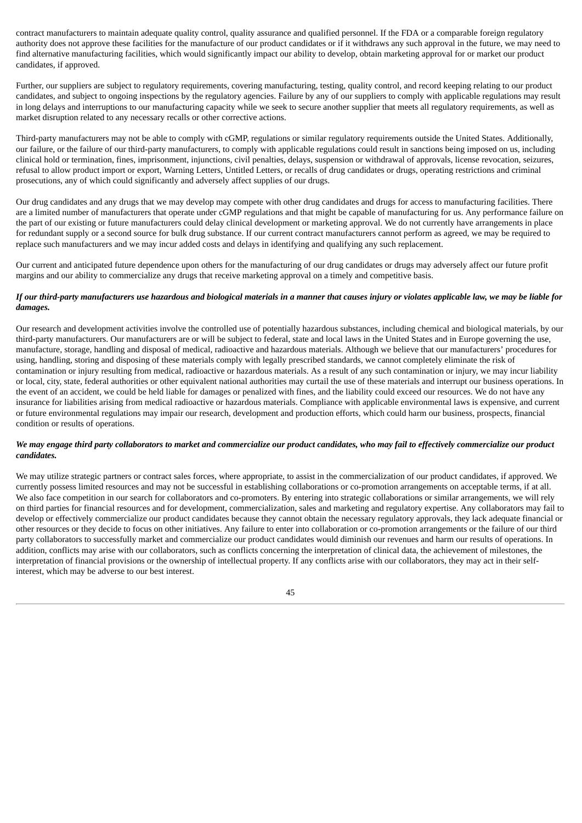contract manufacturers to maintain adequate quality control, quality assurance and qualified personnel. If the FDA or a comparable foreign regulatory authority does not approve these facilities for the manufacture of our product candidates or if it withdraws any such approval in the future, we may need to find alternative manufacturing facilities, which would significantly impact our ability to develop, obtain marketing approval for or market our product candidates, if approved.

Further, our suppliers are subject to regulatory requirements, covering manufacturing, testing, quality control, and record keeping relating to our product candidates, and subject to ongoing inspections by the regulatory agencies. Failure by any of our suppliers to comply with applicable regulations may result in long delays and interruptions to our manufacturing capacity while we seek to secure another supplier that meets all regulatory requirements, as well as market disruption related to any necessary recalls or other corrective actions.

Third-party manufacturers may not be able to comply with cGMP, regulations or similar regulatory requirements outside the United States. Additionally, our failure, or the failure of our third-party manufacturers, to comply with applicable regulations could result in sanctions being imposed on us, including clinical hold or termination, fines, imprisonment, injunctions, civil penalties, delays, suspension or withdrawal of approvals, license revocation, seizures, refusal to allow product import or export, Warning Letters, Untitled Letters, or recalls of drug candidates or drugs, operating restrictions and criminal prosecutions, any of which could significantly and adversely affect supplies of our drugs.

Our drug candidates and any drugs that we may develop may compete with other drug candidates and drugs for access to manufacturing facilities. There are a limited number of manufacturers that operate under cGMP regulations and that might be capable of manufacturing for us. Any performance failure on the part of our existing or future manufacturers could delay clinical development or marketing approval. We do not currently have arrangements in place for redundant supply or a second source for bulk drug substance. If our current contract manufacturers cannot perform as agreed, we may be required to replace such manufacturers and we may incur added costs and delays in identifying and qualifying any such replacement.

Our current and anticipated future dependence upon others for the manufacturing of our drug candidates or drugs may adversely affect our future profit margins and our ability to commercialize any drugs that receive marketing approval on a timely and competitive basis.

## If our third-party manufacturers use hazardous and biological materials in a manner that causes injury or violates applicable law, we may be liable for *damages.*

Our research and development activities involve the controlled use of potentially hazardous substances, including chemical and biological materials, by our third-party manufacturers. Our manufacturers are or will be subject to federal, state and local laws in the United States and in Europe governing the use, manufacture, storage, handling and disposal of medical, radioactive and hazardous materials. Although we believe that our manufacturers' procedures for using, handling, storing and disposing of these materials comply with legally prescribed standards, we cannot completely eliminate the risk of contamination or injury resulting from medical, radioactive or hazardous materials. As a result of any such contamination or injury, we may incur liability or local, city, state, federal authorities or other equivalent national authorities may curtail the use of these materials and interrupt our business operations. In the event of an accident, we could be held liable for damages or penalized with fines, and the liability could exceed our resources. We do not have any insurance for liabilities arising from medical radioactive or hazardous materials. Compliance with applicable environmental laws is expensive, and current or future environmental regulations may impair our research, development and production efforts, which could harm our business, prospects, financial condition or results of operations.

### We may engage third party collaborators to market and commercialize our product candidates, who may fail to effectively commercialize our product *candidates.*

We may utilize strategic partners or contract sales forces, where appropriate, to assist in the commercialization of our product candidates, if approved. We currently possess limited resources and may not be successful in establishing collaborations or co-promotion arrangements on acceptable terms, if at all. We also face competition in our search for collaborators and co-promoters. By entering into strategic collaborations or similar arrangements, we will rely on third parties for financial resources and for development, commercialization, sales and marketing and regulatory expertise. Any collaborators may fail to develop or effectively commercialize our product candidates because they cannot obtain the necessary regulatory approvals, they lack adequate financial or other resources or they decide to focus on other initiatives. Any failure to enter into collaboration or co-promotion arrangements or the failure of our third party collaborators to successfully market and commercialize our product candidates would diminish our revenues and harm our results of operations. In addition, conflicts may arise with our collaborators, such as conflicts concerning the interpretation of clinical data, the achievement of milestones, the interpretation of financial provisions or the ownership of intellectual property. If any conflicts arise with our collaborators, they may act in their selfinterest, which may be adverse to our best interest.

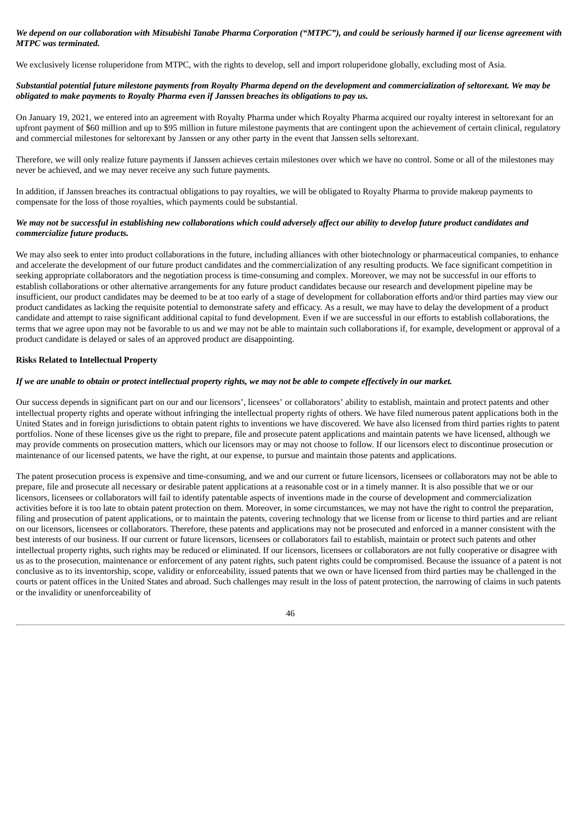### We depend on our collaboration with Mitsubishi Tanabe Pharma Corporation ("MTPC"), and could be seriously harmed if our license agreement with *MTPC was terminated.*

We exclusively license roluperidone from MTPC, with the rights to develop, sell and import roluperidone globally, excluding most of Asia.

### Substantial potential future milestone payments from Royalty Pharma depend on the development and commercialization of seltorexant. We may be *obligated to make payments to Royalty Pharma even if Janssen breaches its obligations to pay us.*

On January 19, 2021, we entered into an agreement with Royalty Pharma under which Royalty Pharma acquired our royalty interest in seltorexant for an upfront payment of \$60 million and up to \$95 million in future milestone payments that are contingent upon the achievement of certain clinical, regulatory and commercial milestones for seltorexant by Janssen or any other party in the event that Janssen sells seltorexant.

Therefore, we will only realize future payments if Janssen achieves certain milestones over which we have no control. Some or all of the milestones may never be achieved, and we may never receive any such future payments.

In addition, if Janssen breaches its contractual obligations to pay royalties, we will be obligated to Royalty Pharma to provide makeup payments to compensate for the loss of those royalties, which payments could be substantial.

### We may not be successful in establishing new collaborations which could adversely affect our ability to develop future product candidates and *commercialize future products.*

We may also seek to enter into product collaborations in the future, including alliances with other biotechnology or pharmaceutical companies, to enhance and accelerate the development of our future product candidates and the commercialization of any resulting products. We face significant competition in seeking appropriate collaborators and the negotiation process is time-consuming and complex. Moreover, we may not be successful in our efforts to establish collaborations or other alternative arrangements for any future product candidates because our research and development pipeline may be insufficient, our product candidates may be deemed to be at too early of a stage of development for collaboration efforts and/or third parties may view our product candidates as lacking the requisite potential to demonstrate safety and efficacy. As a result, we may have to delay the development of a product candidate and attempt to raise significant additional capital to fund development. Even if we are successful in our efforts to establish collaborations, the terms that we agree upon may not be favorable to us and we may not be able to maintain such collaborations if, for example, development or approval of a product candidate is delayed or sales of an approved product are disappointing.

### **Risks Related to Intellectual Property**

#### If we are unable to obtain or protect intellectual property rights, we may not be able to compete effectively in our market.

Our success depends in significant part on our and our licensors', licensees' or collaborators' ability to establish, maintain and protect patents and other intellectual property rights and operate without infringing the intellectual property rights of others. We have filed numerous patent applications both in the United States and in foreign jurisdictions to obtain patent rights to inventions we have discovered. We have also licensed from third parties rights to patent portfolios. None of these licenses give us the right to prepare, file and prosecute patent applications and maintain patents we have licensed, although we may provide comments on prosecution matters, which our licensors may or may not choose to follow. If our licensors elect to discontinue prosecution or maintenance of our licensed patents, we have the right, at our expense, to pursue and maintain those patents and applications.

The patent prosecution process is expensive and time-consuming, and we and our current or future licensors, licensees or collaborators may not be able to prepare, file and prosecute all necessary or desirable patent applications at a reasonable cost or in a timely manner. It is also possible that we or our licensors, licensees or collaborators will fail to identify patentable aspects of inventions made in the course of development and commercialization activities before it is too late to obtain patent protection on them. Moreover, in some circumstances, we may not have the right to control the preparation, filing and prosecution of patent applications, or to maintain the patents, covering technology that we license from or license to third parties and are reliant on our licensors, licensees or collaborators. Therefore, these patents and applications may not be prosecuted and enforced in a manner consistent with the best interests of our business. If our current or future licensors, licensees or collaborators fail to establish, maintain or protect such patents and other intellectual property rights, such rights may be reduced or eliminated. If our licensors, licensees or collaborators are not fully cooperative or disagree with us as to the prosecution, maintenance or enforcement of any patent rights, such patent rights could be compromised. Because the issuance of a patent is not conclusive as to its inventorship, scope, validity or enforceability, issued patents that we own or have licensed from third parties may be challenged in the courts or patent offices in the United States and abroad. Such challenges may result in the loss of patent protection, the narrowing of claims in such patents or the invalidity or unenforceability of

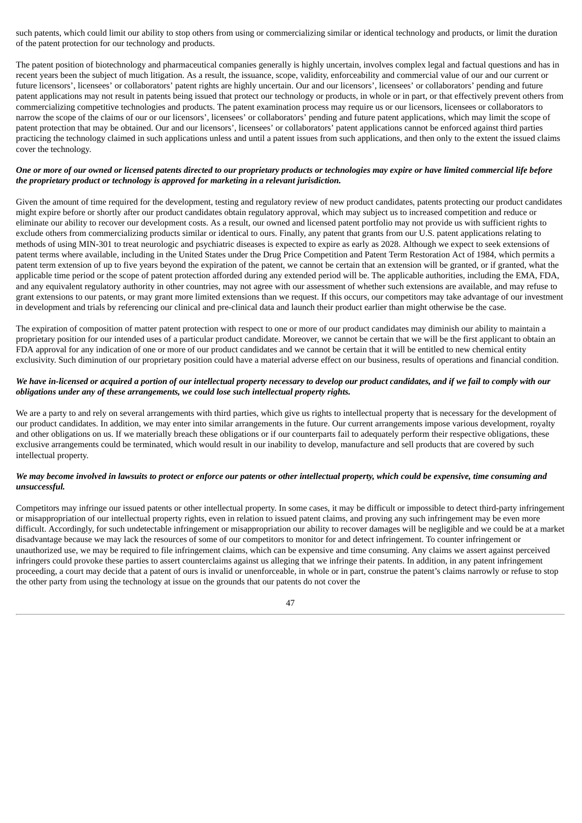such patents, which could limit our ability to stop others from using or commercializing similar or identical technology and products, or limit the duration of the patent protection for our technology and products.

The patent position of biotechnology and pharmaceutical companies generally is highly uncertain, involves complex legal and factual questions and has in recent years been the subject of much litigation. As a result, the issuance, scope, validity, enforceability and commercial value of our and our current or future licensors', licensees' or collaborators' patent rights are highly uncertain. Our and our licensors', licensees' or collaborators' pending and future patent applications may not result in patents being issued that protect our technology or products, in whole or in part, or that effectively prevent others from commercializing competitive technologies and products. The patent examination process may require us or our licensors, licensees or collaborators to narrow the scope of the claims of our or our licensors', licensees' or collaborators' pending and future patent applications, which may limit the scope of patent protection that may be obtained. Our and our licensors', licensees' or collaborators' patent applications cannot be enforced against third parties practicing the technology claimed in such applications unless and until a patent issues from such applications, and then only to the extent the issued claims cover the technology.

### One or more of our owned or licensed patents directed to our proprietary products or technologies may expire or have limited commercial life before *the proprietary product or technology is approved for marketing in a relevant jurisdiction.*

Given the amount of time required for the development, testing and regulatory review of new product candidates, patents protecting our product candidates might expire before or shortly after our product candidates obtain regulatory approval, which may subject us to increased competition and reduce or eliminate our ability to recover our development costs. As a result, our owned and licensed patent portfolio may not provide us with sufficient rights to exclude others from commercializing products similar or identical to ours. Finally, any patent that grants from our U.S. patent applications relating to methods of using MIN-301 to treat neurologic and psychiatric diseases is expected to expire as early as 2028. Although we expect to seek extensions of patent terms where available, including in the United States under the Drug Price Competition and Patent Term Restoration Act of 1984, which permits a patent term extension of up to five years beyond the expiration of the patent, we cannot be certain that an extension will be granted, or if granted, what the applicable time period or the scope of patent protection afforded during any extended period will be. The applicable authorities, including the EMA, FDA, and any equivalent regulatory authority in other countries, may not agree with our assessment of whether such extensions are available, and may refuse to grant extensions to our patents, or may grant more limited extensions than we request. If this occurs, our competitors may take advantage of our investment in development and trials by referencing our clinical and pre-clinical data and launch their product earlier than might otherwise be the case.

The expiration of composition of matter patent protection with respect to one or more of our product candidates may diminish our ability to maintain a proprietary position for our intended uses of a particular product candidate. Moreover, we cannot be certain that we will be the first applicant to obtain an FDA approval for any indication of one or more of our product candidates and we cannot be certain that it will be entitled to new chemical entity exclusivity. Such diminution of our proprietary position could have a material adverse effect on our business, results of operations and financial condition.

### We have in-licensed or acquired a portion of our intellectual property necessary to develop our product candidates, and if we fail to comply with our *obligations under any of these arrangements, we could lose such intellectual property rights.*

We are a party to and rely on several arrangements with third parties, which give us rights to intellectual property that is necessary for the development of our product candidates. In addition, we may enter into similar arrangements in the future. Our current arrangements impose various development, royalty and other obligations on us. If we materially breach these obligations or if our counterparts fail to adequately perform their respective obligations, these exclusive arrangements could be terminated, which would result in our inability to develop, manufacture and sell products that are covered by such intellectual property.

### We may become involved in lawsuits to protect or enforce our patents or other intellectual property, which could be expensive, time consuming and *unsuccessful.*

Competitors may infringe our issued patents or other intellectual property. In some cases, it may be difficult or impossible to detect third-party infringement or misappropriation of our intellectual property rights, even in relation to issued patent claims, and proving any such infringement may be even more difficult. Accordingly, for such undetectable infringement or misappropriation our ability to recover damages will be negligible and we could be at a market disadvantage because we may lack the resources of some of our competitors to monitor for and detect infringement. To counter infringement or unauthorized use, we may be required to file infringement claims, which can be expensive and time consuming. Any claims we assert against perceived infringers could provoke these parties to assert counterclaims against us alleging that we infringe their patents. In addition, in any patent infringement proceeding, a court may decide that a patent of ours is invalid or unenforceable, in whole or in part, construe the patent's claims narrowly or refuse to stop the other party from using the technology at issue on the grounds that our patents do not cover the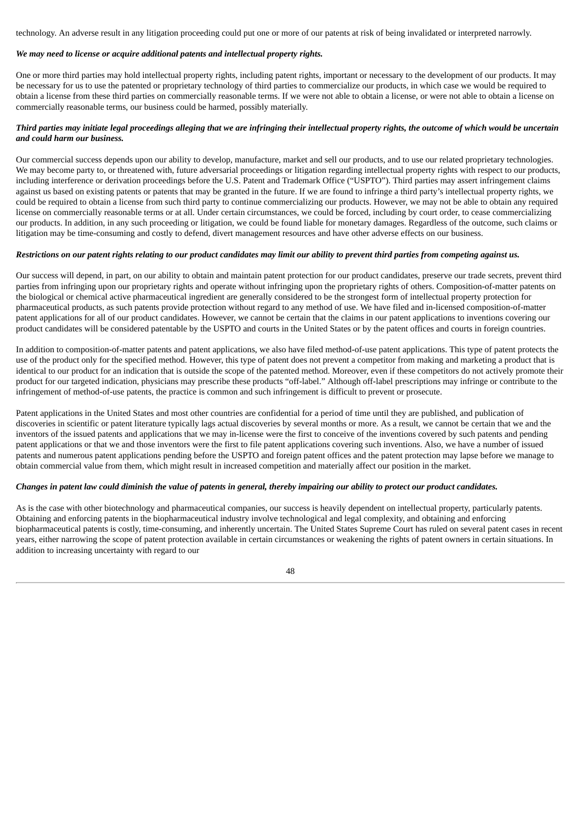technology. An adverse result in any litigation proceeding could put one or more of our patents at risk of being invalidated or interpreted narrowly.

### *We may need to license or acquire additional patents and intellectual property rights.*

One or more third parties may hold intellectual property rights, including patent rights, important or necessary to the development of our products. It may be necessary for us to use the patented or proprietary technology of third parties to commercialize our products, in which case we would be required to obtain a license from these third parties on commercially reasonable terms. If we were not able to obtain a license, or were not able to obtain a license on commercially reasonable terms, our business could be harmed, possibly materially.

### Third parties may initiate legal proceedings alleging that we are infringing their intellectual property rights, the outcome of which would be uncertain *and could harm our business.*

Our commercial success depends upon our ability to develop, manufacture, market and sell our products, and to use our related proprietary technologies. We may become party to, or threatened with, future adversarial proceedings or litigation regarding intellectual property rights with respect to our products, including interference or derivation proceedings before the U.S. Patent and Trademark Office ("USPTO"). Third parties may assert infringement claims against us based on existing patents or patents that may be granted in the future. If we are found to infringe a third party's intellectual property rights, we could be required to obtain a license from such third party to continue commercializing our products. However, we may not be able to obtain any required license on commercially reasonable terms or at all. Under certain circumstances, we could be forced, including by court order, to cease commercializing our products. In addition, in any such proceeding or litigation, we could be found liable for monetary damages. Regardless of the outcome, such claims or litigation may be time-consuming and costly to defend, divert management resources and have other adverse effects on our business.

#### Restrictions on our patent rights relating to our product candidates may limit our ability to prevent third parties from competing against us.

Our success will depend, in part, on our ability to obtain and maintain patent protection for our product candidates, preserve our trade secrets, prevent third parties from infringing upon our proprietary rights and operate without infringing upon the proprietary rights of others. Composition-of-matter patents on the biological or chemical active pharmaceutical ingredient are generally considered to be the strongest form of intellectual property protection for pharmaceutical products, as such patents provide protection without regard to any method of use. We have filed and in-licensed composition-of-matter patent applications for all of our product candidates. However, we cannot be certain that the claims in our patent applications to inventions covering our product candidates will be considered patentable by the USPTO and courts in the United States or by the patent offices and courts in foreign countries.

In addition to composition-of-matter patents and patent applications, we also have filed method-of-use patent applications. This type of patent protects the use of the product only for the specified method. However, this type of patent does not prevent a competitor from making and marketing a product that is identical to our product for an indication that is outside the scope of the patented method. Moreover, even if these competitors do not actively promote their product for our targeted indication, physicians may prescribe these products "off-label." Although off-label prescriptions may infringe or contribute to the infringement of method-of-use patents, the practice is common and such infringement is difficult to prevent or prosecute.

Patent applications in the United States and most other countries are confidential for a period of time until they are published, and publication of discoveries in scientific or patent literature typically lags actual discoveries by several months or more. As a result, we cannot be certain that we and the inventors of the issued patents and applications that we may in-license were the first to conceive of the inventions covered by such patents and pending patent applications or that we and those inventors were the first to file patent applications covering such inventions. Also, we have a number of issued patents and numerous patent applications pending before the USPTO and foreign patent offices and the patent protection may lapse before we manage to obtain commercial value from them, which might result in increased competition and materially affect our position in the market.

### Changes in patent law could diminish the value of patents in general, thereby impairing our ability to protect our product candidates.

As is the case with other biotechnology and pharmaceutical companies, our success is heavily dependent on intellectual property, particularly patents. Obtaining and enforcing patents in the biopharmaceutical industry involve technological and legal complexity, and obtaining and enforcing biopharmaceutical patents is costly, time-consuming, and inherently uncertain. The United States Supreme Court has ruled on several patent cases in recent years, either narrowing the scope of patent protection available in certain circumstances or weakening the rights of patent owners in certain situations. In addition to increasing uncertainty with regard to our

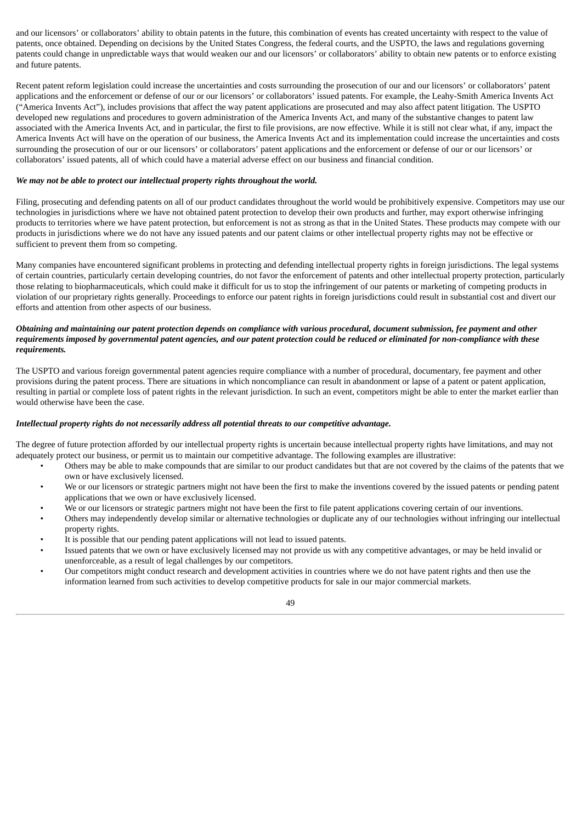and our licensors' or collaborators' ability to obtain patents in the future, this combination of events has created uncertainty with respect to the value of patents, once obtained. Depending on decisions by the United States Congress, the federal courts, and the USPTO, the laws and regulations governing patents could change in unpredictable ways that would weaken our and our licensors' or collaborators' ability to obtain new patents or to enforce existing and future patents.

Recent patent reform legislation could increase the uncertainties and costs surrounding the prosecution of our and our licensors' or collaborators' patent applications and the enforcement or defense of our or our licensors' or collaborators' issued patents. For example, the Leahy-Smith America Invents Act ("America Invents Act"), includes provisions that affect the way patent applications are prosecuted and may also affect patent litigation. The USPTO developed new regulations and procedures to govern administration of the America Invents Act, and many of the substantive changes to patent law associated with the America Invents Act, and in particular, the first to file provisions, are now effective. While it is still not clear what, if any, impact the America Invents Act will have on the operation of our business, the America Invents Act and its implementation could increase the uncertainties and costs surrounding the prosecution of our or our licensors' or collaborators' patent applications and the enforcement or defense of our or our licensors' or collaborators' issued patents, all of which could have a material adverse effect on our business and financial condition.

### *We may not be able to protect our intellectual property rights throughout the world.*

Filing, prosecuting and defending patents on all of our product candidates throughout the world would be prohibitively expensive. Competitors may use our technologies in jurisdictions where we have not obtained patent protection to develop their own products and further, may export otherwise infringing products to territories where we have patent protection, but enforcement is not as strong as that in the United States. These products may compete with our products in jurisdictions where we do not have any issued patents and our patent claims or other intellectual property rights may not be effective or sufficient to prevent them from so competing.

Many companies have encountered significant problems in protecting and defending intellectual property rights in foreign jurisdictions. The legal systems of certain countries, particularly certain developing countries, do not favor the enforcement of patents and other intellectual property protection, particularly those relating to biopharmaceuticals, which could make it difficult for us to stop the infringement of our patents or marketing of competing products in violation of our proprietary rights generally. Proceedings to enforce our patent rights in foreign jurisdictions could result in substantial cost and divert our efforts and attention from other aspects of our business.

### Obtaining and maintaining our patent protection depends on compliance with various procedural, document submission, fee payment and other requirements imposed by governmental patent agencies, and our patent protection could be reduced or eliminated for non-compliance with these *requirements.*

The USPTO and various foreign governmental patent agencies require compliance with a number of procedural, documentary, fee payment and other provisions during the patent process. There are situations in which noncompliance can result in abandonment or lapse of a patent or patent application, resulting in partial or complete loss of patent rights in the relevant jurisdiction. In such an event, competitors might be able to enter the market earlier than would otherwise have been the case.

#### *Intellectual property rights do not necessarily address all potential threats to our competitive advantage.*

The degree of future protection afforded by our intellectual property rights is uncertain because intellectual property rights have limitations, and may not adequately protect our business, or permit us to maintain our competitive advantage. The following examples are illustrative:

- Others may be able to make compounds that are similar to our product candidates but that are not covered by the claims of the patents that we own or have exclusively licensed.
- We or our licensors or strategic partners might not have been the first to make the inventions covered by the issued patents or pending patent applications that we own or have exclusively licensed.
- We or our licensors or strategic partners might not have been the first to file patent applications covering certain of our inventions.
- Others may independently develop similar or alternative technologies or duplicate any of our technologies without infringing our intellectual property rights.
- It is possible that our pending patent applications will not lead to issued patents.
- Issued patents that we own or have exclusively licensed may not provide us with any competitive advantages, or may be held invalid or unenforceable, as a result of legal challenges by our competitors.
- Our competitors might conduct research and development activities in countries where we do not have patent rights and then use the information learned from such activities to develop competitive products for sale in our major commercial markets.

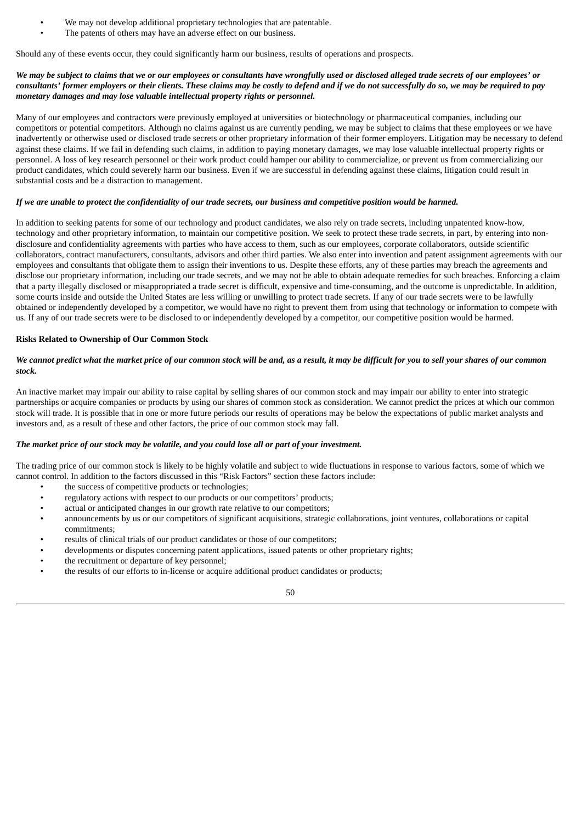- We may not develop additional proprietary technologies that are patentable.
- The patents of others may have an adverse effect on our business.

Should any of these events occur, they could significantly harm our business, results of operations and prospects.

### We may be subject to claims that we or our employees or consultants have wrongfully used or disclosed alleged trade secrets of our employees' or consultants' former employers or their clients. These claims may be costly to defend and if we do not successfully do so, we may be required to pay *monetary damages and may lose valuable intellectual property rights or personnel.*

Many of our employees and contractors were previously employed at universities or biotechnology or pharmaceutical companies, including our competitors or potential competitors. Although no claims against us are currently pending, we may be subject to claims that these employees or we have inadvertently or otherwise used or disclosed trade secrets or other proprietary information of their former employers. Litigation may be necessary to defend against these claims. If we fail in defending such claims, in addition to paying monetary damages, we may lose valuable intellectual property rights or personnel. A loss of key research personnel or their work product could hamper our ability to commercialize, or prevent us from commercializing our product candidates, which could severely harm our business. Even if we are successful in defending against these claims, litigation could result in substantial costs and be a distraction to management.

### If we are unable to protect the confidentiality of our trade secrets, our business and competitive position would be harmed.

In addition to seeking patents for some of our technology and product candidates, we also rely on trade secrets, including unpatented know-how, technology and other proprietary information, to maintain our competitive position. We seek to protect these trade secrets, in part, by entering into nondisclosure and confidentiality agreements with parties who have access to them, such as our employees, corporate collaborators, outside scientific collaborators, contract manufacturers, consultants, advisors and other third parties. We also enter into invention and patent assignment agreements with our employees and consultants that obligate them to assign their inventions to us. Despite these efforts, any of these parties may breach the agreements and disclose our proprietary information, including our trade secrets, and we may not be able to obtain adequate remedies for such breaches. Enforcing a claim that a party illegally disclosed or misappropriated a trade secret is difficult, expensive and time-consuming, and the outcome is unpredictable. In addition, some courts inside and outside the United States are less willing or unwilling to protect trade secrets. If any of our trade secrets were to be lawfully obtained or independently developed by a competitor, we would have no right to prevent them from using that technology or information to compete with us. If any of our trade secrets were to be disclosed to or independently developed by a competitor, our competitive position would be harmed.

#### **Risks Related to Ownership of Our Common Stock**

### We cannot predict what the market price of our common stock will be and, as a result, it may be difficult for you to sell your shares of our common *stock.*

An inactive market may impair our ability to raise capital by selling shares of our common stock and may impair our ability to enter into strategic partnerships or acquire companies or products by using our shares of common stock as consideration. We cannot predict the prices at which our common stock will trade. It is possible that in one or more future periods our results of operations may be below the expectations of public market analysts and investors and, as a result of these and other factors, the price of our common stock may fall.

#### The market price of our stock may be volatile, and you could lose all or part of your investment.

The trading price of our common stock is likely to be highly volatile and subject to wide fluctuations in response to various factors, some of which we cannot control. In addition to the factors discussed in this "Risk Factors" section these factors include:

- the success of competitive products or technologies;
- regulatory actions with respect to our products or our competitors' products;
- actual or anticipated changes in our growth rate relative to our competitors;
- announcements by us or our competitors of significant acquisitions, strategic collaborations, joint ventures, collaborations or capital commitments;
- results of clinical trials of our product candidates or those of our competitors;
- developments or disputes concerning patent applications, issued patents or other proprietary rights;
- the recruitment or departure of key personnel;
- the results of our efforts to in-license or acquire additional product candidates or products;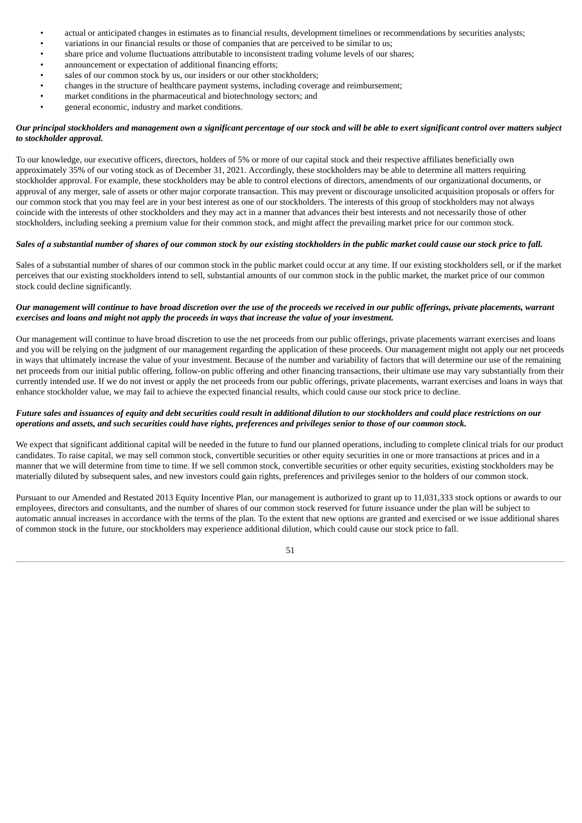- actual or anticipated changes in estimates as to financial results, development timelines or recommendations by securities analysts;
- variations in our financial results or those of companies that are perceived to be similar to us;
- share price and volume fluctuations attributable to inconsistent trading volume levels of our shares;
- announcement or expectation of additional financing efforts;
- sales of our common stock by us, our insiders or our other stockholders;
- changes in the structure of healthcare payment systems, including coverage and reimbursement;
- market conditions in the pharmaceutical and biotechnology sectors; and
- general economic, industry and market conditions.

#### Our principal stockholders and management own a significant percentage of our stock and will be able to exert significant control over matters subject *to stockholder approval.*

To our knowledge, our executive officers, directors, holders of 5% or more of our capital stock and their respective affiliates beneficially own approximately 35% of our voting stock as of December 31, 2021. Accordingly, these stockholders may be able to determine all matters requiring stockholder approval. For example, these stockholders may be able to control elections of directors, amendments of our organizational documents, or approval of any merger, sale of assets or other major corporate transaction. This may prevent or discourage unsolicited acquisition proposals or offers for our common stock that you may feel are in your best interest as one of our stockholders. The interests of this group of stockholders may not always coincide with the interests of other stockholders and they may act in a manner that advances their best interests and not necessarily those of other stockholders, including seeking a premium value for their common stock, and might affect the prevailing market price for our common stock.

### Sales of a substantial number of shares of our common stock by our existing stockholders in the public market could cause our stock price to fall.

Sales of a substantial number of shares of our common stock in the public market could occur at any time. If our existing stockholders sell, or if the market perceives that our existing stockholders intend to sell, substantial amounts of our common stock in the public market, the market price of our common stock could decline significantly.

### Our management will continue to have broad discretion over the use of the proceeds we received in our public offerings, private placements, warrant exercises and loans and might not apply the proceeds in ways that increase the value of your investment.

Our management will continue to have broad discretion to use the net proceeds from our public offerings, private placements warrant exercises and loans and you will be relying on the judgment of our management regarding the application of these proceeds. Our management might not apply our net proceeds in ways that ultimately increase the value of your investment. Because of the number and variability of factors that will determine our use of the remaining net proceeds from our initial public offering, follow-on public offering and other financing transactions, their ultimate use may vary substantially from their currently intended use. If we do not invest or apply the net proceeds from our public offerings, private placements, warrant exercises and loans in ways that enhance stockholder value, we may fail to achieve the expected financial results, which could cause our stock price to decline.

### Future sales and issuances of equity and debt securities could result in additional dilution to our stockholders and could place restrictions on our operations and assets, and such securities could have rights, preferences and privileges senior to those of our common stock.

We expect that significant additional capital will be needed in the future to fund our planned operations, including to complete clinical trials for our product candidates. To raise capital, we may sell common stock, convertible securities or other equity securities in one or more transactions at prices and in a manner that we will determine from time to time. If we sell common stock, convertible securities or other equity securities, existing stockholders may be materially diluted by subsequent sales, and new investors could gain rights, preferences and privileges senior to the holders of our common stock.

Pursuant to our Amended and Restated 2013 Equity Incentive Plan, our management is authorized to grant up to 11,031,333 stock options or awards to our employees, directors and consultants, and the number of shares of our common stock reserved for future issuance under the plan will be subject to automatic annual increases in accordance with the terms of the plan. To the extent that new options are granted and exercised or we issue additional shares of common stock in the future, our stockholders may experience additional dilution, which could cause our stock price to fall.

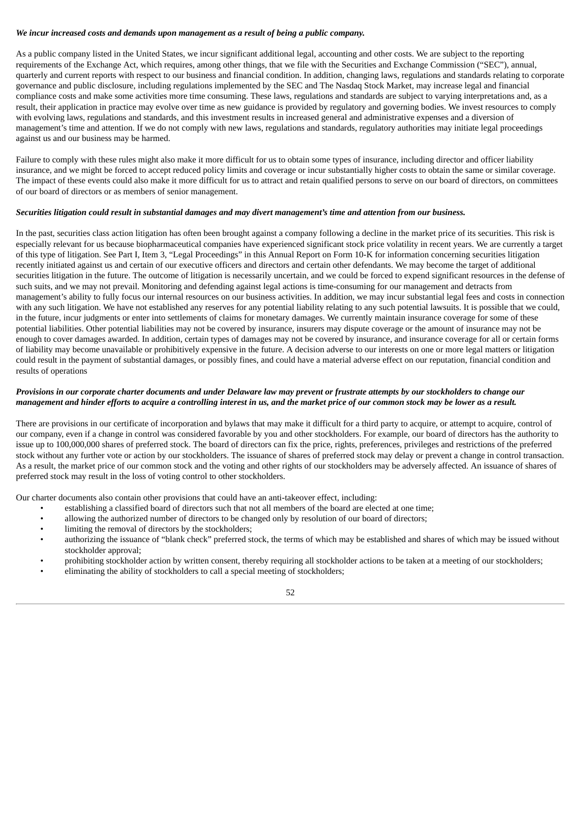#### *We incur increased costs and demands upon management as a result of being a public company.*

As a public company listed in the United States, we incur significant additional legal, accounting and other costs. We are subject to the reporting requirements of the Exchange Act, which requires, among other things, that we file with the Securities and Exchange Commission ("SEC"), annual, quarterly and current reports with respect to our business and financial condition. In addition, changing laws, regulations and standards relating to corporate governance and public disclosure, including regulations implemented by the SEC and The Nasdaq Stock Market, may increase legal and financial compliance costs and make some activities more time consuming. These laws, regulations and standards are subject to varying interpretations and, as a result, their application in practice may evolve over time as new guidance is provided by regulatory and governing bodies. We invest resources to comply with evolving laws, regulations and standards, and this investment results in increased general and administrative expenses and a diversion of management's time and attention. If we do not comply with new laws, regulations and standards, regulatory authorities may initiate legal proceedings against us and our business may be harmed.

Failure to comply with these rules might also make it more difficult for us to obtain some types of insurance, including director and officer liability insurance, and we might be forced to accept reduced policy limits and coverage or incur substantially higher costs to obtain the same or similar coverage. The impact of these events could also make it more difficult for us to attract and retain qualified persons to serve on our board of directors, on committees of our board of directors or as members of senior management.

## Securities litigation could result in substantial damages and may divert management's time and attention from our business.

In the past, securities class action litigation has often been brought against a company following a decline in the market price of its securities. This risk is especially relevant for us because biopharmaceutical companies have experienced significant stock price volatility in recent years. We are currently a target of this type of litigation. See Part I, Item 3, "Legal Proceedings" in this Annual Report on Form 10-K for information concerning securities litigation recently initiated against us and certain of our executive officers and directors and certain other defendants. We may become the target of additional securities litigation in the future. The outcome of litigation is necessarily uncertain, and we could be forced to expend significant resources in the defense of such suits, and we may not prevail. Monitoring and defending against legal actions is time-consuming for our management and detracts from management's ability to fully focus our internal resources on our business activities. In addition, we may incur substantial legal fees and costs in connection with any such litigation. We have not established any reserves for any potential liability relating to any such potential lawsuits. It is possible that we could, in the future, incur judgments or enter into settlements of claims for monetary damages. We currently maintain insurance coverage for some of these potential liabilities. Other potential liabilities may not be covered by insurance, insurers may dispute coverage or the amount of insurance may not be enough to cover damages awarded. In addition, certain types of damages may not be covered by insurance, and insurance coverage for all or certain forms of liability may become unavailable or prohibitively expensive in the future. A decision adverse to our interests on one or more legal matters or litigation could result in the payment of substantial damages, or possibly fines, and could have a material adverse effect on our reputation, financial condition and results of operations

### Provisions in our corporate charter documents and under Delaware law may prevent or frustrate attempts by our stockholders to change our management and hinder efforts to acquire a controlling interest in us, and the market price of our common stock may be lower as a result.

There are provisions in our certificate of incorporation and bylaws that may make it difficult for a third party to acquire, or attempt to acquire, control of our company, even if a change in control was considered favorable by you and other stockholders. For example, our board of directors has the authority to issue up to 100,000,000 shares of preferred stock. The board of directors can fix the price, rights, preferences, privileges and restrictions of the preferred stock without any further vote or action by our stockholders. The issuance of shares of preferred stock may delay or prevent a change in control transaction. As a result, the market price of our common stock and the voting and other rights of our stockholders may be adversely affected. An issuance of shares of preferred stock may result in the loss of voting control to other stockholders.

Our charter documents also contain other provisions that could have an anti-takeover effect, including:

- establishing a classified board of directors such that not all members of the board are elected at one time;
- allowing the authorized number of directors to be changed only by resolution of our board of directors;
- limiting the removal of directors by the stockholders;
- authorizing the issuance of "blank check" preferred stock, the terms of which may be established and shares of which may be issued without stockholder approval;
- prohibiting stockholder action by written consent, thereby requiring all stockholder actions to be taken at a meeting of our stockholders;
- eliminating the ability of stockholders to call a special meeting of stockholders;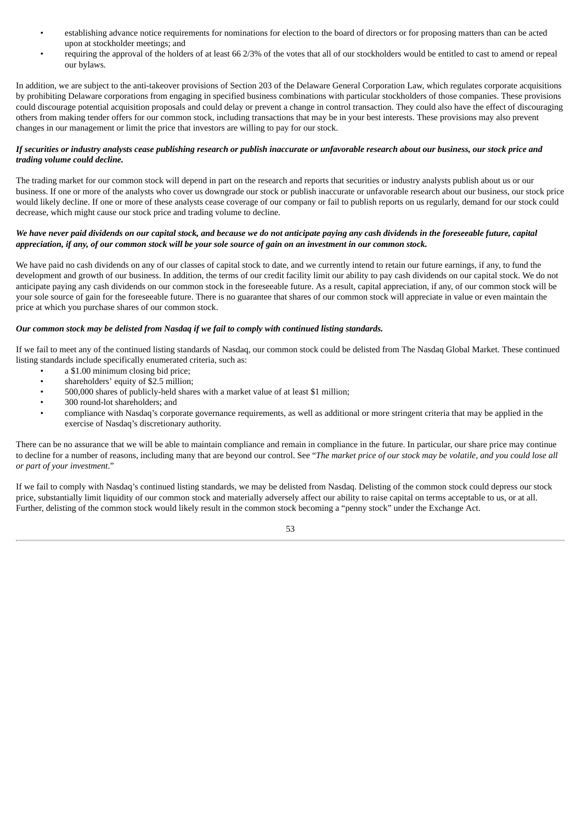- establishing advance notice requirements for nominations for election to the board of directors or for proposing matters than can be acted upon at stockholder meetings; and
- requiring the approval of the holders of at least 66 2/3% of the votes that all of our stockholders would be entitled to cast to amend or repeal our bylaws.

In addition, we are subject to the anti-takeover provisions of Section 203 of the Delaware General Corporation Law, which regulates corporate acquisitions by prohibiting Delaware corporations from engaging in specified business combinations with particular stockholders of those companies. These provisions could discourage potential acquisition proposals and could delay or prevent a change in control transaction. They could also have the effect of discouraging others from making tender offers for our common stock, including transactions that may be in your best interests. These provisions may also prevent changes in our management or limit the price that investors are willing to pay for our stock.

### If securities or industry analysts cease publishing research or publish inaccurate or unfavorable research about our business, our stock price and *trading volume could decline.*

The trading market for our common stock will depend in part on the research and reports that securities or industry analysts publish about us or our business. If one or more of the analysts who cover us downgrade our stock or publish inaccurate or unfavorable research about our business, our stock price would likely decline. If one or more of these analysts cease coverage of our company or fail to publish reports on us regularly, demand for our stock could decrease, which might cause our stock price and trading volume to decline.

### We have never paid dividends on our capital stock, and because we do not anticipate paying any cash dividends in the foreseeable future, capital appreciation, if any, of our common stock will be your sole source of gain on an investment in our common stock.

We have paid no cash dividends on any of our classes of capital stock to date, and we currently intend to retain our future earnings, if any, to fund the development and growth of our business. In addition, the terms of our credit facility limit our ability to pay cash dividends on our capital stock. We do not anticipate paying any cash dividends on our common stock in the foreseeable future. As a result, capital appreciation, if any, of our common stock will be your sole source of gain for the foreseeable future. There is no guarantee that shares of our common stock will appreciate in value or even maintain the price at which you purchase shares of our common stock.

## *Our common stock may be delisted from Nasdaq if we fail to comply with continued listing standards.*

If we fail to meet any of the continued listing standards of Nasdaq, our common stock could be delisted from The Nasdaq Global Market. These continued listing standards include specifically enumerated criteria, such as:

- a \$1.00 minimum closing bid price;
- shareholders' equity of \$2.5 million;
- 500,000 shares of publicly-held shares with a market value of at least \$1 million;
- 300 round-lot shareholders; and
- compliance with Nasdaq's corporate governance requirements, as well as additional or more stringent criteria that may be applied in the exercise of Nasdaq's discretionary authority.

There can be no assurance that we will be able to maintain compliance and remain in compliance in the future. In particular, our share price may continue to decline for a number of reasons, including many that are beyond our control. See "The market price of our stock may be volatile, and you could lose all *or part of your investment*."

If we fail to comply with Nasdaq's continued listing standards, we may be delisted from Nasdaq. Delisting of the common stock could depress our stock price, substantially limit liquidity of our common stock and materially adversely affect our ability to raise capital on terms acceptable to us, or at all. Further, delisting of the common stock would likely result in the common stock becoming a "penny stock" under the Exchange Act.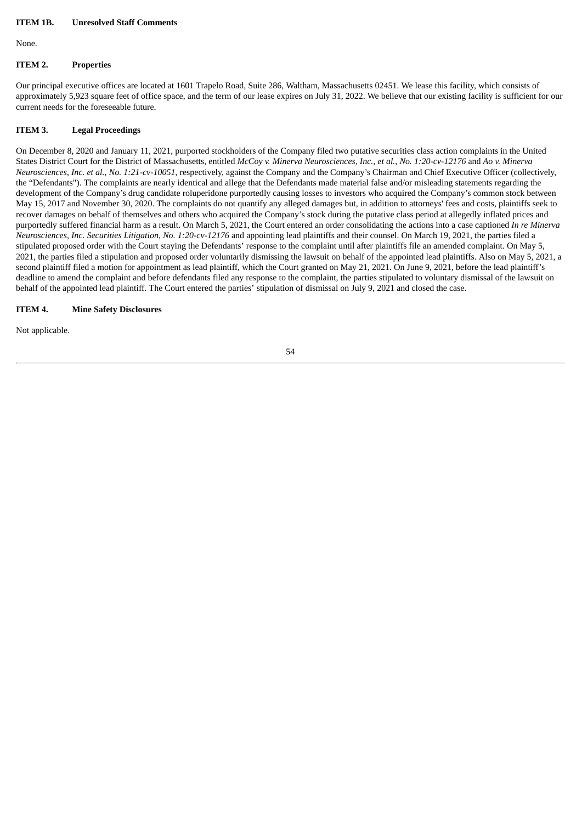#### **ITEM 1B. Unresolved Staff Comments**

None.

### **ITEM 2. Properties**

Our principal executive offices are located at 1601 Trapelo Road, Suite 286, Waltham, Massachusetts 02451. We lease this facility, which consists of approximately 5,923 square feet of office space, and the term of our lease expires on July 31, 2022. We believe that our existing facility is sufficient for our current needs for the foreseeable future.

### **ITEM 3. Legal Proceedings**

On December 8, 2020 and January 11, 2021, purported stockholders of the Company filed two putative securities class action complaints in the United States District Court for the District of Massachusetts, entitled McCoy v. Minerva Neurosciences, Inc., et al., No. 1:20-cv-12176 and Ao v. Minerva *Neurosciences, Inc. et al., No. 1:21-cv-10051*, respectively, against the Company and the Company's Chairman and Chief Executive Officer (collectively, the "Defendants"). The complaints are nearly identical and allege that the Defendants made material false and/or misleading statements regarding the development of the Company's drug candidate roluperidone purportedly causing losses to investors who acquired the Company's common stock between May 15, 2017 and November 30, 2020. The complaints do not quantify any alleged damages but, in addition to attorneys' fees and costs, plaintiffs seek to recover damages on behalf of themselves and others who acquired the Company's stock during the putative class period at allegedly inflated prices and purportedly suffered financial harm as a result. On March 5, 2021, the Court entered an order consolidating the actions into a case captioned *In re Minerva Neurosciences, Inc. Securities Litigation, No. 1:20-cv-12176* and appointing lead plaintiffs and their counsel. On March 19, 2021, the parties filed a stipulated proposed order with the Court staying the Defendants' response to the complaint until after plaintiffs file an amended complaint. On May 5, 2021, the parties filed a stipulation and proposed order voluntarily dismissing the lawsuit on behalf of the appointed lead plaintiffs. Also on May 5, 2021, a second plaintiff filed a motion for appointment as lead plaintiff, which the Court granted on May 21, 2021. On June 9, 2021, before the lead plaintiff's deadline to amend the complaint and before defendants filed any response to the complaint, the parties stipulated to voluntary dismissal of the lawsuit on behalf of the appointed lead plaintiff. The Court entered the parties' stipulation of dismissal on July 9, 2021 and closed the case.

#### **ITEM 4. Mine Safety Disclosures**

Not applicable.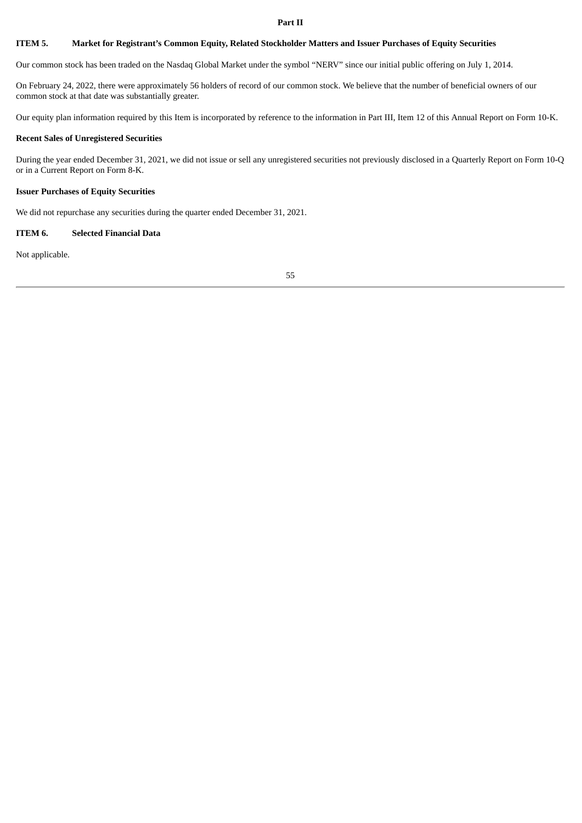#### **Part II**

#### ITEM 5. Market for Registrant's Common Equity, Related Stockholder Matters and Issuer Purchases of Equity Securities

Our common stock has been traded on the Nasdaq Global Market under the symbol "NERV" since our initial public offering on July 1, 2014.

On February 24, 2022, there were approximately 56 holders of record of our common stock. We believe that the number of beneficial owners of our common stock at that date was substantially greater.

Our equity plan information required by this Item is incorporated by reference to the information in Part III, Item 12 of this Annual Report on Form 10-K.

# **Recent Sales of Unregistered Securities**

During the year ended December 31, 2021, we did not issue or sell any unregistered securities not previously disclosed in a Quarterly Report on Form 10-Q or in a Current Report on Form 8-K.

#### **Issuer Purchases of Equity Securities**

We did not repurchase any securities during the quarter ended December 31, 2021.

### **ITEM 6. Selected Financial Data**

Not applicable.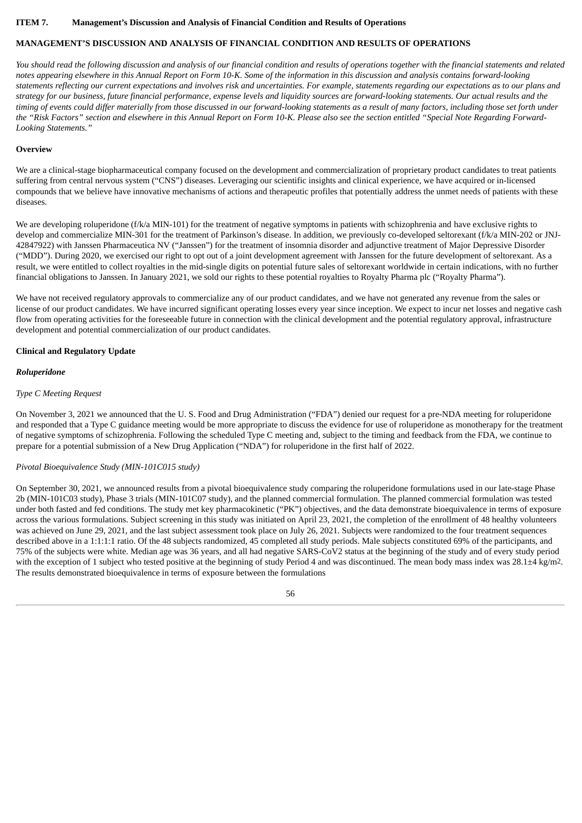### **ITEM 7. Management's Discussion and Analysis of Financial Condition and Results of Operations**

### **MANAGEMENT'S DISCUSSION AND ANALYSIS OF FINANCIAL CONDITION AND RESULTS OF OPERATIONS**

You should read the following discussion and analysis of our financial condition and results of operations together with the financial statements and related notes appearing elsewhere in this Annual Report on Form 10-K. Some of the information in this discussion and analysis contains forward-looking statements reflecting our current expectations and involves risk and uncertainties. For example, statements regarding our expectations as to our plans and strateay for our business, future financial performance, expense levels and liquidity sources are forward-looking statements. Our actual results and the timing of events could differ materially from those discussed in our forward-looking statements as a result of many factors, including those set forth under the "Risk Factors" section and elsewhere in this Annual Report on Form 10-K. Please also see the section entitled "Special Note Regarding Forward-*Looking Statements."*

#### **Overview**

We are a clinical-stage biopharmaceutical company focused on the development and commercialization of proprietary product candidates to treat patients suffering from central nervous system ("CNS") diseases. Leveraging our scientific insights and clinical experience, we have acquired or in-licensed compounds that we believe have innovative mechanisms of actions and therapeutic profiles that potentially address the unmet needs of patients with these diseases.

We are developing roluperidone (f/k/a MIN-101) for the treatment of negative symptoms in patients with schizophrenia and have exclusive rights to develop and commercialize MIN-301 for the treatment of Parkinson's disease. In addition, we previously co-developed seltorexant (f/k/a MIN-202 or JNJ-42847922) with Janssen Pharmaceutica NV ("Janssen") for the treatment of insomnia disorder and adjunctive treatment of Major Depressive Disorder ("MDD"). During 2020, we exercised our right to opt out of a joint development agreement with Janssen for the future development of seltorexant. As a result, we were entitled to collect royalties in the mid-single digits on potential future sales of seltorexant worldwide in certain indications, with no further financial obligations to Janssen. In January 2021, we sold our rights to these potential royalties to Royalty Pharma plc ("Royalty Pharma").

We have not received regulatory approvals to commercialize any of our product candidates, and we have not generated any revenue from the sales or license of our product candidates. We have incurred significant operating losses every year since inception. We expect to incur net losses and negative cash flow from operating activities for the foreseeable future in connection with the clinical development and the potential regulatory approval, infrastructure development and potential commercialization of our product candidates.

#### **Clinical and Regulatory Update**

#### *Roluperidone*

#### *Type C Meeting Request*

On November 3, 2021 we announced that the U. S. Food and Drug Administration ("FDA") denied our request for a pre-NDA meeting for roluperidone and responded that a Type C guidance meeting would be more appropriate to discuss the evidence for use of roluperidone as monotherapy for the treatment of negative symptoms of schizophrenia. Following the scheduled Type C meeting and, subject to the timing and feedback from the FDA, we continue to prepare for a potential submission of a New Drug Application ("NDA") for roluperidone in the first half of 2022.

### *Pivotal Bioequivalence Study (MIN-101C015 study)*

On September 30, 2021, we announced results from a pivotal bioequivalence study comparing the roluperidone formulations used in our late-stage Phase 2b (MIN-101C03 study), Phase 3 trials (MIN-101C07 study), and the planned commercial formulation. The planned commercial formulation was tested under both fasted and fed conditions. The study met key pharmacokinetic ("PK") objectives, and the data demonstrate bioequivalence in terms of exposure across the various formulations. Subject screening in this study was initiated on April 23, 2021, the completion of the enrollment of 48 healthy volunteers was achieved on June 29, 2021, and the last subject assessment took place on July 26, 2021. Subjects were randomized to the four treatment sequences described above in a 1:1:1:1 ratio. Of the 48 subjects randomized, 45 completed all study periods. Male subjects constituted 69% of the participants, and 75% of the subjects were white. Median age was 36 years, and all had negative SARS-CoV2 status at the beginning of the study and of every study period with the exception of 1 subject who tested positive at the beginning of study Period 4 and was discontinued. The mean body mass index was 28.1±4 kg/m<sup>2</sup>. The results demonstrated bioequivalence in terms of exposure between the formulations

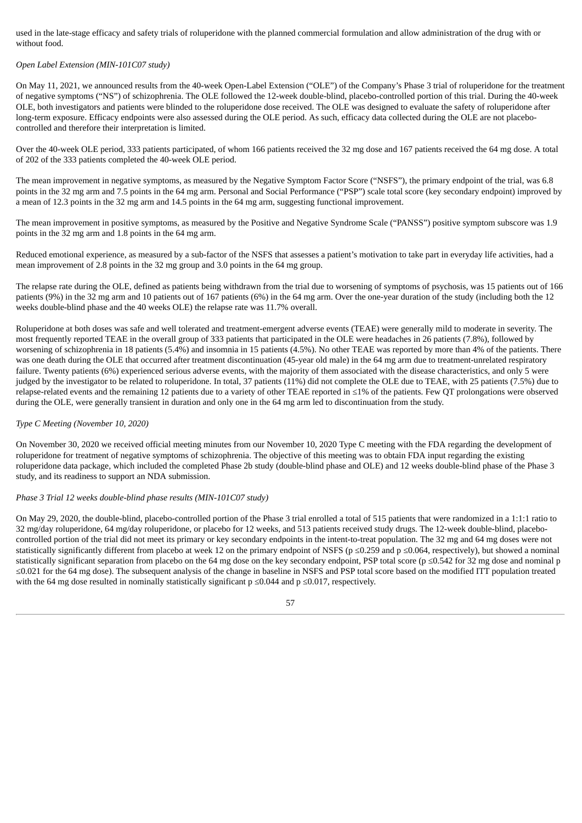used in the late-stage efficacy and safety trials of roluperidone with the planned commercial formulation and allow administration of the drug with or without food.

## *Open Label Extension (MIN-101C07 study)*

On May 11, 2021, we announced results from the 40-week Open-Label Extension ("OLE") of the Company's Phase 3 trial of roluperidone for the treatment of negative symptoms ("NS") of schizophrenia. The OLE followed the 12-week double-blind, placebo-controlled portion of this trial. During the 40-week OLE, both investigators and patients were blinded to the roluperidone dose received. The OLE was designed to evaluate the safety of roluperidone after long-term exposure. Efficacy endpoints were also assessed during the OLE period. As such, efficacy data collected during the OLE are not placebocontrolled and therefore their interpretation is limited.

Over the 40-week OLE period, 333 patients participated, of whom 166 patients received the 32 mg dose and 167 patients received the 64 mg dose. A total of 202 of the 333 patients completed the 40-week OLE period.

The mean improvement in negative symptoms, as measured by the Negative Symptom Factor Score ("NSFS"), the primary endpoint of the trial, was 6.8 points in the 32 mg arm and 7.5 points in the 64 mg arm. Personal and Social Performance ("PSP") scale total score (key secondary endpoint) improved by a mean of 12.3 points in the 32 mg arm and 14.5 points in the 64 mg arm, suggesting functional improvement.

The mean improvement in positive symptoms, as measured by the Positive and Negative Syndrome Scale ("PANSS") positive symptom subscore was 1.9 points in the 32 mg arm and 1.8 points in the 64 mg arm.

Reduced emotional experience, as measured by a sub-factor of the NSFS that assesses a patient's motivation to take part in everyday life activities, had a mean improvement of 2.8 points in the 32 mg group and 3.0 points in the 64 mg group.

The relapse rate during the OLE, defined as patients being withdrawn from the trial due to worsening of symptoms of psychosis, was 15 patients out of 166 patients (9%) in the 32 mg arm and 10 patients out of 167 patients (6%) in the 64 mg arm. Over the one-year duration of the study (including both the 12 weeks double-blind phase and the 40 weeks OLE) the relapse rate was 11.7% overall.

Roluperidone at both doses was safe and well tolerated and treatment-emergent adverse events (TEAE) were generally mild to moderate in severity. The most frequently reported TEAE in the overall group of 333 patients that participated in the OLE were headaches in 26 patients (7.8%), followed by worsening of schizophrenia in 18 patients (5.4%) and insomnia in 15 patients (4.5%). No other TEAE was reported by more than 4% of the patients. There was one death during the OLE that occurred after treatment discontinuation (45-year old male) in the 64 mg arm due to treatment-unrelated respiratory failure. Twenty patients (6%) experienced serious adverse events, with the majority of them associated with the disease characteristics, and only 5 were judged by the investigator to be related to roluperidone. In total, 37 patients (11%) did not complete the OLE due to TEAE, with 25 patients (7.5%) due to relapse-related events and the remaining 12 patients due to a variety of other TEAE reported in ≤1% of the patients. Few QT prolongations were observed during the OLE, were generally transient in duration and only one in the 64 mg arm led to discontinuation from the study.

### *Type C Meeting (November 10, 2020)*

On November 30, 2020 we received official meeting minutes from our November 10, 2020 Type C meeting with the FDA regarding the development of roluperidone for treatment of negative symptoms of schizophrenia. The objective of this meeting was to obtain FDA input regarding the existing roluperidone data package, which included the completed Phase 2b study (double-blind phase and OLE) and 12 weeks double-blind phase of the Phase 3 study, and its readiness to support an NDA submission.

### *Phase 3 Trial 12 weeks double-blind phase results (MIN-101C07 study)*

On May 29, 2020, the double-blind, placebo-controlled portion of the Phase 3 trial enrolled a total of 515 patients that were randomized in a 1:1:1 ratio to 32 mg/day roluperidone, 64 mg/day roluperidone, or placebo for 12 weeks, and 513 patients received study drugs. The 12-week double-blind, placebocontrolled portion of the trial did not meet its primary or key secondary endpoints in the intent-to-treat population. The 32 mg and 64 mg doses were not statistically significantly different from placebo at week 12 on the primary endpoint of NSFS (p ≤0.259 and p ≤0.064, respectively), but showed a nominal statistically significant separation from placebo on the 64 mg dose on the key secondary endpoint, PSP total score (p ≤0.542 for 32 mg dose and nominal p ≤0.021 for the 64 mg dose). The subsequent analysis of the change in baseline in NSFS and PSP total score based on the modified ITT population treated with the 64 mg dose resulted in nominally statistically significant  $p \le 0.044$  and  $p \le 0.017$ , respectively.

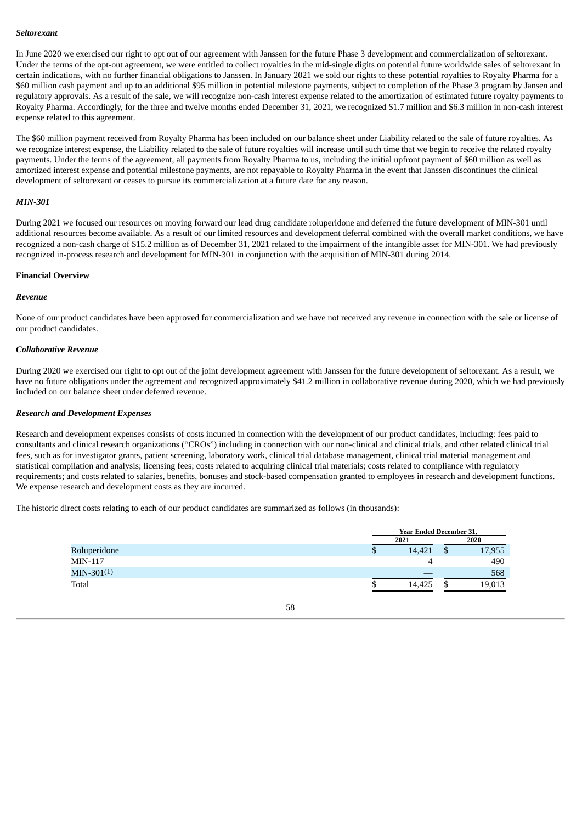#### *Seltorexant*

In June 2020 we exercised our right to opt out of our agreement with Janssen for the future Phase 3 development and commercialization of seltorexant. Under the terms of the opt-out agreement, we were entitled to collect royalties in the mid-single digits on potential future worldwide sales of seltorexant in certain indications, with no further financial obligations to Janssen. In January 2021 we sold our rights to these potential royalties to Royalty Pharma for a \$60 million cash payment and up to an additional \$95 million in potential milestone payments, subject to completion of the Phase 3 program by Jansen and regulatory approvals. As a result of the sale, we will recognize non-cash interest expense related to the amortization of estimated future royalty payments to Royalty Pharma. Accordingly, for the three and twelve months ended December 31, 2021, we recognized \$1.7 million and \$6.3 million in non-cash interest expense related to this agreement.

The \$60 million payment received from Royalty Pharma has been included on our balance sheet under Liability related to the sale of future royalties. As we recognize interest expense, the Liability related to the sale of future royalties will increase until such time that we begin to receive the related royalty payments. Under the terms of the agreement, all payments from Royalty Pharma to us, including the initial upfront payment of \$60 million as well as amortized interest expense and potential milestone payments, are not repayable to Royalty Pharma in the event that Janssen discontinues the clinical development of seltorexant or ceases to pursue its commercialization at a future date for any reason.

### *MIN-301*

During 2021 we focused our resources on moving forward our lead drug candidate roluperidone and deferred the future development of MIN-301 until additional resources become available. As a result of our limited resources and development deferral combined with the overall market conditions, we have recognized a non-cash charge of \$15.2 million as of December 31, 2021 related to the impairment of the intangible asset for MIN-301. We had previously recognized in-process research and development for MIN-301 in conjunction with the acquisition of MIN-301 during 2014.

#### **Financial Overview**

### *Revenue*

None of our product candidates have been approved for commercialization and we have not received any revenue in connection with the sale or license of our product candidates.

### *Collaborative Revenue*

During 2020 we exercised our right to opt out of the joint development agreement with Janssen for the future development of seltorexant. As a result, we have no future obligations under the agreement and recognized approximately \$41.2 million in collaborative revenue during 2020, which we had previously included on our balance sheet under deferred revenue.

#### *Research and Development Expenses*

Research and development expenses consists of costs incurred in connection with the development of our product candidates, including: fees paid to consultants and clinical research organizations ("CROs") including in connection with our non-clinical and clinical trials, and other related clinical trial fees, such as for investigator grants, patient screening, laboratory work, clinical trial database management, clinical trial material management and statistical compilation and analysis; licensing fees; costs related to acquiring clinical trial materials; costs related to compliance with regulatory requirements; and costs related to salaries, benefits, bonuses and stock-based compensation granted to employees in research and development functions. We expense research and development costs as they are incurred.

The historic direct costs relating to each of our product candidates are summarized as follows (in thousands):

|              |   | <b>Year Ended December 31,</b> |   |        |  |
|--------------|---|--------------------------------|---|--------|--|
|              |   | 2021                           |   | 2020   |  |
| Roluperidone | Φ | 14,421                         | J | 17,955 |  |
| MIN-117      |   |                                |   | 490    |  |
| $MIN-301(1)$ |   |                                |   | 568    |  |
| Total        |   | 14.425                         |   | 19,013 |  |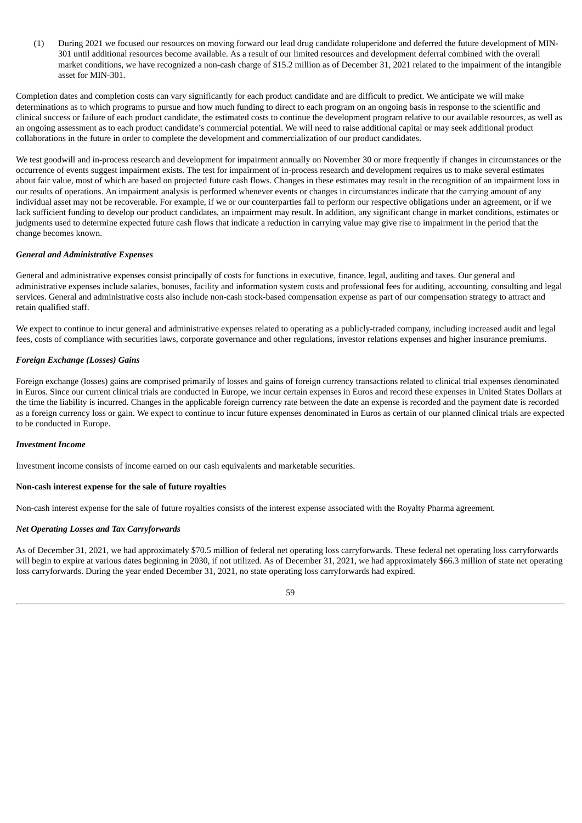(1) During 2021 we focused our resources on moving forward our lead drug candidate roluperidone and deferred the future development of MIN-301 until additional resources become available. As a result of our limited resources and development deferral combined with the overall market conditions, we have recognized a non-cash charge of \$15.2 million as of December 31, 2021 related to the impairment of the intangible asset for MIN-301.

Completion dates and completion costs can vary significantly for each product candidate and are difficult to predict. We anticipate we will make determinations as to which programs to pursue and how much funding to direct to each program on an ongoing basis in response to the scientific and clinical success or failure of each product candidate, the estimated costs to continue the development program relative to our available resources, as well as an ongoing assessment as to each product candidate's commercial potential. We will need to raise additional capital or may seek additional product collaborations in the future in order to complete the development and commercialization of our product candidates.

We test goodwill and in-process research and development for impairment annually on November 30 or more frequently if changes in circumstances or the occurrence of events suggest impairment exists. The test for impairment of in-process research and development requires us to make several estimates about fair value, most of which are based on projected future cash flows. Changes in these estimates may result in the recognition of an impairment loss in our results of operations. An impairment analysis is performed whenever events or changes in circumstances indicate that the carrying amount of any individual asset may not be recoverable. For example, if we or our counterparties fail to perform our respective obligations under an agreement, or if we lack sufficient funding to develop our product candidates, an impairment may result. In addition, any significant change in market conditions, estimates or judgments used to determine expected future cash flows that indicate a reduction in carrying value may give rise to impairment in the period that the change becomes known.

#### *General and Administrative Expenses*

General and administrative expenses consist principally of costs for functions in executive, finance, legal, auditing and taxes. Our general and administrative expenses include salaries, bonuses, facility and information system costs and professional fees for auditing, accounting, consulting and legal services. General and administrative costs also include non-cash stock-based compensation expense as part of our compensation strategy to attract and retain qualified staff.

We expect to continue to incur general and administrative expenses related to operating as a publicly-traded company, including increased audit and legal fees, costs of compliance with securities laws, corporate governance and other regulations, investor relations expenses and higher insurance premiums.

### *Foreign Exchange (Losses) Gains*

Foreign exchange (losses) gains are comprised primarily of losses and gains of foreign currency transactions related to clinical trial expenses denominated in Euros. Since our current clinical trials are conducted in Europe, we incur certain expenses in Euros and record these expenses in United States Dollars at the time the liability is incurred. Changes in the applicable foreign currency rate between the date an expense is recorded and the payment date is recorded as a foreign currency loss or gain. We expect to continue to incur future expenses denominated in Euros as certain of our planned clinical trials are expected to be conducted in Europe.

### *Investment Income*

Investment income consists of income earned on our cash equivalents and marketable securities.

### **Non-cash interest expense for the sale of future royalties**

Non-cash interest expense for the sale of future royalties consists of the interest expense associated with the Royalty Pharma agreement.

### *Net Operating Losses and Tax Carryforwards*

As of December 31, 2021, we had approximately \$70.5 million of federal net operating loss carryforwards. These federal net operating loss carryforwards will begin to expire at various dates beginning in 2030, if not utilized. As of December 31, 2021, we had approximately \$66.3 million of state net operating loss carryforwards. During the year ended December 31, 2021, no state operating loss carryforwards had expired.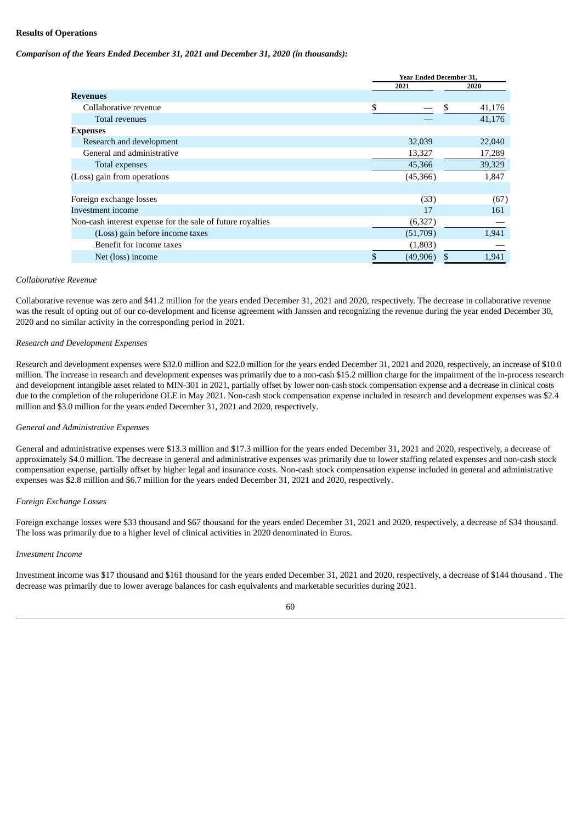### **Results of Operations**

#### *Comparison of the Years Ended December 31, 2021 and December 31, 2020 (in thousands):*

|                                                            | <b>Year Ended December 31,</b> |           |    |        |
|------------------------------------------------------------|--------------------------------|-----------|----|--------|
|                                                            |                                | 2021      |    | 2020   |
| <b>Revenues</b>                                            |                                |           |    |        |
| Collaborative revenue                                      | \$                             |           | \$ | 41,176 |
| <b>Total revenues</b>                                      |                                |           |    | 41,176 |
| <b>Expenses</b>                                            |                                |           |    |        |
| Research and development                                   |                                | 32,039    |    | 22,040 |
| General and administrative                                 |                                | 13,327    |    | 17,289 |
| Total expenses                                             |                                | 45,366    |    | 39,329 |
| (Loss) gain from operations                                |                                | (45,366)  |    | 1,847  |
|                                                            |                                |           |    |        |
| Foreign exchange losses                                    |                                | (33)      |    | (67)   |
| Investment income                                          |                                | 17        |    | 161    |
| Non-cash interest expense for the sale of future royalties |                                | (6,327)   |    |        |
| (Loss) gain before income taxes                            |                                | (51,709)  |    | 1,941  |
| Benefit for income taxes                                   |                                | (1,803)   |    |        |
| Net (loss) income                                          | \$                             | (49, 906) | \$ | 1,941  |

#### *Collaborative Revenue*

Collaborative revenue was zero and \$41.2 million for the years ended December 31, 2021 and 2020, respectively. The decrease in collaborative revenue was the result of opting out of our co-development and license agreement with Janssen and recognizing the revenue during the year ended December 30, 2020 and no similar activity in the corresponding period in 2021.

#### *Research and Development Expenses*

Research and development expenses were \$32.0 million and \$22.0 million for the years ended December 31, 2021 and 2020, respectively, an increase of \$10.0 million. The increase in research and development expenses was primarily due to a non-cash \$15.2 million charge for the impairment of the in-process research and development intangible asset related to MIN-301 in 2021, partially offset by lower non-cash stock compensation expense and a decrease in clinical costs due to the completion of the roluperidone OLE in May 2021. Non-cash stock compensation expense included in research and development expenses was \$2.4 million and \$3.0 million for the years ended December 31, 2021 and 2020, respectively.

#### *General and Administrative Expenses*

General and administrative expenses were \$13.3 million and \$17.3 million for the years ended December 31, 2021 and 2020, respectively, a decrease of approximately \$4.0 million. The decrease in general and administrative expenses was primarily due to lower staffing related expenses and non-cash stock compensation expense, partially offset by higher legal and insurance costs. Non-cash stock compensation expense included in general and administrative expenses was \$2.8 million and \$6.7 million for the years ended December 31, 2021 and 2020, respectively.

#### *Foreign Exchange Losses*

Foreign exchange losses were \$33 thousand and \$67 thousand for the years ended December 31, 2021 and 2020, respectively, a decrease of \$34 thousand. The loss was primarily due to a higher level of clinical activities in 2020 denominated in Euros.

#### *Investment Income*

Investment income was \$17 thousand and \$161 thousand for the years ended December 31, 2021 and 2020, respectively, a decrease of \$144 thousand . The decrease was primarily due to lower average balances for cash equivalents and marketable securities during 2021.

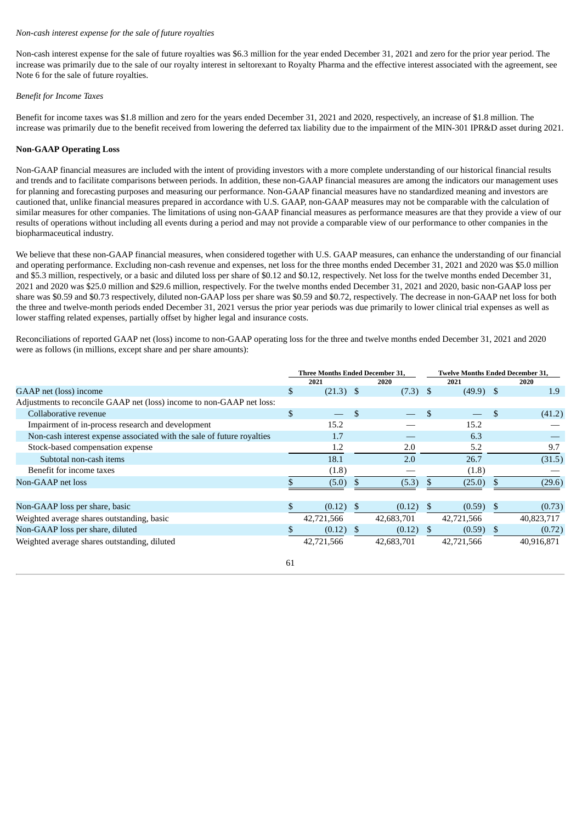### *Non-cash interest expense for the sale of future royalties*

Non-cash interest expense for the sale of future royalties was \$6.3 million for the year ended December 31, 2021 and zero for the prior year period. The increase was primarily due to the sale of our royalty interest in seltorexant to Royalty Pharma and the effective interest associated with the agreement, see Note 6 for the sale of future royalties.

### *Benefit for Income Taxes*

Benefit for income taxes was \$1.8 million and zero for the years ended December 31, 2021 and 2020, respectively, an increase of \$1.8 million. The increase was primarily due to the benefit received from lowering the deferred tax liability due to the impairment of the MIN-301 IPR&D asset during 2021.

### **Non-GAAP Operating Loss**

Non-GAAP financial measures are included with the intent of providing investors with a more complete understanding of our historical financial results and trends and to facilitate comparisons between periods. In addition, these non-GAAP financial measures are among the indicators our management uses for planning and forecasting purposes and measuring our performance. Non-GAAP financial measures have no standardized meaning and investors are cautioned that, unlike financial measures prepared in accordance with U.S. GAAP, non-GAAP measures may not be comparable with the calculation of similar measures for other companies. The limitations of using non-GAAP financial measures as performance measures are that they provide a view of our results of operations without including all events during a period and may not provide a comparable view of our performance to other companies in the biopharmaceutical industry.

We believe that these non-GAAP financial measures, when considered together with U.S. GAAP measures, can enhance the understanding of our financial and operating performance. Excluding non-cash revenue and expenses, net loss for the three months ended December 31, 2021 and 2020 was \$5.0 million and \$5.3 million, respectively, or a basic and diluted loss per share of \$0.12 and \$0.12, respectively. Net loss for the twelve months ended December 31, 2021 and 2020 was \$25.0 million and \$29.6 million, respectively. For the twelve months ended December 31, 2021 and 2020, basic non-GAAP loss per share was \$0.59 and \$0.73 respectively, diluted non-GAAP loss per share was \$0.59 and \$0.72, respectively. The decrease in non-GAAP net loss for both the three and twelve-month periods ended December 31, 2021 versus the prior year periods was due primarily to lower clinical trial expenses as well as lower staffing related expenses, partially offset by higher legal and insurance costs.

Reconciliations of reported GAAP net (loss) income to non-GAAP operating loss for the three and twelve months ended December 31, 2021 and 2020 were as follows (in millions, except share and per share amounts):

|                                                                        | <b>Three Months Ended December 31.</b> |             |    | <b>Twelve Months Ended December 31,</b> |    |             |    |            |
|------------------------------------------------------------------------|----------------------------------------|-------------|----|-----------------------------------------|----|-------------|----|------------|
|                                                                        |                                        | 2021        |    | 2020                                    |    | 2021        |    | 2020       |
| GAAP net (loss) income                                                 | \$                                     | $(21.3)$ \$ |    | $(7.3)$ \$                              |    | $(49.9)$ \$ |    | 1.9        |
| Adjustments to reconcile GAAP net (loss) income to non-GAAP net loss:  |                                        |             |    |                                         |    |             |    |            |
| Collaborative revenue                                                  | \$                                     |             | \$ |                                         |    |             | \$ | (41.2)     |
| Impairment of in-process research and development                      |                                        | 15.2        |    |                                         |    | 15.2        |    |            |
| Non-cash interest expense associated with the sale of future royalties |                                        | 1.7         |    |                                         |    | 6.3         |    |            |
| Stock-based compensation expense                                       |                                        | 1.2         |    | 2.0                                     |    | 5.2         |    | 9.7        |
| Subtotal non-cash items                                                |                                        | 18.1        |    | 2.0                                     |    | 26.7        |    | (31.5)     |
| Benefit for income taxes                                               |                                        | (1.8)       |    |                                         |    | (1.8)       |    |            |
| Non-GAAP net loss                                                      |                                        | (5.0)       |    | (5.3)                                   |    | (25.0)      |    | (29.6)     |
|                                                                        |                                        |             |    |                                         |    |             |    |            |
| Non-GAAP loss per share, basic                                         | \$                                     | (0.12)      | -S | (0.12)                                  | S  | (0.59)      | \$ | (0.73)     |
| Weighted average shares outstanding, basic                             |                                        | 42,721,566  |    | 42,683,701                              |    | 42,721,566  |    | 40,823,717 |
| Non-GAAP loss per share, diluted                                       |                                        | (0.12)      | -S | (0.12)                                  | S. | (0.59)      | \$ | (0.72)     |
| Weighted average shares outstanding, diluted                           |                                        | 42,721,566  |    | 42,683,701                              |    | 42,721,566  |    | 40,916,871 |
|                                                                        | 61                                     |             |    |                                         |    |             |    |            |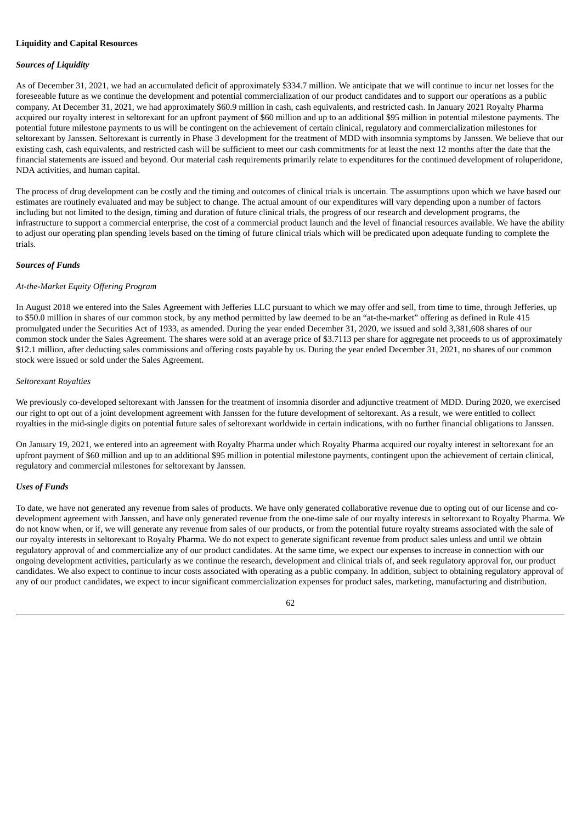#### **Liquidity and Capital Resources**

#### *Sources of Liquidity*

As of December 31, 2021, we had an accumulated deficit of approximately \$334.7 million. We anticipate that we will continue to incur net losses for the foreseeable future as we continue the development and potential commercialization of our product candidates and to support our operations as a public company. At December 31, 2021, we had approximately \$60.9 million in cash, cash equivalents, and restricted cash. In January 2021 Royalty Pharma acquired our royalty interest in seltorexant for an upfront payment of \$60 million and up to an additional \$95 million in potential milestone payments. The potential future milestone payments to us will be contingent on the achievement of certain clinical, regulatory and commercialization milestones for seltorexant by Janssen. Seltorexant is currently in Phase 3 development for the treatment of MDD with insomnia symptoms by Janssen. We believe that our existing cash, cash equivalents, and restricted cash will be sufficient to meet our cash commitments for at least the next 12 months after the date that the financial statements are issued and beyond. Our material cash requirements primarily relate to expenditures for the continued development of roluperidone, NDA activities, and human capital.

The process of drug development can be costly and the timing and outcomes of clinical trials is uncertain. The assumptions upon which we have based our estimates are routinely evaluated and may be subject to change. The actual amount of our expenditures will vary depending upon a number of factors including but not limited to the design, timing and duration of future clinical trials, the progress of our research and development programs, the infrastructure to support a commercial enterprise, the cost of a commercial product launch and the level of financial resources available. We have the ability to adjust our operating plan spending levels based on the timing of future clinical trials which will be predicated upon adequate funding to complete the trials.

#### *Sources of Funds*

#### *At-the-Market Equity Offering Program*

In August 2018 we entered into the Sales Agreement with Jefferies LLC pursuant to which we may offer and sell, from time to time, through Jefferies, up to \$50.0 million in shares of our common stock, by any method permitted by law deemed to be an "at-the-market" offering as defined in Rule 415 promulgated under the Securities Act of 1933, as amended. During the year ended December 31, 2020, we issued and sold 3,381,608 shares of our common stock under the Sales Agreement. The shares were sold at an average price of \$3.7113 per share for aggregate net proceeds to us of approximately \$12.1 million, after deducting sales commissions and offering costs payable by us. During the year ended December 31, 2021, no shares of our common stock were issued or sold under the Sales Agreement.

### *Seltorexant Royalties*

We previously co-developed seltorexant with Janssen for the treatment of insomnia disorder and adjunctive treatment of MDD. During 2020, we exercised our right to opt out of a joint development agreement with Janssen for the future development of seltorexant. As a result, we were entitled to collect royalties in the mid-single digits on potential future sales of seltorexant worldwide in certain indications, with no further financial obligations to Janssen.

On January 19, 2021, we entered into an agreement with Royalty Pharma under which Royalty Pharma acquired our royalty interest in seltorexant for an upfront payment of \$60 million and up to an additional \$95 million in potential milestone payments, contingent upon the achievement of certain clinical, regulatory and commercial milestones for seltorexant by Janssen.

#### *Uses of Funds*

To date, we have not generated any revenue from sales of products. We have only generated collaborative revenue due to opting out of our license and codevelopment agreement with Janssen, and have only generated revenue from the one-time sale of our royalty interests in seltorexant to Royalty Pharma. We do not know when, or if, we will generate any revenue from sales of our products, or from the potential future royalty streams associated with the sale of our royalty interests in seltorexant to Royalty Pharma. We do not expect to generate significant revenue from product sales unless and until we obtain regulatory approval of and commercialize any of our product candidates. At the same time, we expect our expenses to increase in connection with our ongoing development activities, particularly as we continue the research, development and clinical trials of, and seek regulatory approval for, our product candidates. We also expect to continue to incur costs associated with operating as a public company. In addition, subject to obtaining regulatory approval of any of our product candidates, we expect to incur significant commercialization expenses for product sales, marketing, manufacturing and distribution.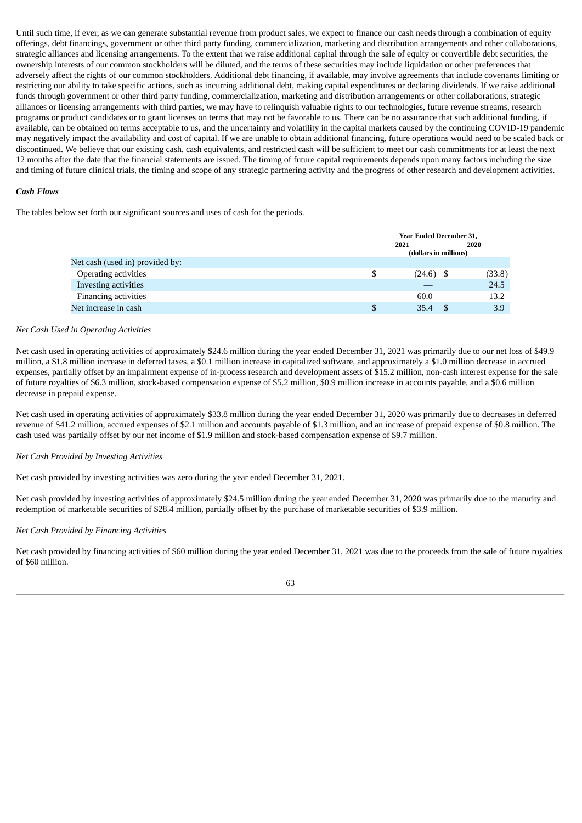Until such time, if ever, as we can generate substantial revenue from product sales, we expect to finance our cash needs through a combination of equity offerings, debt financings, government or other third party funding, commercialization, marketing and distribution arrangements and other collaborations, strategic alliances and licensing arrangements. To the extent that we raise additional capital through the sale of equity or convertible debt securities, the ownership interests of our common stockholders will be diluted, and the terms of these securities may include liquidation or other preferences that adversely affect the rights of our common stockholders. Additional debt financing, if available, may involve agreements that include covenants limiting or restricting our ability to take specific actions, such as incurring additional debt, making capital expenditures or declaring dividends. If we raise additional funds through government or other third party funding, commercialization, marketing and distribution arrangements or other collaborations, strategic alliances or licensing arrangements with third parties, we may have to relinquish valuable rights to our technologies, future revenue streams, research programs or product candidates or to grant licenses on terms that may not be favorable to us. There can be no assurance that such additional funding, if available, can be obtained on terms acceptable to us, and the uncertainty and volatility in the capital markets caused by the continuing COVID-19 pandemic may negatively impact the availability and cost of capital. If we are unable to obtain additional financing, future operations would need to be scaled back or discontinued. We believe that our existing cash, cash equivalents, and restricted cash will be sufficient to meet our cash commitments for at least the next 12 months after the date that the financial statements are issued. The timing of future capital requirements depends upon many factors including the size and timing of future clinical trials, the timing and scope of any strategic partnering activity and the progress of other research and development activities.

#### *Cash Flows*

The tables below set forth our significant sources and uses of cash for the periods.

|                                 |   | <b>Year Ended December 31,</b> |  |        |  |
|---------------------------------|---|--------------------------------|--|--------|--|
|                                 |   | 2021                           |  | 2020   |  |
|                                 |   | (dollars in millions)          |  |        |  |
| Net cash (used in) provided by: |   |                                |  |        |  |
| Operating activities            | S | $(24.6)$ \$                    |  | (33.8) |  |
| Investing activities            |   |                                |  | 24.5   |  |
| Financing activities            |   | 60.0                           |  | 13.2   |  |
| Net increase in cash            |   | 35.4                           |  | 3.9    |  |
|                                 |   |                                |  |        |  |

#### *Net Cash Used in Operating Activities*

Net cash used in operating activities of approximately \$24.6 million during the year ended December 31, 2021 was primarily due to our net loss of \$49.9 million, a \$1.8 million increase in deferred taxes, a \$0.1 million increase in capitalized software, and approximately a \$1.0 million decrease in accrued expenses, partially offset by an impairment expense of in-process research and development assets of \$15.2 million, non-cash interest expense for the sale of future royalties of \$6.3 million, stock-based compensation expense of \$5.2 million, \$0.9 million increase in accounts payable, and a \$0.6 million decrease in prepaid expense.

Net cash used in operating activities of approximately \$33.8 million during the year ended December 31, 2020 was primarily due to decreases in deferred revenue of \$41.2 million, accrued expenses of \$2.1 million and accounts payable of \$1.3 million, and an increase of prepaid expense of \$0.8 million. The cash used was partially offset by our net income of \$1.9 million and stock-based compensation expense of \$9.7 million.

### *Net Cash Provided by Investing Activities*

Net cash provided by investing activities was zero during the year ended December 31, 2021.

Net cash provided by investing activities of approximately \$24.5 million during the year ended December 31, 2020 was primarily due to the maturity and redemption of marketable securities of \$28.4 million, partially offset by the purchase of marketable securities of \$3.9 million.

#### *Net Cash Provided by Financing Activities*

Net cash provided by financing activities of \$60 million during the year ended December 31, 2021 was due to the proceeds from the sale of future royalties of \$60 million.

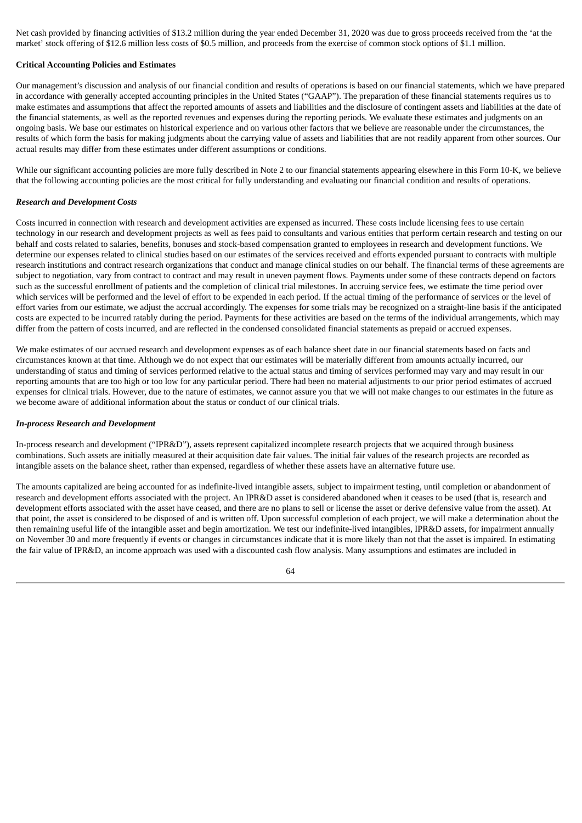Net cash provided by financing activities of \$13.2 million during the year ended December 31, 2020 was due to gross proceeds received from the 'at the market' stock offering of \$12.6 million less costs of \$0.5 million, and proceeds from the exercise of common stock options of \$1.1 million.

### **Critical Accounting Policies and Estimates**

Our management's discussion and analysis of our financial condition and results of operations is based on our financial statements, which we have prepared in accordance with generally accepted accounting principles in the United States ("GAAP"). The preparation of these financial statements requires us to make estimates and assumptions that affect the reported amounts of assets and liabilities and the disclosure of contingent assets and liabilities at the date of the financial statements, as well as the reported revenues and expenses during the reporting periods. We evaluate these estimates and judgments on an ongoing basis. We base our estimates on historical experience and on various other factors that we believe are reasonable under the circumstances, the results of which form the basis for making judgments about the carrying value of assets and liabilities that are not readily apparent from other sources. Our actual results may differ from these estimates under different assumptions or conditions.

While our significant accounting policies are more fully described in Note 2 to our financial statements appearing elsewhere in this Form 10-K, we believe that the following accounting policies are the most critical for fully understanding and evaluating our financial condition and results of operations.

### *Research and Development Costs*

Costs incurred in connection with research and development activities are expensed as incurred. These costs include licensing fees to use certain technology in our research and development projects as well as fees paid to consultants and various entities that perform certain research and testing on our behalf and costs related to salaries, benefits, bonuses and stock-based compensation granted to employees in research and development functions. We determine our expenses related to clinical studies based on our estimates of the services received and efforts expended pursuant to contracts with multiple research institutions and contract research organizations that conduct and manage clinical studies on our behalf. The financial terms of these agreements are subject to negotiation, vary from contract to contract and may result in uneven payment flows. Payments under some of these contracts depend on factors such as the successful enrollment of patients and the completion of clinical trial milestones. In accruing service fees, we estimate the time period over which services will be performed and the level of effort to be expended in each period. If the actual timing of the performance of services or the level of effort varies from our estimate, we adjust the accrual accordingly. The expenses for some trials may be recognized on a straight-line basis if the anticipated costs are expected to be incurred ratably during the period. Payments for these activities are based on the terms of the individual arrangements, which may differ from the pattern of costs incurred, and are reflected in the condensed consolidated financial statements as prepaid or accrued expenses.

We make estimates of our accrued research and development expenses as of each balance sheet date in our financial statements based on facts and circumstances known at that time. Although we do not expect that our estimates will be materially different from amounts actually incurred, our understanding of status and timing of services performed relative to the actual status and timing of services performed may vary and may result in our reporting amounts that are too high or too low for any particular period. There had been no material adjustments to our prior period estimates of accrued expenses for clinical trials. However, due to the nature of estimates, we cannot assure you that we will not make changes to our estimates in the future as we become aware of additional information about the status or conduct of our clinical trials.

### *In-process Research and Development*

In-process research and development ("IPR&D"), assets represent capitalized incomplete research projects that we acquired through business combinations. Such assets are initially measured at their acquisition date fair values. The initial fair values of the research projects are recorded as intangible assets on the balance sheet, rather than expensed, regardless of whether these assets have an alternative future use.

The amounts capitalized are being accounted for as indefinite-lived intangible assets, subject to impairment testing, until completion or abandonment of research and development efforts associated with the project. An IPR&D asset is considered abandoned when it ceases to be used (that is, research and development efforts associated with the asset have ceased, and there are no plans to sell or license the asset or derive defensive value from the asset). At that point, the asset is considered to be disposed of and is written off. Upon successful completion of each project, we will make a determination about the then remaining useful life of the intangible asset and begin amortization. We test our indefinite-lived intangibles, IPR&D assets, for impairment annually on November 30 and more frequently if events or changes in circumstances indicate that it is more likely than not that the asset is impaired. In estimating the fair value of IPR&D, an income approach was used with a discounted cash flow analysis. Many assumptions and estimates are included in

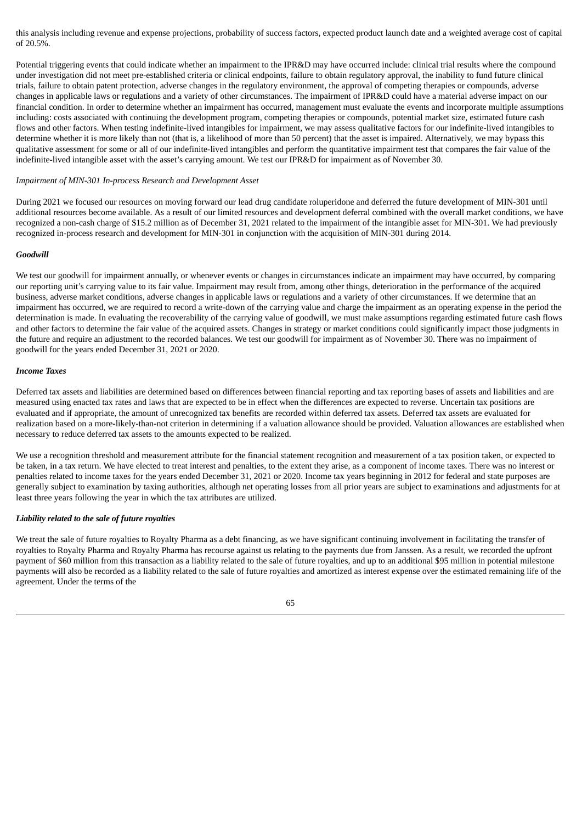this analysis including revenue and expense projections, probability of success factors, expected product launch date and a weighted average cost of capital of 20.5%.

Potential triggering events that could indicate whether an impairment to the IPR&D may have occurred include: clinical trial results where the compound under investigation did not meet pre‑established criteria or clinical endpoints, failure to obtain regulatory approval, the inability to fund future clinical trials, failure to obtain patent protection, adverse changes in the regulatory environment, the approval of competing therapies or compounds, adverse changes in applicable laws or regulations and a variety of other circumstances. The impairment of IPR&D could have a material adverse impact on our financial condition. In order to determine whether an impairment has occurred, management must evaluate the events and incorporate multiple assumptions including: costs associated with continuing the development program, competing therapies or compounds, potential market size, estimated future cash flows and other factors. When testing indefinite-lived intangibles for impairment, we may assess qualitative factors for our indefinite-lived intangibles to determine whether it is more likely than not (that is, a likelihood of more than 50 percent) that the asset is impaired. Alternatively, we may bypass this qualitative assessment for some or all of our indefinite-lived intangibles and perform the quantitative impairment test that compares the fair value of the indefinite-lived intangible asset with the asset's carrying amount. We test our IPR&D for impairment as of November 30.

#### *Impairment of MIN-301 In-process Research and Development Asset*

During 2021 we focused our resources on moving forward our lead drug candidate roluperidone and deferred the future development of MIN-301 until additional resources become available. As a result of our limited resources and development deferral combined with the overall market conditions, we have recognized a non-cash charge of \$15.2 million as of December 31, 2021 related to the impairment of the intangible asset for MIN-301. We had previously recognized in-process research and development for MIN-301 in conjunction with the acquisition of MIN-301 during 2014.

#### *Goodwill*

We test our goodwill for impairment annually, or whenever events or changes in circumstances indicate an impairment may have occurred, by comparing our reporting unit's carrying value to its fair value. Impairment may result from, among other things, deterioration in the performance of the acquired business, adverse market conditions, adverse changes in applicable laws or regulations and a variety of other circumstances. If we determine that an impairment has occurred, we are required to record a write-down of the carrying value and charge the impairment as an operating expense in the period the determination is made. In evaluating the recoverability of the carrying value of goodwill, we must make assumptions regarding estimated future cash flows and other factors to determine the fair value of the acquired assets. Changes in strategy or market conditions could significantly impact those judgments in the future and require an adjustment to the recorded balances. We test our goodwill for impairment as of November 30. There was no impairment of goodwill for the years ended December 31, 2021 or 2020.

### *Income Taxes*

Deferred tax assets and liabilities are determined based on differences between financial reporting and tax reporting bases of assets and liabilities and are measured using enacted tax rates and laws that are expected to be in effect when the differences are expected to reverse. Uncertain tax positions are evaluated and if appropriate, the amount of unrecognized tax benefits are recorded within deferred tax assets. Deferred tax assets are evaluated for realization based on a more-likely-than-not criterion in determining if a valuation allowance should be provided. Valuation allowances are established when necessary to reduce deferred tax assets to the amounts expected to be realized.

We use a recognition threshold and measurement attribute for the financial statement recognition and measurement of a tax position taken, or expected to be taken, in a tax return. We have elected to treat interest and penalties, to the extent they arise, as a component of income taxes. There was no interest or penalties related to income taxes for the years ended December 31, 2021 or 2020. Income tax years beginning in 2012 for federal and state purposes are generally subject to examination by taxing authorities, although net operating losses from all prior years are subject to examinations and adjustments for at least three years following the year in which the tax attributes are utilized.

### *Liability related to the sale of future royalties*

We treat the sale of future royalties to Royalty Pharma as a debt financing, as we have significant continuing involvement in facilitating the transfer of royalties to Royalty Pharma and Royalty Pharma has recourse against us relating to the payments due from Janssen. As a result, we recorded the upfront payment of \$60 million from this transaction as a liability related to the sale of future royalties, and up to an additional \$95 million in potential milestone payments will also be recorded as a liability related to the sale of future royalties and amortized as interest expense over the estimated remaining life of the agreement. Under the terms of the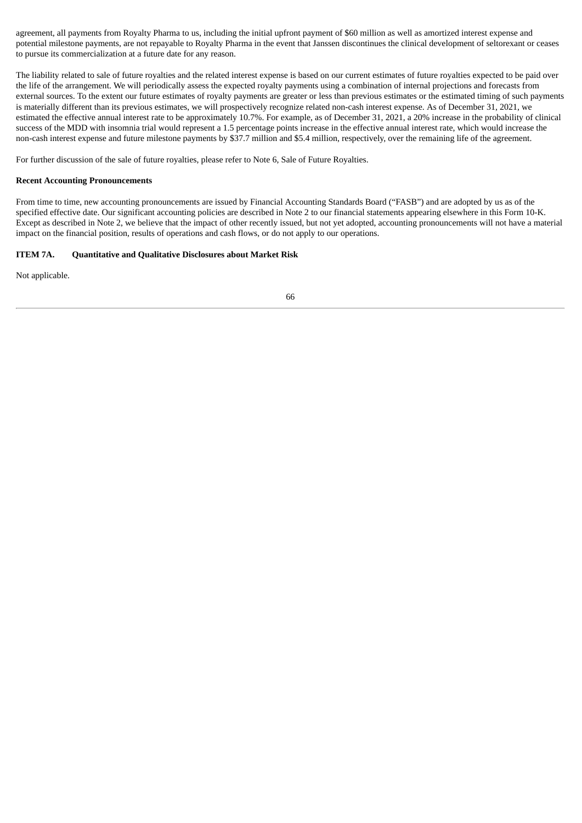agreement, all payments from Royalty Pharma to us, including the initial upfront payment of \$60 million as well as amortized interest expense and potential milestone payments, are not repayable to Royalty Pharma in the event that Janssen discontinues the clinical development of seltorexant or ceases to pursue its commercialization at a future date for any reason.

The liability related to sale of future royalties and the related interest expense is based on our current estimates of future royalties expected to be paid over the life of the arrangement. We will periodically assess the expected royalty payments using a combination of internal projections and forecasts from external sources. To the extent our future estimates of royalty payments are greater or less than previous estimates or the estimated timing of such payments is materially different than its previous estimates, we will prospectively recognize related non-cash interest expense. As of December 31, 2021, we estimated the effective annual interest rate to be approximately 10.7%. For example, as of December 31, 2021, a 20% increase in the probability of clinical success of the MDD with insomnia trial would represent a 1.5 percentage points increase in the effective annual interest rate, which would increase the non-cash interest expense and future milestone payments by \$37.7 million and \$5.4 million, respectively, over the remaining life of the agreement.

For further discussion of the sale of future royalties, please refer to Note 6, Sale of Future Royalties.

#### **Recent Accounting Pronouncements**

From time to time, new accounting pronouncements are issued by Financial Accounting Standards Board ("FASB") and are adopted by us as of the specified effective date. Our significant accounting policies are described in Note 2 to our financial statements appearing elsewhere in this Form 10-K. Except as described in Note 2, we believe that the impact of other recently issued, but not yet adopted, accounting pronouncements will not have a material impact on the financial position, results of operations and cash flows, or do not apply to our operations.

#### **ITEM 7A. Quantitative and Qualitative Disclosures about Market Risk**

Not applicable.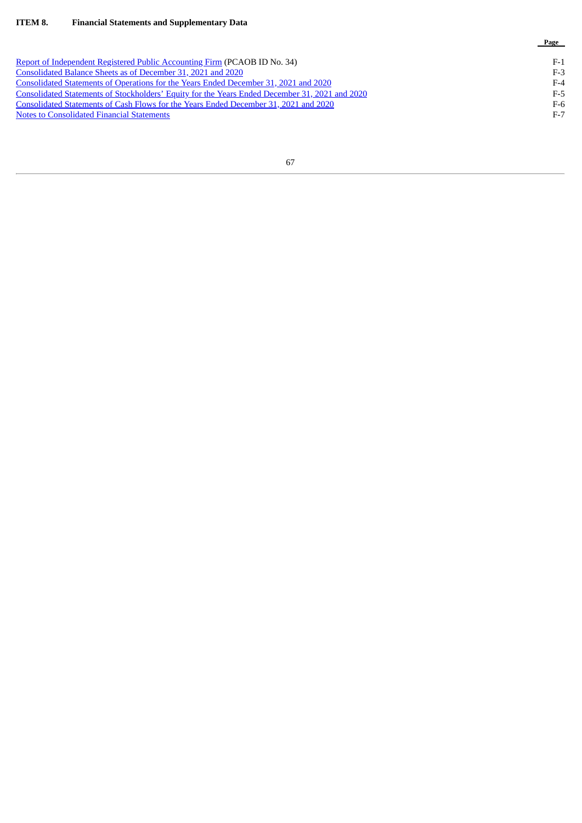|                                                                                                | Page  |
|------------------------------------------------------------------------------------------------|-------|
| Report of Independent Registered Public Accounting Firm (PCAOB ID No. 34)                      | $F-1$ |
| Consolidated Balance Sheets as of December 31, 2021 and 2020                                   | $F-3$ |
| <b>Consolidated Statements of Operations for the Years Ended December 31, 2021 and 2020</b>    | $F-4$ |
| Consolidated Statements of Stockholders' Equity for the Years Ended December 31, 2021 and 2020 | $F-5$ |
| Consolidated Statements of Cash Flows for the Years Ended December 31, 2021 and 2020           | $F-6$ |
| <b>Notes to Consolidated Financial Statements</b>                                              | $F-7$ |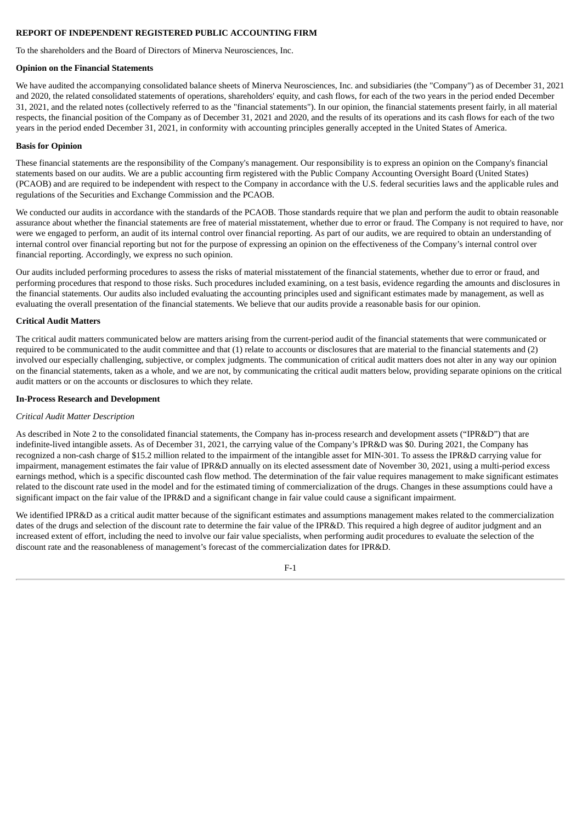### <span id="page-67-0"></span>**REPORT OF INDEPENDENT REGISTERED PUBLIC ACCOUNTING FIRM**

To the shareholders and the Board of Directors of Minerva Neurosciences, Inc.

#### **Opinion on the Financial Statements**

We have audited the accompanying consolidated balance sheets of Minerva Neurosciences, Inc. and subsidiaries (the "Company") as of December 31, 2021 and 2020, the related consolidated statements of operations, shareholders' equity, and cash flows, for each of the two years in the period ended December 31, 2021, and the related notes (collectively referred to as the "financial statements"). In our opinion, the financial statements present fairly, in all material respects, the financial position of the Company as of December 31, 2021 and 2020, and the results of its operations and its cash flows for each of the two years in the period ended December 31, 2021, in conformity with accounting principles generally accepted in the United States of America.

### **Basis for Opinion**

These financial statements are the responsibility of the Company's management. Our responsibility is to express an opinion on the Company's financial statements based on our audits. We are a public accounting firm registered with the Public Company Accounting Oversight Board (United States) (PCAOB) and are required to be independent with respect to the Company in accordance with the U.S. federal securities laws and the applicable rules and regulations of the Securities and Exchange Commission and the PCAOB.

We conducted our audits in accordance with the standards of the PCAOB. Those standards require that we plan and perform the audit to obtain reasonable assurance about whether the financial statements are free of material misstatement, whether due to error or fraud. The Company is not required to have, nor were we engaged to perform, an audit of its internal control over financial reporting. As part of our audits, we are required to obtain an understanding of internal control over financial reporting but not for the purpose of expressing an opinion on the effectiveness of the Company's internal control over financial reporting. Accordingly, we express no such opinion.

Our audits included performing procedures to assess the risks of material misstatement of the financial statements, whether due to error or fraud, and performing procedures that respond to those risks. Such procedures included examining, on a test basis, evidence regarding the amounts and disclosures in the financial statements. Our audits also included evaluating the accounting principles used and significant estimates made by management, as well as evaluating the overall presentation of the financial statements. We believe that our audits provide a reasonable basis for our opinion.

#### **Critical Audit Matters**

The critical audit matters communicated below are matters arising from the current-period audit of the financial statements that were communicated or required to be communicated to the audit committee and that (1) relate to accounts or disclosures that are material to the financial statements and (2) involved our especially challenging, subjective, or complex judgments. The communication of critical audit matters does not alter in any way our opinion on the financial statements, taken as a whole, and we are not, by communicating the critical audit matters below, providing separate opinions on the critical audit matters or on the accounts or disclosures to which they relate.

#### **In-Process Research and Development**

#### *Critical Audit Matter Description*

As described in Note 2 to the consolidated financial statements, the Company has in-process research and development assets ("IPR&D") that are indefinite-lived intangible assets. As of December 31, 2021, the carrying value of the Company's IPR&D was \$0. During 2021, the Company has recognized a non-cash charge of \$15.2 million related to the impairment of the intangible asset for MIN-301. To assess the IPR&D carrying value for impairment, management estimates the fair value of IPR&D annually on its elected assessment date of November 30, 2021, using a multi-period excess earnings method, which is a specific discounted cash flow method. The determination of the fair value requires management to make significant estimates related to the discount rate used in the model and for the estimated timing of commercialization of the drugs. Changes in these assumptions could have a significant impact on the fair value of the IPR&D and a significant change in fair value could cause a significant impairment.

We identified IPR&D as a critical audit matter because of the significant estimates and assumptions management makes related to the commercialization dates of the drugs and selection of the discount rate to determine the fair value of the IPR&D. This required a high degree of auditor judgment and an increased extent of effort, including the need to involve our fair value specialists, when performing audit procedures to evaluate the selection of the discount rate and the reasonableness of management's forecast of the commercialization dates for IPR&D.

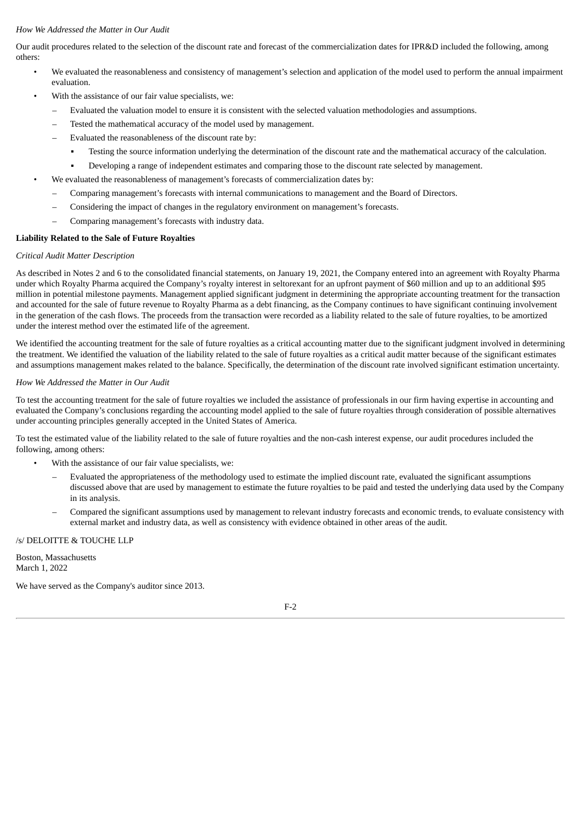### *How We Addressed the Matter in Our Audit*

Our audit procedures related to the selection of the discount rate and forecast of the commercialization dates for IPR&D included the following, among others:

- We evaluated the reasonableness and consistency of management's selection and application of the model used to perform the annual impairment evaluation.
- With the assistance of our fair value specialists, we:
	- Evaluated the valuation model to ensure it is consistent with the selected valuation methodologies and assumptions.
	- Tested the mathematical accuracy of the model used by management.
	- Evaluated the reasonableness of the discount rate by:
		- Testing the source information underlying the determination of the discount rate and the mathematical accuracy of the calculation.
		- Developing a range of independent estimates and comparing those to the discount rate selected by management.
	- We evaluated the reasonableness of management's forecasts of commercialization dates by:
		- Comparing management's forecasts with internal communications to management and the Board of Directors.
		- Considering the impact of changes in the regulatory environment on management's forecasts.
	- Comparing management's forecasts with industry data.

## **Liability Related to the Sale of Future Royalties**

### *Critical Audit Matter Description*

As described in Notes 2 and 6 to the consolidated financial statements, on January 19, 2021, the Company entered into an agreement with Royalty Pharma under which Royalty Pharma acquired the Company's royalty interest in seltorexant for an upfront payment of \$60 million and up to an additional \$95 million in potential milestone payments. Management applied significant judgment in determining the appropriate accounting treatment for the transaction and accounted for the sale of future revenue to Royalty Pharma as a debt financing, as the Company continues to have significant continuing involvement in the generation of the cash flows. The proceeds from the transaction were recorded as a liability related to the sale of future royalties, to be amortized under the interest method over the estimated life of the agreement.

We identified the accounting treatment for the sale of future royalties as a critical accounting matter due to the significant judgment involved in determining the treatment. We identified the valuation of the liability related to the sale of future royalties as a critical audit matter because of the significant estimates and assumptions management makes related to the balance. Specifically, the determination of the discount rate involved significant estimation uncertainty.

### *How We Addressed the Matter in Our Audit*

To test the accounting treatment for the sale of future royalties we included the assistance of professionals in our firm having expertise in accounting and evaluated the Company's conclusions regarding the accounting model applied to the sale of future royalties through consideration of possible alternatives under accounting principles generally accepted in the United States of America.

To test the estimated value of the liability related to the sale of future royalties and the non-cash interest expense, our audit procedures included the following, among others:

- With the assistance of our fair value specialists, we:
	- Evaluated the appropriateness of the methodology used to estimate the implied discount rate, evaluated the significant assumptions discussed above that are used by management to estimate the future royalties to be paid and tested the underlying data used by the Company in its analysis.
	- Compared the significant assumptions used by management to relevant industry forecasts and economic trends, to evaluate consistency with external market and industry data, as well as consistency with evidence obtained in other areas of the audit.

### /s/ DELOITTE & TOUCHE LLP

Boston, Massachusetts March 1, 2022

We have served as the Company's auditor since 2013.

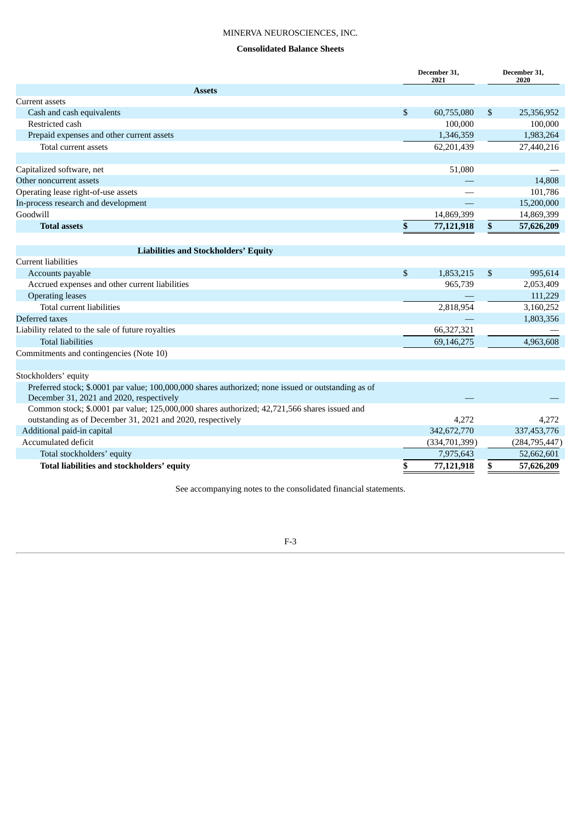## MINERVA NEUROSCIENCES, INC.

## **Consolidated Balance Sheets**

<span id="page-69-0"></span>

|                                                                                                     | December 31,<br>2021 |                 |              | December 31,<br>2020 |  |  |
|-----------------------------------------------------------------------------------------------------|----------------------|-----------------|--------------|----------------------|--|--|
| <b>Assets</b>                                                                                       |                      |                 |              |                      |  |  |
| <b>Current assets</b>                                                                               |                      |                 |              |                      |  |  |
| Cash and cash equivalents                                                                           | $\mathbb{S}$         | 60,755,080      | \$           | 25,356,952           |  |  |
| Restricted cash                                                                                     |                      | 100,000         |              | 100,000              |  |  |
| Prepaid expenses and other current assets                                                           |                      | 1,346,359       |              | 1,983,264            |  |  |
| Total current assets                                                                                |                      | 62,201,439      |              | 27,440,216           |  |  |
|                                                                                                     |                      |                 |              |                      |  |  |
| Capitalized software, net                                                                           |                      | 51,080          |              |                      |  |  |
| Other noncurrent assets                                                                             |                      |                 |              | 14,808               |  |  |
| Operating lease right-of-use assets                                                                 |                      |                 |              | 101,786              |  |  |
| In-process research and development                                                                 |                      |                 |              | 15,200,000           |  |  |
| Goodwill                                                                                            |                      | 14,869,399      |              | 14,869,399           |  |  |
| <b>Total assets</b>                                                                                 | \$                   | 77,121,918      | \$           | 57,626,209           |  |  |
|                                                                                                     |                      |                 |              |                      |  |  |
| <b>Liabilities and Stockholders' Equity</b>                                                         |                      |                 |              |                      |  |  |
| Current liabilities                                                                                 |                      |                 |              |                      |  |  |
| Accounts payable                                                                                    | \$                   | 1,853,215       | $\mathbb{S}$ | 995,614              |  |  |
| Accrued expenses and other current liabilities                                                      |                      | 965,739         |              | 2,053,409            |  |  |
| <b>Operating leases</b>                                                                             |                      |                 |              | 111,229              |  |  |
| <b>Total current liabilities</b>                                                                    |                      | 2,818,954       |              | 3,160,252            |  |  |
| Deferred taxes                                                                                      |                      |                 |              | 1,803,356            |  |  |
| Liability related to the sale of future royalties                                                   |                      | 66,327,321      |              |                      |  |  |
| <b>Total liabilities</b>                                                                            |                      | 69,146,275      |              | 4,963,608            |  |  |
| Commitments and contingencies (Note 10)                                                             |                      |                 |              |                      |  |  |
|                                                                                                     |                      |                 |              |                      |  |  |
| Stockholders' equity                                                                                |                      |                 |              |                      |  |  |
| Preferred stock; \$.0001 par value; 100,000,000 shares authorized; none issued or outstanding as of |                      |                 |              |                      |  |  |
| December 31, 2021 and 2020, respectively                                                            |                      |                 |              |                      |  |  |
| Common stock; \$.0001 par value; 125,000,000 shares authorized; 42,721,566 shares issued and        |                      |                 |              |                      |  |  |
| outstanding as of December 31, 2021 and 2020, respectively                                          |                      | 4,272           |              | 4,272                |  |  |
| Additional paid-in capital                                                                          |                      | 342,672,770     |              | 337,453,776          |  |  |
| Accumulated deficit                                                                                 |                      | (334, 701, 399) |              | (284, 795, 447)      |  |  |
| Total stockholders' equity                                                                          |                      | 7,975,643       |              | 52,662,601           |  |  |
| Total liabilities and stockholders' equity                                                          | \$                   | 77,121,918      |              | 57,626,209           |  |  |
|                                                                                                     |                      |                 |              |                      |  |  |

See accompanying notes to the consolidated financial statements.

F-3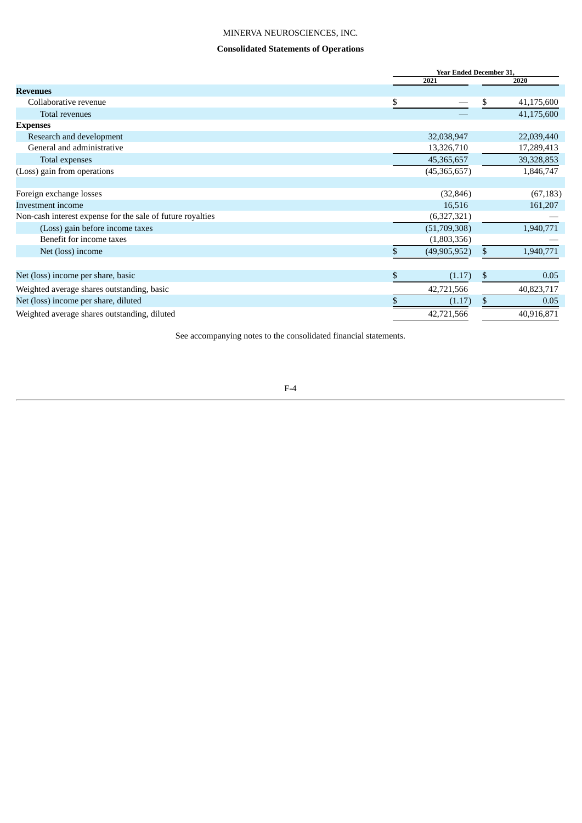## MINERVA NEUROSCIENCES, INC.

# **Consolidated Statements of Operations**

<span id="page-70-0"></span>

|                                                            | <b>Year Ended December 31,</b> |    |            |  |
|------------------------------------------------------------|--------------------------------|----|------------|--|
|                                                            | 2021                           |    | 2020       |  |
| <b>Revenues</b>                                            |                                |    |            |  |
| Collaborative revenue                                      | \$                             | \$ | 41,175,600 |  |
| Total revenues                                             |                                |    | 41,175,600 |  |
| <b>Expenses</b>                                            |                                |    |            |  |
| Research and development                                   | 32,038,947                     |    | 22,039,440 |  |
| General and administrative                                 | 13,326,710                     |    | 17,289,413 |  |
| Total expenses                                             | 45,365,657                     |    | 39,328,853 |  |
| (Loss) gain from operations                                | (45,365,657)                   |    | 1,846,747  |  |
|                                                            |                                |    |            |  |
| Foreign exchange losses                                    | (32, 846)                      |    | (67, 183)  |  |
| Investment income                                          | 16,516                         |    | 161,207    |  |
| Non-cash interest expense for the sale of future royalties | (6,327,321)                    |    |            |  |
| (Loss) gain before income taxes                            | (51,709,308)                   |    | 1,940,771  |  |
| Benefit for income taxes                                   | (1,803,356)                    |    |            |  |
| Net (loss) income                                          | (49, 905, 952)                 | \$ | 1,940,771  |  |
|                                                            |                                |    |            |  |
| Net (loss) income per share, basic                         | (1.17)                         | \$ | 0.05       |  |
| Weighted average shares outstanding, basic                 | 42,721,566                     |    | 40,823,717 |  |
| Net (loss) income per share, diluted                       | (1.17)                         | \$ | 0.05       |  |
| Weighted average shares outstanding, diluted               | 42,721,566                     |    | 40,916,871 |  |

See accompanying notes to the consolidated financial statements.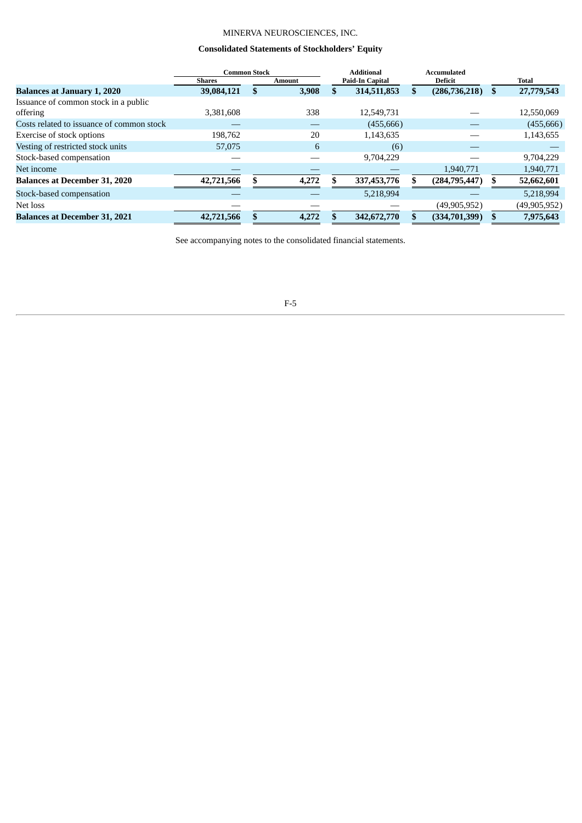# MINERVA NEUROSCIENCES, INC.

## **Consolidated Statements of Stockholders' Equity**

<span id="page-71-0"></span>

|                                           |               | <b>Common Stock</b> |        | <b>Additional</b> |                        | Accumulated |                 |   |                |  |       |
|-------------------------------------------|---------------|---------------------|--------|-------------------|------------------------|-------------|-----------------|---|----------------|--|-------|
|                                           | <b>Shares</b> |                     | Amount |                   | <b>Paid-In Capital</b> |             |                 |   | <b>Deficit</b> |  | Total |
| <b>Balances at January 1, 2020</b>        | 39,084,121    |                     | 3,908  |                   | 314,511,853            | \$          | (286, 736, 218) | S | 27,779,543     |  |       |
| Issuance of common stock in a public      |               |                     |        |                   |                        |             |                 |   |                |  |       |
| offering                                  | 3,381,608     |                     | 338    |                   | 12,549,731             |             |                 |   | 12,550,069     |  |       |
| Costs related to issuance of common stock |               |                     |        |                   | (455, 666)             |             |                 |   | (455,666)      |  |       |
| Exercise of stock options                 | 198.762       |                     | 20     |                   | 1,143,635              |             |                 |   | 1,143,655      |  |       |
| Vesting of restricted stock units         | 57,075        |                     | 6      |                   | (6)                    |             |                 |   |                |  |       |
| Stock-based compensation                  |               |                     |        |                   | 9,704,229              |             |                 |   | 9,704,229      |  |       |
| Net income                                |               |                     |        |                   |                        |             | 1,940,771       |   | 1,940,771      |  |       |
| <b>Balances at December 31, 2020</b>      | 42,721,566    |                     | 4,272  |                   | 337,453,776            |             | (284, 795, 447) |   | 52,662,601     |  |       |
| Stock-based compensation                  |               |                     |        |                   | 5,218,994              |             |                 |   | 5,218,994      |  |       |
| Net loss                                  |               |                     |        |                   |                        |             | (49,905,952)    |   | (49, 905, 952) |  |       |
| <b>Balances at December 31, 2021</b>      | 42,721,566    |                     | 4,272  |                   | 342,672,770            |             | (334,701,399)   |   | 7,975,643      |  |       |

See accompanying notes to the consolidated financial statements.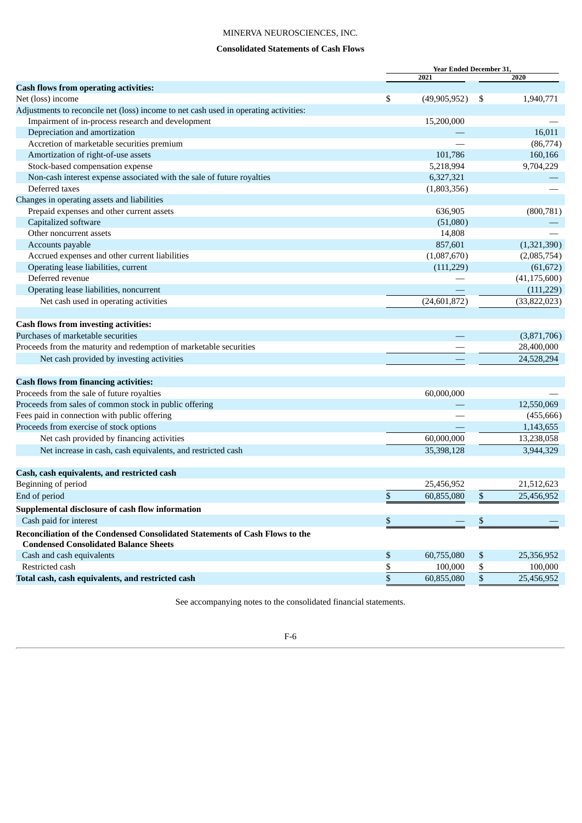# MINERVA NEUROSCIENCES, INC.

# **Consolidated Statements of Cash Flows**

|                                                                                                                              | <b>Year Ended December 31,</b> |                |     |                |
|------------------------------------------------------------------------------------------------------------------------------|--------------------------------|----------------|-----|----------------|
|                                                                                                                              |                                | 2021           |     | 2020           |
| <b>Cash flows from operating activities:</b>                                                                                 |                                |                |     |                |
| Net (loss) income                                                                                                            | \$                             | (49,905,952)   | -\$ | 1,940,771      |
| Adjustments to reconcile net (loss) income to net cash used in operating activities:                                         |                                |                |     |                |
| Impairment of in-process research and development                                                                            |                                | 15,200,000     |     |                |
| Depreciation and amortization                                                                                                |                                |                |     | 16,011         |
| Accretion of marketable securities premium                                                                                   |                                |                |     | (86,774)       |
| Amortization of right-of-use assets                                                                                          |                                | 101,786        |     | 160,166        |
| Stock-based compensation expense                                                                                             |                                | 5,218,994      |     | 9,704,229      |
| Non-cash interest expense associated with the sale of future royalties                                                       |                                | 6,327,321      |     |                |
| Deferred taxes                                                                                                               |                                | (1,803,356)    |     |                |
| Changes in operating assets and liabilities                                                                                  |                                |                |     |                |
| Prepaid expenses and other current assets                                                                                    |                                | 636,905        |     | (800, 781)     |
| Capitalized software                                                                                                         |                                | (51,080)       |     |                |
| Other noncurrent assets                                                                                                      |                                | 14,808         |     |                |
| Accounts payable                                                                                                             |                                | 857,601        |     | (1,321,390)    |
| Accrued expenses and other current liabilities                                                                               |                                | (1,087,670)    |     | (2,085,754)    |
| Operating lease liabilities, current                                                                                         |                                | (111, 229)     |     | (61, 672)      |
| Deferred revenue                                                                                                             |                                |                |     | (41, 175, 600) |
| Operating lease liabilities, noncurrent                                                                                      |                                |                |     | (111, 229)     |
| Net cash used in operating activities                                                                                        |                                | (24, 601, 872) |     | (33,822,023)   |
| <b>Cash flows from investing activities:</b>                                                                                 |                                |                |     |                |
| Purchases of marketable securities                                                                                           |                                |                |     | (3,871,706)    |
| Proceeds from the maturity and redemption of marketable securities                                                           |                                |                |     | 28,400,000     |
| Net cash provided by investing activities                                                                                    |                                |                |     | 24,528,294     |
|                                                                                                                              |                                |                |     |                |
| <b>Cash flows from financing activities:</b>                                                                                 |                                |                |     |                |
| Proceeds from the sale of future royalties                                                                                   |                                | 60,000,000     |     |                |
| Proceeds from sales of common stock in public offering                                                                       |                                |                |     | 12,550,069     |
| Fees paid in connection with public offering                                                                                 |                                |                |     | (455, 666)     |
| Proceeds from exercise of stock options                                                                                      |                                |                |     | 1,143,655      |
| Net cash provided by financing activities                                                                                    |                                | 60,000,000     |     | 13,238,058     |
| Net increase in cash, cash equivalents, and restricted cash                                                                  |                                | 35,398,128     |     | 3,944,329      |
| Cash, cash equivalents, and restricted cash                                                                                  |                                |                |     |                |
| Beginning of period                                                                                                          |                                | 25,456,952     |     | 21,512,623     |
| End of period                                                                                                                | \$                             | 60,855,080     | \$  | 25,456,952     |
| Supplemental disclosure of cash flow information                                                                             |                                |                |     |                |
| Cash paid for interest                                                                                                       | \$                             |                | \$  |                |
| Reconciliation of the Condensed Consolidated Statements of Cash Flows to the<br><b>Condensed Consolidated Balance Sheets</b> |                                |                |     |                |
| Cash and cash equivalents                                                                                                    | \$                             | 60,755,080     | \$  | 25,356,952     |
| Restricted cash                                                                                                              | \$                             | 100,000        | \$  | 100,000        |
| Total cash, cash equivalents, and restricted cash                                                                            | \$                             | 60,855,080     | \$  | 25,456,952     |
|                                                                                                                              |                                |                |     |                |

See accompanying notes to the consolidated financial statements.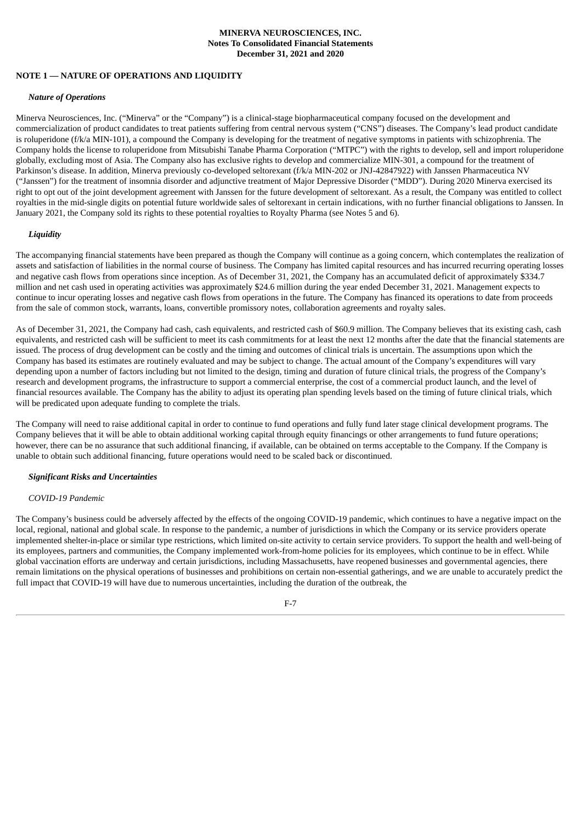## **MINERVA NEUROSCIENCES, INC. Notes To Consolidated Financial Statements December 31, 2021 and 2020**

## **NOTE 1 — NATURE OF OPERATIONS AND LIQUIDITY**

# *Nature of Operations*

Minerva Neurosciences, Inc. ("Minerva" or the "Company") is a clinical-stage biopharmaceutical company focused on the development and commercialization of product candidates to treat patients suffering from central nervous system ("CNS") diseases. The Company's lead product candidate is roluperidone (f/k/a MIN-101), a compound the Company is developing for the treatment of negative symptoms in patients with schizophrenia. The Company holds the license to roluperidone from Mitsubishi Tanabe Pharma Corporation ("MTPC") with the rights to develop, sell and import roluperidone globally, excluding most of Asia. The Company also has exclusive rights to develop and commercialize MIN-301, a compound for the treatment of Parkinson's disease. In addition, Minerva previously co-developed seltorexant (f/k/a MIN-202 or JNJ-42847922) with Janssen Pharmaceutica NV ("Janssen") for the treatment of insomnia disorder and adjunctive treatment of Major Depressive Disorder ("MDD"). During 2020 Minerva exercised its right to opt out of the joint development agreement with Janssen for the future development of seltorexant. As a result, the Company was entitled to collect royalties in the mid-single digits on potential future worldwide sales of seltorexant in certain indications, with no further financial obligations to Janssen. In January 2021, the Company sold its rights to these potential royalties to Royalty Pharma (see Notes 5 and 6).

# *Liquidity*

The accompanying financial statements have been prepared as though the Company will continue as a going concern, which contemplates the realization of assets and satisfaction of liabilities in the normal course of business. The Company has limited capital resources and has incurred recurring operating losses and negative cash flows from operations since inception. As of December 31, 2021, the Company has an accumulated deficit of approximately \$334.7 million and net cash used in operating activities was approximately \$24.6 million during the year ended December 31, 2021. Management expects to continue to incur operating losses and negative cash flows from operations in the future. The Company has financed its operations to date from proceeds from the sale of common stock, warrants, loans, convertible promissory notes, collaboration agreements and royalty sales.

As of December 31, 2021, the Company had cash, cash equivalents, and restricted cash of \$60.9 million. The Company believes that its existing cash, cash equivalents, and restricted cash will be sufficient to meet its cash commitments for at least the next 12 months after the date that the financial statements are issued. The process of drug development can be costly and the timing and outcomes of clinical trials is uncertain. The assumptions upon which the Company has based its estimates are routinely evaluated and may be subject to change. The actual amount of the Company's expenditures will vary depending upon a number of factors including but not limited to the design, timing and duration of future clinical trials, the progress of the Company's research and development programs, the infrastructure to support a commercial enterprise, the cost of a commercial product launch, and the level of financial resources available. The Company has the ability to adjust its operating plan spending levels based on the timing of future clinical trials, which will be predicated upon adequate funding to complete the trials.

The Company will need to raise additional capital in order to continue to fund operations and fully fund later stage clinical development programs. The Company believes that it will be able to obtain additional working capital through equity financings or other arrangements to fund future operations; however, there can be no assurance that such additional financing, if available, can be obtained on terms acceptable to the Company. If the Company is unable to obtain such additional financing, future operations would need to be scaled back or discontinued.

# *Significant Risks and Uncertainties*

#### *COVID-19 Pandemic*

The Company's business could be adversely affected by the effects of the ongoing COVID-19 pandemic, which continues to have a negative impact on the local, regional, national and global scale. In response to the pandemic, a number of jurisdictions in which the Company or its service providers operate implemented shelter-in-place or similar type restrictions, which limited on-site activity to certain service providers. To support the health and well-being of its employees, partners and communities, the Company implemented work-from-home policies for its employees, which continue to be in effect. While global vaccination efforts are underway and certain jurisdictions, including Massachusetts, have reopened businesses and governmental agencies, there remain limitations on the physical operations of businesses and prohibitions on certain non-essential gatherings, and we are unable to accurately predict the full impact that COVID-19 will have due to numerous uncertainties, including the duration of the outbreak, the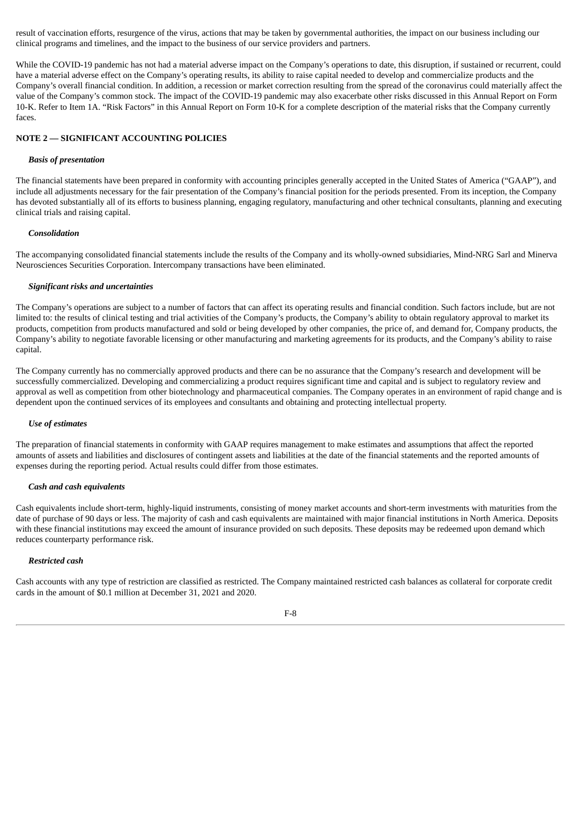result of vaccination efforts, resurgence of the virus, actions that may be taken by governmental authorities, the impact on our business including our clinical programs and timelines, and the impact to the business of our service providers and partners.

While the COVID-19 pandemic has not had a material adverse impact on the Company's operations to date, this disruption, if sustained or recurrent, could have a material adverse effect on the Company's operating results, its ability to raise capital needed to develop and commercialize products and the Company's overall financial condition. In addition, a recession or market correction resulting from the spread of the coronavirus could materially affect the value of the Company's common stock. The impact of the COVID-19 pandemic may also exacerbate other risks discussed in this Annual Report on Form 10-K. Refer to Item 1A. "Risk Factors" in this Annual Report on Form 10-K for a complete description of the material risks that the Company currently faces.

## **NOTE 2 — SIGNIFICANT ACCOUNTING POLICIES**

## *Basis of presentation*

The financial statements have been prepared in conformity with accounting principles generally accepted in the United States of America ("GAAP"), and include all adjustments necessary for the fair presentation of the Company's financial position for the periods presented. From its inception, the Company has devoted substantially all of its efforts to business planning, engaging regulatory, manufacturing and other technical consultants, planning and executing clinical trials and raising capital.

## *Consolidation*

The accompanying consolidated financial statements include the results of the Company and its wholly-owned subsidiaries, Mind-NRG Sarl and Minerva Neurosciences Securities Corporation. Intercompany transactions have been eliminated.

#### *Significant risks and uncertainties*

The Company's operations are subject to a number of factors that can affect its operating results and financial condition. Such factors include, but are not limited to: the results of clinical testing and trial activities of the Company's products, the Company's ability to obtain regulatory approval to market its products, competition from products manufactured and sold or being developed by other companies, the price of, and demand for, Company products, the Company's ability to negotiate favorable licensing or other manufacturing and marketing agreements for its products, and the Company's ability to raise capital.

The Company currently has no commercially approved products and there can be no assurance that the Company's research and development will be successfully commercialized. Developing and commercializing a product requires significant time and capital and is subject to regulatory review and approval as well as competition from other biotechnology and pharmaceutical companies. The Company operates in an environment of rapid change and is dependent upon the continued services of its employees and consultants and obtaining and protecting intellectual property.

#### *Use of estimates*

The preparation of financial statements in conformity with GAAP requires management to make estimates and assumptions that affect the reported amounts of assets and liabilities and disclosures of contingent assets and liabilities at the date of the financial statements and the reported amounts of expenses during the reporting period. Actual results could differ from those estimates.

#### *Cash and cash equivalents*

Cash equivalents include short-term, highly-liquid instruments, consisting of money market accounts and short-term investments with maturities from the date of purchase of 90 days or less. The majority of cash and cash equivalents are maintained with major financial institutions in North America. Deposits with these financial institutions may exceed the amount of insurance provided on such deposits. These deposits may be redeemed upon demand which reduces counterparty performance risk.

## *Restricted cash*

Cash accounts with any type of restriction are classified as restricted. The Company maintained restricted cash balances as collateral for corporate credit cards in the amount of \$0.1 million at December 31, 2021 and 2020.

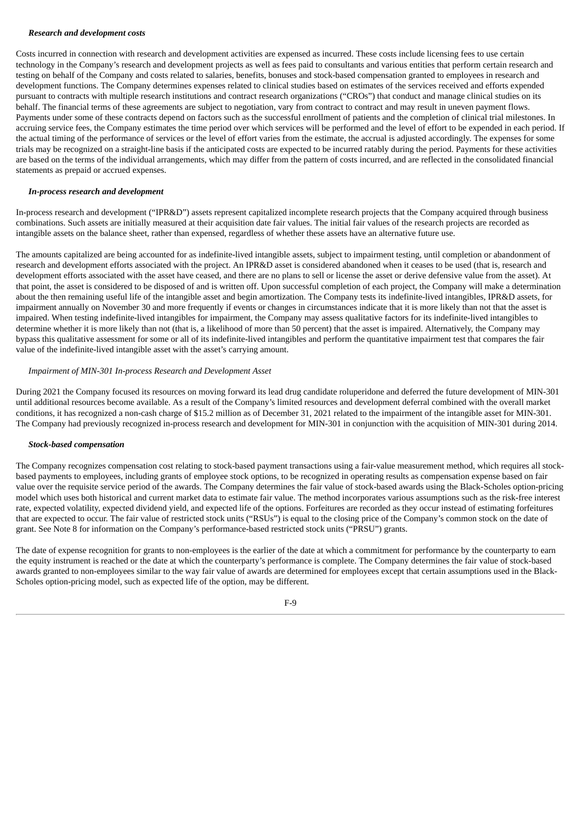## *Research and development costs*

Costs incurred in connection with research and development activities are expensed as incurred. These costs include licensing fees to use certain technology in the Company's research and development projects as well as fees paid to consultants and various entities that perform certain research and testing on behalf of the Company and costs related to salaries, benefits, bonuses and stock-based compensation granted to employees in research and development functions. The Company determines expenses related to clinical studies based on estimates of the services received and efforts expended pursuant to contracts with multiple research institutions and contract research organizations ("CROs") that conduct and manage clinical studies on its behalf. The financial terms of these agreements are subject to negotiation, vary from contract to contract and may result in uneven payment flows. Payments under some of these contracts depend on factors such as the successful enrollment of patients and the completion of clinical trial milestones. In accruing service fees, the Company estimates the time period over which services will be performed and the level of effort to be expended in each period. If the actual timing of the performance of services or the level of effort varies from the estimate, the accrual is adjusted accordingly. The expenses for some trials may be recognized on a straight-line basis if the anticipated costs are expected to be incurred ratably during the period. Payments for these activities are based on the terms of the individual arrangements, which may differ from the pattern of costs incurred, and are reflected in the consolidated financial statements as prepaid or accrued expenses.

## *In-process research and development*

In-process research and development ("IPR&D") assets represent capitalized incomplete research projects that the Company acquired through business combinations. Such assets are initially measured at their acquisition date fair values. The initial fair values of the research projects are recorded as intangible assets on the balance sheet, rather than expensed, regardless of whether these assets have an alternative future use.

The amounts capitalized are being accounted for as indefinite-lived intangible assets, subject to impairment testing, until completion or abandonment of research and development efforts associated with the project. An IPR&D asset is considered abandoned when it ceases to be used (that is, research and development efforts associated with the asset have ceased, and there are no plans to sell or license the asset or derive defensive value from the asset). At that point, the asset is considered to be disposed of and is written off. Upon successful completion of each project, the Company will make a determination about the then remaining useful life of the intangible asset and begin amortization. The Company tests its indefinite-lived intangibles, IPR&D assets, for impairment annually on November 30 and more frequently if events or changes in circumstances indicate that it is more likely than not that the asset is impaired. When testing indefinite-lived intangibles for impairment, the Company may assess qualitative factors for its indefinite-lived intangibles to determine whether it is more likely than not (that is, a likelihood of more than 50 percent) that the asset is impaired. Alternatively, the Company may bypass this qualitative assessment for some or all of its indefinite-lived intangibles and perform the quantitative impairment test that compares the fair value of the indefinite-lived intangible asset with the asset's carrying amount.

# *Impairment of MIN-301 In-process Research and Development Asset*

During 2021 the Company focused its resources on moving forward its lead drug candidate roluperidone and deferred the future development of MIN-301 until additional resources become available. As a result of the Company's limited resources and development deferral combined with the overall market conditions, it has recognized a non-cash charge of \$15.2 million as of December 31, 2021 related to the impairment of the intangible asset for MIN-301. The Company had previously recognized in-process research and development for MIN-301 in conjunction with the acquisition of MIN-301 during 2014.

#### *Stock-based compensation*

The Company recognizes compensation cost relating to stock-based payment transactions using a fair-value measurement method, which requires all stockbased payments to employees, including grants of employee stock options, to be recognized in operating results as compensation expense based on fair value over the requisite service period of the awards. The Company determines the fair value of stock-based awards using the Black-Scholes option-pricing model which uses both historical and current market data to estimate fair value. The method incorporates various assumptions such as the risk-free interest rate, expected volatility, expected dividend yield, and expected life of the options. Forfeitures are recorded as they occur instead of estimating forfeitures that are expected to occur. The fair value of restricted stock units ("RSUs") is equal to the closing price of the Company's common stock on the date of grant. See Note 8 for information on the Company's performance-based restricted stock units ("PRSU") grants.

The date of expense recognition for grants to non-employees is the earlier of the date at which a commitment for performance by the counterparty to earn the equity instrument is reached or the date at which the counterparty's performance is complete. The Company determines the fair value of stock-based awards granted to non-employees similar to the way fair value of awards are determined for employees except that certain assumptions used in the Black-Scholes option-pricing model, such as expected life of the option, may be different.

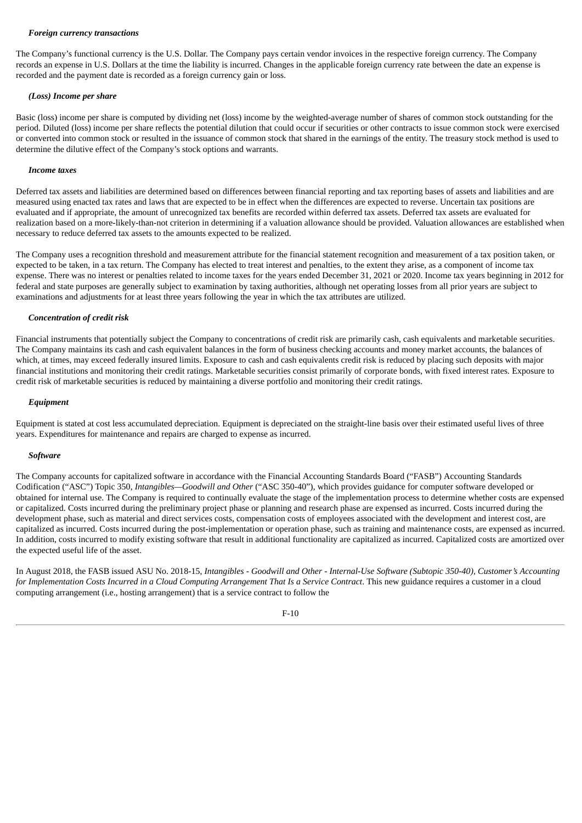#### *Foreign currency transactions*

The Company's functional currency is the U.S. Dollar. The Company pays certain vendor invoices in the respective foreign currency. The Company records an expense in U.S. Dollars at the time the liability is incurred. Changes in the applicable foreign currency rate between the date an expense is recorded and the payment date is recorded as a foreign currency gain or loss.

# *(Loss) Income per share*

Basic (loss) income per share is computed by dividing net (loss) income by the weighted-average number of shares of common stock outstanding for the period. Diluted (loss) income per share reflects the potential dilution that could occur if securities or other contracts to issue common stock were exercised or converted into common stock or resulted in the issuance of common stock that shared in the earnings of the entity. The treasury stock method is used to determine the dilutive effect of the Company's stock options and warrants.

## *Income taxes*

Deferred tax assets and liabilities are determined based on differences between financial reporting and tax reporting bases of assets and liabilities and are measured using enacted tax rates and laws that are expected to be in effect when the differences are expected to reverse. Uncertain tax positions are evaluated and if appropriate, the amount of unrecognized tax benefits are recorded within deferred tax assets. Deferred tax assets are evaluated for realization based on a more-likely-than-not criterion in determining if a valuation allowance should be provided. Valuation allowances are established when necessary to reduce deferred tax assets to the amounts expected to be realized.

The Company uses a recognition threshold and measurement attribute for the financial statement recognition and measurement of a tax position taken, or expected to be taken, in a tax return. The Company has elected to treat interest and penalties, to the extent they arise, as a component of income tax expense. There was no interest or penalties related to income taxes for the years ended December 31, 2021 or 2020. Income tax years beginning in 2012 for federal and state purposes are generally subject to examination by taxing authorities, although net operating losses from all prior years are subject to examinations and adjustments for at least three years following the year in which the tax attributes are utilized.

## *Concentration of credit risk*

Financial instruments that potentially subject the Company to concentrations of credit risk are primarily cash, cash equivalents and marketable securities. The Company maintains its cash and cash equivalent balances in the form of business checking accounts and money market accounts, the balances of which, at times, may exceed federally insured limits. Exposure to cash and cash equivalents credit risk is reduced by placing such deposits with major financial institutions and monitoring their credit ratings. Marketable securities consist primarily of corporate bonds, with fixed interest rates. Exposure to credit risk of marketable securities is reduced by maintaining a diverse portfolio and monitoring their credit ratings.

#### *Equipment*

Equipment is stated at cost less accumulated depreciation. Equipment is depreciated on the straight-line basis over their estimated useful lives of three years. Expenditures for maintenance and repairs are charged to expense as incurred.

#### *Software*

The Company accounts for capitalized software in accordance with the Financial Accounting Standards Board ("FASB") Accounting Standards Codification ("ASC") Topic 350, *Intangibles—Goodwill and Other* ("ASC 350-40"), which provides guidance for computer software developed or obtained for internal use. The Company is required to continually evaluate the stage of the implementation process to determine whether costs are expensed or capitalized. Costs incurred during the preliminary project phase or planning and research phase are expensed as incurred. Costs incurred during the development phase, such as material and direct services costs, compensation costs of employees associated with the development and interest cost, are capitalized as incurred. Costs incurred during the post-implementation or operation phase, such as training and maintenance costs, are expensed as incurred. In addition, costs incurred to modify existing software that result in additional functionality are capitalized as incurred. Capitalized costs are amortized over the expected useful life of the asset.

In August 2018, the FASB issued ASU No. 2018-15, Intangibles - Goodwill and Other - Internal-Use Software (Subtopic 350-40), Customer's Accounting for Implementation Costs Incurred in a Cloud Computing Arrangement That Is a Service Contract. This new guidance requires a customer in a cloud computing arrangement (i.e., hosting arrangement) that is a service contract to follow the

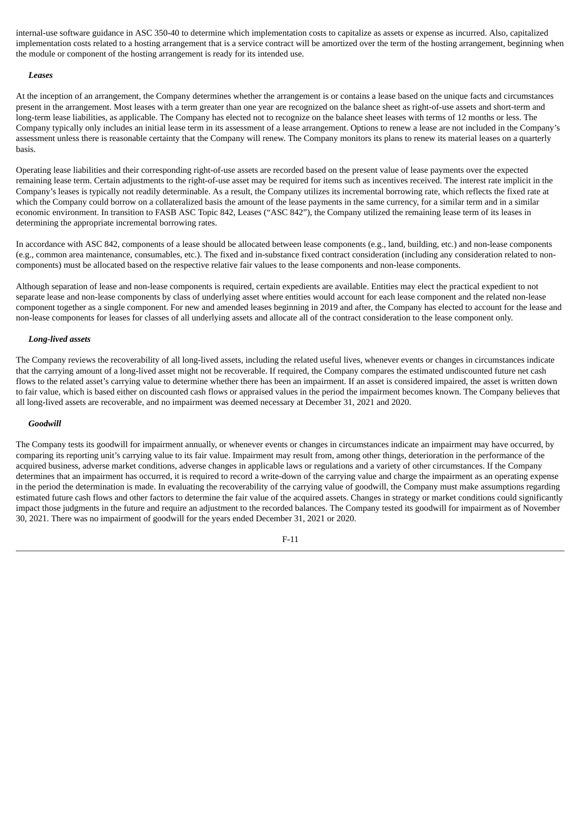internal-use software guidance in ASC 350-40 to determine which implementation costs to capitalize as assets or expense as incurred. Also, capitalized implementation costs related to a hosting arrangement that is a service contract will be amortized over the term of the hosting arrangement, beginning when the module or component of the hosting arrangement is ready for its intended use.

## *Leases*

At the inception of an arrangement, the Company determines whether the arrangement is or contains a lease based on the unique facts and circumstances present in the arrangement. Most leases with a term greater than one year are recognized on the balance sheet as right-of-use assets and short-term and long-term lease liabilities, as applicable. The Company has elected not to recognize on the balance sheet leases with terms of 12 months or less. The Company typically only includes an initial lease term in its assessment of a lease arrangement. Options to renew a lease are not included in the Company's assessment unless there is reasonable certainty that the Company will renew. The Company monitors its plans to renew its material leases on a quarterly basis.

Operating lease liabilities and their corresponding right-of-use assets are recorded based on the present value of lease payments over the expected remaining lease term. Certain adjustments to the right-of-use asset may be required for items such as incentives received. The interest rate implicit in the Company's leases is typically not readily determinable. As a result, the Company utilizes its incremental borrowing rate, which reflects the fixed rate at which the Company could borrow on a collateralized basis the amount of the lease payments in the same currency, for a similar term and in a similar economic environment. In transition to FASB ASC Topic 842, Leases ("ASC 842"), the Company utilized the remaining lease term of its leases in determining the appropriate incremental borrowing rates.

In accordance with ASC 842, components of a lease should be allocated between lease components (e.g., land, building, etc.) and non-lease components (e.g., common area maintenance, consumables, etc.). The fixed and in-substance fixed contract consideration (including any consideration related to noncomponents) must be allocated based on the respective relative fair values to the lease components and non-lease components.

Although separation of lease and non-lease components is required, certain expedients are available. Entities may elect the practical expedient to not separate lease and non-lease components by class of underlying asset where entities would account for each lease component and the related non-lease component together as a single component. For new and amended leases beginning in 2019 and after, the Company has elected to account for the lease and non-lease components for leases for classes of all underlying assets and allocate all of the contract consideration to the lease component only.

## *Long-lived assets*

The Company reviews the recoverability of all long-lived assets, including the related useful lives, whenever events or changes in circumstances indicate that the carrying amount of a long-lived asset might not be recoverable. If required, the Company compares the estimated undiscounted future net cash flows to the related asset's carrying value to determine whether there has been an impairment. If an asset is considered impaired, the asset is written down to fair value, which is based either on discounted cash flows or appraised values in the period the impairment becomes known. The Company believes that all long-lived assets are recoverable, and no impairment was deemed necessary at December 31, 2021 and 2020.

# *Goodwill*

The Company tests its goodwill for impairment annually, or whenever events or changes in circumstances indicate an impairment may have occurred, by comparing its reporting unit's carrying value to its fair value. Impairment may result from, among other things, deterioration in the performance of the acquired business, adverse market conditions, adverse changes in applicable laws or regulations and a variety of other circumstances. If the Company determines that an impairment has occurred, it is required to record a write-down of the carrying value and charge the impairment as an operating expense in the period the determination is made. In evaluating the recoverability of the carrying value of goodwill, the Company must make assumptions regarding estimated future cash flows and other factors to determine the fair value of the acquired assets. Changes in strategy or market conditions could significantly impact those judgments in the future and require an adjustment to the recorded balances. The Company tested its goodwill for impairment as of November 30, 2021. There was no impairment of goodwill for the years ended December 31, 2021 or 2020.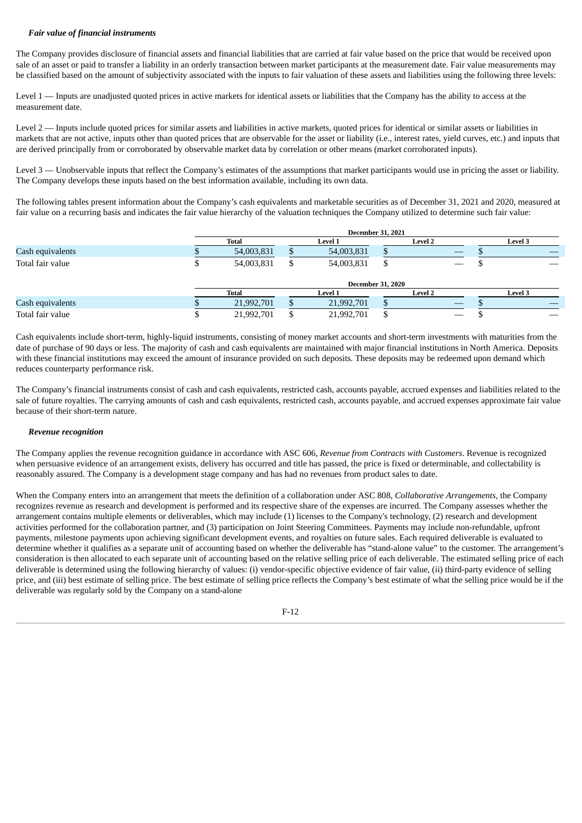# *Fair value of financial instruments*

The Company provides disclosure of financial assets and financial liabilities that are carried at fair value based on the price that would be received upon sale of an asset or paid to transfer a liability in an orderly transaction between market participants at the measurement date. Fair value measurements may be classified based on the amount of subjectivity associated with the inputs to fair valuation of these assets and liabilities using the following three levels:

Level 1 — Inputs are unadjusted quoted prices in active markets for identical assets or liabilities that the Company has the ability to access at the measurement date.

Level 2 — Inputs include quoted prices for similar assets and liabilities in active markets, quoted prices for identical or similar assets or liabilities in markets that are not active, inputs other than quoted prices that are observable for the asset or liability (i.e., interest rates, yield curves, etc.) and inputs that are derived principally from or corroborated by observable market data by correlation or other means (market corroborated inputs).

Level 3 — Unobservable inputs that reflect the Company's estimates of the assumptions that market participants would use in pricing the asset or liability. The Company develops these inputs based on the best information available, including its own data.

The following tables present information about the Company's cash equivalents and marketable securities as of December 31, 2021 and 2020, measured at fair value on a recurring basis and indicates the fair value hierarchy of the valuation techniques the Company utilized to determine such fair value:

|                  |              | <b>December 31, 2021</b> |                |  |         |  |
|------------------|--------------|--------------------------|----------------|--|---------|--|
|                  | <b>Total</b> | <b>Level 1</b>           | <b>Level 2</b> |  | Level 3 |  |
| Cash equivalents | 54,003,831   | 54,003,831               |                |  |         |  |
| Total fair value | 54,003,831   | 54,003,831               |                |  |         |  |
|                  |              | <b>December 31, 2020</b> |                |  |         |  |
|                  | <b>Total</b> | Level 1                  | <b>Level 2</b> |  | Level 3 |  |
| Cash equivalents | 21,992,701   | 21,992,701               |                |  |         |  |
| Total fair value | 21,992,701   | 21,992,701               |                |  |         |  |

Cash equivalents include short-term, highly-liquid instruments, consisting of money market accounts and short-term investments with maturities from the date of purchase of 90 days or less. The majority of cash and cash equivalents are maintained with major financial institutions in North America. Deposits with these financial institutions may exceed the amount of insurance provided on such deposits. These deposits may be redeemed upon demand which reduces counterparty performance risk.

The Company's financial instruments consist of cash and cash equivalents, restricted cash, accounts payable, accrued expenses and liabilities related to the sale of future royalties. The carrying amounts of cash and cash equivalents, restricted cash, accounts payable, and accrued expenses approximate fair value because of their short-term nature.

# *Revenue recognition*

The Company applies the revenue recognition guidance in accordance with ASC 606, *Revenue from Contracts with Customers*. Revenue is recognized when persuasive evidence of an arrangement exists, delivery has occurred and title has passed, the price is fixed or determinable, and collectability is reasonably assured. The Company is a development stage company and has had no revenues from product sales to date.

When the Company enters into an arrangement that meets the definition of a collaboration under ASC 808, *Collaborative Arrangements*, the Company recognizes revenue as research and development is performed and its respective share of the expenses are incurred. The Company assesses whether the arrangement contains multiple elements or deliverables, which may include (1) licenses to the Company's technology, (2) research and development activities performed for the collaboration partner, and (3) participation on Joint Steering Committees. Payments may include non-refundable, upfront payments, milestone payments upon achieving significant development events, and royalties on future sales. Each required deliverable is evaluated to determine whether it qualifies as a separate unit of accounting based on whether the deliverable has "stand-alone value" to the customer. The arrangement's consideration is then allocated to each separate unit of accounting based on the relative selling price of each deliverable. The estimated selling price of each deliverable is determined using the following hierarchy of values: (i) vendor-specific objective evidence of fair value, (ii) third-party evidence of selling price, and (iii) best estimate of selling price. The best estimate of selling price reflects the Company's best estimate of what the selling price would be if the deliverable was regularly sold by the Company on a stand-alone

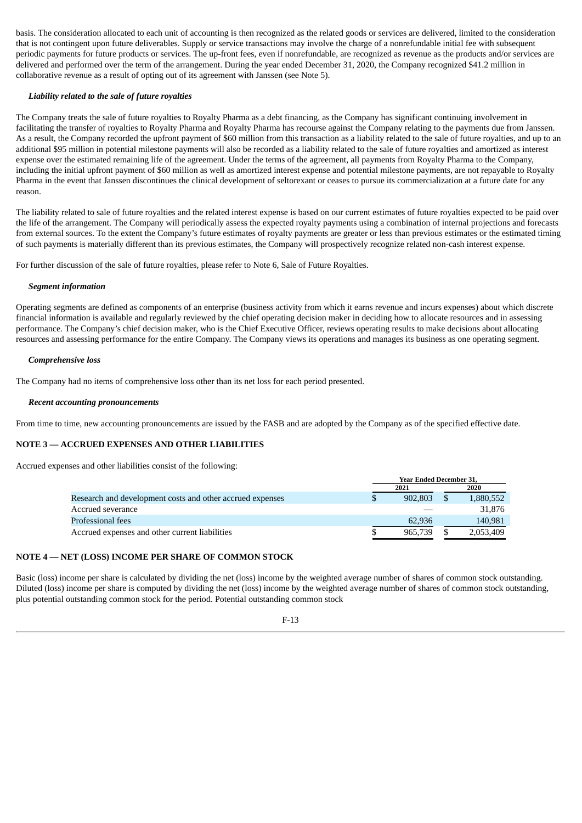basis. The consideration allocated to each unit of accounting is then recognized as the related goods or services are delivered, limited to the consideration that is not contingent upon future deliverables. Supply or service transactions may involve the charge of a nonrefundable initial fee with subsequent periodic payments for future products or services. The up-front fees, even if nonrefundable, are recognized as revenue as the products and/or services are delivered and performed over the term of the arrangement. During the year ended December 31, 2020, the Company recognized \$41.2 million in collaborative revenue as a result of opting out of its agreement with Janssen (see Note 5).

# *Liability related to the sale of future royalties*

The Company treats the sale of future royalties to Royalty Pharma as a debt financing, as the Company has significant continuing involvement in facilitating the transfer of royalties to Royalty Pharma and Royalty Pharma has recourse against the Company relating to the payments due from Janssen. As a result, the Company recorded the upfront payment of \$60 million from this transaction as a liability related to the sale of future royalties, and up to an additional \$95 million in potential milestone payments will also be recorded as a liability related to the sale of future royalties and amortized as interest expense over the estimated remaining life of the agreement. Under the terms of the agreement, all payments from Royalty Pharma to the Company, including the initial upfront payment of \$60 million as well as amortized interest expense and potential milestone payments, are not repayable to Royalty Pharma in the event that Janssen discontinues the clinical development of seltorexant or ceases to pursue its commercialization at a future date for any reason.

The liability related to sale of future royalties and the related interest expense is based on our current estimates of future royalties expected to be paid over the life of the arrangement. The Company will periodically assess the expected royalty payments using a combination of internal projections and forecasts from external sources. To the extent the Company's future estimates of royalty payments are greater or less than previous estimates or the estimated timing of such payments is materially different than its previous estimates, the Company will prospectively recognize related non-cash interest expense.

For further discussion of the sale of future royalties, please refer to Note 6, Sale of Future Royalties.

#### *Segment information*

Operating segments are defined as components of an enterprise (business activity from which it earns revenue and incurs expenses) about which discrete financial information is available and regularly reviewed by the chief operating decision maker in deciding how to allocate resources and in assessing performance. The Company's chief decision maker, who is the Chief Executive Officer, reviews operating results to make decisions about allocating resources and assessing performance for the entire Company. The Company views its operations and manages its business as one operating segment.

#### *Comprehensive loss*

The Company had no items of comprehensive loss other than its net loss for each period presented.

## *Recent accounting pronouncements*

From time to time, new accounting pronouncements are issued by the FASB and are adopted by the Company as of the specified effective date.

# **NOTE 3 — ACCRUED EXPENSES AND OTHER LIABILITIES**

Accrued expenses and other liabilities consist of the following:

|                                                           | <b>Year Ended December 31,</b> |  |           |  |
|-----------------------------------------------------------|--------------------------------|--|-----------|--|
|                                                           | 2021                           |  | 2020      |  |
| Research and development costs and other accrued expenses | 902.803                        |  | 1,880,552 |  |
| Accrued severance                                         |                                |  | 31,876    |  |
| Professional fees                                         | 62.936                         |  | 140.981   |  |
| Accrued expenses and other current liabilities            | 965,739                        |  | 2.053.409 |  |

# **NOTE 4 — NET (LOSS) INCOME PER SHARE OF COMMON STOCK**

Basic (loss) income per share is calculated by dividing the net (loss) income by the weighted average number of shares of common stock outstanding. Diluted (loss) income per share is computed by dividing the net (loss) income by the weighted average number of shares of common stock outstanding, plus potential outstanding common stock for the period. Potential outstanding common stock

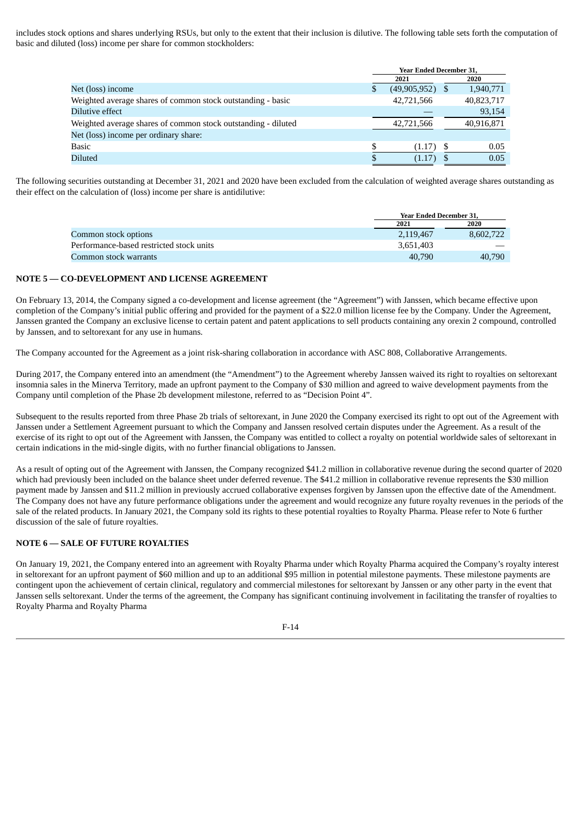includes stock options and shares underlying RSUs, but only to the extent that their inclusion is dilutive. The following table sets forth the computation of basic and diluted (loss) income per share for common stockholders:

|                                                               | <b>Year Ended December 31.</b> |                   |  |            |
|---------------------------------------------------------------|--------------------------------|-------------------|--|------------|
|                                                               |                                | 2021              |  | 2020       |
| Net (loss) income                                             | S.                             | $(49,905,952)$ \$ |  | 1,940,771  |
| Weighted average shares of common stock outstanding - basic   |                                | 42,721,566        |  | 40,823,717 |
| Dilutive effect                                               |                                |                   |  | 93,154     |
| Weighted average shares of common stock outstanding - diluted |                                | 42,721,566        |  | 40,916,871 |
| Net (loss) income per ordinary share:                         |                                |                   |  |            |
| Basic                                                         |                                | (1.17)            |  | 0.05       |
| <b>Diluted</b>                                                |                                |                   |  | 0.05       |

The following securities outstanding at December 31, 2021 and 2020 have been excluded from the calculation of weighted average shares outstanding as their effect on the calculation of (loss) income per share is antidilutive:

|                                          | <b>Year Ended December 31.</b> |           |  |
|------------------------------------------|--------------------------------|-----------|--|
|                                          | 2021                           | 2020      |  |
| Common stock options                     | 2,119,467                      | 8.602.722 |  |
| Performance-based restricted stock units | 3.651.403                      |           |  |
| Common stock warrants                    | 40,790                         | 40,790    |  |

## **NOTE 5 — CO-DEVELOPMENT AND LICENSE AGREEMENT**

On February 13, 2014, the Company signed a co-development and license agreement (the "Agreement") with Janssen, which became effective upon completion of the Company's initial public offering and provided for the payment of a \$22.0 million license fee by the Company. Under the Agreement, Janssen granted the Company an exclusive license to certain patent and patent applications to sell products containing any orexin 2 compound, controlled by Janssen, and to seltorexant for any use in humans.

The Company accounted for the Agreement as a joint risk-sharing collaboration in accordance with ASC 808, Collaborative Arrangements.

During 2017, the Company entered into an amendment (the "Amendment") to the Agreement whereby Janssen waived its right to royalties on seltorexant insomnia sales in the Minerva Territory, made an upfront payment to the Company of \$30 million and agreed to waive development payments from the Company until completion of the Phase 2b development milestone, referred to as "Decision Point 4".

Subsequent to the results reported from three Phase 2b trials of seltorexant, in June 2020 the Company exercised its right to opt out of the Agreement with Janssen under a Settlement Agreement pursuant to which the Company and Janssen resolved certain disputes under the Agreement. As a result of the exercise of its right to opt out of the Agreement with Janssen, the Company was entitled to collect a royalty on potential worldwide sales of seltorexant in certain indications in the mid-single digits, with no further financial obligations to Janssen.

As a result of opting out of the Agreement with Janssen, the Company recognized \$41.2 million in collaborative revenue during the second quarter of 2020 which had previously been included on the balance sheet under deferred revenue. The \$41.2 million in collaborative revenue represents the \$30 million payment made by Janssen and \$11.2 million in previously accrued collaborative expenses forgiven by Janssen upon the effective date of the Amendment. The Company does not have any future performance obligations under the agreement and would recognize any future royalty revenues in the periods of the sale of the related products. In January 2021, the Company sold its rights to these potential royalties to Royalty Pharma. Please refer to Note 6 further discussion of the sale of future royalties.

# **NOTE 6 — SALE OF FUTURE ROYALTIES**

On January 19, 2021, the Company entered into an agreement with Royalty Pharma under which Royalty Pharma acquired the Company's royalty interest in seltorexant for an upfront payment of \$60 million and up to an additional \$95 million in potential milestone payments. These milestone payments are contingent upon the achievement of certain clinical, regulatory and commercial milestones for seltorexant by Janssen or any other party in the event that Janssen sells seltorexant. Under the terms of the agreement, the Company has significant continuing involvement in facilitating the transfer of royalties to Royalty Pharma and Royalty Pharma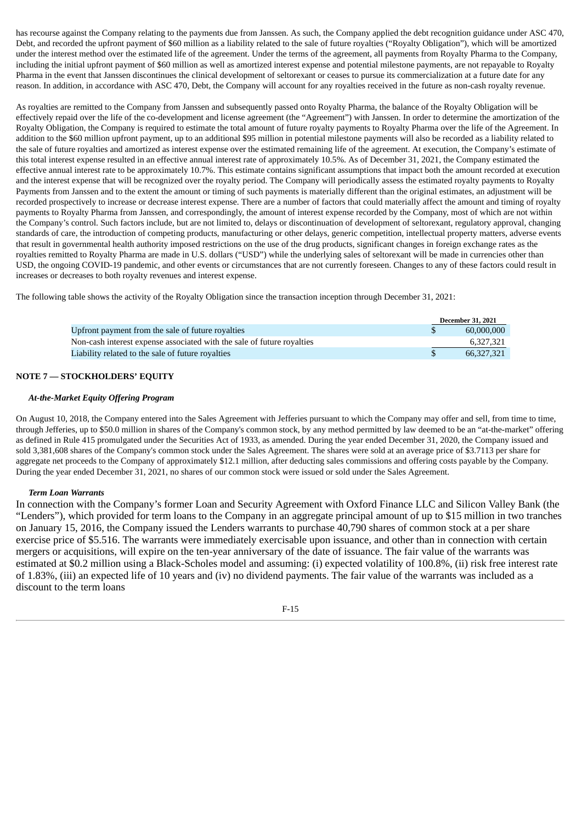has recourse against the Company relating to the payments due from Janssen. As such, the Company applied the debt recognition guidance under ASC 470, Debt, and recorded the upfront payment of \$60 million as a liability related to the sale of future royalties ("Royalty Obligation"), which will be amortized under the interest method over the estimated life of the agreement. Under the terms of the agreement, all payments from Royalty Pharma to the Company, including the initial upfront payment of \$60 million as well as amortized interest expense and potential milestone payments, are not repayable to Royalty Pharma in the event that Janssen discontinues the clinical development of seltorexant or ceases to pursue its commercialization at a future date for any reason. In addition, in accordance with ASC 470, Debt, the Company will account for any royalties received in the future as non-cash royalty revenue.

As royalties are remitted to the Company from Janssen and subsequently passed onto Royalty Pharma, the balance of the Royalty Obligation will be effectively repaid over the life of the co-development and license agreement (the "Agreement") with Janssen. In order to determine the amortization of the Royalty Obligation, the Company is required to estimate the total amount of future royalty payments to Royalty Pharma over the life of the Agreement. In addition to the \$60 million upfront payment, up to an additional \$95 million in potential milestone payments will also be recorded as a liability related to the sale of future royalties and amortized as interest expense over the estimated remaining life of the agreement. At execution, the Company's estimate of this total interest expense resulted in an effective annual interest rate of approximately 10.5%. As of December 31, 2021, the Company estimated the effective annual interest rate to be approximately 10.7%. This estimate contains significant assumptions that impact both the amount recorded at execution and the interest expense that will be recognized over the royalty period. The Company will periodically assess the estimated royalty payments to Royalty Payments from Janssen and to the extent the amount or timing of such payments is materially different than the original estimates, an adjustment will be recorded prospectively to increase or decrease interest expense. There are a number of factors that could materially affect the amount and timing of royalty payments to Royalty Pharma from Janssen, and correspondingly, the amount of interest expense recorded by the Company, most of which are not within the Company's control. Such factors include, but are not limited to, delays or discontinuation of development of seltorexant, regulatory approval, changing standards of care, the introduction of competing products, manufacturing or other delays, generic competition, intellectual property matters, adverse events that result in governmental health authority imposed restrictions on the use of the drug products, significant changes in foreign exchange rates as the royalties remitted to Royalty Pharma are made in U.S. dollars ("USD") while the underlying sales of seltorexant will be made in currencies other than USD, the ongoing COVID-19 pandemic, and other events or circumstances that are not currently foreseen. Changes to any of these factors could result in increases or decreases to both royalty revenues and interest expense.

The following table shows the activity of the Royalty Obligation since the transaction inception through December 31, 2021:

|                                                                        | <b>December 31, 2021</b> |            |
|------------------------------------------------------------------------|--------------------------|------------|
| Upfront payment from the sale of future royalties                      |                          | 60,000,000 |
| Non-cash interest expense associated with the sale of future royalties |                          | 6.327.321  |
| Liability related to the sale of future royalties                      |                          | 66.327.321 |

# **NOTE 7 — STOCKHOLDERS' EQUITY**

# *At-the-Market Equity Offering Program*

On August 10, 2018, the Company entered into the Sales Agreement with Jefferies pursuant to which the Company may offer and sell, from time to time, through Jefferies, up to \$50.0 million in shares of the Company's common stock, by any method permitted by law deemed to be an "at-the-market" offering as defined in Rule 415 promulgated under the Securities Act of 1933, as amended. During the year ended December 31, 2020, the Company issued and sold 3,381,608 shares of the Company's common stock under the Sales Agreement. The shares were sold at an average price of \$3.7113 per share for aggregate net proceeds to the Company of approximately \$12.1 million, after deducting sales commissions and offering costs payable by the Company. During the year ended December 31, 2021, no shares of our common stock were issued or sold under the Sales Agreement.

# *Term Loan Warrants*

In connection with the Company's former Loan and Security Agreement with Oxford Finance LLC and Silicon Valley Bank (the "Lenders"), which provided for term loans to the Company in an aggregate principal amount of up to \$15 million in two tranches on January 15, 2016, the Company issued the Lenders warrants to purchase 40,790 shares of common stock at a per share exercise price of \$5.516. The warrants were immediately exercisable upon issuance, and other than in connection with certain mergers or acquisitions, will expire on the ten-year anniversary of the date of issuance. The fair value of the warrants was estimated at \$0.2 million using a Black-Scholes model and assuming: (i) expected volatility of 100.8%, (ii) risk free interest rate of 1.83%, (iii) an expected life of 10 years and (iv) no dividend payments. The fair value of the warrants was included as a discount to the term loans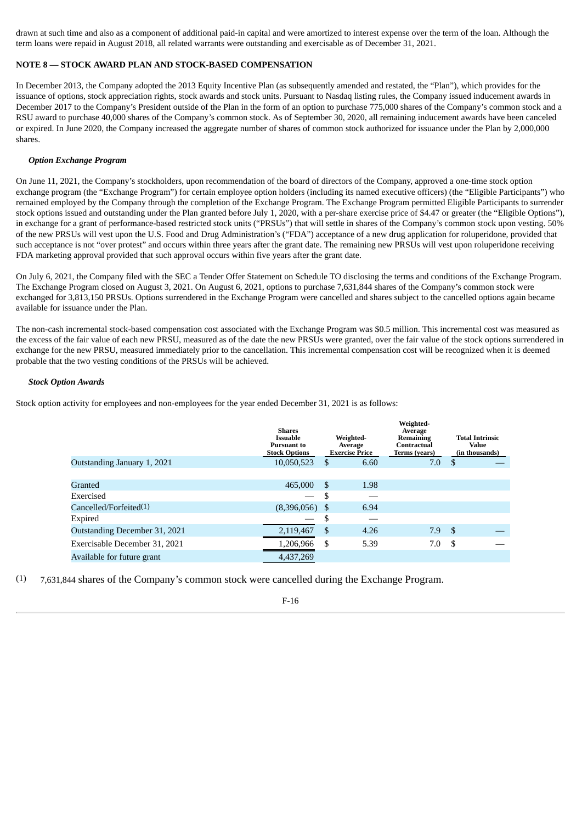drawn at such time and also as a component of additional paid-in capital and were amortized to interest expense over the term of the loan. Although the term loans were repaid in August 2018, all related warrants were outstanding and exercisable as of December 31, 2021.

# **NOTE 8 — STOCK AWARD PLAN AND STOCK-BASED COMPENSATION**

In December 2013, the Company adopted the 2013 Equity Incentive Plan (as subsequently amended and restated, the "Plan"), which provides for the issuance of options, stock appreciation rights, stock awards and stock units. Pursuant to Nasdaq listing rules, the Company issued inducement awards in December 2017 to the Company's President outside of the Plan in the form of an option to purchase 775,000 shares of the Company's common stock and a RSU award to purchase 40,000 shares of the Company's common stock. As of September 30, 2020, all remaining inducement awards have been canceled or expired. In June 2020, the Company increased the aggregate number of shares of common stock authorized for issuance under the Plan by 2,000,000 shares.

## *Option Exchange Program*

On June 11, 2021, the Company's stockholders, upon recommendation of the board of directors of the Company, approved a one-time stock option exchange program (the "Exchange Program") for certain employee option holders (including its named executive officers) (the "Eligible Participants") who remained employed by the Company through the completion of the Exchange Program. The Exchange Program permitted Eligible Participants to surrender stock options issued and outstanding under the Plan granted before July 1, 2020, with a per-share exercise price of \$4.47 or greater (the "Eligible Options"), in exchange for a grant of performance-based restricted stock units ("PRSUs") that will settle in shares of the Company's common stock upon vesting. 50% of the new PRSUs will vest upon the U.S. Food and Drug Administration's ("FDA") acceptance of a new drug application for roluperidone, provided that such acceptance is not "over protest" and occurs within three years after the grant date. The remaining new PRSUs will vest upon roluperidone receiving FDA marketing approval provided that such approval occurs within five years after the grant date.

On July 6, 2021, the Company filed with the SEC a Tender Offer Statement on Schedule TO disclosing the terms and conditions of the Exchange Program. The Exchange Program closed on August 3, 2021. On August 6, 2021, options to purchase 7,631,844 shares of the Company's common stock were exchanged for 3,813,150 PRSUs. Options surrendered in the Exchange Program were cancelled and shares subject to the cancelled options again became available for issuance under the Plan.

The non-cash incremental stock-based compensation cost associated with the Exchange Program was \$0.5 million. This incremental cost was measured as the excess of the fair value of each new PRSU, measured as of the date the new PRSUs were granted, over the fair value of the stock options surrendered in exchange for the new PRSU, measured immediately prior to the cancellation. This incremental compensation cost will be recognized when it is deemed probable that the two vesting conditions of the PRSUs will be achieved.

## *Stock Option Awards*

Stock option activity for employees and non-employees for the year ended December 31, 2021 is as follows:

|                                    | <b>Shares</b><br>Issuable<br>Pursuant to<br><b>Stock Options</b> |      | Weighted-<br>Average<br><b>Exercise Price</b> | Weighted-<br>Average<br>Remaining<br>Contractual<br>Terms (years) |      | <b>Total Intrinsic</b><br>Value<br>(in thousands) |
|------------------------------------|------------------------------------------------------------------|------|-----------------------------------------------|-------------------------------------------------------------------|------|---------------------------------------------------|
| Outstanding January 1, 2021        | 10,050,523                                                       | S    | 6.60                                          | 7.0                                                               | \$   |                                                   |
| <b>Granted</b>                     | 465,000                                                          | -S   | 1.98                                          |                                                                   |      |                                                   |
| Exercised                          |                                                                  | \$   |                                               |                                                                   |      |                                                   |
| Cancelled/Forfeited <sup>(1)</sup> | (8,396,056)                                                      | - \$ | 6.94                                          |                                                                   |      |                                                   |
| Expired                            |                                                                  | \$   |                                               |                                                                   |      |                                                   |
| Outstanding December 31, 2021      | 2,119,467                                                        | \$   | 4.26                                          | 7.9                                                               | - \$ |                                                   |
| Exercisable December 31, 2021      | 1,206,966                                                        | \$   | 5.39                                          | 7.0                                                               | \$   |                                                   |
| Available for future grant         | 4,437,269                                                        |      |                                               |                                                                   |      |                                                   |
|                                    |                                                                  |      |                                               |                                                                   |      |                                                   |

(1) 7,631,844 shares of the Company's common stock were cancelled during the Exchange Program.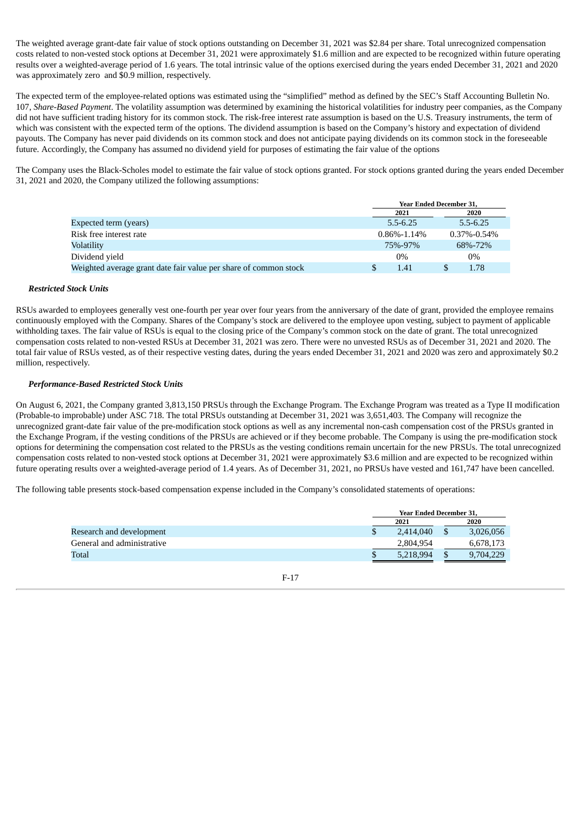The weighted average grant-date fair value of stock options outstanding on December 31, 2021 was \$2.84 per share. Total unrecognized compensation costs related to non-vested stock options at December 31, 2021 were approximately \$1.6 million and are expected to be recognized within future operating results over a weighted-average period of 1.6 years. The total intrinsic value of the options exercised during the years ended December 31, 2021 and 2020 was approximately zero and \$0.9 million, respectively.

The expected term of the employee-related options was estimated using the "simplified" method as defined by the SEC's Staff Accounting Bulletin No. 107, *Share-Based Payment*. The volatility assumption was determined by examining the historical volatilities for industry peer companies, as the Company did not have sufficient trading history for its common stock. The risk-free interest rate assumption is based on the U.S. Treasury instruments, the term of which was consistent with the expected term of the options. The dividend assumption is based on the Company's history and expectation of dividend payouts. The Company has never paid dividends on its common stock and does not anticipate paying dividends on its common stock in the foreseeable future. Accordingly, the Company has assumed no dividend yield for purposes of estimating the fair value of the options

The Company uses the Black-Scholes model to estimate the fair value of stock options granted. For stock options granted during the years ended December 31, 2021 and 2020, the Company utilized the following assumptions:

|                                                                  | <b>Year Ended December 31.</b> |  |              |  |  |
|------------------------------------------------------------------|--------------------------------|--|--------------|--|--|
|                                                                  | 2021                           |  | 2020         |  |  |
| Expected term (years)                                            | $5.5 - 6.25$                   |  | $5.5 - 6.25$ |  |  |
| Risk free interest rate                                          | $0.86\% - 1.14\%$              |  | 0.37%-0.54%  |  |  |
| Volatility                                                       | 75%-97%                        |  | 68%-72%      |  |  |
| Dividend vield                                                   | $0\%$                          |  | 0%           |  |  |
| Weighted average grant date fair value per share of common stock | 1.41                           |  | 1.78         |  |  |

## *Restricted Stock Units*

RSUs awarded to employees generally vest one-fourth per year over four years from the anniversary of the date of grant, provided the employee remains continuously employed with the Company. Shares of the Company's stock are delivered to the employee upon vesting, subject to payment of applicable withholding taxes. The fair value of RSUs is equal to the closing price of the Company's common stock on the date of grant. The total unrecognized compensation costs related to non-vested RSUs at December 31, 2021 was zero. There were no unvested RSUs as of December 31, 2021 and 2020. The total fair value of RSUs vested, as of their respective vesting dates, during the years ended December 31, 2021 and 2020 was zero and approximately \$0.2 million, respectively.

## *Performance-Based Restricted Stock Units*

On August 6, 2021, the Company granted 3,813,150 PRSUs through the Exchange Program. The Exchange Program was treated as a Type II modification (Probable-to improbable) under ASC 718. The total PRSUs outstanding at December 31, 2021 was 3,651,403. The Company will recognize the unrecognized grant-date fair value of the pre-modification stock options as well as any incremental non-cash compensation cost of the PRSUs granted in the Exchange Program, if the vesting conditions of the PRSUs are achieved or if they become probable. The Company is using the pre-modification stock options for determining the compensation cost related to the PRSUs as the vesting conditions remain uncertain for the new PRSUs. The total unrecognized compensation costs related to non-vested stock options at December 31, 2021 were approximately \$3.6 million and are expected to be recognized within future operating results over a weighted-average period of 1.4 years. As of December 31, 2021, no PRSUs have vested and 161,747 have been cancelled.

The following table presents stock-based compensation expense included in the Company's consolidated statements of operations:

|                            | <b>Year Ended December 31.</b> |      |           |  |
|----------------------------|--------------------------------|------|-----------|--|
|                            | 2021                           | 2020 |           |  |
| Research and development   | 2.414.040                      |      | 3,026,056 |  |
| General and administrative | 2,804,954                      |      | 6,678,173 |  |
| Total                      | 5.218.994                      |      | 9,704,229 |  |
|                            |                                |      |           |  |

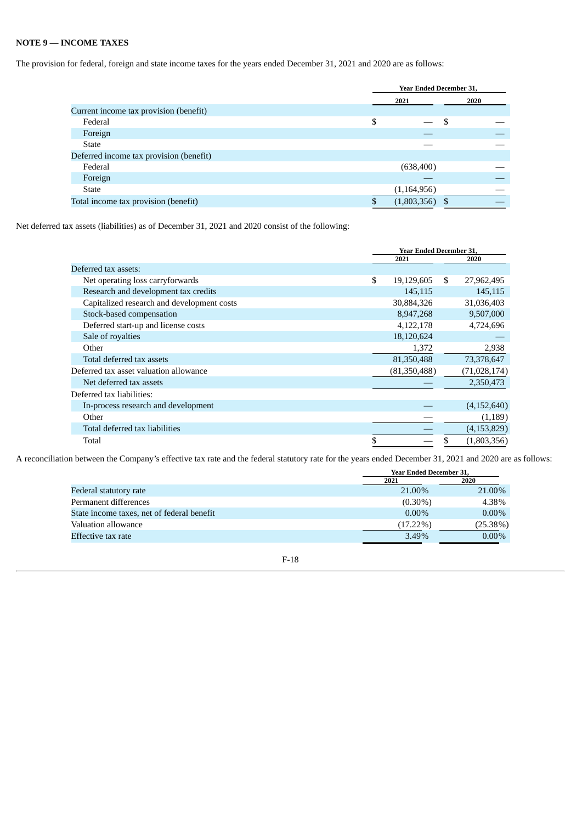# **NOTE 9 — INCOME TAXES**

The provision for federal, foreign and state income taxes for the years ended December 31, 2021 and 2020 are as follows:

|                                         |   | <b>Year Ended December 31,</b> |      |  |  |
|-----------------------------------------|---|--------------------------------|------|--|--|
|                                         |   | 2021                           | 2020 |  |  |
| Current income tax provision (benefit)  |   |                                |      |  |  |
| Federal                                 | S |                                | S    |  |  |
| Foreign                                 |   |                                |      |  |  |
| <b>State</b>                            |   |                                |      |  |  |
| Deferred income tax provision (benefit) |   |                                |      |  |  |
| Federal                                 |   | (638, 400)                     |      |  |  |
| Foreign                                 |   |                                |      |  |  |
| <b>State</b>                            |   | (1,164,956)                    |      |  |  |
| Total income tax provision (benefit)    |   | (1,803,356)                    |      |  |  |

Net deferred tax assets (liabilities) as of December 31, 2021 and 2020 consist of the following:

|                                            | <b>Year Ended December 31,</b> |              |    |               |
|--------------------------------------------|--------------------------------|--------------|----|---------------|
|                                            |                                | 2021         |    | 2020          |
| Deferred tax assets:                       |                                |              |    |               |
| Net operating loss carryforwards           | \$                             | 19,129,605   | \$ | 27,962,495    |
| Research and development tax credits       |                                | 145,115      |    | 145,115       |
| Capitalized research and development costs |                                | 30,884,326   |    | 31,036,403    |
| Stock-based compensation                   |                                | 8,947,268    |    | 9,507,000     |
| Deferred start-up and license costs        |                                | 4,122,178    |    | 4,724,696     |
| Sale of royalties                          |                                | 18,120,624   |    |               |
| Other                                      |                                | 1,372        |    | 2,938         |
| Total deferred tax assets                  |                                | 81,350,488   |    | 73,378,647    |
| Deferred tax asset valuation allowance     |                                | (81,350,488) |    | (71,028,174)  |
| Net deferred tax assets                    |                                |              |    | 2,350,473     |
| Deferred tax liabilities:                  |                                |              |    |               |
| In-process research and development        |                                |              |    | (4, 152, 640) |
| Other                                      |                                |              |    | (1,189)       |
| Total deferred tax liabilities             |                                |              |    | (4, 153, 829) |
| Total                                      | \$                             |              |    | (1,803,356)   |
|                                            |                                |              |    |               |

A reconciliation between the Company's effective tax rate and the federal statutory rate for the years ended December 31, 2021 and 2020 are as follows:

|                                            | <b>Year Ended December 31.</b> |             |  |  |
|--------------------------------------------|--------------------------------|-------------|--|--|
|                                            | 2021                           | 2020        |  |  |
| Federal statutory rate                     | 21.00%                         | 21.00%      |  |  |
| Permanent differences                      | $(0.30\%)$                     | 4.38%       |  |  |
| State income taxes, net of federal benefit | $0.00\%$                       | $0.00\%$    |  |  |
| Valuation allowance                        | $(17.22\%)$                    | $(25.38\%)$ |  |  |
| Effective tax rate                         | 3.49%                          | $0.00\%$    |  |  |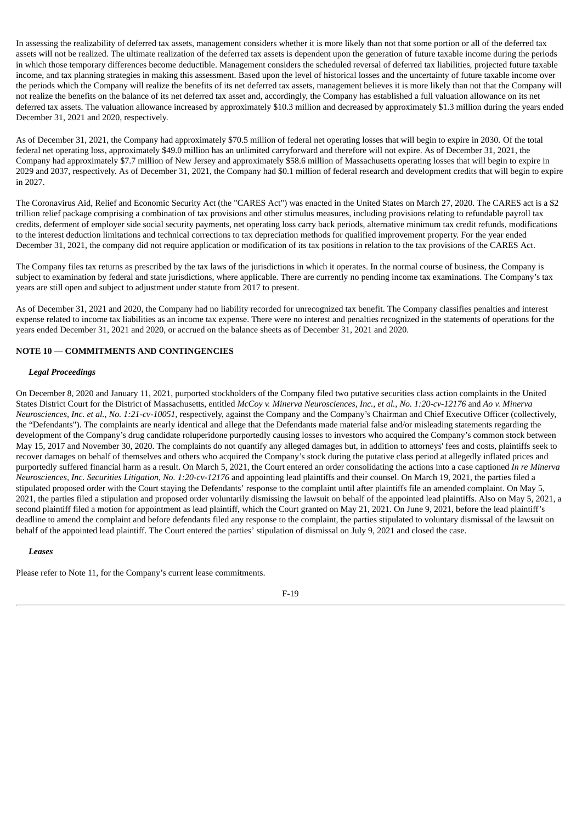In assessing the realizability of deferred tax assets, management considers whether it is more likely than not that some portion or all of the deferred tax assets will not be realized. The ultimate realization of the deferred tax assets is dependent upon the generation of future taxable income during the periods in which those temporary differences become deductible. Management considers the scheduled reversal of deferred tax liabilities, projected future taxable income, and tax planning strategies in making this assessment. Based upon the level of historical losses and the uncertainty of future taxable income over the periods which the Company will realize the benefits of its net deferred tax assets, management believes it is more likely than not that the Company will not realize the benefits on the balance of its net deferred tax asset and, accordingly, the Company has established a full valuation allowance on its net deferred tax assets. The valuation allowance increased by approximately \$10.3 million and decreased by approximately \$1.3 million during the years ended December 31, 2021 and 2020, respectively.

As of December 31, 2021, the Company had approximately \$70.5 million of federal net operating losses that will begin to expire in 2030. Of the total federal net operating loss, approximately \$49.0 million has an unlimited carryforward and therefore will not expire. As of December 31, 2021, the Company had approximately \$7.7 million of New Jersey and approximately \$58.6 million of Massachusetts operating losses that will begin to expire in 2029 and 2037, respectively. As of December 31, 2021, the Company had \$0.1 million of federal research and development credits that will begin to expire in 2027.

The Coronavirus Aid, Relief and Economic Security Act (the "CARES Act") was enacted in the United States on March 27, 2020. The CARES act is a \$2 trillion relief package comprising a combination of tax provisions and other stimulus measures, including provisions relating to refundable payroll tax credits, deferment of employer side social security payments, net operating loss carry back periods, alternative minimum tax credit refunds, modifications to the interest deduction limitations and technical corrections to tax depreciation methods for qualified improvement property. For the year ended December 31, 2021, the company did not require application or modification of its tax positions in relation to the tax provisions of the CARES Act.

The Company files tax returns as prescribed by the tax laws of the jurisdictions in which it operates. In the normal course of business, the Company is subject to examination by federal and state jurisdictions, where applicable. There are currently no pending income tax examinations. The Company's tax years are still open and subject to adjustment under statute from 2017 to present.

As of December 31, 2021 and 2020, the Company had no liability recorded for unrecognized tax benefit. The Company classifies penalties and interest expense related to income tax liabilities as an income tax expense. There were no interest and penalties recognized in the statements of operations for the years ended December 31, 2021 and 2020, or accrued on the balance sheets as of December 31, 2021 and 2020.

# **NOTE 10 — COMMITMENTS AND CONTINGENCIES**

#### *Legal Proceedings*

On December 8, 2020 and January 11, 2021, purported stockholders of the Company filed two putative securities class action complaints in the United States District Court for the District of Massachusetts, entitled McCoy v. Minerva Neurosciences, Inc., et al., No. 1:20-cv-12176 and Ao v. Minerva *Neurosciences, Inc. et al., No. 1:21-cv-10051*, respectively, against the Company and the Company's Chairman and Chief Executive Officer (collectively, the "Defendants"). The complaints are nearly identical and allege that the Defendants made material false and/or misleading statements regarding the development of the Company's drug candidate roluperidone purportedly causing losses to investors who acquired the Company's common stock between May 15, 2017 and November 30, 2020. The complaints do not quantify any alleged damages but, in addition to attorneys' fees and costs, plaintiffs seek to recover damages on behalf of themselves and others who acquired the Company's stock during the putative class period at allegedly inflated prices and purportedly suffered financial harm as a result. On March 5, 2021, the Court entered an order consolidating the actions into a case captioned *In re Minerva Neurosciences, Inc. Securities Litigation, No. 1:20-cv-12176* and appointing lead plaintiffs and their counsel. On March 19, 2021, the parties filed a stipulated proposed order with the Court staying the Defendants' response to the complaint until after plaintiffs file an amended complaint. On May 5, 2021, the parties filed a stipulation and proposed order voluntarily dismissing the lawsuit on behalf of the appointed lead plaintiffs. Also on May 5, 2021, a second plaintiff filed a motion for appointment as lead plaintiff, which the Court granted on May 21, 2021. On June 9, 2021, before the lead plaintiff's deadline to amend the complaint and before defendants filed any response to the complaint, the parties stipulated to voluntary dismissal of the lawsuit on behalf of the appointed lead plaintiff. The Court entered the parties' stipulation of dismissal on July 9, 2021 and closed the case.

# *Leases*

Please refer to Note 11, for the Company's current lease commitments.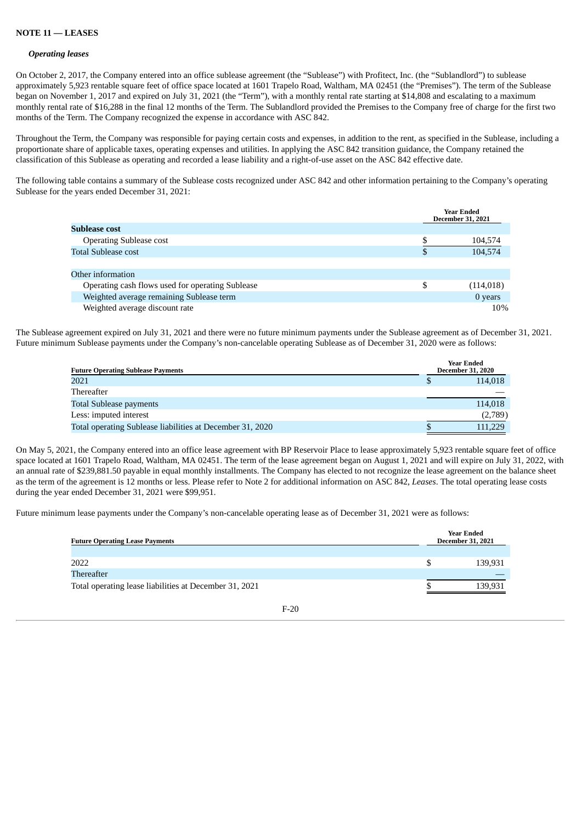# **NOTE 11 — LEASES**

## *Operating leases*

On October 2, 2017, the Company entered into an office sublease agreement (the "Sublease") with Profitect, Inc. (the "Sublandlord") to sublease approximately 5,923 rentable square feet of office space located at 1601 Trapelo Road, Waltham, MA 02451 (the "Premises"). The term of the Sublease began on November 1, 2017 and expired on July 31, 2021 (the "Term"), with a monthly rental rate starting at \$14,808 and escalating to a maximum monthly rental rate of \$16,288 in the final 12 months of the Term. The Sublandlord provided the Premises to the Company free of charge for the first two months of the Term. The Company recognized the expense in accordance with ASC 842.

Throughout the Term, the Company was responsible for paying certain costs and expenses, in addition to the rent, as specified in the Sublease, including a proportionate share of applicable taxes, operating expenses and utilities. In applying the ASC 842 transition guidance, the Company retained the classification of this Sublease as operating and recorded a lease liability and a right-of-use asset on the ASC 842 effective date.

The following table contains a summary of the Sublease costs recognized under ASC 842 and other information pertaining to the Company's operating Sublease for the years ended December 31, 2021:

|                                                  |    | <b>Year Ended</b><br><b>December 31, 2021</b> |
|--------------------------------------------------|----|-----------------------------------------------|
| Sublease cost                                    |    |                                               |
| <b>Operating Sublease cost</b>                   |    | 104,574                                       |
| <b>Total Sublease cost</b>                       | S  | 104,574                                       |
|                                                  |    |                                               |
| Other information                                |    |                                               |
| Operating cash flows used for operating Sublease | \$ | (114, 018)                                    |
| Weighted average remaining Sublease term         |    | 0 years                                       |
| Weighted average discount rate                   |    | 10%                                           |

The Sublease agreement expired on July 31, 2021 and there were no future minimum payments under the Sublease agreement as of December 31, 2021. Future minimum Sublease payments under the Company's non-cancelable operating Sublease as of December 31, 2020 were as follows:

| <b>Future Operating Sublease Payments</b>                 | <b>Year Ended</b><br><b>December 31, 2020</b> |
|-----------------------------------------------------------|-----------------------------------------------|
| 2021                                                      | 114.018                                       |
| Thereafter                                                |                                               |
| <b>Total Sublease payments</b>                            | 114,018                                       |
| Less: imputed interest                                    | (2,789)                                       |
| Total operating Sublease liabilities at December 31, 2020 | 111.229                                       |

On May 5, 2021, the Company entered into an office lease agreement with BP Reservoir Place to lease approximately 5,923 rentable square feet of office space located at 1601 Trapelo Road, Waltham, MA 02451. The term of the lease agreement began on August 1, 2021 and will expire on July 31, 2022, with an annual rate of \$239,881.50 payable in equal monthly installments. The Company has elected to not recognize the lease agreement on the balance sheet as the term of the agreement is 12 months or less. Please refer to Note 2 for additional information on ASC 842, *Leases*. The total operating lease costs during the year ended December 31, 2021 were \$99,951.

Future minimum lease payments under the Company's non-cancelable operating lease as of December 31, 2021 were as follows:

| <b>Future Operating Lease Payments</b>                 | Year Ended<br><b>December 31, 2021</b> |
|--------------------------------------------------------|----------------------------------------|
| 2022                                                   | 139.931                                |
| <b>Thereafter</b>                                      |                                        |
| Total operating lease liabilities at December 31, 2021 | 139.931                                |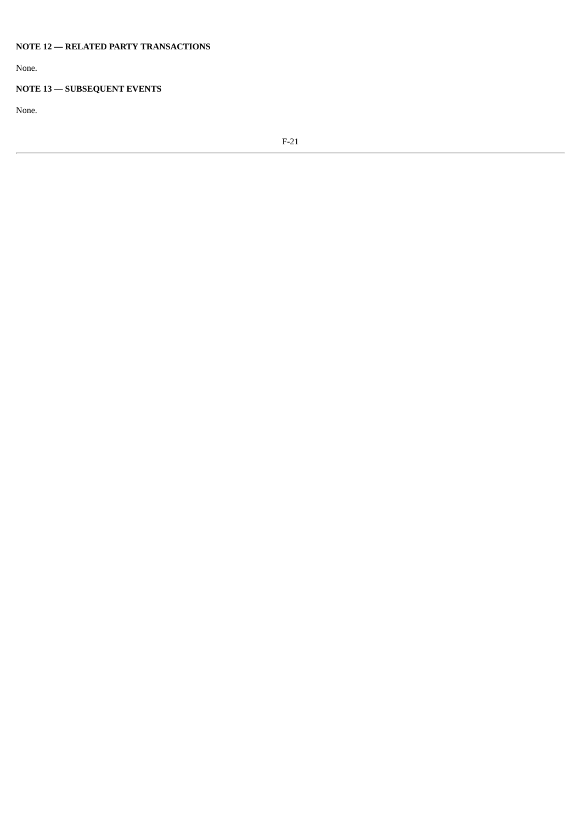# **NOTE 12 — RELATED PARTY TRANSACTIONS**

None.

# **NOTE 13 — SUBSEQUENT EVENTS**

None.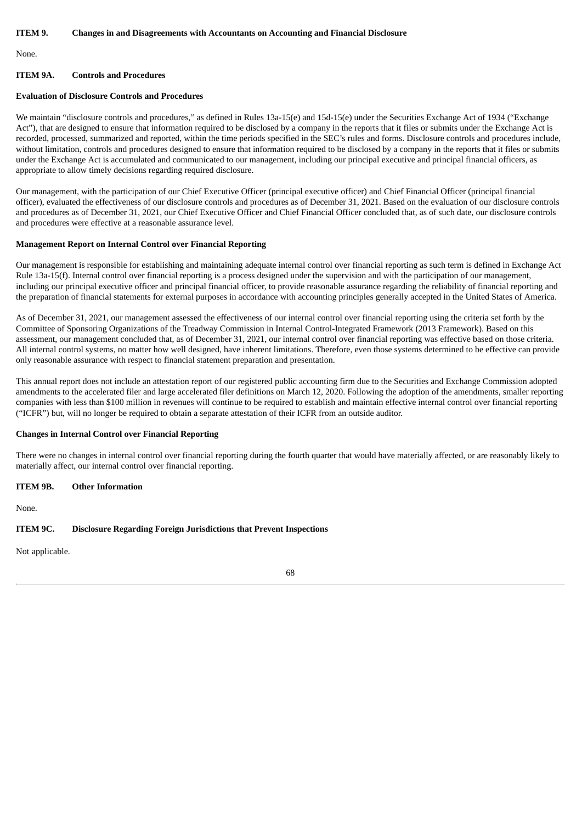None.

## **ITEM 9A. Controls and Procedures**

## **Evaluation of Disclosure Controls and Procedures**

We maintain "disclosure controls and procedures," as defined in Rules 13a-15(e) and 15d-15(e) under the Securities Exchange Act of 1934 ("Exchange Act"), that are designed to ensure that information required to be disclosed by a company in the reports that it files or submits under the Exchange Act is recorded, processed, summarized and reported, within the time periods specified in the SEC's rules and forms. Disclosure controls and procedures include, without limitation, controls and procedures designed to ensure that information required to be disclosed by a company in the reports that it files or submits under the Exchange Act is accumulated and communicated to our management, including our principal executive and principal financial officers, as appropriate to allow timely decisions regarding required disclosure.

Our management, with the participation of our Chief Executive Officer (principal executive officer) and Chief Financial Officer (principal financial officer), evaluated the effectiveness of our disclosure controls and procedures as of December 31, 2021. Based on the evaluation of our disclosure controls and procedures as of December 31, 2021, our Chief Executive Officer and Chief Financial Officer concluded that, as of such date, our disclosure controls and procedures were effective at a reasonable assurance level.

## **Management Report on Internal Control over Financial Reporting**

Our management is responsible for establishing and maintaining adequate internal control over financial reporting as such term is defined in Exchange Act Rule 13a-15(f). Internal control over financial reporting is a process designed under the supervision and with the participation of our management, including our principal executive officer and principal financial officer, to provide reasonable assurance regarding the reliability of financial reporting and the preparation of financial statements for external purposes in accordance with accounting principles generally accepted in the United States of America.

As of December 31, 2021, our management assessed the effectiveness of our internal control over financial reporting using the criteria set forth by the Committee of Sponsoring Organizations of the Treadway Commission in Internal Control-Integrated Framework (2013 Framework). Based on this assessment, our management concluded that, as of December 31, 2021, our internal control over financial reporting was effective based on those criteria. All internal control systems, no matter how well designed, have inherent limitations. Therefore, even those systems determined to be effective can provide only reasonable assurance with respect to financial statement preparation and presentation.

This annual report does not include an attestation report of our registered public accounting firm due to the Securities and Exchange Commission adopted amendments to the accelerated filer and large accelerated filer definitions on March 12, 2020. Following the adoption of the amendments, smaller reporting companies with less than \$100 million in revenues will continue to be required to establish and maintain effective internal control over financial reporting ("ICFR") but, will no longer be required to obtain a separate attestation of their ICFR from an outside auditor.

## **Changes in Internal Control over Financial Reporting**

There were no changes in internal control over financial reporting during the fourth quarter that would have materially affected, or are reasonably likely to materially affect, our internal control over financial reporting.

## **ITEM 9B. Other Information**

None.

# **ITEM 9C. Disclosure Regarding Foreign Jurisdictions that Prevent Inspections**

Not applicable.

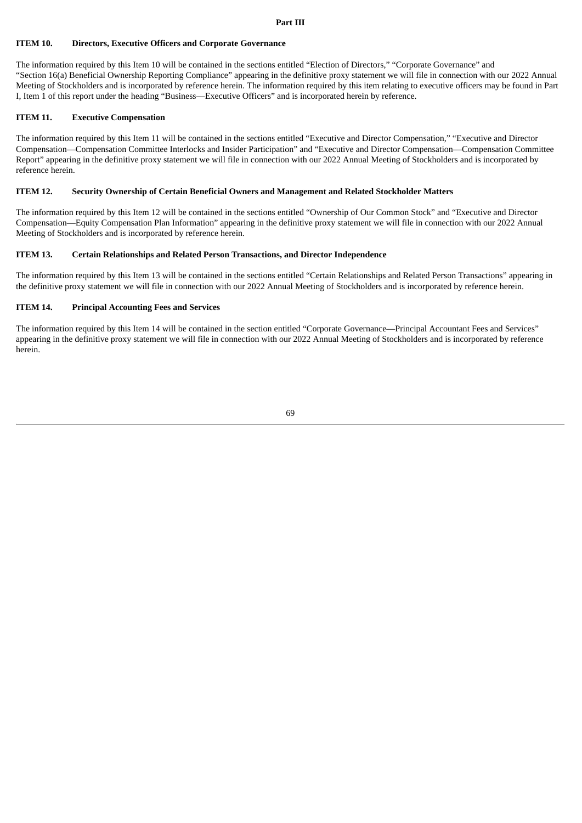# **ITEM 10. Directors, Executive Officers and Corporate Governance**

The information required by this Item 10 will be contained in the sections entitled "Election of Directors," "Corporate Governance" and "Section 16(a) Beneficial Ownership Reporting Compliance" appearing in the definitive proxy statement we will file in connection with our 2022 Annual Meeting of Stockholders and is incorporated by reference herein. The information required by this item relating to executive officers may be found in Part I, Item 1 of this report under the heading "Business—Executive Officers" and is incorporated herein by reference.

## **ITEM 11. Executive Compensation**

The information required by this Item 11 will be contained in the sections entitled "Executive and Director Compensation," "Executive and Director Compensation—Compensation Committee Interlocks and Insider Participation" and "Executive and Director Compensation—Compensation Committee Report" appearing in the definitive proxy statement we will file in connection with our 2022 Annual Meeting of Stockholders and is incorporated by reference herein.

## **ITEM 12. Security Ownership of Certain Beneficial Owners and Management and Related Stockholder Matters**

The information required by this Item 12 will be contained in the sections entitled "Ownership of Our Common Stock" and "Executive and Director Compensation—Equity Compensation Plan Information" appearing in the definitive proxy statement we will file in connection with our 2022 Annual Meeting of Stockholders and is incorporated by reference herein.

## **ITEM 13. Certain Relationships and Related Person Transactions, and Director Independence**

The information required by this Item 13 will be contained in the sections entitled "Certain Relationships and Related Person Transactions" appearing in the definitive proxy statement we will file in connection with our 2022 Annual Meeting of Stockholders and is incorporated by reference herein.

# **ITEM 14. Principal Accounting Fees and Services**

The information required by this Item 14 will be contained in the section entitled "Corporate Governance—Principal Accountant Fees and Services" appearing in the definitive proxy statement we will file in connection with our 2022 Annual Meeting of Stockholders and is incorporated by reference herein.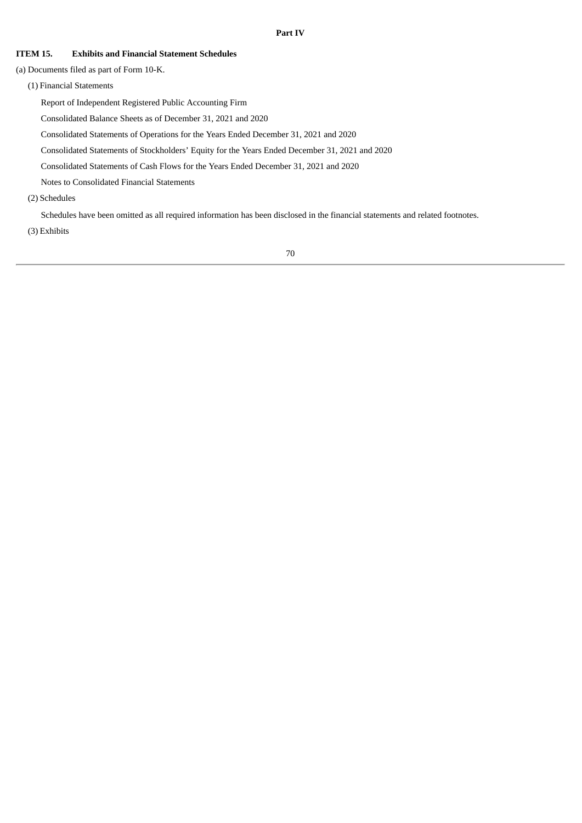#### **Part IV**

## **ITEM 15. Exhibits and Financial Statement Schedules**

(a) Documents filed as part of Form 10-K.

(1) Financial Statements

Report of Independent Registered Public Accounting Firm

Consolidated Balance Sheets as of December 31, 2021 and 2020

Consolidated Statements of Operations for the Years Ended December 31, 2021 and 2020

Consolidated Statements of Stockholders' Equity for the Years Ended December 31, 2021 and 2020

Consolidated Statements of Cash Flows for the Years Ended December 31, 2021 and 2020

Notes to Consolidated Financial Statements

(2) Schedules

Schedules have been omitted as all required information has been disclosed in the financial statements and related footnotes. (3) Exhibits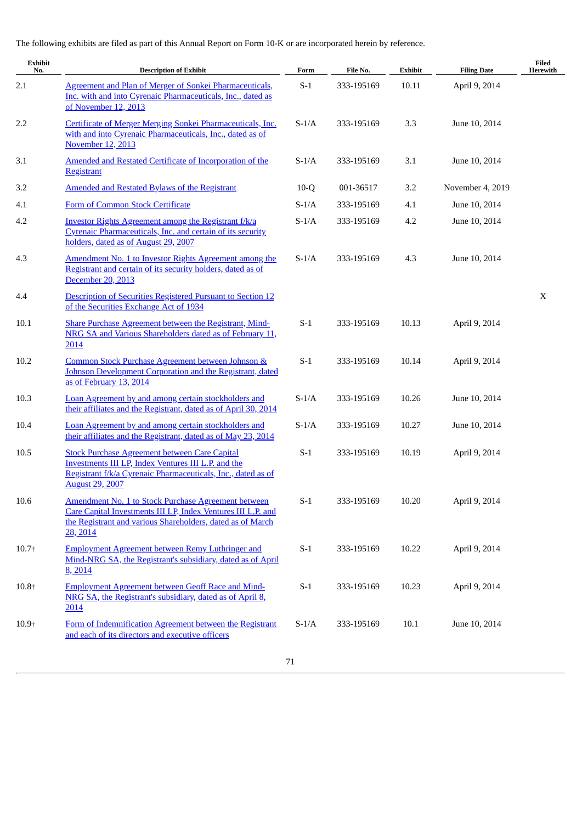The following exhibits are filed as part of this Annual Report on Form 10-K or are incorporated herein by reference.

| <b>Exhibit</b><br>No. | <b>Description of Exhibit</b>                                                                                                                                                                         | Form    | File No.   | <b>Exhibit</b> | <b>Filing Date</b> | Filed<br>Herewith |
|-----------------------|-------------------------------------------------------------------------------------------------------------------------------------------------------------------------------------------------------|---------|------------|----------------|--------------------|-------------------|
| 2.1                   | <b>Agreement and Plan of Merger of Sonkei Pharmaceuticals,</b><br>Inc. with and into Cyrenaic Pharmaceuticals, Inc., dated as<br>of November 12, 2013                                                 | $S-1$   | 333-195169 | 10.11          | April 9, 2014      |                   |
| 2.2                   | Certificate of Merger Merging Sonkei Pharmaceuticals, Inc.<br>with and into Cyrenaic Pharmaceuticals, Inc., dated as of<br><b>November 12, 2013</b>                                                   | $S-1/A$ | 333-195169 | 3.3            | June 10, 2014      |                   |
| 3.1                   | Amended and Restated Certificate of Incorporation of the<br><b>Registrant</b>                                                                                                                         | $S-1/A$ | 333-195169 | 3.1            | June 10, 2014      |                   |
| 3.2                   | <b>Amended and Restated Bylaws of the Registrant</b>                                                                                                                                                  | $10-Q$  | 001-36517  | 3.2            | November 4, 2019   |                   |
| 4.1                   | Form of Common Stock Certificate                                                                                                                                                                      | $S-1/A$ | 333-195169 | 4.1            | June 10, 2014      |                   |
| 4.2                   | <b>Investor Rights Agreement among the Registrant f/k/a</b><br>Cyrenaic Pharmaceuticals, Inc. and certain of its security<br>holders, dated as of August 29, 2007                                     | $S-1/A$ | 333-195169 | 4.2            | June 10, 2014      |                   |
| 4.3                   | Amendment No. 1 to Investor Rights Agreement among the<br>Registrant and certain of its security holders, dated as of<br>December 20, 2013                                                            | $S-1/A$ | 333-195169 | 4.3            | June 10, 2014      |                   |
| 4.4                   | Description of Securities Registered Pursuant to Section 12<br>of the Securities Exchange Act of 1934                                                                                                 |         |            |                |                    | X                 |
| 10.1                  | Share Purchase Agreement between the Registrant, Mind-<br>NRG SA and Various Shareholders dated as of February 11,<br>2014                                                                            | $S-1$   | 333-195169 | 10.13          | April 9, 2014      |                   |
| 10.2                  | Common Stock Purchase Agreement between Johnson &<br>Johnson Development Corporation and the Registrant, dated<br>as of February 13, 2014                                                             | $S-1$   | 333-195169 | 10.14          | April 9, 2014      |                   |
| 10.3                  | Loan Agreement by and among certain stockholders and<br>their affiliates and the Registrant, dated as of April 30, 2014                                                                               | $S-1/A$ | 333-195169 | 10.26          | June 10, 2014      |                   |
| 10.4                  | Loan Agreement by and among certain stockholders and<br>their affiliates and the Registrant, dated as of May 23, 2014                                                                                 | $S-1/A$ | 333-195169 | 10.27          | June 10, 2014      |                   |
| 10.5                  | <b>Stock Purchase Agreement between Care Capital</b><br>Investments III LP, Index Ventures III L.P. and the<br>Registrant f/k/a Cyrenaic Pharmaceuticals, Inc., dated as of<br><b>August 29, 2007</b> | $S-1$   | 333-195169 | 10.19          | April 9, 2014      |                   |
| 10.6                  | <b>Amendment No. 1 to Stock Purchase Agreement between</b><br>Care Capital Investments III LP, Index Ventures III L.P. and<br>the Registrant and various Shareholders, dated as of March<br>28, 2014  | $S-1$   | 333-195169 | 10.20          | April 9, 2014      |                   |
| $10.7 +$              | <b>Employment Agreement between Remy Luthringer and</b><br>Mind-NRG SA, the Registrant's subsidiary, dated as of April<br>8,2014                                                                      | $S-1$   | 333-195169 | 10.22          | April 9, 2014      |                   |
| $10.8 +$              | <b>Employment Agreement between Geoff Race and Mind-</b><br>NRG SA, the Registrant's subsidiary, dated as of April 8,<br>2014                                                                         | $S-1$   | 333-195169 | 10.23          | April 9, 2014      |                   |
| $10.9 +$              | Form of Indemnification Agreement between the Registrant<br>and each of its directors and executive officers                                                                                          | $S-1/A$ | 333-195169 | 10.1           | June 10, 2014      |                   |
|                       |                                                                                                                                                                                                       | 71      |            |                |                    |                   |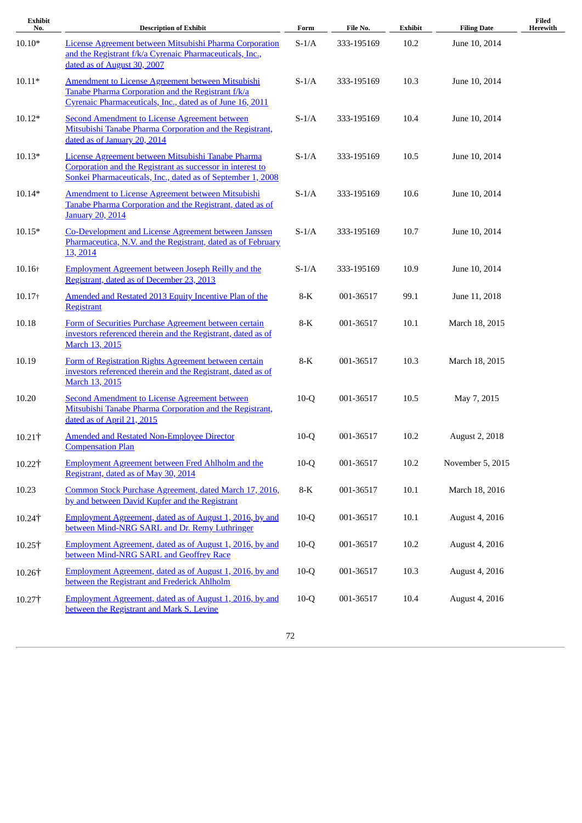| Exhibit<br>No.       | <b>Description of Exhibit</b>                                                                                                                                                   | Form    | File No.   | Exhibit  | <b>Filing Date</b>    | Filed<br>Herewith |
|----------------------|---------------------------------------------------------------------------------------------------------------------------------------------------------------------------------|---------|------------|----------|-----------------------|-------------------|
| $10.10*$             | License Agreement between Mitsubishi Pharma Corporation<br>and the Registrant f/k/a Cyrenaic Pharmaceuticals, Inc.,<br>dated as of August 30, 2007                              | $S-1/A$ | 333-195169 | 10.2     | June 10, 2014         |                   |
| $10.11*$             | <b>Amendment to License Agreement between Mitsubishi</b><br>Tanabe Pharma Corporation and the Registrant f/k/a<br>Cyrenaic Pharmaceuticals, Inc., dated as of June 16, 2011     | $S-1/A$ | 333-195169 | 10.3     | June 10, 2014         |                   |
| $10.12*$             | <b>Second Amendment to License Agreement between</b><br>Mitsubishi Tanabe Pharma Corporation and the Registrant,<br>dated as of January 20, 2014                                | $S-1/A$ | 333-195169 | 10.4     | June 10, 2014         |                   |
| $10.13*$             | License Agreement between Mitsubishi Tanabe Pharma<br>Corporation and the Registrant as successor in interest to<br>Sonkei Pharmaceuticals, Inc., dated as of September 1, 2008 | $S-1/A$ | 333-195169 | 10.5     | June 10, 2014         |                   |
| $10.14*$             | <b>Amendment to License Agreement between Mitsubishi</b><br>Tanabe Pharma Corporation and the Registrant, dated as of<br><b>January 20, 2014</b>                                | $S-1/A$ | 333-195169 | 10.6     | June 10, 2014         |                   |
| $10.15*$             | Co-Development and License Agreement between Janssen<br>Pharmaceutica, N.V. and the Registrant, dated as of February<br>13, 2014                                                | $S-1/A$ | 333-195169 | 10.7     | June 10, 2014         |                   |
| 10.16+               | <b>Employment Agreement between Joseph Reilly and the</b><br>Registrant, dated as of December 23, 2013                                                                          | $S-1/A$ | 333-195169 | 10.9     | June 10, 2014         |                   |
| $10.17 +$            | Amended and Restated 2013 Equity Incentive Plan of the<br><b>Registrant</b>                                                                                                     | $8-K$   | 001-36517  | 99.1     | June 11, 2018         |                   |
| 10.18                | Form of Securities Purchase Agreement between certain<br>investors referenced therein and the Registrant, dated as of<br>March 13, 2015                                         | 8-K     | 001-36517  | 10.1     | March 18, 2015        |                   |
| 10.19                | Form of Registration Rights Agreement between certain<br>investors referenced therein and the Registrant, dated as of<br>March 13, 2015                                         | $8-K$   | 001-36517  | 10.3     | March 18, 2015        |                   |
| 10.20                | <b>Second Amendment to License Agreement between</b><br>Mitsubishi Tanabe Pharma Corporation and the Registrant,<br>dated as of April 21, 2015                                  | $10-Q$  | 001-36517  | 10.5     | May 7, 2015           |                   |
| $10.21$ <sup>+</sup> | <b>Amended and Restated Non-Employee Director</b><br><b>Compensation Plan</b>                                                                                                   | $10-Q$  | 001-36517  | 10.2     | August 2, 2018        |                   |
| 10.22†               | <b>Employment Agreement between Fred Ahlholm and the</b><br>Registrant, dated as of May 30, 2014                                                                                | $10-Q$  | 001-36517  | 10.2     | November 5, 2015      |                   |
| 10.23                | Common Stock Purchase Agreement, dated March 17, 2016,<br>by and between David Kupfer and the Registrant                                                                        | 8-K     | 001-36517  | $10.1\,$ | March 18, 2016        |                   |
| 10.24†               | <b>Employment Agreement, dated as of August 1, 2016, by and</b><br>between Mind-NRG SARL and Dr. Remy Luthringer                                                                | $10-Q$  | 001-36517  | $10.1\,$ | <b>August 4, 2016</b> |                   |
| 10.25†               | Employment Agreement, dated as of August 1, 2016, by and<br>between Mind-NRG SARL and Geoffrey Race                                                                             | $10-Q$  | 001-36517  | 10.2     | <b>August 4, 2016</b> |                   |
| 10.26+               | <b>Employment Agreement, dated as of August 1, 2016, by and</b><br>between the Registrant and Frederick Ahlholm                                                                 | $10-Q$  | 001-36517  | 10.3     | August 4, 2016        |                   |
| 10.27†               | <b>Employment Agreement, dated as of August 1, 2016, by and</b><br>between the Registrant and Mark S. Levine                                                                    | $10-Q$  | 001-36517  | 10.4     | August 4, 2016        |                   |

 $\overline{a}$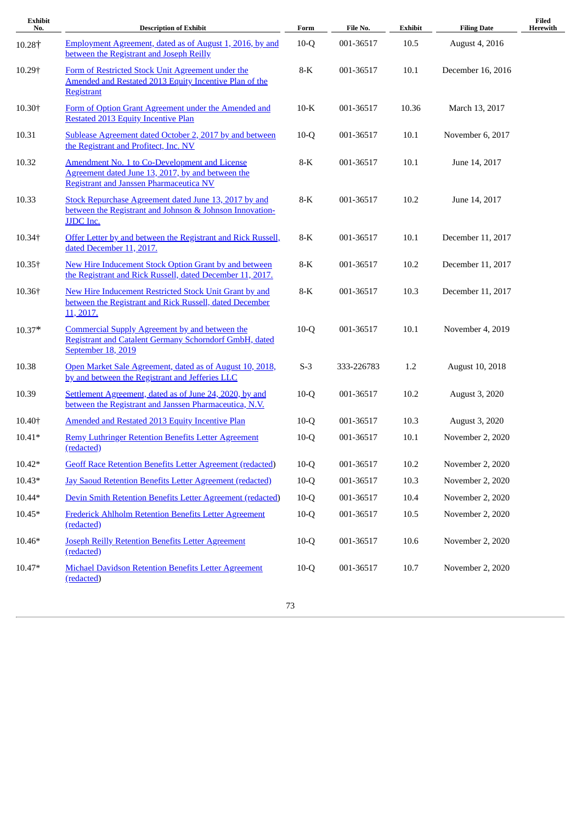| Exhibit<br>No. | <b>Description of Exhibit</b>                                                                                                                 | Form   | File No.   | <b>Exhibit</b> | <b>Filing Date</b>    | Filed<br>Herewith |
|----------------|-----------------------------------------------------------------------------------------------------------------------------------------------|--------|------------|----------------|-----------------------|-------------------|
| 10.28†         | <b>Employment Agreement, dated as of August 1, 2016, by and</b><br>between the Registrant and Joseph Reilly                                   | $10-Q$ | 001-36517  | 10.5           | <b>August 4, 2016</b> |                   |
| 10.29†         | Form of Restricted Stock Unit Agreement under the<br>Amended and Restated 2013 Equity Incentive Plan of the<br><b>Registrant</b>              | $8-K$  | 001-36517  | 10.1           | December 16, 2016     |                   |
| 10.30+         | Form of Option Grant Agreement under the Amended and<br><b>Restated 2013 Equity Incentive Plan</b>                                            | $10-K$ | 001-36517  | 10.36          | March 13, 2017        |                   |
| 10.31          | Sublease Agreement dated October 2, 2017 by and between<br>the Registrant and Profitect, Inc. NV                                              | $10-Q$ | 001-36517  | 10.1           | November 6, 2017      |                   |
| 10.32          | Amendment No. 1 to Co-Development and License<br>Agreement dated June 13, 2017, by and between the<br>Registrant and Janssen Pharmaceutica NV | $8-K$  | 001-36517  | 10.1           | June 14, 2017         |                   |
| 10.33          | Stock Repurchase Agreement dated June 13, 2017 by and<br>between the Registrant and Johnson & Johnson Innovation-<br><b>JJDC</b> Inc.         | $8-K$  | 001-36517  | 10.2           | June 14, 2017         |                   |
| 10.34†         | Offer Letter by and between the Registrant and Rick Russell,<br>dated December 11, 2017.                                                      | $8-K$  | 001-36517  | 10.1           | December 11, 2017     |                   |
| 10.35+         | <b>New Hire Inducement Stock Option Grant by and between</b><br>the Registrant and Rick Russell, dated December 11, 2017.                     | $8-K$  | 001-36517  | 10.2           | December 11, 2017     |                   |
| 10.36†         | <b>New Hire Inducement Restricted Stock Unit Grant by and</b><br>between the Registrant and Rick Russell, dated December<br>11, 2017.         | $8-K$  | 001-36517  | 10.3           | December 11, 2017     |                   |
| $10.37*$       | <b>Commercial Supply Agreement by and between the</b><br>Registrant and Catalent Germany Schorndorf GmbH, dated<br>September 18, 2019         | $10-Q$ | 001-36517  | 10.1           | November 4, 2019      |                   |
| 10.38          | Open Market Sale Agreement, dated as of August 10, 2018,<br>by and between the Registrant and Jefferies LLC                                   | $S-3$  | 333-226783 | 1.2            | August 10, 2018       |                   |
| 10.39          | Settlement Agreement, dated as of June 24, 2020, by and<br>between the Registrant and Janssen Pharmaceutica, N.V.                             | $10-Q$ | 001-36517  | 10.2           | August 3, 2020        |                   |
| 10.40+         | <b>Amended and Restated 2013 Equity Incentive Plan</b>                                                                                        | $10-Q$ | 001-36517  | 10.3           | August 3, 2020        |                   |
| $10.41*$       | <b>Remy Luthringer Retention Benefits Letter Agreement</b><br>(redacted)                                                                      | $10-Q$ | 001-36517  | 10.1           | November 2, 2020      |                   |
| $10.42*$       | <b>Geoff Race Retention Benefits Letter Agreement (redacted)</b>                                                                              | $10-Q$ | 001-36517  | 10.2           | November 2, 2020      |                   |
| $10.43*$       | <b>Jay Saoud Retention Benefits Letter Agreement (redacted)</b>                                                                               | $10-Q$ | 001-36517  | 10.3           | November 2, 2020      |                   |
| $10.44*$       | Devin Smith Retention Benefits Letter Agreement (redacted)                                                                                    | $10-Q$ | 001-36517  | 10.4           | November 2, 2020      |                   |
| $10.45*$       | <b>Frederick Ahlholm Retention Benefits Letter Agreement</b><br>(redacted)                                                                    | $10-Q$ | 001-36517  | 10.5           | November 2, 2020      |                   |
| 10.46*         | <b>Joseph Reilly Retention Benefits Letter Agreement</b><br>(redacted)                                                                        | $10-Q$ | 001-36517  | 10.6           | November 2, 2020      |                   |
| 10.47*         | Michael Davidson Retention Benefits Letter Agreement<br>(redacted)                                                                            | $10-Q$ | 001-36517  | 10.7           | November 2, 2020      |                   |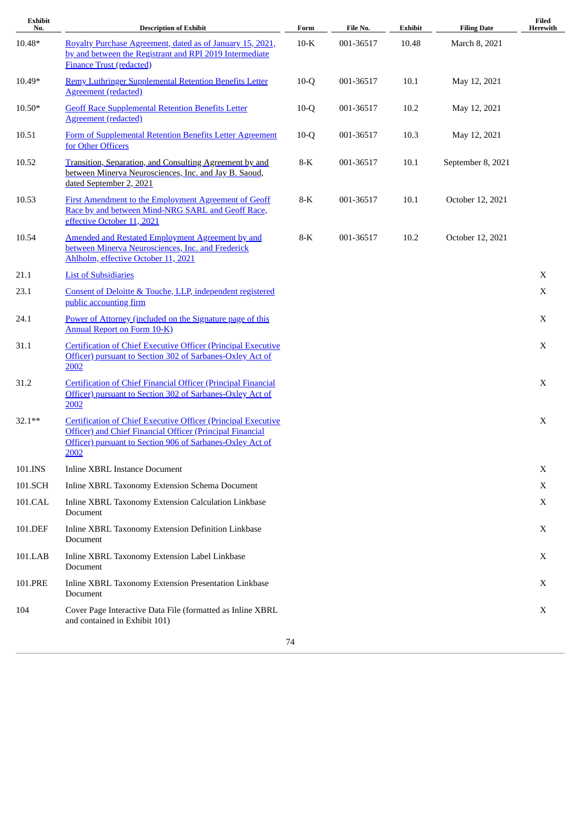| <b>Exhibit</b><br>No. | <b>Description of Exhibit</b>                                                                                                                                                                          | Form   | File No.  | <b>Exhibit</b> | <b>Filing Date</b> | Filed<br>Herewith |
|-----------------------|--------------------------------------------------------------------------------------------------------------------------------------------------------------------------------------------------------|--------|-----------|----------------|--------------------|-------------------|
| 10.48*                | Royalty Purchase Agreement, dated as of January 15, 2021,<br>by and between the Registrant and RPI 2019 Intermediate<br><b>Finance Trust (redacted)</b>                                                | $10-K$ | 001-36517 | 10.48          | March 8, 2021      |                   |
| 10.49*                | <b>Remy Luthringer Supplemental Retention Benefits Letter</b><br><b>Agreement</b> (redacted)                                                                                                           | $10-Q$ | 001-36517 | 10.1           | May 12, 2021       |                   |
| $10.50*$              | <b>Geoff Race Supplemental Retention Benefits Letter</b><br><b>Agreement</b> (redacted)                                                                                                                | $10-Q$ | 001-36517 | 10.2           | May 12, 2021       |                   |
| 10.51                 | Form of Supplemental Retention Benefits Letter Agreement<br>for Other Officers                                                                                                                         | $10-Q$ | 001-36517 | 10.3           | May 12, 2021       |                   |
| 10.52                 | <b>Transition, Separation, and Consulting Agreement by and</b><br>between Minerva Neurosciences, Inc. and Jay B. Saoud,<br>dated September 2, 2021                                                     | $8-K$  | 001-36517 | 10.1           | September 8, 2021  |                   |
| 10.53                 | First Amendment to the Employment Agreement of Geoff<br>Race by and between Mind-NRG SARL and Geoff Race,<br>effective October 11, 2021                                                                | $8-K$  | 001-36517 | 10.1           | October 12, 2021   |                   |
| 10.54                 | <b>Amended and Restated Employment Agreement by and</b><br>between Minerva Neurosciences, Inc. and Frederick<br>Ahlholm, effective October 11, 2021                                                    | 8-K    | 001-36517 | 10.2           | October 12, 2021   |                   |
| 21.1                  | <b>List of Subsidiaries</b>                                                                                                                                                                            |        |           |                |                    | $\mathbf X$       |
| 23.1                  | Consent of Deloitte & Touche, LLP, independent registered<br>public accounting firm                                                                                                                    |        |           |                |                    | $\mathbf X$       |
| 24.1                  | Power of Attorney (included on the Signature page of this<br><b>Annual Report on Form 10-K)</b>                                                                                                        |        |           |                |                    | $\mathbf X$       |
| 31.1                  | <b>Certification of Chief Executive Officer (Principal Executive)</b><br>Officer) pursuant to Section 302 of Sarbanes-Oxley Act of<br>2002                                                             |        |           |                |                    | $\mathbf X$       |
| 31.2                  | <b>Certification of Chief Financial Officer (Principal Financial</b><br>Officer) pursuant to Section 302 of Sarbanes-Oxley Act of<br>2002                                                              |        |           |                |                    | X                 |
| $32.1***$             | <b>Certification of Chief Executive Officer (Principal Executive</b><br>Officer) and Chief Financial Officer (Principal Financial<br>Officer) pursuant to Section 906 of Sarbanes-Oxley Act of<br>2002 |        |           |                |                    | X                 |
| 101.INS               | <b>Inline XBRL Instance Document</b>                                                                                                                                                                   |        |           |                |                    | X                 |
| 101.SCH               | Inline XBRL Taxonomy Extension Schema Document                                                                                                                                                         |        |           |                |                    | X                 |
| 101.CAL               | Inline XBRL Taxonomy Extension Calculation Linkbase<br>Document                                                                                                                                        |        |           |                |                    | X                 |
| 101.DEF               | Inline XBRL Taxonomy Extension Definition Linkbase<br>Document                                                                                                                                         |        |           |                |                    | X                 |
| 101.LAB               | Inline XBRL Taxonomy Extension Label Linkbase<br>Document                                                                                                                                              |        |           |                |                    | X                 |
| 101.PRE               | Inline XBRL Taxonomy Extension Presentation Linkbase<br>Document                                                                                                                                       |        |           |                |                    | X                 |
| 104                   | Cover Page Interactive Data File (formatted as Inline XBRL<br>and contained in Exhibit 101)                                                                                                            |        |           |                |                    | X                 |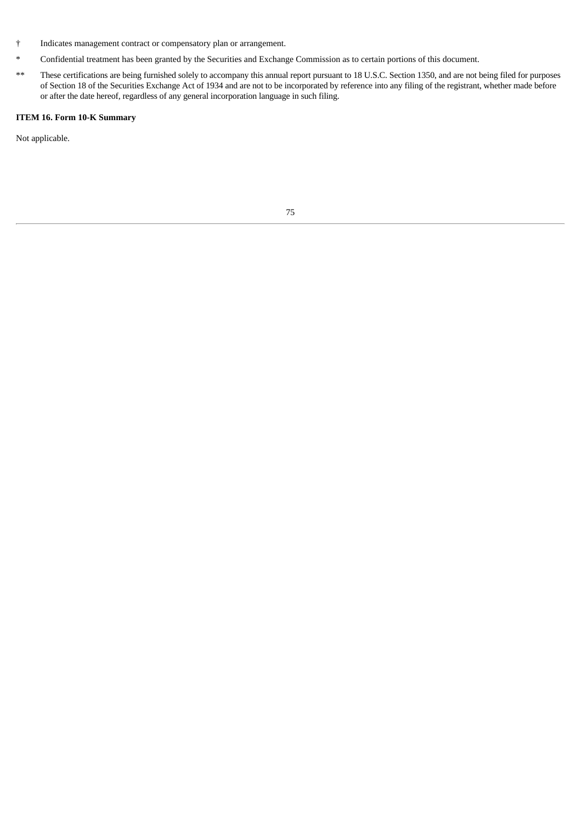- † Indicates management contract or compensatory plan or arrangement.
- \* Confidential treatment has been granted by the Securities and Exchange Commission as to certain portions of this document.
- \*\* These certifications are being furnished solely to accompany this annual report pursuant to 18 U.S.C. Section 1350, and are not being filed for purposes of Section 18 of the Securities Exchange Act of 1934 and are not to be incorporated by reference into any filing of the registrant, whether made before or after the date hereof, regardless of any general incorporation language in such filing.

## **ITEM 16. Form 10-K Summary**

Not applicable.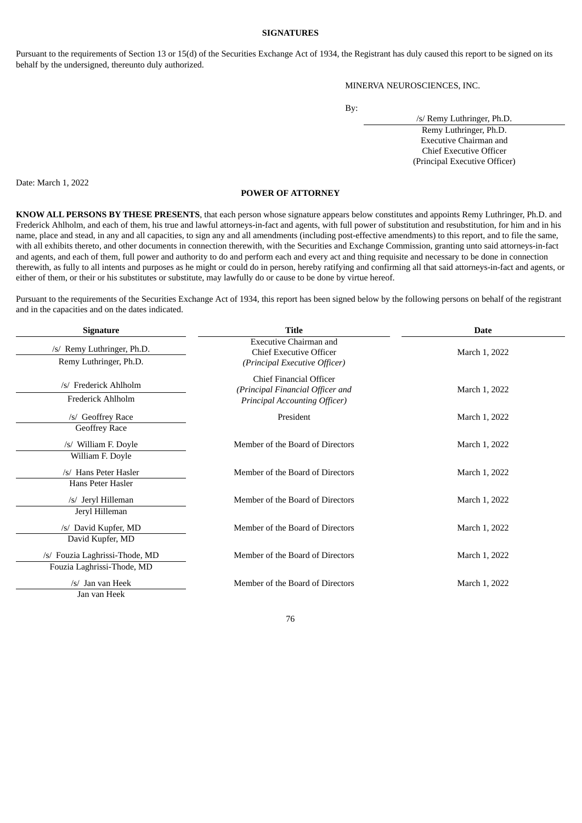#### **SIGNATURES**

Pursuant to the requirements of Section 13 or 15(d) of the Securities Exchange Act of 1934, the Registrant has duly caused this report to be signed on its behalf by the undersigned, thereunto duly authorized.

MINERVA NEUROSCIENCES, INC.

By:

/s/ Remy Luthringer, Ph.D. Remy Luthringer, Ph.D. Executive Chairman and Chief Executive Officer (Principal Executive Officer)

<span id="page-96-0"></span>Date: March 1, 2022

## **POWER OF ATTORNEY**

**KNOW ALL PERSONS BY THESE PRESENTS**, that each person whose signature appears below constitutes and appoints Remy Luthringer, Ph.D. and Frederick Ahlholm, and each of them, his true and lawful attorneys-in-fact and agents, with full power of substitution and resubstitution, for him and in his name, place and stead, in any and all capacities, to sign any and all amendments (including post-effective amendments) to this report, and to file the same, with all exhibits thereto, and other documents in connection therewith, with the Securities and Exchange Commission, granting unto said attorneys-in-fact and agents, and each of them, full power and authority to do and perform each and every act and thing requisite and necessary to be done in connection therewith, as fully to all intents and purposes as he might or could do in person, hereby ratifying and confirming all that said attorneys-in-fact and agents, or either of them, or their or his substitutes or substitute, may lawfully do or cause to be done by virtue hereof.

Pursuant to the requirements of the Securities Exchange Act of 1934, this report has been signed below by the following persons on behalf of the registrant and in the capacities and on the dates indicated.

| <b>Signature</b>                                             | <b>Title</b>                                                    | <b>Date</b>   |  |  |
|--------------------------------------------------------------|-----------------------------------------------------------------|---------------|--|--|
| /s/ Remy Luthringer, Ph.D.                                   | <b>Executive Chairman and</b><br><b>Chief Executive Officer</b> | March 1, 2022 |  |  |
| Remy Luthringer, Ph.D.                                       | (Principal Executive Officer)                                   |               |  |  |
| /s/ Frederick Ahlholm                                        | Chief Financial Officer<br>(Principal Financial Officer and     | March 1, 2022 |  |  |
| Frederick Ahlholm                                            | <b>Principal Accounting Officer)</b>                            |               |  |  |
| /s/ Geoffrey Race<br>Geoffrey Race                           | President                                                       | March 1, 2022 |  |  |
| /s/ William F. Doyle<br>William F. Doyle                     | Member of the Board of Directors                                | March 1, 2022 |  |  |
| /s/ Hans Peter Hasler<br>Hans Peter Hasler                   | Member of the Board of Directors                                | March 1, 2022 |  |  |
| /s/ Jeryl Hilleman<br>Jeryl Hilleman                         | Member of the Board of Directors                                | March 1, 2022 |  |  |
| /s/ David Kupfer, MD<br>David Kupfer, MD                     | Member of the Board of Directors                                | March 1, 2022 |  |  |
| /s/ Fouzia Laghrissi-Thode, MD<br>Fouzia Laghrissi-Thode, MD | Member of the Board of Directors                                | March 1, 2022 |  |  |
| /s/ Jan van Heek<br>Jan van Heek                             | Member of the Board of Directors                                | March 1, 2022 |  |  |

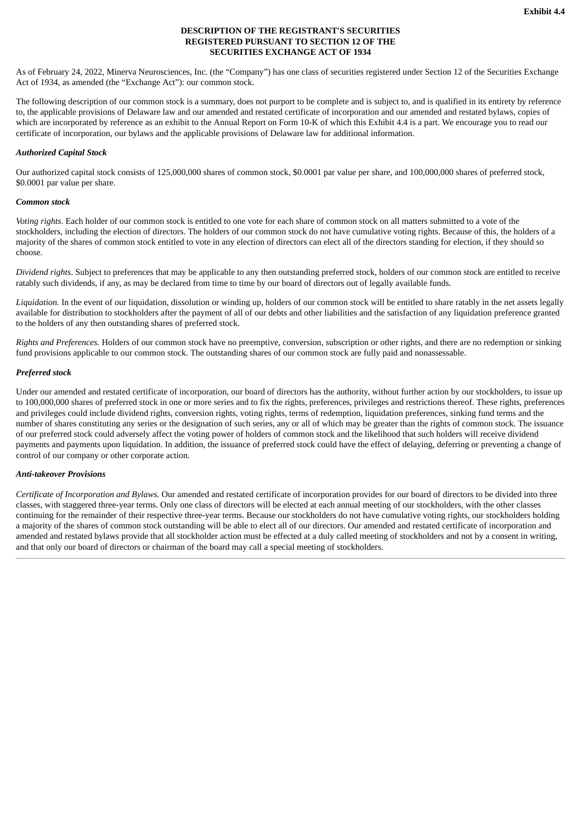# **DESCRIPTION OF THE REGISTRANT'S SECURITIES REGISTERED PURSUANT TO SECTION 12 OF THE SECURITIES EXCHANGE ACT OF 1934**

<span id="page-97-0"></span>As of February 24, 2022, Minerva Neurosciences, Inc. (the "Company") has one class of securities registered under Section 12 of the Securities Exchange Act of 1934, as amended (the "Exchange Act"): our common stock.

The following description of our common stock is a summary, does not purport to be complete and is subject to, and is qualified in its entirety by reference to, the applicable provisions of Delaware law and our amended and restated certificate of incorporation and our amended and restated bylaws, copies of which are incorporated by reference as an exhibit to the Annual Report on Form 10-K of which this Exhibit 4.4 is a part. We encourage you to read our certificate of incorporation, our bylaws and the applicable provisions of Delaware law for additional information.

# *Authorized Capital Stock*

Our authorized capital stock consists of 125,000,000 shares of common stock, \$0.0001 par value per share, and 100,000,000 shares of preferred stock, \$0.0001 par value per share.

# *Common stock*

*Voting rights*. Each holder of our common stock is entitled to one vote for each share of common stock on all matters submitted to a vote of the stockholders, including the election of directors. The holders of our common stock do not have cumulative voting rights. Because of this, the holders of a majority of the shares of common stock entitled to vote in any election of directors can elect all of the directors standing for election, if they should so choose.

*Dividend rights*. Subject to preferences that may be applicable to any then outstanding preferred stock, holders of our common stock are entitled to receive ratably such dividends, if any, as may be declared from time to time by our board of directors out of legally available funds.

*Liquidation.* In the event of our liquidation, dissolution or winding up, holders of our common stock will be entitled to share ratably in the net assets legally available for distribution to stockholders after the payment of all of our debts and other liabilities and the satisfaction of any liquidation preference granted to the holders of any then outstanding shares of preferred stock.

*Rights and Preferences.* Holders of our common stock have no preemptive, conversion, subscription or other rights, and there are no redemption or sinking fund provisions applicable to our common stock. The outstanding shares of our common stock are fully paid and nonassessable.

# *Preferred stock*

Under our amended and restated certificate of incorporation, our board of directors has the authority, without further action by our stockholders, to issue up to 100,000,000 shares of preferred stock in one or more series and to fix the rights, preferences, privileges and restrictions thereof. These rights, preferences and privileges could include dividend rights, conversion rights, voting rights, terms of redemption, liquidation preferences, sinking fund terms and the number of shares constituting any series or the designation of such series, any or all of which may be greater than the rights of common stock. The issuance of our preferred stock could adversely affect the voting power of holders of common stock and the likelihood that such holders will receive dividend payments and payments upon liquidation. In addition, the issuance of preferred stock could have the effect of delaying, deferring or preventing a change of control of our company or other corporate action.

# *Anti-takeover Provisions*

*Certificate of Incorporation and Bylaws.* Our amended and restated certificate of incorporation provides for our board of directors to be divided into three classes, with staggered three-year terms. Only one class of directors will be elected at each annual meeting of our stockholders, with the other classes continuing for the remainder of their respective three-year terms. Because our stockholders do not have cumulative voting rights, our stockholders holding a majority of the shares of common stock outstanding will be able to elect all of our directors. Our amended and restated certificate of incorporation and amended and restated bylaws provide that all stockholder action must be effected at a duly called meeting of stockholders and not by a consent in writing, and that only our board of directors or chairman of the board may call a special meeting of stockholders.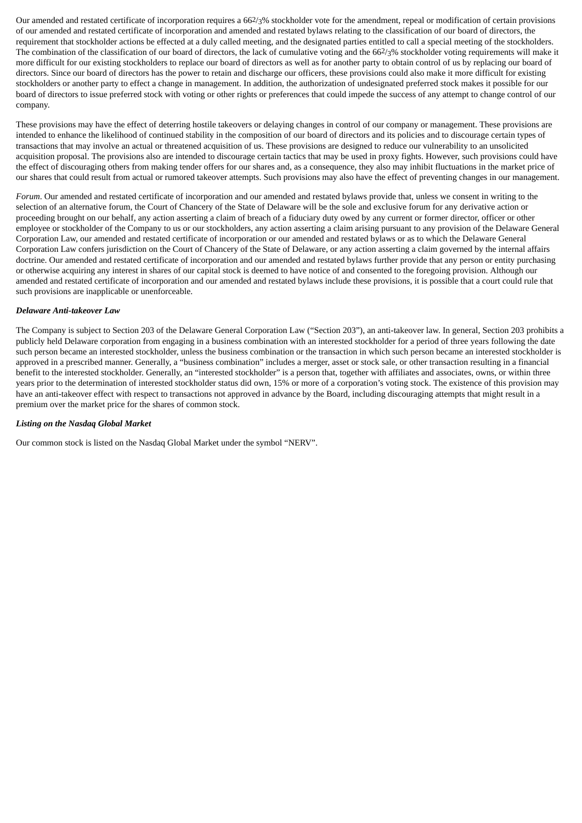Our amended and restated certificate of incorporation requires a 66<sup>2</sup>/3% stockholder vote for the amendment, repeal or modification of certain provisions of our amended and restated certificate of incorporation and amended and restated bylaws relating to the classification of our board of directors, the requirement that stockholder actions be effected at a duly called meeting, and the designated parties entitled to call a special meeting of the stockholders. The combination of the classification of our board of directors, the lack of cumulative voting and the 662/3% stockholder voting requirements will make it more difficult for our existing stockholders to replace our board of directors as well as for another party to obtain control of us by replacing our board of directors. Since our board of directors has the power to retain and discharge our officers, these provisions could also make it more difficult for existing stockholders or another party to effect a change in management. In addition, the authorization of undesignated preferred stock makes it possible for our board of directors to issue preferred stock with voting or other rights or preferences that could impede the success of any attempt to change control of our company.

These provisions may have the effect of deterring hostile takeovers or delaying changes in control of our company or management. These provisions are intended to enhance the likelihood of continued stability in the composition of our board of directors and its policies and to discourage certain types of transactions that may involve an actual or threatened acquisition of us. These provisions are designed to reduce our vulnerability to an unsolicited acquisition proposal. The provisions also are intended to discourage certain tactics that may be used in proxy fights. However, such provisions could have the effect of discouraging others from making tender offers for our shares and, as a consequence, they also may inhibit fluctuations in the market price of our shares that could result from actual or rumored takeover attempts. Such provisions may also have the effect of preventing changes in our management.

*Forum*. Our amended and restated certificate of incorporation and our amended and restated bylaws provide that, unless we consent in writing to the selection of an alternative forum, the Court of Chancery of the State of Delaware will be the sole and exclusive forum for any derivative action or proceeding brought on our behalf, any action asserting a claim of breach of a fiduciary duty owed by any current or former director, officer or other employee or stockholder of the Company to us or our stockholders, any action asserting a claim arising pursuant to any provision of the Delaware General Corporation Law, our amended and restated certificate of incorporation or our amended and restated bylaws or as to which the Delaware General Corporation Law confers jurisdiction on the Court of Chancery of the State of Delaware, or any action asserting a claim governed by the internal affairs doctrine. Our amended and restated certificate of incorporation and our amended and restated bylaws further provide that any person or entity purchasing or otherwise acquiring any interest in shares of our capital stock is deemed to have notice of and consented to the foregoing provision. Although our amended and restated certificate of incorporation and our amended and restated bylaws include these provisions, it is possible that a court could rule that such provisions are inapplicable or unenforceable.

# *Delaware Anti-takeover Law*

The Company is subject to Section 203 of the Delaware General Corporation Law ("Section 203"), an anti-takeover law. In general, Section 203 prohibits a publicly held Delaware corporation from engaging in a business combination with an interested stockholder for a period of three years following the date such person became an interested stockholder, unless the business combination or the transaction in which such person became an interested stockholder is approved in a prescribed manner. Generally, a "business combination" includes a merger, asset or stock sale, or other transaction resulting in a financial benefit to the interested stockholder. Generally, an "interested stockholder" is a person that, together with affiliates and associates, owns, or within three years prior to the determination of interested stockholder status did own, 15% or more of a corporation's voting stock. The existence of this provision may have an anti-takeover effect with respect to transactions not approved in advance by the Board, including discouraging attempts that might result in a premium over the market price for the shares of common stock.

# *Listing on the Nasdaq Global Market*

Our common stock is listed on the Nasdaq Global Market under the symbol "NERV".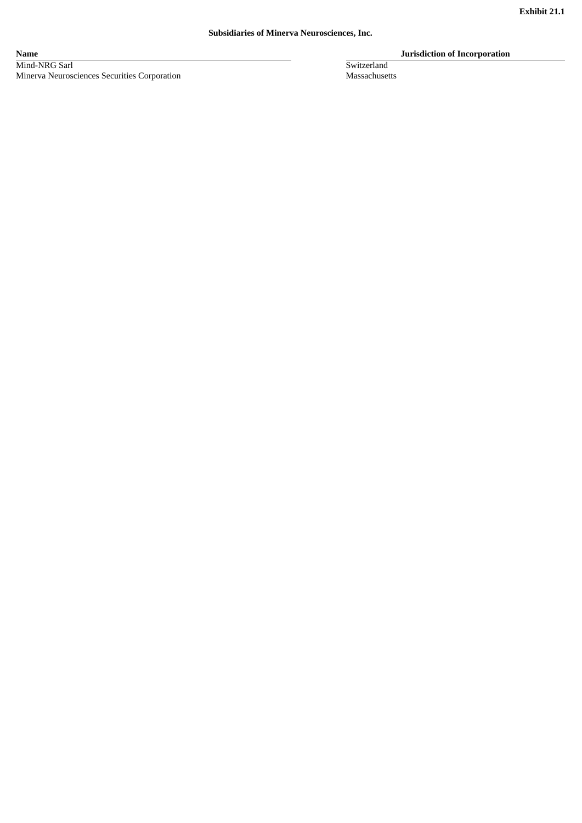<span id="page-99-0"></span>**Name Jurisdiction of Incorporation** Mind-NRG Sarl Switzerland<br>
Minerva Neurosciences Securities Corporation<br>
Massachusetts<br>
Massachusetts Minerva Neurosciences Securities Corporation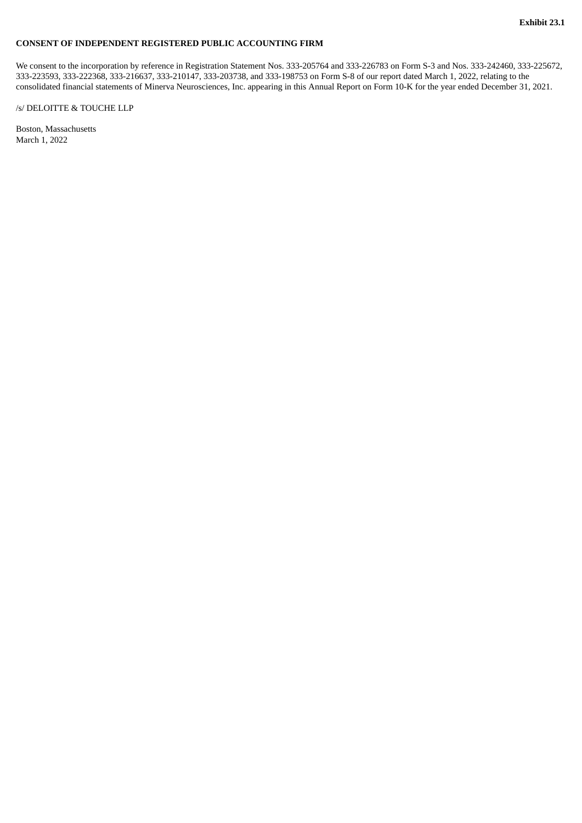# <span id="page-100-0"></span>**CONSENT OF INDEPENDENT REGISTERED PUBLIC ACCOUNTING FIRM**

We consent to the incorporation by reference in Registration Statement Nos. 333-205764 and 333-226783 on Form S-3 and Nos. 333-242460, 333-225672, 333-223593, 333-222368, 333-216637, 333-210147, 333-203738, and 333-198753 on Form S-8 of our report dated March 1, 2022, relating to the consolidated financial statements of Minerva Neurosciences, Inc. appearing in this Annual Report on Form 10-K for the year ended December 31, 2021.

# /s/ DELOITTE & TOUCHE LLP

Boston, Massachusetts March 1, 2022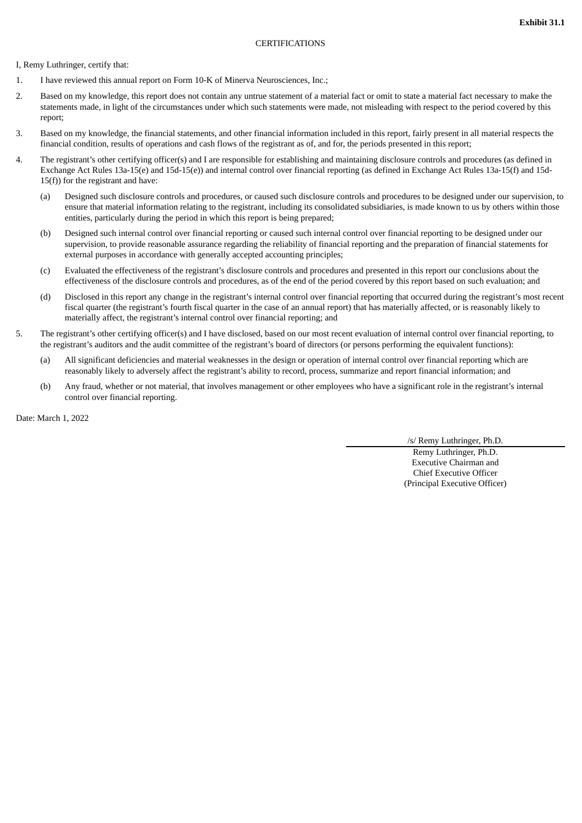<span id="page-101-0"></span>I, Remy Luthringer, certify that:

- 1. I have reviewed this annual report on Form 10-K of Minerva Neurosciences, Inc.;
- 2. Based on my knowledge, this report does not contain any untrue statement of a material fact or omit to state a material fact necessary to make the statements made, in light of the circumstances under which such statements were made, not misleading with respect to the period covered by this report;
- 3. Based on my knowledge, the financial statements, and other financial information included in this report, fairly present in all material respects the financial condition, results of operations and cash flows of the registrant as of, and for, the periods presented in this report;
- 4. The registrant's other certifying officer(s) and I are responsible for establishing and maintaining disclosure controls and procedures (as defined in Exchange Act Rules 13a-15(e) and 15d-15(e)) and internal control over financial reporting (as defined in Exchange Act Rules 13a-15(f) and 15d-15(f)) for the registrant and have:
	- (a) Designed such disclosure controls and procedures, or caused such disclosure controls and procedures to be designed under our supervision, to ensure that material information relating to the registrant, including its consolidated subsidiaries, is made known to us by others within those entities, particularly during the period in which this report is being prepared;
	- (b) Designed such internal control over financial reporting or caused such internal control over financial reporting to be designed under our supervision, to provide reasonable assurance regarding the reliability of financial reporting and the preparation of financial statements for external purposes in accordance with generally accepted accounting principles;
	- (c) Evaluated the effectiveness of the registrant's disclosure controls and procedures and presented in this report our conclusions about the effectiveness of the disclosure controls and procedures, as of the end of the period covered by this report based on such evaluation; and
	- (d) Disclosed in this report any change in the registrant's internal control over financial reporting that occurred during the registrant's most recent fiscal quarter (the registrant's fourth fiscal quarter in the case of an annual report) that has materially affected, or is reasonably likely to materially affect, the registrant's internal control over financial reporting; and
- 5. The registrant's other certifying officer(s) and I have disclosed, based on our most recent evaluation of internal control over financial reporting, to the registrant's auditors and the audit committee of the registrant's board of directors (or persons performing the equivalent functions):
	- (a) All significant deficiencies and material weaknesses in the design or operation of internal control over financial reporting which are reasonably likely to adversely affect the registrant's ability to record, process, summarize and report financial information; and
	- (b) Any fraud, whether or not material, that involves management or other employees who have a significant role in the registrant's internal control over financial reporting.

Date: March 1, 2022

/s/ Remy Luthringer, Ph.D.

Remy Luthringer, Ph.D. Executive Chairman and Chief Executive Officer (Principal Executive Officer)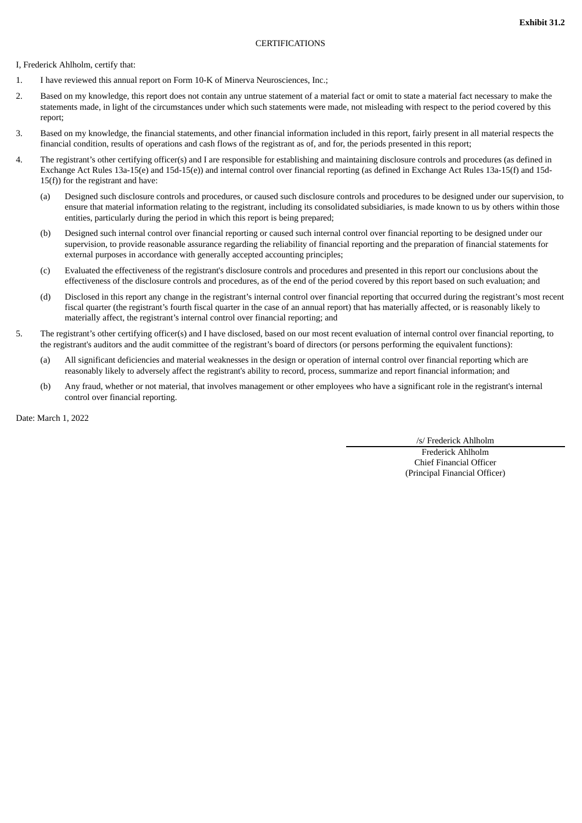<span id="page-102-0"></span>I, Frederick Ahlholm, certify that:

- 1. I have reviewed this annual report on Form 10-K of Minerva Neurosciences, Inc.;
- 2. Based on my knowledge, this report does not contain any untrue statement of a material fact or omit to state a material fact necessary to make the statements made, in light of the circumstances under which such statements were made, not misleading with respect to the period covered by this report;
- 3. Based on my knowledge, the financial statements, and other financial information included in this report, fairly present in all material respects the financial condition, results of operations and cash flows of the registrant as of, and for, the periods presented in this report;
- 4. The registrant's other certifying officer(s) and I are responsible for establishing and maintaining disclosure controls and procedures (as defined in Exchange Act Rules 13a-15(e) and 15d-15(e)) and internal control over financial reporting (as defined in Exchange Act Rules 13a-15(f) and 15d-15(f)) for the registrant and have:
	- (a) Designed such disclosure controls and procedures, or caused such disclosure controls and procedures to be designed under our supervision, to ensure that material information relating to the registrant, including its consolidated subsidiaries, is made known to us by others within those entities, particularly during the period in which this report is being prepared;
	- (b) Designed such internal control over financial reporting or caused such internal control over financial reporting to be designed under our supervision, to provide reasonable assurance regarding the reliability of financial reporting and the preparation of financial statements for external purposes in accordance with generally accepted accounting principles;
	- (c) Evaluated the effectiveness of the registrant's disclosure controls and procedures and presented in this report our conclusions about the effectiveness of the disclosure controls and procedures, as of the end of the period covered by this report based on such evaluation; and
	- (d) Disclosed in this report any change in the registrant's internal control over financial reporting that occurred during the registrant's most recent fiscal quarter (the registrant's fourth fiscal quarter in the case of an annual report) that has materially affected, or is reasonably likely to materially affect, the registrant's internal control over financial reporting; and
- 5. The registrant's other certifying officer(s) and I have disclosed, based on our most recent evaluation of internal control over financial reporting, to the registrant's auditors and the audit committee of the registrant's board of directors (or persons performing the equivalent functions):
	- (a) All significant deficiencies and material weaknesses in the design or operation of internal control over financial reporting which are reasonably likely to adversely affect the registrant's ability to record, process, summarize and report financial information; and
	- (b) Any fraud, whether or not material, that involves management or other employees who have a significant role in the registrant's internal control over financial reporting.

Date: March 1, 2022

/s/ Frederick Ahlholm

Frederick Ahlholm Chief Financial Officer (Principal Financial Officer)